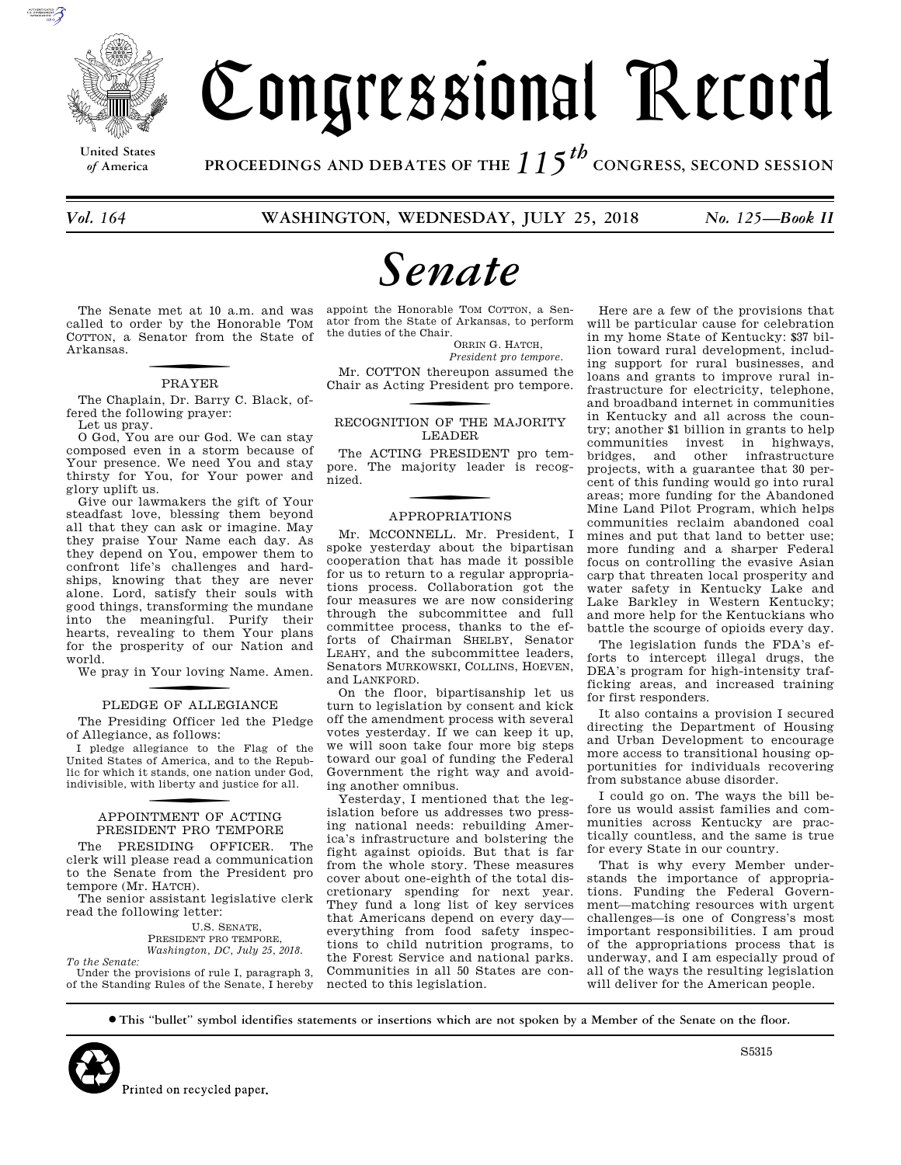

**United States**

# Congressional Record

*of* **America PROCEEDINGS AND DEBATES OF THE** *115th*  **CONGRESS, SECOND SESSION**

*Vol. 164* **WASHINGTON, WEDNESDAY, JULY 25, 2018** *No. 125—Book II* 

# *Senate*

The Senate met at 10 a.m. and was called to order by the Honorable TOM COTTON, a Senator from the State of Arkansas.

# **PRAYER**

The Chaplain, Dr. Barry C. Black, offered the following prayer:

Let us pray.

O God, You are our God. We can stay composed even in a storm because of Your presence. We need You and stay thirsty for You, for Your power and glory uplift us.

Give our lawmakers the gift of Your steadfast love, blessing them beyond all that they can ask or imagine. May they praise Your Name each day. As they depend on You, empower them to confront life's challenges and hardships, knowing that they are never alone. Lord, satisfy their souls with good things, transforming the mundane into the meaningful. Purify their hearts, revealing to them Your plans for the prosperity of our Nation and world.

We pray in Your loving Name. Amen.

# PLEDGE OF ALLEGIANCE

The Presiding Officer led the Pledge of Allegiance, as follows:

I pledge allegiance to the Flag of the United States of America, and to the Republic for which it stands, one nation under God, indivisible, with liberty and justice for all.

# f APPOINTMENT OF ACTING PRESIDENT PRO TEMPORE

The PRESIDING OFFICER. The clerk will please read a communication to the Senate from the President pro tempore (Mr. HATCH).

The senior assistant legislative clerk read the following letter:

> U.S. SENATE, PRESIDENT PRO TEMPORE, *Washington, DC, July 25, 2018.*

*To the Senate:*  Under the provisions of rule I, paragraph 3, of the Standing Rules of the Senate, I hereby

appoint the Honorable TOM COTTON, a Senator from the State of Arkansas, to perform the duties of the Chair.

ORRIN G. HATCH, *President pro tempore.* 

Mr. COTTON thereupon assumed the Chair as Acting President pro tempore.

## RECOGNITION OF THE MAJORITY LEADER

The ACTING PRESIDENT pro tempore. The majority leader is recognized.

# f APPROPRIATIONS

Mr. MCCONNELL. Mr. President, I spoke yesterday about the bipartisan cooperation that has made it possible for us to return to a regular appropriations process. Collaboration got the four measures we are now considering through the subcommittee and full committee process, thanks to the efforts of Chairman SHELBY, Senator LEAHY, and the subcommittee leaders, Senators MURKOWSKI, COLLINS, HOEVEN, and LANKFORD.

On the floor, bipartisanship let us turn to legislation by consent and kick off the amendment process with several votes yesterday. If we can keep it up, we will soon take four more big steps toward our goal of funding the Federal Government the right way and avoiding another omnibus.

Yesterday, I mentioned that the legislation before us addresses two pressing national needs: rebuilding America's infrastructure and bolstering the fight against opioids. But that is far from the whole story. These measures cover about one-eighth of the total discretionary spending for next year. They fund a long list of key services that Americans depend on every day everything from food safety inspections to child nutrition programs, to the Forest Service and national parks. Communities in all 50 States are connected to this legislation.

Here are a few of the provisions that will be particular cause for celebration in my home State of Kentucky: \$37 billion toward rural development, including support for rural businesses, and loans and grants to improve rural infrastructure for electricity, telephone, and broadband internet in communities in Kentucky and all across the country; another \$1 billion in grants to help communities invest in highways, bridges, and other infrastructure projects, with a guarantee that 30 percent of this funding would go into rural areas; more funding for the Abandoned Mine Land Pilot Program, which helps communities reclaim abandoned coal mines and put that land to better use; more funding and a sharper Federal focus on controlling the evasive Asian carp that threaten local prosperity and water safety in Kentucky Lake and Lake Barkley in Western Kentucky; and more help for the Kentuckians who battle the scourge of opioids every day.

The legislation funds the FDA's efforts to intercept illegal drugs, the DEA's program for high-intensity trafficking areas, and increased training for first responders.

It also contains a provision I secured directing the Department of Housing and Urban Development to encourage more access to transitional housing opportunities for individuals recovering from substance abuse disorder.

I could go on. The ways the bill before us would assist families and communities across Kentucky are practically countless, and the same is true for every State in our country.

That is why every Member understands the importance of appropriations. Funding the Federal Government—matching resources with urgent challenges—is one of Congress's most important responsibilities. I am proud of the appropriations process that is underway, and I am especially proud of all of the ways the resulting legislation will deliver for the American people.

∑ **This ''bullet'' symbol identifies statements or insertions which are not spoken by a Member of the Senate on the floor.**



S5315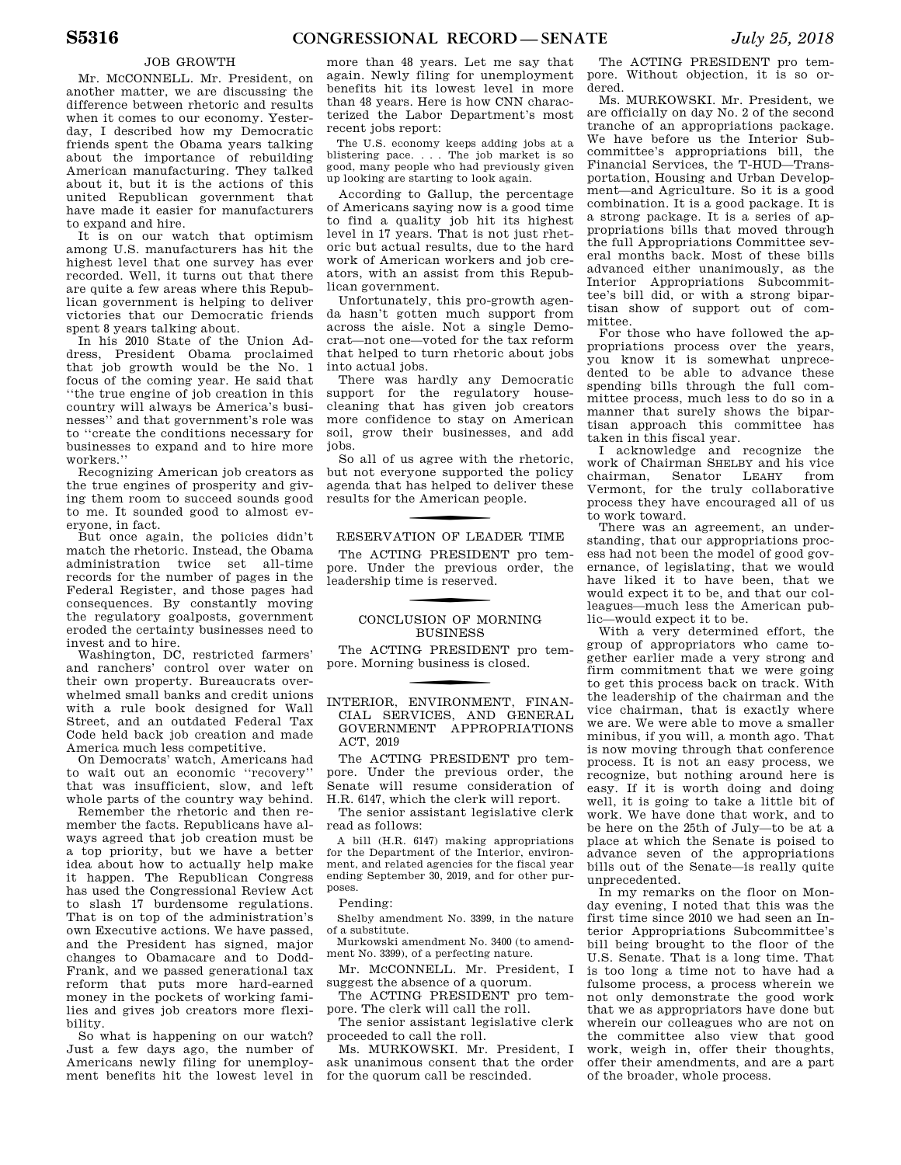#### JOB GROWTH

Mr. MCCONNELL. Mr. President, on another matter, we are discussing the difference between rhetoric and results when it comes to our economy. Yesterday, I described how my Democratic friends spent the Obama years talking about the importance of rebuilding American manufacturing. They talked about it, but it is the actions of this united Republican government that have made it easier for manufacturers to expand and hire.

It is on our watch that optimism among U.S. manufacturers has hit the highest level that one survey has ever recorded. Well, it turns out that there are quite a few areas where this Republican government is helping to deliver victories that our Democratic friends spent 8 years talking about.

In his 2010 State of the Union Address, President Obama proclaimed that job growth would be the No. 1 focus of the coming year. He said that ''the true engine of job creation in this country will always be America's businesses'' and that government's role was to ''create the conditions necessary for businesses to expand and to hire more workers.''

Recognizing American job creators as the true engines of prosperity and giving them room to succeed sounds good to me. It sounded good to almost everyone, in fact.

But once again, the policies didn't match the rhetoric. Instead, the Obama administration twice set all-time records for the number of pages in the Federal Register, and those pages had consequences. By constantly moving the regulatory goalposts, government eroded the certainty businesses need to invest and to hire.

Washington, DC, restricted farmers' and ranchers' control over water on their own property. Bureaucrats overwhelmed small banks and credit unions with a rule book designed for Wall Street, and an outdated Federal Tax Code held back job creation and made America much less competitive.

On Democrats' watch, Americans had to wait out an economic ''recovery'' that was insufficient, slow, and left whole parts of the country way behind.

Remember the rhetoric and then remember the facts. Republicans have always agreed that job creation must be a top priority, but we have a better idea about how to actually help make it happen. The Republican Congress has used the Congressional Review Act to slash 17 burdensome regulations. That is on top of the administration's own Executive actions. We have passed, and the President has signed, major changes to Obamacare and to Dodd-Frank, and we passed generational tax reform that puts more hard-earned money in the pockets of working families and gives job creators more flexibility.

So what is happening on our watch? Just a few days ago, the number of Americans newly filing for unemployment benefits hit the lowest level in

more than 48 years. Let me say that again. Newly filing for unemployment benefits hit its lowest level in more than 48 years. Here is how CNN characterized the Labor Department's most recent jobs report:

The U.S. economy keeps adding jobs at a blistering pace. . . . The job market is so good, many people who had previously given up looking are starting to look again.

According to Gallup, the percentage of Americans saying now is a good time to find a quality job hit its highest level in 17 years. That is not just rhetoric but actual results, due to the hard work of American workers and job creators, with an assist from this Republican government.

Unfortunately, this pro-growth agenda hasn't gotten much support from across the aisle. Not a single Democrat—not one—voted for the tax reform that helped to turn rhetoric about jobs into actual jobs.

There was hardly any Democratic support for the regulatory housecleaning that has given job creators more confidence to stay on American soil, grow their businesses, and add jobs.

So all of us agree with the rhetoric, but not everyone supported the policy agenda that has helped to deliver these results for the American people.

#### RESERVATION OF LEADER TIME

The ACTING PRESIDENT pro tempore. Under the previous order, the leadership time is reserved.

### CONCLUSION OF MORNING BUSINESS

The ACTING PRESIDENT pro tempore. Morning business is closed.

f INTERIOR, ENVIRONMENT, FINAN-CIAL SERVICES, AND GENERAL GOVERNMENT APPROPRIATIONS ACT, 2019

The ACTING PRESIDENT pro tempore. Under the previous order, the Senate will resume consideration of H.R. 6147, which the clerk will report.

The senior assistant legislative clerk read as follows:

A bill (H.R. 6147) making appropriations for the Department of the Interior, environment, and related agencies for the fiscal year ending September 30, 2019, and for other purposes.

#### Pending:

Shelby amendment No. 3399, in the nature of a substitute.

Murkowski amendment No. 3400 (to amendment No. 3399), of a perfecting nature.

Mr. MCCONNELL. Mr. President, I suggest the absence of a quorum.

The ACTING PRESIDENT pro tempore. The clerk will call the roll.

The senior assistant legislative clerk proceeded to call the roll.

Ms. MURKOWSKI. Mr. President, I ask unanimous consent that the order for the quorum call be rescinded.

The ACTING PRESIDENT pro tempore. Without objection, it is so ordered.

Ms. MURKOWSKI. Mr. President, we are officially on day No. 2 of the second tranche of an appropriations package. We have before us the Interior Subcommittee's appropriations bill, the Financial Services, the T-HUD—Transportation, Housing and Urban Development—and Agriculture. So it is a good combination. It is a good package. It is a strong package. It is a series of appropriations bills that moved through the full Appropriations Committee several months back. Most of these bills advanced either unanimously, as the Interior Appropriations Subcommittee's bill did, or with a strong bipartisan show of support out of committee.

For those who have followed the appropriations process over the years, you know it is somewhat unprecedented to be able to advance these spending bills through the full committee process, much less to do so in a manner that surely shows the bipartisan approach this committee has taken in this fiscal year.

I acknowledge and recognize the work of Chairman SHELBY and his vice chairman, Senator LEAHY from Vermont, for the truly collaborative process they have encouraged all of us to work toward.

There was an agreement, an understanding, that our appropriations process had not been the model of good governance, of legislating, that we would have liked it to have been, that we would expect it to be, and that our colleagues—much less the American public—would expect it to be.

With a very determined effort, the group of appropriators who came together earlier made a very strong and firm commitment that we were going to get this process back on track. With the leadership of the chairman and the vice chairman, that is exactly where we are. We were able to move a smaller minibus, if you will, a month ago. That is now moving through that conference process. It is not an easy process, we recognize, but nothing around here is easy. If it is worth doing and doing well, it is going to take a little bit of work. We have done that work, and to be here on the 25th of July—to be at a place at which the Senate is poised to advance seven of the appropriations bills out of the Senate—is really quite unprecedented.

In my remarks on the floor on Monday evening, I noted that this was the first time since 2010 we had seen an Interior Appropriations Subcommittee's bill being brought to the floor of the U.S. Senate. That is a long time. That is too long a time not to have had a fulsome process, a process wherein we not only demonstrate the good work that we as appropriators have done but wherein our colleagues who are not on the committee also view that good work, weigh in, offer their thoughts, offer their amendments, and are a part of the broader, whole process.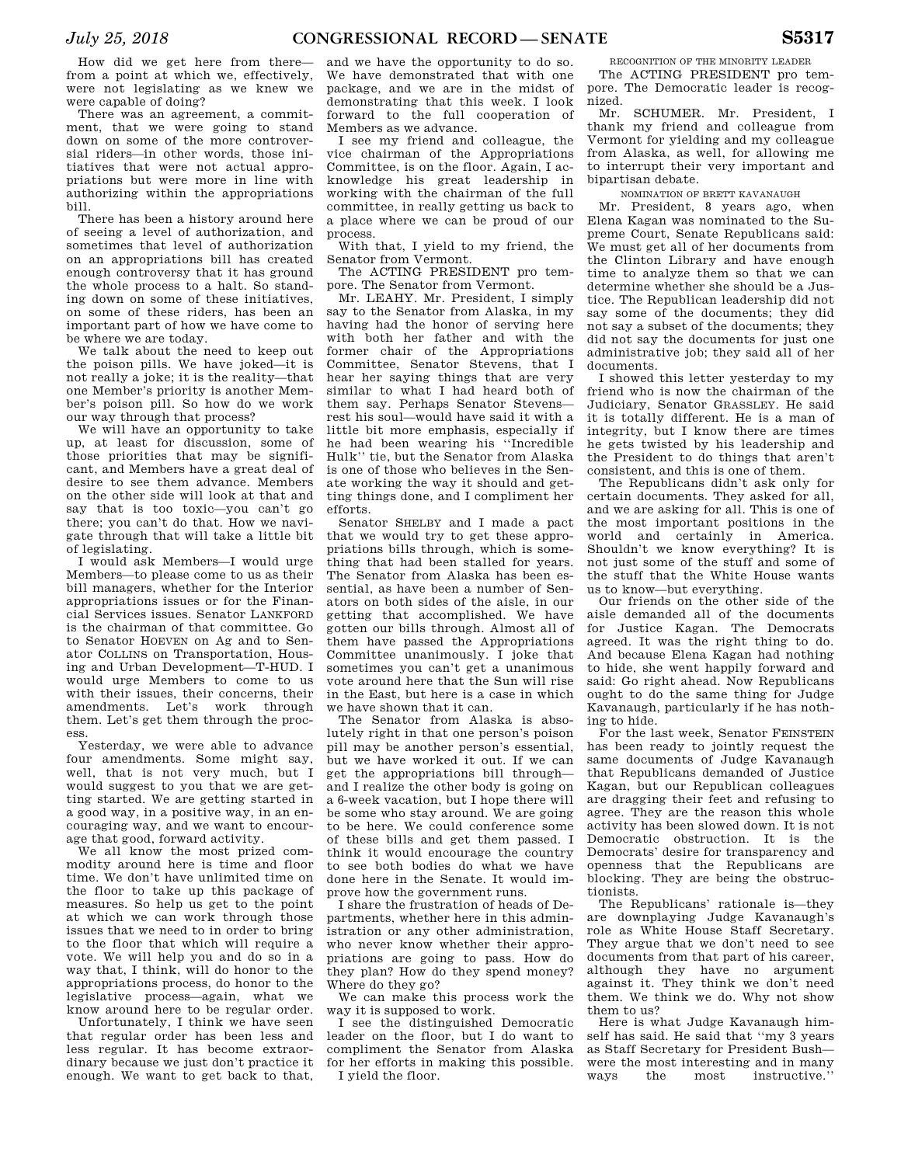How did we get here from there from a point at which we, effectively, were not legislating as we knew we were capable of doing?

There was an agreement, a commitment, that we were going to stand down on some of the more controversial riders—in other words, those initiatives that were not actual appropriations but were more in line with authorizing within the appropriations bill.

There has been a history around here of seeing a level of authorization, and sometimes that level of authorization on an appropriations bill has created enough controversy that it has ground the whole process to a halt. So standing down on some of these initiatives, on some of these riders, has been an important part of how we have come to be where we are today.

We talk about the need to keep out the poison pills. We have joked—it is not really a joke; it is the reality—that one Member's priority is another Member's poison pill. So how do we work our way through that process?

We will have an opportunity to take up, at least for discussion, some of those priorities that may be significant, and Members have a great deal of desire to see them advance. Members on the other side will look at that and say that is too toxic—you can't go there; you can't do that. How we navigate through that will take a little bit of legislating.

I would ask Members—I would urge Members—to please come to us as their bill managers, whether for the Interior appropriations issues or for the Financial Services issues. Senator LANKFORD is the chairman of that committee. Go to Senator HOEVEN on Ag and to Senator COLLINS on Transportation, Housing and Urban Development—T-HUD. I would urge Members to come to us with their issues, their concerns, their amendments. Let's work through them. Let's get them through the process.

Yesterday, we were able to advance four amendments. Some might say, well, that is not very much, but I would suggest to you that we are getting started. We are getting started in a good way, in a positive way, in an encouraging way, and we want to encourage that good, forward activity.

We all know the most prized commodity around here is time and floor time. We don't have unlimited time on the floor to take up this package of measures. So help us get to the point at which we can work through those issues that we need to in order to bring to the floor that which will require a vote. We will help you and do so in a way that, I think, will do honor to the appropriations process, do honor to the legislative process—again, what we know around here to be regular order.

Unfortunately, I think we have seen that regular order has been less and less regular. It has become extraordinary because we just don't practice it enough. We want to get back to that,

and we have the opportunity to do so. We have demonstrated that with one package, and we are in the midst of demonstrating that this week. I look forward to the full cooperation of Members as we advance.

I see my friend and colleague, the vice chairman of the Appropriations Committee, is on the floor. Again, I acknowledge his great leadership in working with the chairman of the full committee, in really getting us back to a place where we can be proud of our process.

With that, I yield to my friend, the Senator from Vermont.

The ACTING PRESIDENT pro tempore. The Senator from Vermont.

Mr. LEAHY. Mr. President, I simply say to the Senator from Alaska, in my having had the honor of serving here with both her father and with the former chair of the Appropriations Committee, Senator Stevens, that I hear her saying things that are very similar to what I had heard both of them say. Perhaps Senator Stevens rest his soul—would have said it with a little bit more emphasis, especially if he had been wearing his ''Incredible Hulk'' tie, but the Senator from Alaska is one of those who believes in the Senate working the way it should and getting things done, and I compliment her efforts.

Senator SHELBY and I made a pact that we would try to get these appropriations bills through, which is something that had been stalled for years. The Senator from Alaska has been essential, as have been a number of Senators on both sides of the aisle, in our getting that accomplished. We have gotten our bills through. Almost all of them have passed the Appropriations Committee unanimously. I joke that sometimes you can't get a unanimous vote around here that the Sun will rise in the East, but here is a case in which we have shown that it can.

The Senator from Alaska is absolutely right in that one person's poison pill may be another person's essential, but we have worked it out. If we can get the appropriations bill through and I realize the other body is going on a 6-week vacation, but I hope there will be some who stay around. We are going to be here. We could conference some of these bills and get them passed. I think it would encourage the country to see both bodies do what we have done here in the Senate. It would improve how the government runs.

I share the frustration of heads of Departments, whether here in this administration or any other administration, who never know whether their appropriations are going to pass. How do they plan? How do they spend money? Where do they go?

We can make this process work the way it is supposed to work.

I see the distinguished Democratic leader on the floor, but I do want to compliment the Senator from Alaska for her efforts in making this possible. I yield the floor.

RECOGNITION OF THE MINORITY LEADER The ACTING PRESIDENT pro tempore. The Democratic leader is recognized.

Mr. SCHUMER. Mr. President, I thank my friend and colleague from Vermont for yielding and my colleague from Alaska, as well, for allowing me to interrupt their very important and bipartisan debate.

NOMINATION OF BRETT KAVANAUGH

Mr. President, 8 years ago, when Elena Kagan was nominated to the Supreme Court, Senate Republicans said: We must get all of her documents from the Clinton Library and have enough time to analyze them so that we can determine whether she should be a Justice. The Republican leadership did not say some of the documents; they did not say a subset of the documents; they did not say the documents for just one administrative job; they said all of her documents.

I showed this letter yesterday to my friend who is now the chairman of the Judiciary, Senator GRASSLEY. He said it is totally different. He is a man of integrity, but I know there are times he gets twisted by his leadership and the President to do things that aren't consistent, and this is one of them.

The Republicans didn't ask only for certain documents. They asked for all, and we are asking for all. This is one of the most important positions in the world and certainly in America. Shouldn't we know everything? It is not just some of the stuff and some of the stuff that the White House wants us to know—but everything.

Our friends on the other side of the aisle demanded all of the documents for Justice Kagan. The Democrats agreed. It was the right thing to do. And because Elena Kagan had nothing to hide, she went happily forward and said: Go right ahead. Now Republicans ought to do the same thing for Judge Kavanaugh, particularly if he has nothing to hide.

For the last week, Senator FEINSTEIN has been ready to jointly request the same documents of Judge Kavanaugh that Republicans demanded of Justice Kagan, but our Republican colleagues are dragging their feet and refusing to agree. They are the reason this whole activity has been slowed down. It is not Democratic obstruction. It is the Democrats' desire for transparency and openness that the Republicans are blocking. They are being the obstructionists.

The Republicans' rationale is—they are downplaying Judge Kavanaugh's role as White House Staff Secretary. They argue that we don't need to see documents from that part of his career, although they have no argument against it. They think we don't need them. We think we do. Why not show them to us?

Here is what Judge Kavanaugh himself has said. He said that ''my 3 years as Staff Secretary for President Bush were the most interesting and in many ways the most instructive.''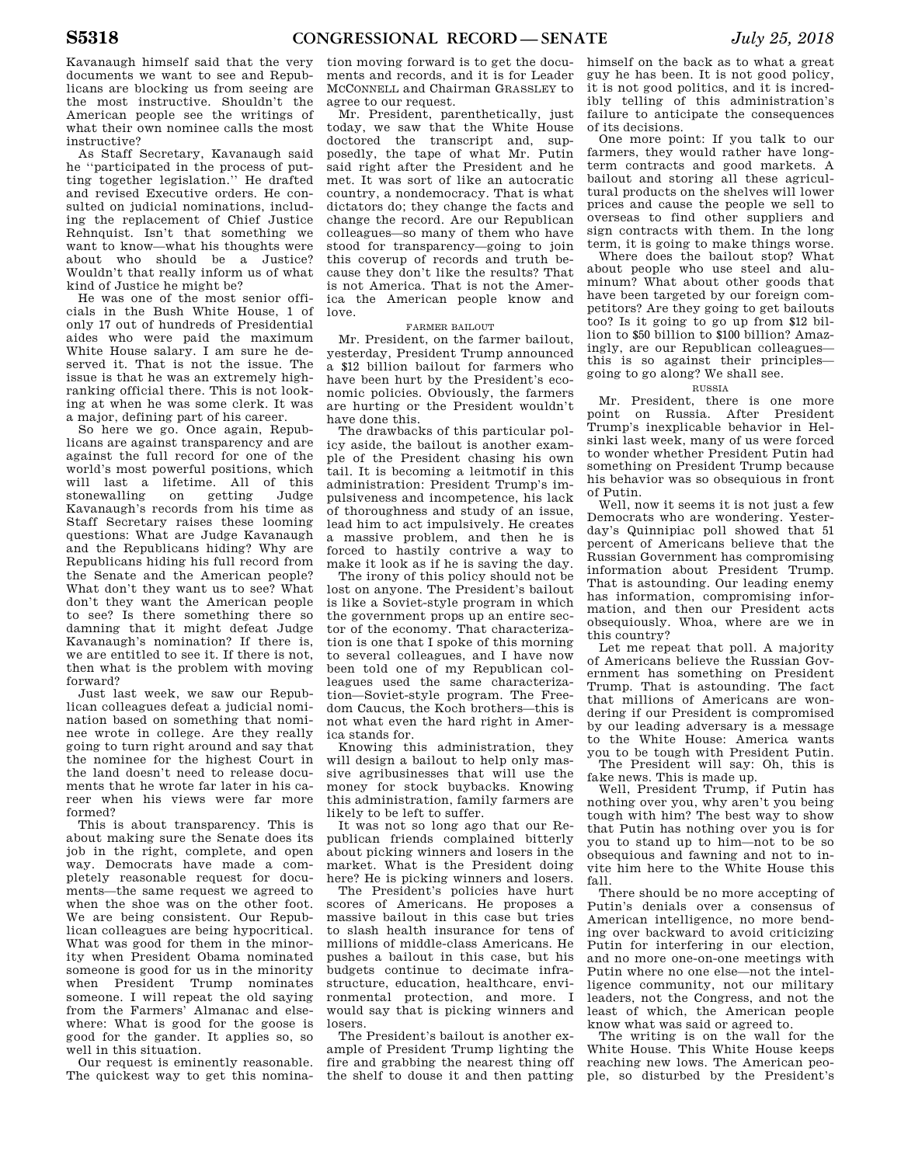Kavanaugh himself said that the very documents we want to see and Republicans are blocking us from seeing are the most instructive. Shouldn't the American people see the writings of what their own nominee calls the most instructive?

As Staff Secretary, Kavanaugh said he ''participated in the process of putting together legislation.'' He drafted and revised Executive orders. He consulted on judicial nominations, including the replacement of Chief Justice Rehnquist. Isn't that something we want to know—what his thoughts were about who should be a Justice? Wouldn't that really inform us of what kind of Justice he might be?

He was one of the most senior officials in the Bush White House, 1 of only 17 out of hundreds of Presidential aides who were paid the maximum White House salary. I am sure he deserved it. That is not the issue. The issue is that he was an extremely highranking official there. This is not looking at when he was some clerk. It was a major, defining part of his career.

So here we go. Once again, Republicans are against transparency and are against the full record for one of the world's most powerful positions, which will last a lifetime. All of this stonewalling on getting Judge Kavanaugh's records from his time as Staff Secretary raises these looming questions: What are Judge Kavanaugh and the Republicans hiding? Why are Republicans hiding his full record from the Senate and the American people? What don't they want us to see? What don't they want the American people to see? Is there something there so damning that it might defeat Judge Kavanaugh's nomination? If there is, we are entitled to see it. If there is not, then what is the problem with moving forward?

Just last week, we saw our Republican colleagues defeat a judicial nomination based on something that nominee wrote in college. Are they really going to turn right around and say that the nominee for the highest Court in the land doesn't need to release documents that he wrote far later in his career when his views were far more formed?

This is about transparency. This is about making sure the Senate does its job in the right, complete, and open way. Democrats have made a completely reasonable request for documents—the same request we agreed to when the shoe was on the other foot. We are being consistent. Our Republican colleagues are being hypocritical. What was good for them in the minority when President Obama nominated someone is good for us in the minority when President Trump nominates someone. I will repeat the old saying from the Farmers' Almanac and elsewhere: What is good for the goose is good for the gander. It applies so, so well in this situation.

Our request is eminently reasonable. The quickest way to get this nomination moving forward is to get the documents and records, and it is for Leader MCCONNELL and Chairman GRASSLEY to agree to our request.

Mr. President, parenthetically, just today, we saw that the White House doctored the transcript and, supposedly, the tape of what Mr. Putin said right after the President and he met. It was sort of like an autocratic country, a nondemocracy. That is what dictators do; they change the facts and change the record. Are our Republican colleagues—so many of them who have stood for transparency—going to join this coverup of records and truth because they don't like the results? That is not America. That is not the America the American people know and love.

#### FARMER BAILOUT

Mr. President, on the farmer bailout, yesterday, President Trump announced a \$12 billion bailout for farmers who have been hurt by the President's economic policies. Obviously, the farmers are hurting or the President wouldn't have done this.

The drawbacks of this particular policy aside, the bailout is another example of the President chasing his own tail. It is becoming a leitmotif in this administration: President Trump's impulsiveness and incompetence, his lack of thoroughness and study of an issue, lead him to act impulsively. He creates a massive problem, and then he is forced to hastily contrive a way to make it look as if he is saving the day.

The irony of this policy should not be lost on anyone. The President's bailout is like a Soviet-style program in which the government props up an entire sector of the economy. That characterization is one that I spoke of this morning to several colleagues, and I have now been told one of my Republican colleagues used the same characterization—Soviet-style program. The Freedom Caucus, the Koch brothers—this is not what even the hard right in America stands for.

Knowing this administration, they will design a bailout to help only massive agribusinesses that will use the money for stock buybacks. Knowing this administration, family farmers are likely to be left to suffer.

It was not so long ago that our Republican friends complained bitterly about picking winners and losers in the market. What is the President doing here? He is picking winners and losers.

The President's policies have hurt scores of Americans. He proposes a massive bailout in this case but tries to slash health insurance for tens of millions of middle-class Americans. He pushes a bailout in this case, but his budgets continue to decimate infrastructure, education, healthcare, environmental protection, and more. I would say that is picking winners and losers.

The President's bailout is another example of President Trump lighting the fire and grabbing the nearest thing off the shelf to douse it and then patting

himself on the back as to what a great guy he has been. It is not good policy, it is not good politics, and it is incredibly telling of this administration's failure to anticipate the consequences of its decisions.

One more point: If you talk to our farmers, they would rather have longterm contracts and good markets. A bailout and storing all these agricultural products on the shelves will lower prices and cause the people we sell to overseas to find other suppliers and sign contracts with them. In the long term, it is going to make things worse.

Where does the bailout stop? What about people who use steel and aluminum? What about other goods that have been targeted by our foreign competitors? Are they going to get bailouts too? Is it going to go up from \$12 billion to \$50 billion to \$100 billion? Amazingly, are our Republican colleagues this is so against their principles going to go along? We shall see.

#### RUSSIA

Mr. President, there is one more point on Russia. After President Trump's inexplicable behavior in Helsinki last week, many of us were forced to wonder whether President Putin had something on President Trump because his behavior was so obsequious in front of Putin.

Well, now it seems it is not just a few Democrats who are wondering. Yesterday's Quinnipiac poll showed that 51 percent of Americans believe that the Russian Government has compromising information about President Trump. That is astounding. Our leading enemy has information, compromising information, and then our President acts obsequiously. Whoa, where are we in this country?

Let me repeat that poll. A majority of Americans believe the Russian Government has something on President Trump. That is astounding. The fact that millions of Americans are wondering if our President is compromised by our leading adversary is a message to the White House: America wants you to be tough with President Putin. The President will say: Oh, this is

fake news. This is made up. Well, President Trump, if Putin has

nothing over you, why aren't you being tough with him? The best way to show that Putin has nothing over you is for you to stand up to him—not to be so obsequious and fawning and not to invite him here to the White House this fall.

There should be no more accepting of Putin's denials over a consensus of American intelligence, no more bending over backward to avoid criticizing Putin for interfering in our election, and no more one-on-one meetings with Putin where no one else—not the intelligence community, not our military leaders, not the Congress, and not the least of which, the American people know what was said or agreed to.

The writing is on the wall for the White House. This White House keeps reaching new lows. The American people, so disturbed by the President's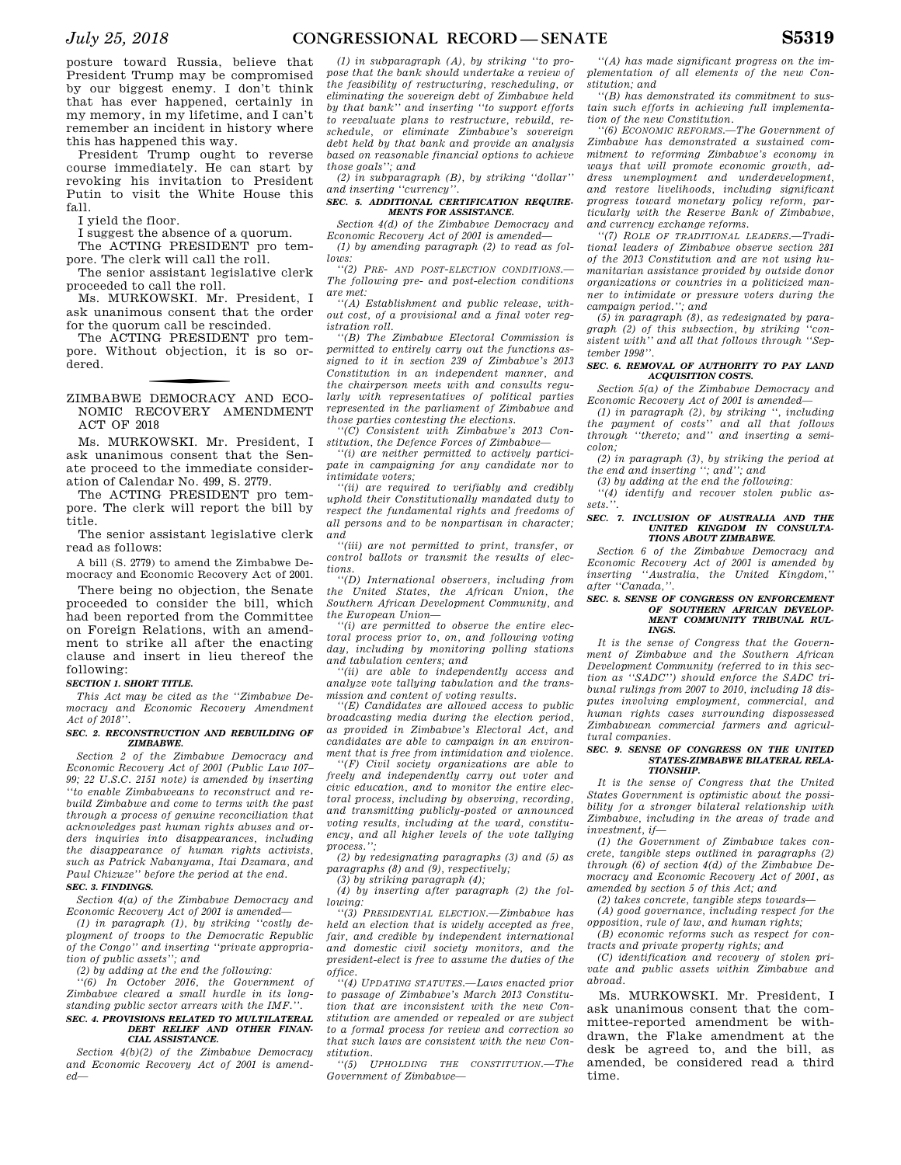posture toward Russia, believe that President Trump may be compromised by our biggest enemy. I don't think that has ever happened, certainly in my memory, in my lifetime, and I can't remember an incident in history where this has happened this way.

President Trump ought to reverse course immediately. He can start by revoking his invitation to President Putin to visit the White House this fall.

I yield the floor.

I suggest the absence of a quorum. The ACTING PRESIDENT pro tem-

pore. The clerk will call the roll.

The senior assistant legislative clerk proceeded to call the roll.

Ms. MURKOWSKI. Mr. President, I ask unanimous consent that the order for the quorum call be rescinded.

The ACTING PRESIDENT pro tempore. Without objection, it is so ordered.

#### f ZIMBABWE DEMOCRACY AND ECO-NOMIC RECOVERY AMENDMENT ACT OF 2018

Ms. MURKOWSKI. Mr. President, I ask unanimous consent that the Senate proceed to the immediate consideration of Calendar No. 499, S. 2779.

The ACTING PRESIDENT pro tempore. The clerk will report the bill by title.

The senior assistant legislative clerk read as follows:

A bill (S. 2779) to amend the Zimbabwe Democracy and Economic Recovery Act of 2001.

There being no objection, the Senate proceeded to consider the bill, which had been reported from the Committee on Foreign Relations, with an amendment to strike all after the enacting clause and insert in lieu thereof the following:

#### *SECTION 1. SHORT TITLE.*

*This Act may be cited as the ''Zimbabwe Democracy and Economic Recovery Amendment Act of 2018''.* 

#### *SEC. 2. RECONSTRUCTION AND REBUILDING OF ZIMBABWE.*

*Section 2 of the Zimbabwe Democracy and Economic Recovery Act of 2001 (Public Law 107– 99; 22 U.S.C. 2151 note) is amended by inserting ''to enable Zimbabweans to reconstruct and rebuild Zimbabwe and come to terms with the past through a process of genuine reconciliation that acknowledges past human rights abuses and orders inquiries into disappearances, including the disappearance of human rights activists, such as Patrick Nabanyama, Itai Dzamara, and Paul Chizuze'' before the period at the end. SEC. 3. FINDINGS.* 

*Section 4(a) of the Zimbabwe Democracy and Economic Recovery Act of 2001 is amended—* 

*(1) in paragraph (1), by striking ''costly deployment of troops to the Democratic Republic of the Congo'' and inserting ''private appropriation of public assets''; and* 

*(2) by adding at the end the following:* 

*''(6) In October 2016, the Government of Zimbabwe cleared a small hurdle in its longstanding public sector arrears with the IMF.''. SEC. 4. PROVISIONS RELATED TO MULTILATERAL* 

#### *DEBT RELIEF AND OTHER FINAN-CIAL ASSISTANCE.*

*Section 4(b)(2) of the Zimbabwe Democracy and Economic Recovery Act of 2001 is amended—* 

*(1) in subparagraph (A), by striking ''to propose that the bank should undertake a review of the feasibility of restructuring, rescheduling, or eliminating the sovereign debt of Zimbabwe held by that bank'' and inserting ''to support efforts to reevaluate plans to restructure, rebuild, reschedule, or eliminate Zimbabwe's sovereign debt held by that bank and provide an analysis based on reasonable financial options to achieve those goals''; and* 

*(2) in subparagraph (B), by striking ''dollar'' and inserting ''currency''.* 

#### *SEC. 5. ADDITIONAL CERTIFICATION REQUIRE-MENTS FOR ASSISTANCE.*

*Section 4(d) of the Zimbabwe Democracy and Economic Recovery Act of 2001 is amended— (1) by amending paragraph (2) to read as fol-*

*lows: ''(2) PRE- AND POST-ELECTION CONDITIONS.—* 

*The following pre- and post-election conditions are met:* 

*''(A) Establishment and public release, without cost, of a provisional and a final voter registration roll.* 

*''(B) The Zimbabwe Electoral Commission is permitted to entirely carry out the functions assigned to it in section 239 of Zimbabwe's 2013 Constitution in an independent manner, and the chairperson meets with and consults regularly with representatives of political parties represented in the parliament of Zimbabwe and those parties contesting the elections.* 

*''(C) Consistent with Zimbabwe's 2013 Constitution, the Defence Forces of Zimbabwe—* 

*''(i) are neither permitted to actively participate in campaigning for any candidate nor to intimidate voters;* 

*''(ii) are required to verifiably and credibly uphold their Constitutionally mandated duty to respect the fundamental rights and freedoms of all persons and to be nonpartisan in character; and* 

*''(iii) are not permitted to print, transfer, or control ballots or transmit the results of elections.* 

*''(D) International observers, including from the United States, the African Union, the Southern African Development Community, and the European Union—* 

*''(i) are permitted to observe the entire electoral process prior to, on, and following voting day, including by monitoring polling stations and tabulation centers; and* 

*''(ii) are able to independently access and analyze vote tallying tabulation and the transmission and content of voting results.* 

*''(E) Candidates are allowed access to public broadcasting media during the election period, as provided in Zimbabwe's Electoral Act, and candidates are able to campaign in an environment that is free from intimidation and violence.* 

*''(F) Civil society organizations are able to freely and independently carry out voter and civic education, and to monitor the entire electoral process, including by observing, recording, and transmitting publicly-posted or announced voting results, including at the ward, constituency, and all higher levels of the vote tallying process.'';* 

*(2) by redesignating paragraphs (3) and (5) as paragraphs (8) and (9), respectively;* 

*(3) by striking paragraph (4);* 

*(4) by inserting after paragraph (2) the following:* 

*''(3) PRESIDENTIAL ELECTION.—Zimbabwe has held an election that is widely accepted as free, fair, and credible by independent international and domestic civil society monitors, and the president-elect is free to assume the duties of the office.* 

*''(4) UPDATING STATUTES.—Laws enacted prior to passage of Zimbabwe's March 2013 Constitution that are inconsistent with the new Constitution are amended or repealed or are subject to a formal process for review and correction so that such laws are consistent with the new Constitution.* 

*''(5) UPHOLDING THE CONSTITUTION.—The Government of Zimbabwe—* 

*''(A) has made significant progress on the implementation of all elements of the new Constitution; and* 

*''(B) has demonstrated its commitment to sustain such efforts in achieving full implementation of the new Constitution.* 

*''(6) ECONOMIC REFORMS.—The Government of Zimbabwe has demonstrated a sustained commitment to reforming Zimbabwe's economy in ways that will promote economic growth, address unemployment and underdevelopment, and restore livelihoods, including significant progress toward monetary policy reform, particularly with the Reserve Bank of Zimbabwe, and currency exchange reforms.* 

*''(7) ROLE OF TRADITIONAL LEADERS.—Traditional leaders of Zimbabwe observe section 281 of the 2013 Constitution and are not using humanitarian assistance provided by outside donor organizations or countries in a politicized manner to intimidate or pressure voters during the campaign period.''; and* 

*(5) in paragraph (8), as redesignated by paragraph (2) of this subsection, by striking ''consistent with'' and all that follows through ''September 1998''.* 

#### *SEC. 6. REMOVAL OF AUTHORITY TO PAY LAND ACQUISITION COSTS.*

*Section 5(a) of the Zimbabwe Democracy and Economic Recovery Act of 2001 is amended—* 

*(1) in paragraph (2), by striking '', including the payment of costs'' and all that follows through ''thereto; and'' and inserting a semicolon;* 

*(2) in paragraph (3), by striking the period at the end and inserting ''; and''; and* 

*(3) by adding at the end the following:* 

*''(4) identify and recover stolen public assets.''.* 

#### *SEC. 7. INCLUSION OF AUSTRALIA AND THE UNITED KINGDOM IN CONSULTA-TIONS ABOUT ZIMBABWE.*

*Section 6 of the Zimbabwe Democracy and Economic Recovery Act of 2001 is amended by*  inserting "Australia, the United Kingdom, *after ''Canada,''.* 

#### *SEC. 8. SENSE OF CONGRESS ON ENFORCEMENT OF SOUTHERN AFRICAN DEVELOP-MENT COMMUNITY TRIBUNAL RUL-INGS.*

*It is the sense of Congress that the Government of Zimbabwe and the Southern African Development Community (referred to in this section as ''SADC'') should enforce the SADC tribunal rulings from 2007 to 2010, including 18 disputes involving employment, commercial, and human rights cases surrounding dispossessed Zimbabwean commercial farmers and agricultural companies.* 

#### *SEC. 9. SENSE OF CONGRESS ON THE UNITED STATES-ZIMBABWE BILATERAL RELA-TIONSHIP.*

*It is the sense of Congress that the United States Government is optimistic about the possibility for a stronger bilateral relationship with Zimbabwe, including in the areas of trade and investment, if—* 

*(1) the Government of Zimbabwe takes concrete, tangible steps outlined in paragraphs (2) through (6) of section 4(d) of the Zimbabwe Democracy and Economic Recovery Act of 2001, as amended by section 5 of this Act; and* 

*(2) takes concrete, tangible steps towards—* 

*(A) good governance, including respect for the opposition, rule of law, and human rights; (B) economic reforms such as respect for con-*

*tracts and private property rights; and (C) identification and recovery of stolen pri-*

*vate and public assets within Zimbabwe and abroad.* 

Ms. MURKOWSKI. Mr. President, I ask unanimous consent that the committee-reported amendment be withdrawn, the Flake amendment at the desk be agreed to, and the bill, as amended, be considered read a third time.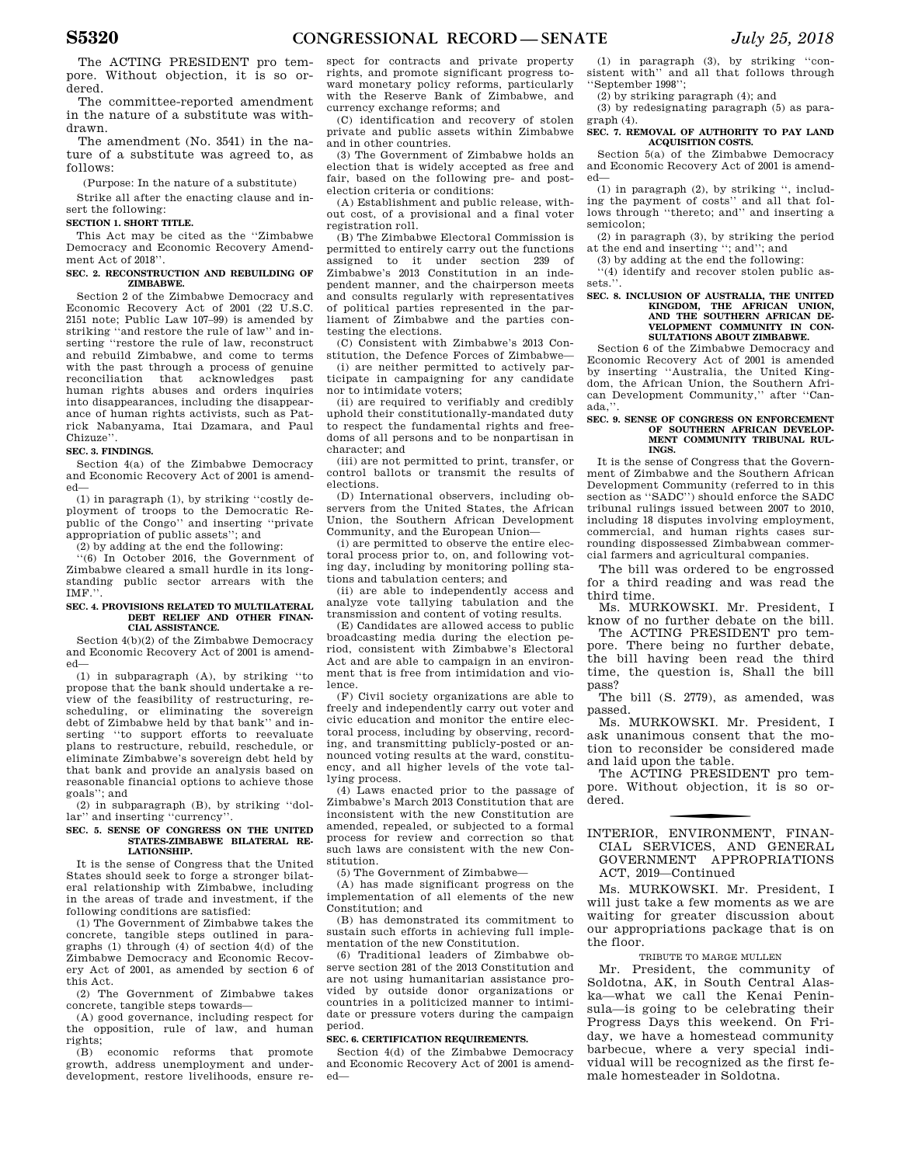The ACTING PRESIDENT pro tempore. Without objection, it is so ordered.

The committee-reported amendment in the nature of a substitute was withdrawn.

The amendment (No. 3541) in the nature of a substitute was agreed to, as follows:

(Purpose: In the nature of a substitute)

Strike all after the enacting clause and insert the following:

#### **SECTION 1. SHORT TITLE.**

This Act may be cited as the ''Zimbabwe Democracy and Economic Recovery Amendment Act of 2018''.

#### **SEC. 2. RECONSTRUCTION AND REBUILDING OF ZIMBABWE.**

Section 2 of the Zimbabwe Democracy and Economic Recovery Act of 2001 (22 U.S.C. 2151 note; Public Law 107–99) is amended by striking ''and restore the rule of law'' and inserting ''restore the rule of law, reconstruct and rebuild Zimbabwe, and come to terms with the past through a process of genuine reconciliation that acknowledges past human rights abuses and orders inquiries into disappearances, including the disappearance of human rights activists, such as Patrick Nabanyama, Itai Dzamara, and Paul Chizuze''.

#### **SEC. 3. FINDINGS.**

Section 4(a) of the Zimbabwe Democracy and Economic Recovery Act of 2001 is amended—

(1) in paragraph (1), by striking ''costly deployment of troops to the Democratic Republic of the Congo'' and inserting ''private appropriation of public assets''; and

(2) by adding at the end the following:

''(6) In October 2016, the Government of Zimbabwe cleared a small hurdle in its longstanding public sector arrears with the IMF.''.

#### **SEC. 4. PROVISIONS RELATED TO MULTILATERAL DEBT RELIEF AND OTHER FINAN-CIAL ASSISTANCE.**

Section 4(b)(2) of the Zimbabwe Democracy and Economic Recovery Act of 2001 is amended—

(1) in subparagraph (A), by striking ''to propose that the bank should undertake a review of the feasibility of restructuring, rescheduling, or eliminating the sovereign debt of Zimbabwe held by that bank'' and inserting ''to support efforts to reevaluate plans to restructure, rebuild, reschedule, or eliminate Zimbabwe's sovereign debt held by that bank and provide an analysis based on reasonable financial options to achieve those goals''; and

(2) in subparagraph (B), by striking ''dollar'' and inserting ''currency''.

#### **SEC. 5. SENSE OF CONGRESS ON THE UNITED STATES-ZIMBABWE BILATERAL RE-LATIONSHIP.**

It is the sense of Congress that the United States should seek to forge a stronger bilateral relationship with Zimbabwe, including in the areas of trade and investment, if the following conditions are satisfied:

(1) The Government of Zimbabwe takes the concrete, tangible steps outlined in paragraphs (1) through (4) of section 4(d) of the Zimbabwe Democracy and Economic Recovery Act of 2001, as amended by section 6 of this Act.

(2) The Government of Zimbabwe takes concrete, tangible steps towards—

(A) good governance, including respect for the opposition, rule of law, and human rights;  $(B)$ 

economic reforms that promote growth, address unemployment and underdevelopment, restore livelihoods, ensure re-

spect for contracts and private property rights, and promote significant progress toward monetary policy reforms, particularly with the Reserve Bank of Zimbabwe, and currency exchange reforms; and

(C) identification and recovery of stolen private and public assets within Zimbabwe and in other countries.

(3) The Government of Zimbabwe holds an election that is widely accepted as free and fair, based on the following pre- and postelection criteria or conditions:

(A) Establishment and public release, without cost, of a provisional and a final voter registration roll.

(B) The Zimbabwe Electoral Commission is permitted to entirely carry out the functions assigned to it under section 239 of Zimbabwe's 2013 Constitution in an independent manner, and the chairperson meets and consults regularly with representatives of political parties represented in the parliament of Zimbabwe and the parties contesting the elections.

(C) Consistent with Zimbabwe's 2013 Constitution, the Defence Forces of Zimbabwe—

(i) are neither permitted to actively participate in campaigning for any candidate nor to intimidate voters;

(ii) are required to verifiably and credibly uphold their constitutionally-mandated duty to respect the fundamental rights and freedoms of all persons and to be nonpartisan in character; and

(iii) are not permitted to print, transfer, or control ballots or transmit the results of elections.

(D) International observers, including observers from the United States, the African Union, the Southern African Development Community, and the European Union—

(i) are permitted to observe the entire electoral process prior to, on, and following voting day, including by monitoring polling stations and tabulation centers; and

(ii) are able to independently access and analyze vote tallying tabulation and the transmission and content of voting results.

(E) Candidates are allowed access to public broadcasting media during the election period, consistent with Zimbabwe's Electoral Act and are able to campaign in an environment that is free from intimidation and violence.

(F) Civil society organizations are able to freely and independently carry out voter and civic education and monitor the entire electoral process, including by observing, recording, and transmitting publicly-posted or announced voting results at the ward, constituency, and all higher levels of the vote tallying process.

(4) Laws enacted prior to the passage of Zimbabwe's March 2013 Constitution that are inconsistent with the new Constitution are amended, repealed, or subjected to a formal process for review and correction so that such laws are consistent with the new Constitution.

(5) The Government of Zimbabwe—

(A) has made significant progress on the implementation of all elements of the new Constitution; and

(B) has demonstrated its commitment to sustain such efforts in achieving full implementation of the new Constitution.

(6) Traditional leaders of Zimbabwe observe section 281 of the 2013 Constitution and are not using humanitarian assistance provided by outside donor organizations or countries in a politicized manner to intimidate or pressure voters during the campaign period.

#### **SEC. 6. CERTIFICATION REQUIREMENTS.**

Section 4(d) of the Zimbabwe Democracy and Economic Recovery Act of 2001 is amended—

(1) in paragraph (3), by striking ''consistent with'' and all that follows through ''September 1998'';

(2) by striking paragraph (4); and

(3) by redesignating paragraph (5) as paragraph (4).

**SEC. 7. REMOVAL OF AUTHORITY TO PAY LAND ACQUISITION COSTS.** 

Section 5(a) of the Zimbabwe Democracy and Economic Recovery Act of 2001 is amended—

(1) in paragraph (2), by striking '', including the payment of costs'' and all that follows through ''thereto; and'' and inserting a semicolon;

(2) in paragraph (3), by striking the period at the end and inserting ''; and''; and

(3) by adding at the end the following:

''(4) identify and recover stolen public assets.'

#### **SEC. 8. INCLUSION OF AUSTRALIA, THE UNITED KINGDOM, THE AFRICAN UNION, AND THE SOUTHERN AFRICAN DE-VELOPMENT COMMUNITY IN CON-SULTATIONS ABOUT ZIMBABWE.**

Section 6 of the Zimbabwe Democracy and Economic Recovery Act of 2001 is amended by inserting ''Australia, the United Kingdom, the African Union, the Southern African Development Community,'' after ''Canada.

#### **SEC. 9. SENSE OF CONGRESS ON ENFORCEMENT**  OF SOUTHERN AFRICAN DEVELOP. **MENT COMMUNITY TRIBUNAL RUL-INGS.**

It is the sense of Congress that the Government of Zimbabwe and the Southern African Development Community (referred to in this section as ''SADC'') should enforce the SADC tribunal rulings issued between 2007 to 2010, including 18 disputes involving employment, commercial, and human rights cases surrounding dispossessed Zimbabwean commercial farmers and agricultural companies.

The bill was ordered to be engrossed for a third reading and was read the third time.

Ms. MURKOWSKI. Mr. President, I know of no further debate on the bill.

The ACTING PRESIDENT pro tempore. There being no further debate, the bill having been read the third time, the question is, Shall the bill pass?

The bill (S. 2779), as amended, was passed.

Ms. MURKOWSKI. Mr. President, I ask unanimous consent that the motion to reconsider be considered made and laid upon the table.

The ACTING PRESIDENT pro tempore. Without objection, it is so ordered.

#### f INTERIOR, ENVIRONMENT, FINAN-CIAL SERVICES, AND GENERAL GOVERNMENT APPROPRIATIONS ACT, 2019—Continued

Ms. MURKOWSKI. Mr. President, I will just take a few moments as we are waiting for greater discussion about our appropriations package that is on the floor.

#### TRIBUTE TO MARGE MULLEN

Mr. President, the community of Soldotna, AK, in South Central Alaska—what we call the Kenai Peninsula—is going to be celebrating their Progress Days this weekend. On Friday, we have a homestead community barbecue, where a very special individual will be recognized as the first female homesteader in Soldotna.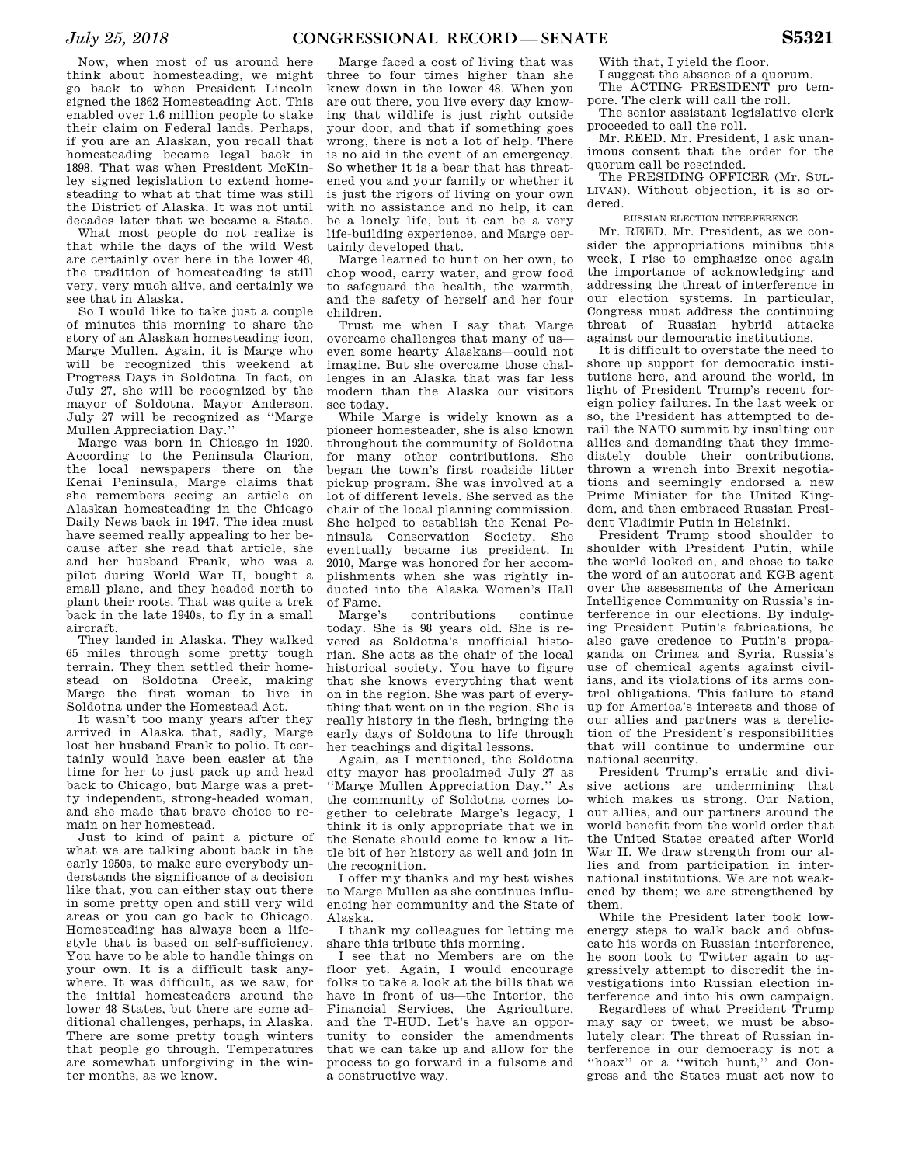Now, when most of us around here think about homesteading, we might go back to when President Lincoln signed the 1862 Homesteading Act. This enabled over 1.6 million people to stake their claim on Federal lands. Perhaps, if you are an Alaskan, you recall that homesteading became legal back in 1898. That was when President McKinley signed legislation to extend homesteading to what at that time was still the District of Alaska. It was not until decades later that we became a State.

What most people do not realize is that while the days of the wild West are certainly over here in the lower 48, the tradition of homesteading is still very, very much alive, and certainly we see that in Alaska.

So I would like to take just a couple of minutes this morning to share the story of an Alaskan homesteading icon, Marge Mullen. Again, it is Marge who will be recognized this weekend at Progress Days in Soldotna. In fact, on July 27, she will be recognized by the mayor of Soldotna, Mayor Anderson. July 27 will be recognized as ''Marge Mullen Appreciation Day.''

Marge was born in Chicago in 1920. According to the Peninsula Clarion, the local newspapers there on the Kenai Peninsula, Marge claims that she remembers seeing an article on Alaskan homesteading in the Chicago Daily News back in 1947. The idea must have seemed really appealing to her because after she read that article, she and her husband Frank, who was a pilot during World War II, bought a small plane, and they headed north to plant their roots. That was quite a trek back in the late 1940s, to fly in a small aircraft.

They landed in Alaska. They walked 65 miles through some pretty tough terrain. They then settled their homestead on Soldotna Creek, making Marge the first woman to live in Soldotna under the Homestead Act.

It wasn't too many years after they arrived in Alaska that, sadly, Marge lost her husband Frank to polio. It certainly would have been easier at the time for her to just pack up and head back to Chicago, but Marge was a pretty independent, strong-headed woman, and she made that brave choice to remain on her homestead.

Just to kind of paint a picture of what we are talking about back in the early 1950s, to make sure everybody understands the significance of a decision like that, you can either stay out there in some pretty open and still very wild areas or you can go back to Chicago. Homesteading has always been a lifestyle that is based on self-sufficiency. You have to be able to handle things on your own. It is a difficult task anywhere. It was difficult, as we saw, for the initial homesteaders around the lower 48 States, but there are some additional challenges, perhaps, in Alaska. There are some pretty tough winters that people go through. Temperatures are somewhat unforgiving in the winter months, as we know.

Marge faced a cost of living that was three to four times higher than she knew down in the lower 48. When you are out there, you live every day knowing that wildlife is just right outside your door, and that if something goes wrong, there is not a lot of help. There is no aid in the event of an emergency. So whether it is a bear that has threatened you and your family or whether it is just the rigors of living on your own with no assistance and no help, it can be a lonely life, but it can be a very life-building experience, and Marge certainly developed that.

Marge learned to hunt on her own, to chop wood, carry water, and grow food to safeguard the health, the warmth, and the safety of herself and her four children.

Trust me when I say that Marge overcame challenges that many of us even some hearty Alaskans—could not imagine. But she overcame those challenges in an Alaska that was far less modern than the Alaska our visitors see today.

While Marge is widely known as a pioneer homesteader, she is also known throughout the community of Soldotna for many other contributions. She began the town's first roadside litter pickup program. She was involved at a lot of different levels. She served as the chair of the local planning commission. She helped to establish the Kenai Peninsula Conservation Society. She eventually became its president. In 2010, Marge was honored for her accomplishments when she was rightly inducted into the Alaska Women's Hall of Fame.

Marge's contributions continue today. She is 98 years old. She is revered as Soldotna's unofficial historian. She acts as the chair of the local historical society. You have to figure that she knows everything that went on in the region. She was part of everything that went on in the region. She is really history in the flesh, bringing the early days of Soldotna to life through her teachings and digital lessons.

Again, as I mentioned, the Soldotna city mayor has proclaimed July 27 as ''Marge Mullen Appreciation Day.'' As the community of Soldotna comes together to celebrate Marge's legacy, I think it is only appropriate that we in the Senate should come to know a little bit of her history as well and join in the recognition.

I offer my thanks and my best wishes to Marge Mullen as she continues influencing her community and the State of Alaska.

I thank my colleagues for letting me share this tribute this morning.

I see that no Members are on the floor yet. Again, I would encourage folks to take a look at the bills that we have in front of us—the Interior, the Financial Services, the Agriculture, and the T-HUD. Let's have an opportunity to consider the amendments that we can take up and allow for the process to go forward in a fulsome and a constructive way.

With that, I yield the floor. I suggest the absence of a quorum.

The ACTING PRESIDENT pro tem-

pore. The clerk will call the roll. The senior assistant legislative clerk

proceeded to call the roll. Mr. REED. Mr. President, I ask unanimous consent that the order for the quorum call be rescinded.

The PRESIDING OFFICER (Mr. SUL-LIVAN). Without objection, it is so ordered.

RUSSIAN ELECTION INTERFERENCE

Mr. REED. Mr. President, as we consider the appropriations minibus this week, I rise to emphasize once again the importance of acknowledging and addressing the threat of interference in our election systems. In particular, Congress must address the continuing threat of Russian hybrid attacks against our democratic institutions.

It is difficult to overstate the need to shore up support for democratic institutions here, and around the world, in light of President Trump's recent foreign policy failures. In the last week or so, the President has attempted to derail the NATO summit by insulting our allies and demanding that they immediately double their contributions. thrown a wrench into Brexit negotiations and seemingly endorsed a new Prime Minister for the United Kingdom, and then embraced Russian President Vladimir Putin in Helsinki.

President Trump stood shoulder to shoulder with President Putin, while the world looked on, and chose to take the word of an autocrat and KGB agent over the assessments of the American Intelligence Community on Russia's interference in our elections. By indulging President Putin's fabrications, he also gave credence to Putin's propaganda on Crimea and Syria, Russia's use of chemical agents against civilians, and its violations of its arms control obligations. This failure to stand up for America's interests and those of our allies and partners was a dereliction of the President's responsibilities that will continue to undermine our national security.

President Trump's erratic and divisive actions are undermining that which makes us strong. Our Nation, our allies, and our partners around the world benefit from the world order that the United States created after World War II. We draw strength from our allies and from participation in international institutions. We are not weakened by them; we are strengthened by them.

While the President later took lowenergy steps to walk back and obfuscate his words on Russian interference, he soon took to Twitter again to aggressively attempt to discredit the investigations into Russian election interference and into his own campaign.

Regardless of what President Trump may say or tweet, we must be absolutely clear: The threat of Russian interference in our democracy is not a ''hoax'' or a ''witch hunt,'' and Congress and the States must act now to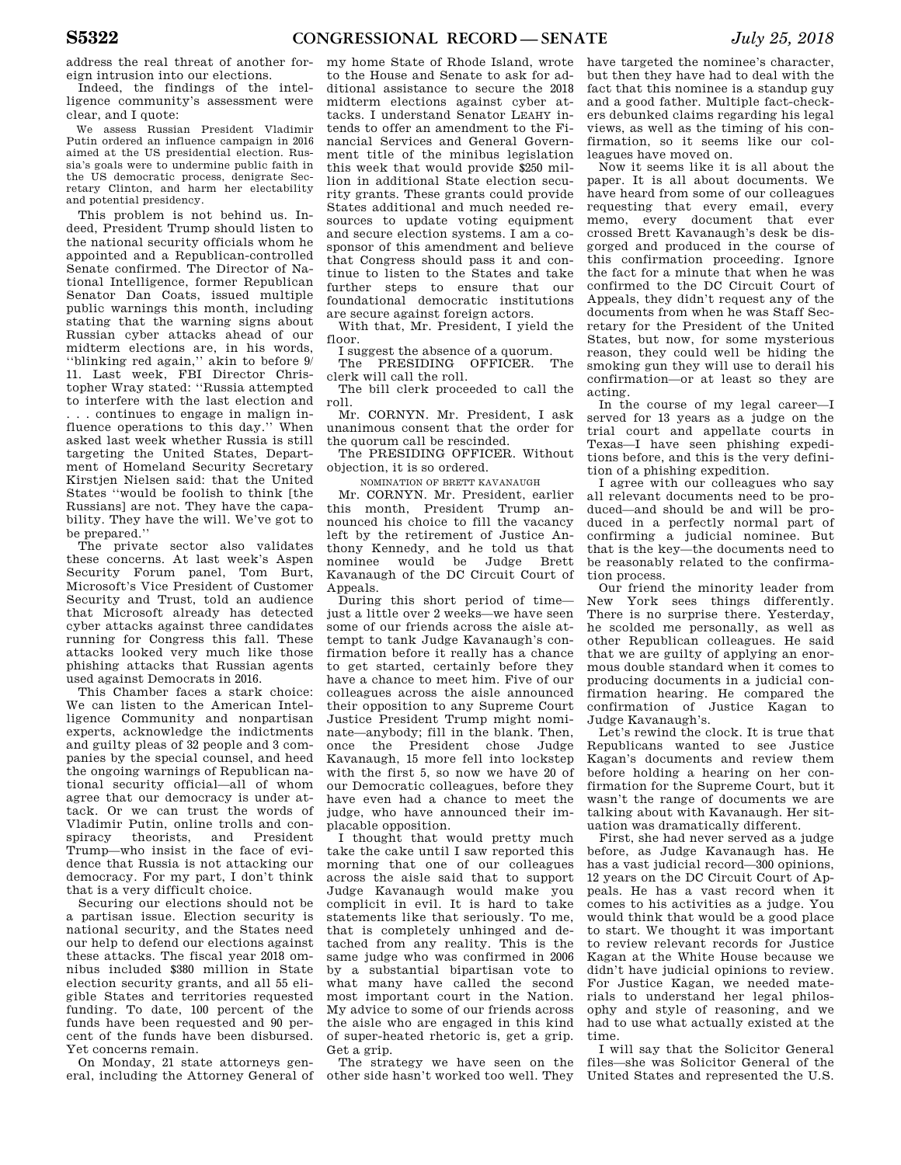address the real threat of another foreign intrusion into our elections.

Indeed, the findings of the intelligence community's assessment were clear, and I quote:

We assess Russian President Vladimir Putin ordered an influence campaign in 2016 aimed at the US presidential election. Russia's goals were to undermine public faith in the US democratic process, denigrate Secretary Clinton, and harm her electability and potential presidency.

This problem is not behind us. Indeed, President Trump should listen to the national security officials whom he appointed and a Republican-controlled Senate confirmed. The Director of National Intelligence, former Republican Senator Dan Coats, issued multiple public warnings this month, including stating that the warning signs about Russian cyber attacks ahead of our midterm elections are, in his words, ''blinking red again,'' akin to before 9/ 11. Last week, FBI Director Christopher Wray stated: ''Russia attempted to interfere with the last election and . . . continues to engage in malign influence operations to this day.'' When asked last week whether Russia is still targeting the United States, Department of Homeland Security Secretary Kirstjen Nielsen said: that the United States ''would be foolish to think [the Russians] are not. They have the capability. They have the will. We've got to be prepared.''

The private sector also validates these concerns. At last week's Aspen Security Forum panel, Tom Burt, Microsoft's Vice President of Customer Security and Trust, told an audience that Microsoft already has detected cyber attacks against three candidates running for Congress this fall. These attacks looked very much like those phishing attacks that Russian agents used against Democrats in 2016.

This Chamber faces a stark choice: We can listen to the American Intelligence Community and nonpartisan experts, acknowledge the indictments and guilty pleas of 32 people and 3 companies by the special counsel, and heed the ongoing warnings of Republican national security official—all of whom agree that our democracy is under attack. Or we can trust the words of Vladimir Putin, online trolls and conspiracy theorists, and President Trump—who insist in the face of evidence that Russia is not attacking our democracy. For my part, I don't think that is a very difficult choice.

Securing our elections should not be a partisan issue. Election security is national security, and the States need our help to defend our elections against these attacks. The fiscal year 2018 omnibus included \$380 million in State election security grants, and all 55 eligible States and territories requested funding. To date, 100 percent of the funds have been requested and 90 percent of the funds have been disbursed. Yet concerns remain.

On Monday, 21 state attorneys general, including the Attorney General of

my home State of Rhode Island, wrote to the House and Senate to ask for additional assistance to secure the 2018 midterm elections against cyber attacks. I understand Senator LEAHY intends to offer an amendment to the Financial Services and General Government title of the minibus legislation this week that would provide \$250 million in additional State election security grants. These grants could provide States additional and much needed resources to update voting equipment and secure election systems. I am a cosponsor of this amendment and believe that Congress should pass it and continue to listen to the States and take further steps to ensure that our foundational democratic institutions are secure against foreign actors.

With that, Mr. President, I yield the floor.

I suggest the absence of a quorum.<br>The PRESIDING OFFICER. The

The PRESIDING OFFICER. clerk will call the roll.

The bill clerk proceeded to call the roll.

Mr. CORNYN. Mr. President, I ask unanimous consent that the order for the quorum call be rescinded.

The PRESIDING OFFICER. Without objection, it is so ordered.

NOMINATION OF BRETT KAVANAUGH

Mr. CORNYN. Mr. President, earlier this month, President Trump announced his choice to fill the vacancy left by the retirement of Justice Anthony Kennedy, and he told us that nominee would be Judge Brett Kavanaugh of the DC Circuit Court of Appeals.

During this short period of time just a little over 2 weeks—we have seen some of our friends across the aisle attempt to tank Judge Kavanaugh's confirmation before it really has a chance to get started, certainly before they have a chance to meet him. Five of our colleagues across the aisle announced their opposition to any Supreme Court Justice President Trump might nominate—anybody; fill in the blank. Then, once the President chose Judge Kavanaugh, 15 more fell into lockstep with the first 5, so now we have 20 of our Democratic colleagues, before they have even had a chance to meet the judge, who have announced their implacable opposition.

I thought that would pretty much take the cake until I saw reported this morning that one of our colleagues across the aisle said that to support Judge Kavanaugh would make you complicit in evil. It is hard to take statements like that seriously. To me, that is completely unhinged and detached from any reality. This is the same judge who was confirmed in 2006 by a substantial bipartisan vote to what many have called the second most important court in the Nation. My advice to some of our friends across the aisle who are engaged in this kind of super-heated rhetoric is, get a grip. Get a grip.

The strategy we have seen on the other side hasn't worked too well. They

have targeted the nominee's character, but then they have had to deal with the fact that this nominee is a standup guy and a good father. Multiple fact-checkers debunked claims regarding his legal views, as well as the timing of his confirmation, so it seems like our colleagues have moved on.

Now it seems like it is all about the paper. It is all about documents. We have heard from some of our colleagues requesting that every email, every memo, every document that ever crossed Brett Kavanaugh's desk be disgorged and produced in the course of this confirmation proceeding. Ignore the fact for a minute that when he was confirmed to the DC Circuit Court of Appeals, they didn't request any of the documents from when he was Staff Secretary for the President of the United States, but now, for some mysterious reason, they could well be hiding the smoking gun they will use to derail his confirmation—or at least so they are acting.

In the course of my legal career—I served for 13 years as a judge on the trial court and appellate courts in Texas—I have seen phishing expeditions before, and this is the very definition of a phishing expedition.

I agree with our colleagues who say all relevant documents need to be produced—and should be and will be produced in a perfectly normal part of confirming a judicial nominee. But that is the key—the documents need to be reasonably related to the confirmation process.

Our friend the minority leader from New York sees things differently. There is no surprise there. Yesterday, he scolded me personally, as well as other Republican colleagues. He said that we are guilty of applying an enormous double standard when it comes to producing documents in a judicial confirmation hearing. He compared the confirmation of Justice Kagan to Judge Kavanaugh's.

Let's rewind the clock. It is true that Republicans wanted to see Justice Kagan's documents and review them before holding a hearing on her confirmation for the Supreme Court, but it wasn't the range of documents we are talking about with Kavanaugh. Her situation was dramatically different.

First, she had never served as a judge before, as Judge Kavanaugh has. He has a vast judicial record—300 opinions, 12 years on the DC Circuit Court of Appeals. He has a vast record when it comes to his activities as a judge. You would think that would be a good place to start. We thought it was important to review relevant records for Justice Kagan at the White House because we didn't have judicial opinions to review. For Justice Kagan, we needed materials to understand her legal philosophy and style of reasoning, and we had to use what actually existed at the time.

I will say that the Solicitor General files—she was Solicitor General of the United States and represented the U.S.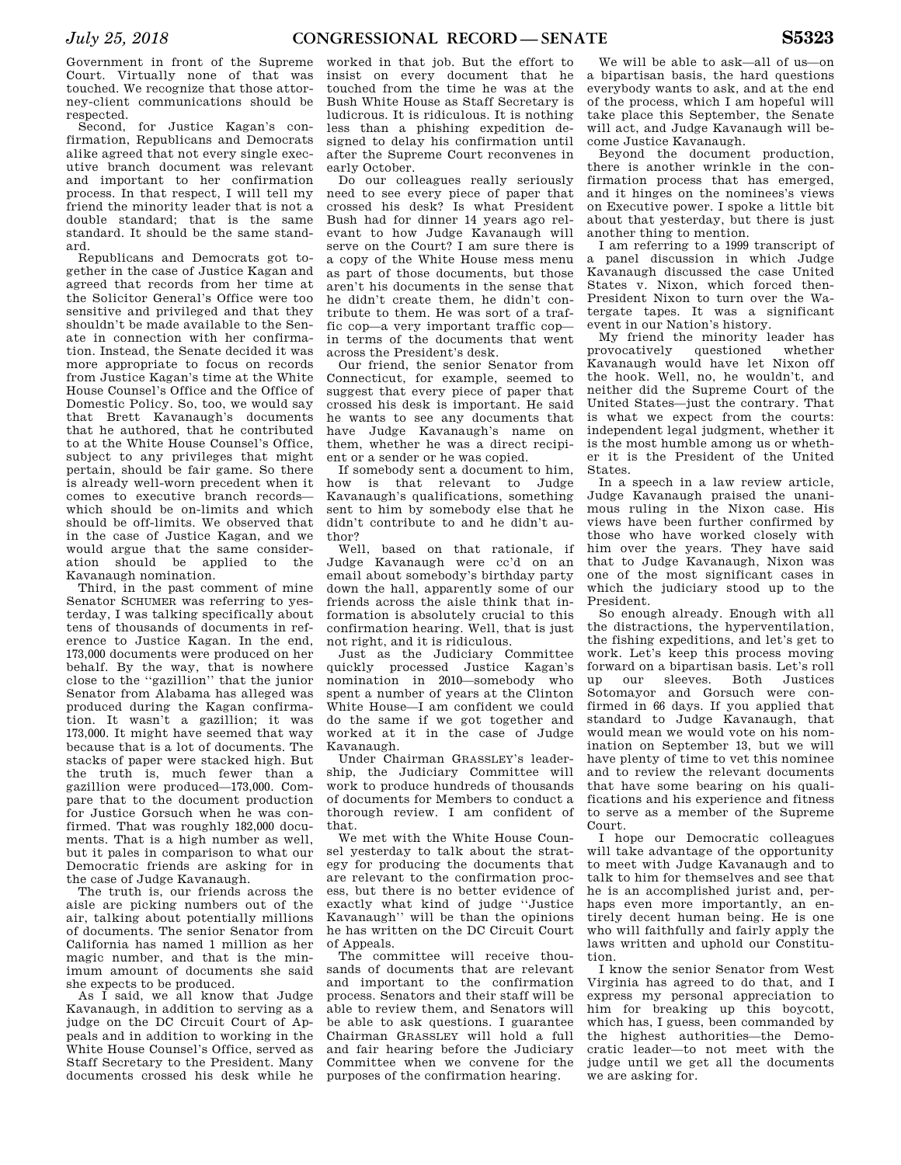Government in front of the Supreme Court. Virtually none of that was touched. We recognize that those attorney-client communications should be respected.

Second, for Justice Kagan's confirmation, Republicans and Democrats alike agreed that not every single executive branch document was relevant and important to her confirmation process. In that respect, I will tell my friend the minority leader that is not a double standard; that is the same standard. It should be the same standard.

Republicans and Democrats got together in the case of Justice Kagan and agreed that records from her time at the Solicitor General's Office were too sensitive and privileged and that they shouldn't be made available to the Senate in connection with her confirmation. Instead, the Senate decided it was more appropriate to focus on records from Justice Kagan's time at the White House Counsel's Office and the Office of Domestic Policy. So, too, we would say that Brett Kavanaugh's documents that he authored, that he contributed to at the White House Counsel's Office, subject to any privileges that might pertain, should be fair game. So there is already well-worn precedent when it comes to executive branch records which should be on-limits and which should be off-limits. We observed that in the case of Justice Kagan, and we would argue that the same consideration should be applied to the Kavanaugh nomination.

Third, in the past comment of mine Senator SCHUMER was referring to yesterday, I was talking specifically about tens of thousands of documents in reference to Justice Kagan. In the end, 173,000 documents were produced on her behalf. By the way, that is nowhere close to the ''gazillion'' that the junior Senator from Alabama has alleged was produced during the Kagan confirmation. It wasn't a gazillion; it was 173,000. It might have seemed that way because that is a lot of documents. The stacks of paper were stacked high. But the truth is, much fewer than a gazillion were produced—173,000. Compare that to the document production for Justice Gorsuch when he was confirmed. That was roughly 182,000 documents. That is a high number as well, but it pales in comparison to what our Democratic friends are asking for in the case of Judge Kavanaugh.

The truth is, our friends across the aisle are picking numbers out of the air, talking about potentially millions of documents. The senior Senator from California has named 1 million as her magic number, and that is the minimum amount of documents she said she expects to be produced.

As I said, we all know that Judge Kavanaugh, in addition to serving as a judge on the DC Circuit Court of Appeals and in addition to working in the White House Counsel's Office, served as Staff Secretary to the President. Many documents crossed his desk while he

worked in that job. But the effort to insist on every document that he touched from the time he was at the Bush White House as Staff Secretary is ludicrous. It is ridiculous. It is nothing less than a phishing expedition designed to delay his confirmation until after the Supreme Court reconvenes in early October.

Do our colleagues really seriously need to see every piece of paper that crossed his desk? Is what President Bush had for dinner 14 years ago relevant to how Judge Kavanaugh will serve on the Court? I am sure there is a copy of the White House mess menu as part of those documents, but those aren't his documents in the sense that he didn't create them, he didn't contribute to them. He was sort of a traffic cop—a very important traffic cop in terms of the documents that went across the President's desk.

Our friend, the senior Senator from Connecticut, for example, seemed to suggest that every piece of paper that crossed his desk is important. He said he wants to see any documents that have Judge Kavanaugh's name on them, whether he was a direct recipient or a sender or he was copied.

If somebody sent a document to him, how is that relevant to Judge Kavanaugh's qualifications, something sent to him by somebody else that he didn't contribute to and he didn't author?

Well, based on that rationale, if Judge Kavanaugh were cc'd on an email about somebody's birthday party down the hall, apparently some of our friends across the aisle think that information is absolutely crucial to this confirmation hearing. Well, that is just not right, and it is ridiculous.

Just as the Judiciary Committee quickly processed Justice Kagan's nomination in 2010—somebody who spent a number of years at the Clinton White House—I am confident we could do the same if we got together and worked at it in the case of Judge Kavanaugh.

Under Chairman GRASSLEY's leadership, the Judiciary Committee will work to produce hundreds of thousands of documents for Members to conduct a thorough review. I am confident of that.

We met with the White House Counsel yesterday to talk about the strategy for producing the documents that are relevant to the confirmation process, but there is no better evidence of exactly what kind of judge ''Justice Kavanaugh'' will be than the opinions he has written on the DC Circuit Court of Appeals.

The committee will receive thousands of documents that are relevant and important to the confirmation process. Senators and their staff will be able to review them, and Senators will be able to ask questions. I guarantee Chairman GRASSLEY will hold a full and fair hearing before the Judiciary Committee when we convene for the purposes of the confirmation hearing.

We will be able to ask—all of us—on a bipartisan basis, the hard questions everybody wants to ask, and at the end of the process, which I am hopeful will take place this September, the Senate will act, and Judge Kavanaugh will become Justice Kavanaugh.

Beyond the document production, there is another wrinkle in the confirmation process that has emerged, and it hinges on the nominees's views on Executive power. I spoke a little bit about that yesterday, but there is just another thing to mention.

I am referring to a 1999 transcript of a panel discussion in which Judge Kavanaugh discussed the case United States v. Nixon, which forced then-President Nixon to turn over the Watergate tapes. It was a significant event in our Nation's history.

My friend the minority leader has provocatively questioned whether Kavanaugh would have let Nixon off the hook. Well, no, he wouldn't, and neither did the Supreme Court of the United States—just the contrary. That is what we expect from the courts: independent legal judgment, whether it is the most humble among us or whether it is the President of the United States.

In a speech in a law review article, Judge Kavanaugh praised the unanimous ruling in the Nixon case. His views have been further confirmed by those who have worked closely with him over the years. They have said that to Judge Kavanaugh, Nixon was one of the most significant cases in which the judiciary stood up to the President.

So enough already. Enough with all the distractions, the hyperventilation, the fishing expeditions, and let's get to work. Let's keep this process moving forward on a bipartisan basis. Let's roll up our sleeves. Both Justices Sotomayor and Gorsuch were confirmed in 66 days. If you applied that standard to Judge Kavanaugh, that would mean we would vote on his nomination on September 13, but we will have plenty of time to vet this nominee and to review the relevant documents that have some bearing on his qualifications and his experience and fitness to serve as a member of the Supreme Court.

I hope our Democratic colleagues will take advantage of the opportunity to meet with Judge Kavanaugh and to talk to him for themselves and see that he is an accomplished jurist and, perhaps even more importantly, an entirely decent human being. He is one who will faithfully and fairly apply the laws written and uphold our Constitution.

I know the senior Senator from West Virginia has agreed to do that, and I express my personal appreciation to him for breaking up this boycott, which has, I guess, been commanded by the highest authorities—the Democratic leader—to not meet with the judge until we get all the documents we are asking for.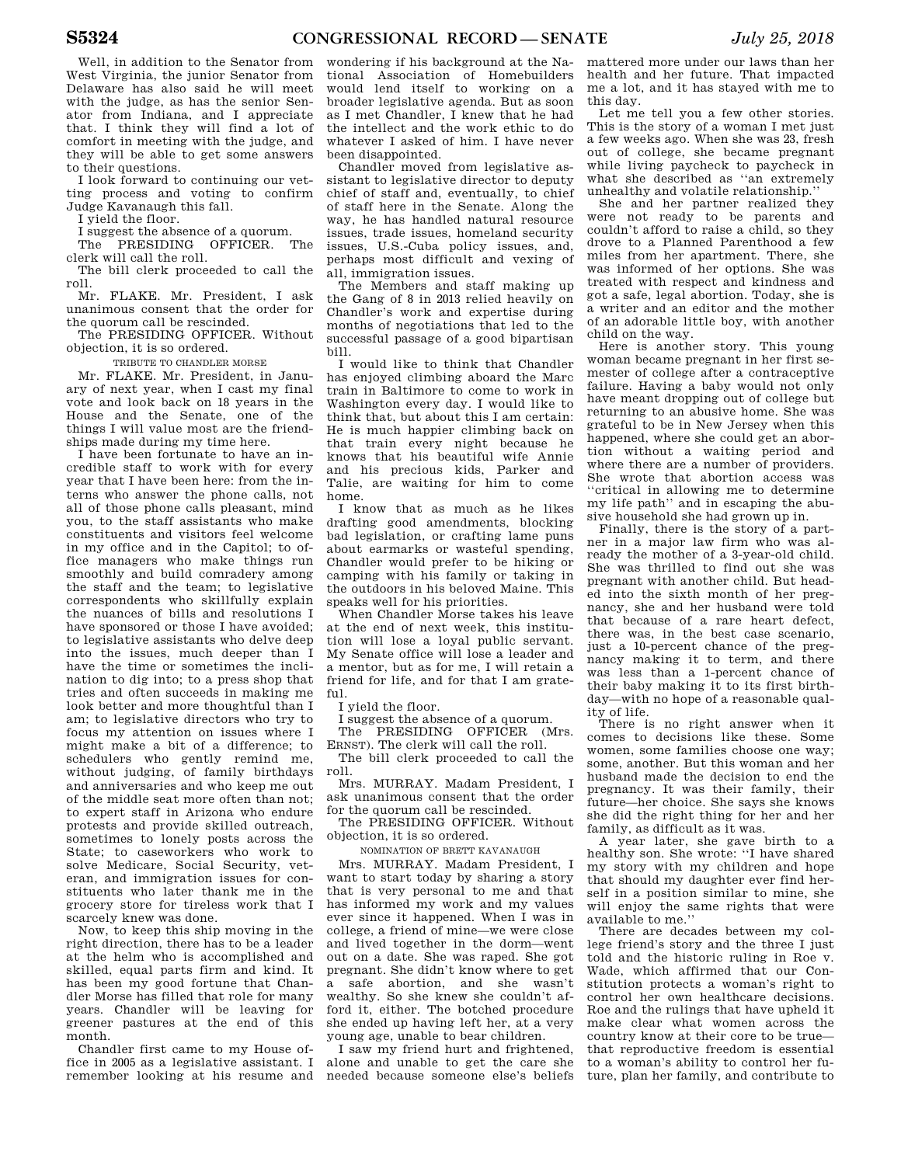Well, in addition to the Senator from West Virginia, the junior Senator from Delaware has also said he will meet with the judge, as has the senior Senator from Indiana, and I appreciate that. I think they will find a lot of comfort in meeting with the judge, and they will be able to get some answers to their questions.

I look forward to continuing our vetting process and voting to confirm Judge Kavanaugh this fall.

I yield the floor.

I suggest the absence of a quorum.

The PRESIDING OFFICER. The clerk will call the roll.

The bill clerk proceeded to call the roll.

Mr. FLAKE. Mr. President, I ask unanimous consent that the order for the quorum call be rescinded.

The PRESIDING OFFICER. Without objection, it is so ordered.

TRIBUTE TO CHANDLER MORSE

Mr. FLAKE. Mr. President, in January of next year, when I cast my final vote and look back on 18 years in the House and the Senate, one of the things I will value most are the friendships made during my time here.

I have been fortunate to have an incredible staff to work with for every year that I have been here: from the interns who answer the phone calls, not all of those phone calls pleasant, mind you, to the staff assistants who make constituents and visitors feel welcome in my office and in the Capitol; to office managers who make things run smoothly and build comradery among the staff and the team; to legislative correspondents who skillfully explain the nuances of bills and resolutions I have sponsored or those I have avoided: to legislative assistants who delve deep into the issues, much deeper than I have the time or sometimes the inclination to dig into; to a press shop that tries and often succeeds in making me look better and more thoughtful than I am; to legislative directors who try to focus my attention on issues where I might make a bit of a difference; to schedulers who gently remind me, without judging, of family birthdays and anniversaries and who keep me out of the middle seat more often than not; to expert staff in Arizona who endure protests and provide skilled outreach, sometimes to lonely posts across the State; to caseworkers who work to solve Medicare, Social Security, veteran, and immigration issues for constituents who later thank me in the grocery store for tireless work that I scarcely knew was done.

Now, to keep this ship moving in the right direction, there has to be a leader at the helm who is accomplished and skilled, equal parts firm and kind. It has been my good fortune that Chandler Morse has filled that role for many years. Chandler will be leaving for greener pastures at the end of this month.

Chandler first came to my House office in 2005 as a legislative assistant. I remember looking at his resume and

wondering if his background at the National Association of Homebuilders would lend itself to working on a broader legislative agenda. But as soon as I met Chandler, I knew that he had the intellect and the work ethic to do whatever I asked of him. I have never been disappointed.

Chandler moved from legislative assistant to legislative director to deputy chief of staff and, eventually, to chief of staff here in the Senate. Along the way, he has handled natural resource issues, trade issues, homeland security issues, U.S.-Cuba policy issues, and, perhaps most difficult and vexing of all, immigration issues.

The Members and staff making up the Gang of 8 in 2013 relied heavily on Chandler's work and expertise during months of negotiations that led to the successful passage of a good bipartisan bill.

I would like to think that Chandler has enjoyed climbing aboard the Marc train in Baltimore to come to work in Washington every day. I would like to think that, but about this I am certain: He is much happier climbing back on that train every night because he knows that his beautiful wife Annie and his precious kids, Parker and Talie, are waiting for him to come home.

I know that as much as he likes drafting good amendments, blocking bad legislation, or crafting lame puns about earmarks or wasteful spending, Chandler would prefer to be hiking or camping with his family or taking in the outdoors in his beloved Maine. This speaks well for his priorities.

When Chandler Morse takes his leave at the end of next week, this institution will lose a loyal public servant. My Senate office will lose a leader and a mentor, but as for me, I will retain a friend for life, and for that I am grateful.

I yield the floor.

I suggest the absence of a quorum.

The PRESIDING OFFICER (Mrs. ERNST). The clerk will call the roll.

The bill clerk proceeded to call the roll.

Mrs. MURRAY. Madam President, I ask unanimous consent that the order for the quorum call be rescinded.

The PRESIDING OFFICER. Without objection, it is so ordered.

NOMINATION OF BRETT KAVANAUGH

Mrs. MURRAY. Madam President, I want to start today by sharing a story that is very personal to me and that has informed my work and my values ever since it happened. When I was in college, a friend of mine—we were close and lived together in the dorm—went out on a date. She was raped. She got pregnant. She didn't know where to get a safe abortion, and she wasn't wealthy. So she knew she couldn't afford it, either. The botched procedure she ended up having left her, at a very young age, unable to bear children.

I saw my friend hurt and frightened, alone and unable to get the care she needed because someone else's beliefs

mattered more under our laws than her health and her future. That impacted me a lot, and it has stayed with me to this day.

Let me tell you a few other stories. This is the story of a woman I met just a few weeks ago. When she was 23, fresh out of college, she became pregnant while living paycheck to paycheck in what she described as ''an extremely unhealthy and volatile relationship.''

She and her partner realized they were not ready to be parents and couldn't afford to raise a child, so they drove to a Planned Parenthood a few miles from her apartment. There, she was informed of her options. She was treated with respect and kindness and got a safe, legal abortion. Today, she is a writer and an editor and the mother of an adorable little boy, with another child on the way.

Here is another story. This young woman became pregnant in her first semester of college after a contraceptive failure. Having a baby would not only have meant dropping out of college but returning to an abusive home. She was grateful to be in New Jersey when this happened, where she could get an abortion without a waiting period and where there are a number of providers. She wrote that abortion access was ''critical in allowing me to determine my life path'' and in escaping the abusive household she had grown up in.

Finally, there is the story of a partner in a major law firm who was already the mother of a 3-year-old child. She was thrilled to find out she was pregnant with another child. But headed into the sixth month of her pregnancy, she and her husband were told that because of a rare heart defect, there was, in the best case scenario, just a 10-percent chance of the pregnancy making it to term, and there was less than a 1-percent chance of their baby making it to its first birthday—with no hope of a reasonable quality of life.

There is no right answer when it comes to decisions like these. Some women, some families choose one way; some, another. But this woman and her husband made the decision to end the pregnancy. It was their family, their future—her choice. She says she knows she did the right thing for her and her family, as difficult as it was.

A year later, she gave birth to a healthy son. She wrote: ''I have shared my story with my children and hope that should my daughter ever find herself in a position similar to mine, she will enjoy the same rights that were available to me.''

There are decades between my college friend's story and the three I just told and the historic ruling in Roe v. Wade, which affirmed that our Constitution protects a woman's right to control her own healthcare decisions. Roe and the rulings that have upheld it make clear what women across the country know at their core to be true that reproductive freedom is essential to a woman's ability to control her future, plan her family, and contribute to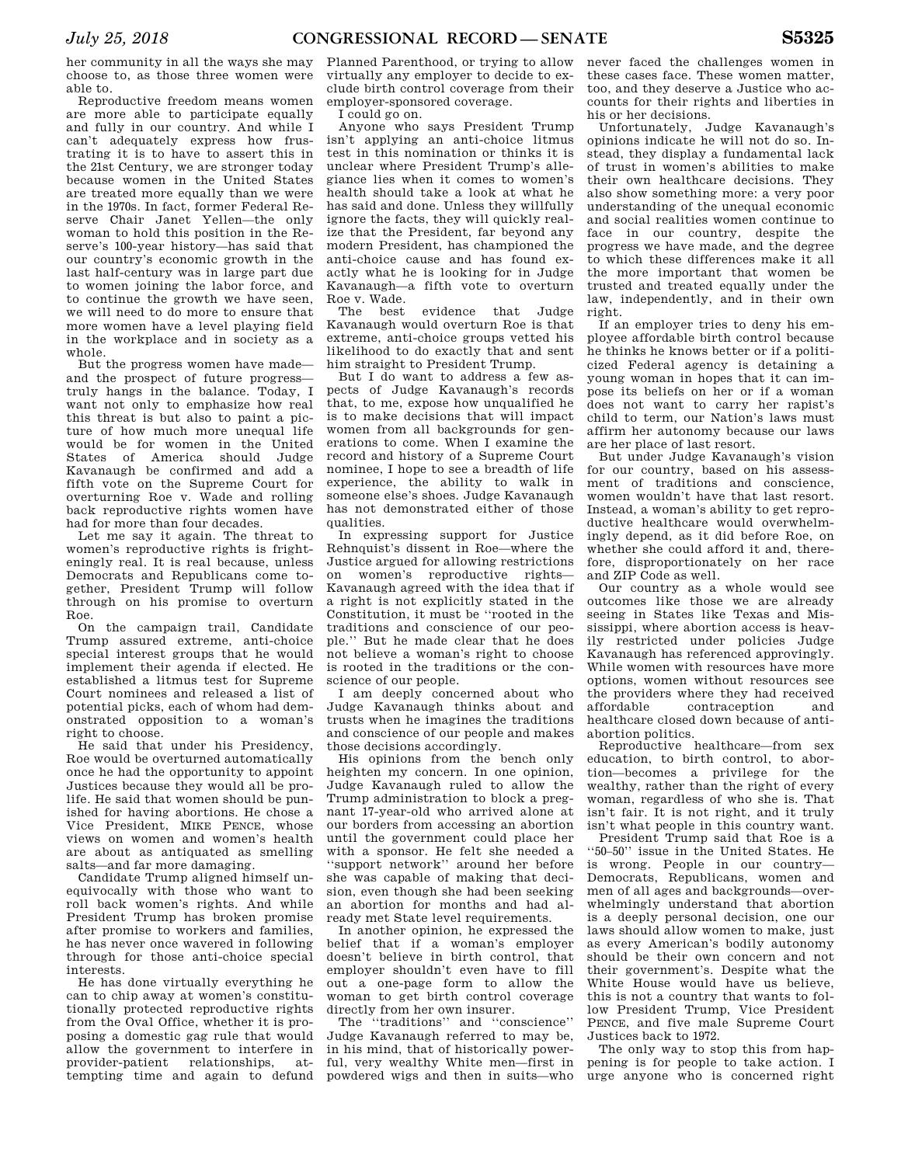her community in all the ways she may choose to, as those three women were able to.

Reproductive freedom means women are more able to participate equally and fully in our country. And while I can't adequately express how frustrating it is to have to assert this in the 21st Century, we are stronger today because women in the United States are treated more equally than we were in the 1970s. In fact, former Federal Reserve Chair Janet Yellen—the only woman to hold this position in the Reserve's 100-year history—has said that our country's economic growth in the last half-century was in large part due to women joining the labor force, and to continue the growth we have seen, we will need to do more to ensure that more women have a level playing field in the workplace and in society as a whole.

But the progress women have made and the prospect of future progress truly hangs in the balance. Today, I want not only to emphasize how real this threat is but also to paint a picture of how much more unequal life would be for women in the United States of America should Judge Kavanaugh be confirmed and add a fifth vote on the Supreme Court for overturning Roe v. Wade and rolling back reproductive rights women have had for more than four decades.

Let me say it again. The threat to women's reproductive rights is frighteningly real. It is real because, unless Democrats and Republicans come together, President Trump will follow through on his promise to overturn Roe.

On the campaign trail, Candidate Trump assured extreme, anti-choice special interest groups that he would implement their agenda if elected. He established a litmus test for Supreme Court nominees and released a list of potential picks, each of whom had demonstrated opposition to a woman's right to choose.

He said that under his Presidency, Roe would be overturned automatically once he had the opportunity to appoint Justices because they would all be prolife. He said that women should be punished for having abortions. He chose a Vice President, MIKE PENCE, whose views on women and women's health are about as antiquated as smelling salts—and far more damaging.

Candidate Trump aligned himself unequivocally with those who want to roll back women's rights. And while President Trump has broken promise after promise to workers and families, he has never once wavered in following through for those anti-choice special interests.

He has done virtually everything he can to chip away at women's constitutionally protected reproductive rights from the Oval Office, whether it is proposing a domestic gag rule that would allow the government to interfere in provider-patient relationships, attempting time and again to defund

Planned Parenthood, or trying to allow virtually any employer to decide to exclude birth control coverage from their employer-sponsored coverage.

I could go on.

Anyone who says President Trump isn't applying an anti-choice litmus test in this nomination or thinks it is unclear where President Trump's allegiance lies when it comes to women's health should take a look at what he has said and done. Unless they willfully ignore the facts, they will quickly realize that the President, far beyond any modern President, has championed the anti-choice cause and has found exactly what he is looking for in Judge Kavanaugh—a fifth vote to overturn Roe v. Wade.

The best evidence that Judge Kavanaugh would overturn Roe is that extreme, anti-choice groups vetted his likelihood to do exactly that and sent him straight to President Trump.

But I do want to address a few aspects of Judge Kavanaugh's records that, to me, expose how unqualified he is to make decisions that will impact women from all backgrounds for generations to come. When I examine the record and history of a Supreme Court nominee, I hope to see a breadth of life experience, the ability to walk in someone else's shoes. Judge Kavanaugh has not demonstrated either of those qualities.

In expressing support for Justice Rehnquist's dissent in Roe—where the Justice argued for allowing restrictions on women's reproductive rights— Kavanaugh agreed with the idea that if a right is not explicitly stated in the Constitution, it must be ''rooted in the traditions and conscience of our people.'' But he made clear that he does not believe a woman's right to choose is rooted in the traditions or the conscience of our people.

I am deeply concerned about who Judge Kavanaugh thinks about and trusts when he imagines the traditions and conscience of our people and makes those decisions accordingly.

His opinions from the bench only heighten my concern. In one opinion, Judge Kavanaugh ruled to allow the Trump administration to block a pregnant 17-year-old who arrived alone at our borders from accessing an abortion until the government could place her with a sponsor. He felt she needed a ''support network'' around her before she was capable of making that decision, even though she had been seeking an abortion for months and had already met State level requirements.

In another opinion, he expressed the belief that if a woman's employer doesn't believe in birth control, that employer shouldn't even have to fill out a one-page form to allow the woman to get birth control coverage directly from her own insurer.

The "traditions" and "conscience" Judge Kavanaugh referred to may be, in his mind, that of historically powerful, very wealthy White men—first in powdered wigs and then in suits—who

never faced the challenges women in these cases face. These women matter, too, and they deserve a Justice who accounts for their rights and liberties in his or her decisions.

Unfortunately, Judge Kavanaugh's opinions indicate he will not do so. Instead, they display a fundamental lack of trust in women's abilities to make their own healthcare decisions. They also show something more: a very poor understanding of the unequal economic and social realities women continue to face in our country, despite the progress we have made, and the degree to which these differences make it all the more important that women be trusted and treated equally under the law, independently, and in their own right.

If an employer tries to deny his employee affordable birth control because he thinks he knows better or if a politicized Federal agency is detaining a young woman in hopes that it can impose its beliefs on her or if a woman does not want to carry her rapist's child to term, our Nation's laws must affirm her autonomy because our laws are her place of last resort.

But under Judge Kavanaugh's vision for our country, based on his assessment of traditions and conscience, women wouldn't have that last resort. Instead, a woman's ability to get reproductive healthcare would overwhelmingly depend, as it did before Roe, on whether she could afford it and, therefore, disproportionately on her race and ZIP Code as well.

Our country as a whole would see outcomes like those we are already seeing in States like Texas and Mississippi, where abortion access is heavily restricted under policies Judge Kavanaugh has referenced approvingly. While women with resources have more options, women without resources see the providers where they had received affordable contraception and healthcare closed down because of antiabortion politics.

Reproductive healthcare—from sex education, to birth control, to abortion—becomes a privilege for the wealthy, rather than the right of every woman, regardless of who she is. That isn't fair. It is not right, and it truly isn't what people in this country want.

President Trump said that Roe is a ''50–50'' issue in the United States. He is wrong. People in our country— Democrats, Republicans, women and men of all ages and backgrounds—overwhelmingly understand that abortion is a deeply personal decision, one our laws should allow women to make, just as every American's bodily autonomy should be their own concern and not their government's. Despite what the White House would have us believe, this is not a country that wants to follow President Trump, Vice President PENCE, and five male Supreme Court Justices back to 1972.

The only way to stop this from happening is for people to take action. I urge anyone who is concerned right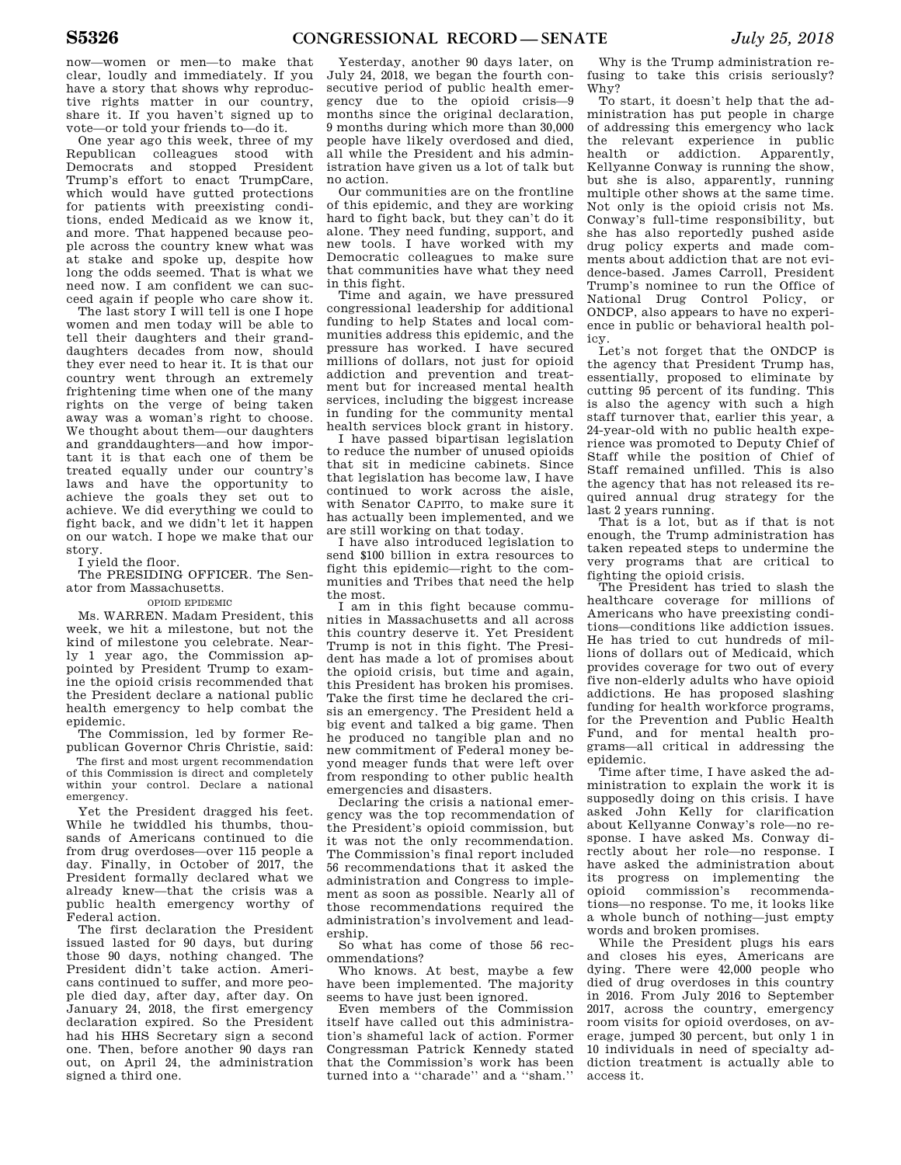now—women or men—to make that clear, loudly and immediately. If you have a story that shows why reproductive rights matter in our country, share it. If you haven't signed up to vote—or told your friends to—do it.

One year ago this week, three of my Republican colleagues stood with<br>Democrats and stopped President and stopped President Trump's effort to enact TrumpCare, which would have gutted protections for patients with preexisting conditions, ended Medicaid as we know it, and more. That happened because people across the country knew what was at stake and spoke up, despite how long the odds seemed. That is what we need now. I am confident we can succeed again if people who care show it.

The last story I will tell is one I hope women and men today will be able to tell their daughters and their granddaughters decades from now, should they ever need to hear it. It is that our country went through an extremely frightening time when one of the many rights on the verge of being taken away was a woman's right to choose. We thought about them—our daughters and granddaughters—and how important it is that each one of them be treated equally under our country's laws and have the opportunity to achieve the goals they set out to achieve. We did everything we could to fight back, and we didn't let it happen on our watch. I hope we make that our story.

I yield the floor.

The PRESIDING OFFICER. The Senator from Massachusetts.

#### OPIOID EPIDEMIC

Ms. WARREN. Madam President, this week, we hit a milestone, but not the kind of milestone you celebrate. Nearly 1 year ago, the Commission appointed by President Trump to examine the opioid crisis recommended that the President declare a national public health emergency to help combat the epidemic.

The Commission, led by former Republican Governor Chris Christie, said:

The first and most urgent recommendation of this Commission is direct and completely within your control. Declare a national emergency.

Yet the President dragged his feet. While he twiddled his thumbs, thousands of Americans continued to die from drug overdoses—over 115 people a day. Finally, in October of 2017, the President formally declared what we already knew—that the crisis was a public health emergency worthy of Federal action.

The first declaration the President issued lasted for 90 days, but during those 90 days, nothing changed. The President didn't take action. Americans continued to suffer, and more people died day, after day, after day. On January 24, 2018, the first emergency declaration expired. So the President had his HHS Secretary sign a second one. Then, before another 90 days ran out, on April 24, the administration signed a third one.

Yesterday, another 90 days later, on July 24, 2018, we began the fourth consecutive period of public health emergency due to the opioid crisis—9 months since the original declaration. 9 months during which more than 30,000 people have likely overdosed and died, all while the President and his administration have given us a lot of talk but no action.

Our communities are on the frontline of this epidemic, and they are working hard to fight back, but they can't do it alone. They need funding, support, and new tools. I have worked with my Democratic colleagues to make sure that communities have what they need in this fight.

Time and again, we have pressured congressional leadership for additional funding to help States and local communities address this epidemic, and the pressure has worked. I have secured millions of dollars, not just for opioid addiction and prevention and treatment but for increased mental health services, including the biggest increase in funding for the community mental health services block grant in history.

I have passed bipartisan legislation to reduce the number of unused opioids that sit in medicine cabinets. Since that legislation has become law, I have continued to work across the aisle, with Senator CAPITO, to make sure it has actually been implemented, and we are still working on that today.

I have also introduced legislation to send \$100 billion in extra resources to fight this epidemic—right to the communities and Tribes that need the help the most.

I am in this fight because communities in Massachusetts and all across this country deserve it. Yet President Trump is not in this fight. The President has made a lot of promises about the opioid crisis, but time and again, this President has broken his promises. Take the first time he declared the crisis an emergency. The President held a big event and talked a big game. Then he produced no tangible plan and no new commitment of Federal money beyond meager funds that were left over from responding to other public health emergencies and disasters.

Declaring the crisis a national emergency was the top recommendation of the President's opioid commission, but it was not the only recommendation. The Commission's final report included 56 recommendations that it asked the administration and Congress to implement as soon as possible. Nearly all of those recommendations required the administration's involvement and leadership.

So what has come of those 56 recommendations?

Who knows. At best, maybe a few have been implemented. The majority seems to have just been ignored.

Even members of the Commission itself have called out this administration's shameful lack of action. Former Congressman Patrick Kennedy stated that the Commission's work has been turned into a ''charade'' and a ''sham.''

Why is the Trump administration refusing to take this crisis seriously? Why?

To start, it doesn't help that the administration has put people in charge of addressing this emergency who lack the relevant experience in public health or addiction. Apparently, Kellyanne Conway is running the show, but she is also, apparently, running multiple other shows at the same time. Not only is the opioid crisis not Ms. Conway's full-time responsibility, but she has also reportedly pushed aside drug policy experts and made comments about addiction that are not evidence-based. James Carroll, President Trump's nominee to run the Office of National Drug Control Policy, or ONDCP, also appears to have no experience in public or behavioral health policy.

Let's not forget that the ONDCP is the agency that President Trump has, essentially, proposed to eliminate by cutting 95 percent of its funding. This is also the agency with such a high staff turnover that, earlier this year, a 24-year-old with no public health experience was promoted to Deputy Chief of Staff while the position of Chief of Staff remained unfilled. This is also the agency that has not released its required annual drug strategy for the last 2 years running.

That is a lot, but as if that is not enough, the Trump administration has taken repeated steps to undermine the very programs that are critical to fighting the opioid crisis.

The President has tried to slash the healthcare coverage for millions of Americans who have preexisting conditions—conditions like addiction issues. He has tried to cut hundreds of millions of dollars out of Medicaid, which provides coverage for two out of every five non-elderly adults who have opioid addictions. He has proposed slashing funding for health workforce programs, for the Prevention and Public Health Fund, and for mental health programs—all critical in addressing the epidemic.

Time after time, I have asked the administration to explain the work it is supposedly doing on this crisis. I have asked John Kelly for clarification about Kellyanne Conway's role—no response. I have asked Ms. Conway directly about her role—no response. I have asked the administration about its progress on implementing the opioid commission's recommendations—no response. To me, it looks like a whole bunch of nothing—just empty words and broken promises.

While the President plugs his ears and closes his eyes, Americans are dying. There were 42,000 people who died of drug overdoses in this country in 2016. From July 2016 to September 2017, across the country, emergency room visits for opioid overdoses, on average, jumped 30 percent, but only 1 in 10 individuals in need of specialty addiction treatment is actually able to access it.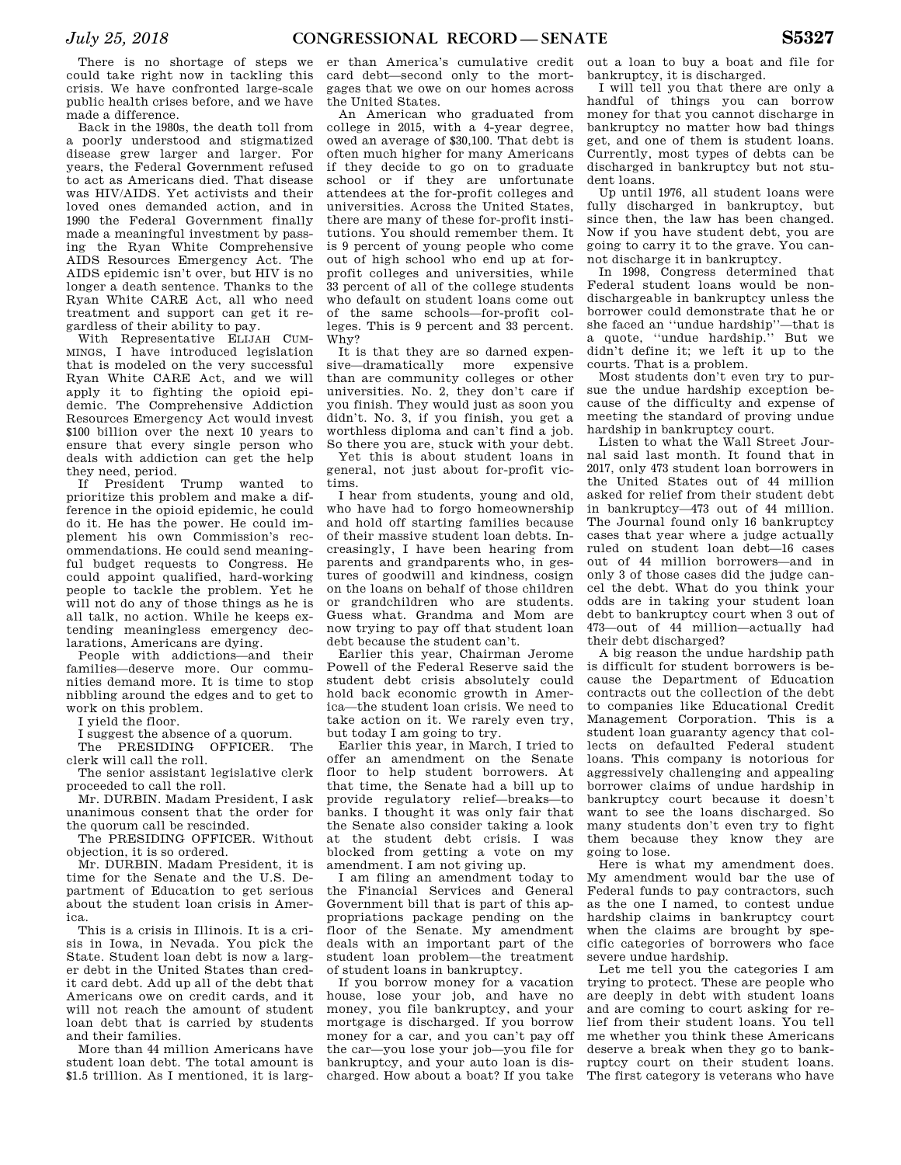There is no shortage of steps we could take right now in tackling this crisis. We have confronted large-scale public health crises before, and we have made a difference.

Back in the 1980s, the death toll from a poorly understood and stigmatized disease grew larger and larger. For years, the Federal Government refused to act as Americans died. That disease was HIV/AIDS. Yet activists and their loved ones demanded action, and in 1990 the Federal Government finally made a meaningful investment by passing the Ryan White Comprehensive AIDS Resources Emergency Act. The AIDS epidemic isn't over, but HIV is no longer a death sentence. Thanks to the Ryan White CARE Act, all who need treatment and support can get it regardless of their ability to pay.

With Representative ELIJAH CUM-MINGS, I have introduced legislation that is modeled on the very successful Ryan White CARE Act, and we will apply it to fighting the opioid epidemic. The Comprehensive Addiction Resources Emergency Act would invest \$100 billion over the next 10 years to ensure that every single person who deals with addiction can get the help they need, period.

If President Trump wanted to prioritize this problem and make a difference in the opioid epidemic, he could do it. He has the power. He could implement his own Commission's recommendations. He could send meaningful budget requests to Congress. He could appoint qualified, hard-working people to tackle the problem. Yet he will not do any of those things as he is all talk, no action. While he keeps extending meaningless emergency declarations, Americans are dying.

People with addictions—and their families—deserve more. Our communities demand more. It is time to stop nibbling around the edges and to get to work on this problem.

I yield the floor.

I suggest the absence of a quorum.

The PRESIDING OFFICER. The clerk will call the roll.

The senior assistant legislative clerk proceeded to call the roll.

Mr. DURBIN. Madam President, I ask unanimous consent that the order for the quorum call be rescinded.

The PRESIDING OFFICER. Without objection, it is so ordered.

Mr. DURBIN. Madam President, it is time for the Senate and the U.S. Department of Education to get serious about the student loan crisis in America.

This is a crisis in Illinois. It is a crisis in Iowa, in Nevada. You pick the State. Student loan debt is now a larger debt in the United States than credit card debt. Add up all of the debt that Americans owe on credit cards, and it will not reach the amount of student loan debt that is carried by students and their families.

More than 44 million Americans have student loan debt. The total amount is \$1.5 trillion. As I mentioned, it is larg-

er than America's cumulative credit card debt—second only to the mortgages that we owe on our homes across the United States.

An American who graduated from college in 2015, with a 4-year degree, owed an average of \$30,100. That debt is often much higher for many Americans if they decide to go on to graduate school or if they are unfortunate attendees at the for-profit colleges and universities. Across the United States, there are many of these for-profit institutions. You should remember them. It is 9 percent of young people who come out of high school who end up at forprofit colleges and universities, while 33 percent of all of the college students who default on student loans come out of the same schools—for-profit colleges. This is 9 percent and 33 percent. Why?

It is that they are so darned expensive—dramatically more expensive than are community colleges or other universities. No. 2, they don't care if you finish. They would just as soon you didn't. No. 3, if you finish, you get a worthless diploma and can't find a job. So there you are, stuck with your debt.

Yet this is about student loans in general, not just about for-profit victims.

I hear from students, young and old, who have had to forgo homeownership and hold off starting families because of their massive student loan debts. Increasingly, I have been hearing from parents and grandparents who, in gestures of goodwill and kindness, cosign on the loans on behalf of those children or grandchildren who are students. Guess what. Grandma and Mom are now trying to pay off that student loan debt because the student can't.

Earlier this year, Chairman Jerome Powell of the Federal Reserve said the student debt crisis absolutely could hold back economic growth in America—the student loan crisis. We need to take action on it. We rarely even try, but today I am going to try.

Earlier this year, in March, I tried to offer an amendment on the Senate floor to help student borrowers. At that time, the Senate had a bill up to provide regulatory relief—breaks—to banks. I thought it was only fair that the Senate also consider taking a look at the student debt crisis. I was blocked from getting a vote on my amendment. I am not giving up.

I am filing an amendment today to the Financial Services and General Government bill that is part of this appropriations package pending on the floor of the Senate. My amendment deals with an important part of the student loan problem—the treatment of student loans in bankruptcy.

If you borrow money for a vacation house, lose your job, and have no money, you file bankruptcy, and your mortgage is discharged. If you borrow money for a car, and you can't pay off the car—you lose your job—you file for bankruptcy, and your auto loan is discharged. How about a boat? If you take

out a loan to buy a boat and file for bankruptcy, it is discharged.

I will tell you that there are only a handful of things you can borrow money for that you cannot discharge in bankruptcy no matter how bad things get, and one of them is student loans. Currently, most types of debts can be discharged in bankruptcy but not student loans.

Up until 1976, all student loans were fully discharged in bankruptcy, but since then, the law has been changed. Now if you have student debt, you are going to carry it to the grave. You cannot discharge it in bankruptcy.

In 1998, Congress determined that Federal student loans would be nondischargeable in bankruptcy unless the borrower could demonstrate that he or she faced an ''undue hardship''—that is a quote, ''undue hardship.'' But we didn't define it; we left it up to the courts. That is a problem.

Most students don't even try to pursue the undue hardship exception because of the difficulty and expense of meeting the standard of proving undue hardship in bankruptcy court.

Listen to what the Wall Street Journal said last month. It found that in 2017, only 473 student loan borrowers in the United States out of 44 million asked for relief from their student debt in bankruptcy—473 out of 44 million. The Journal found only 16 bankruptcy cases that year where a judge actually ruled on student loan debt—16 cases out of 44 million borrowers—and in only 3 of those cases did the judge cancel the debt. What do you think your odds are in taking your student loan debt to bankruptcy court when 3 out of 473—out of 44 million—actually had their debt discharged?

A big reason the undue hardship path is difficult for student borrowers is because the Department of Education contracts out the collection of the debt to companies like Educational Credit Management Corporation. This is a student loan guaranty agency that collects on defaulted Federal student loans. This company is notorious for aggressively challenging and appealing borrower claims of undue hardship in bankruptcy court because it doesn't want to see the loans discharged. So many students don't even try to fight them because they know they are going to lose.

Here is what my amendment does. My amendment would bar the use of Federal funds to pay contractors, such as the one I named, to contest undue hardship claims in bankruptcy court when the claims are brought by specific categories of borrowers who face severe undue hardship.

Let me tell you the categories I am trying to protect. These are people who are deeply in debt with student loans and are coming to court asking for relief from their student loans. You tell me whether you think these Americans deserve a break when they go to bankruptcy court on their student loans. The first category is veterans who have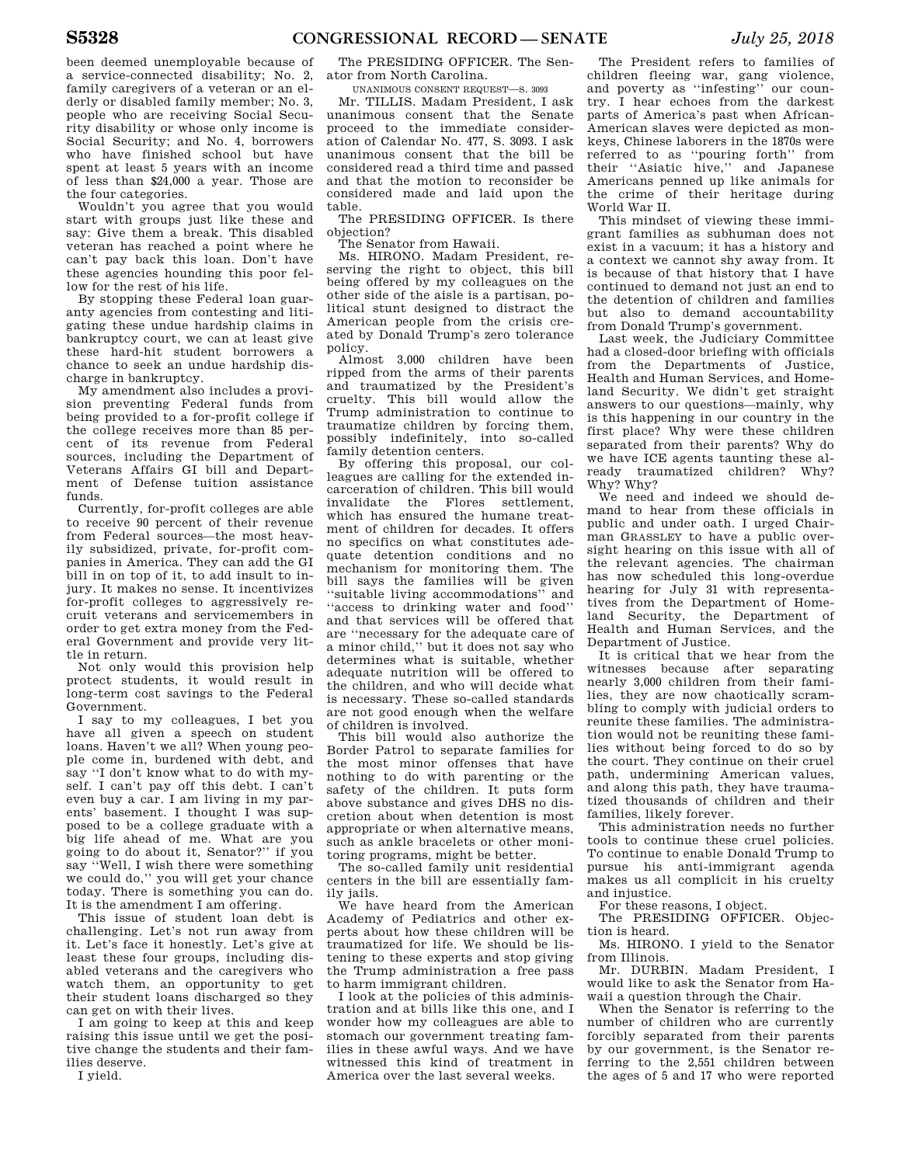been deemed unemployable because of a service-connected disability; No. 2, family caregivers of a veteran or an elderly or disabled family member; No. 3, people who are receiving Social Security disability or whose only income is Social Security; and No. 4, borrowers who have finished school but have spent at least 5 years with an income of less than \$24,000 a year. Those are the four categories.

Wouldn't you agree that you would start with groups just like these and say: Give them a break. This disabled veteran has reached a point where he can't pay back this loan. Don't have these agencies hounding this poor fellow for the rest of his life.

By stopping these Federal loan guaranty agencies from contesting and litigating these undue hardship claims in bankruptcy court, we can at least give these hard-hit student borrowers a chance to seek an undue hardship discharge in bankruptcy.

My amendment also includes a provision preventing Federal funds from being provided to a for-profit college if the college receives more than 85 percent of its revenue from Federal sources, including the Department of Veterans Affairs GI bill and Department of Defense tuition assistance funds.

Currently, for-profit colleges are able to receive 90 percent of their revenue from Federal sources—the most heavily subsidized, private, for-profit companies in America. They can add the GI bill in on top of it, to add insult to injury. It makes no sense. It incentivizes for-profit colleges to aggressively recruit veterans and servicemembers in order to get extra money from the Federal Government and provide very little in return.

Not only would this provision help protect students, it would result in long-term cost savings to the Federal Government.

I say to my colleagues, I bet you have all given a speech on student loans. Haven't we all? When young people come in, burdened with debt, and say ''I don't know what to do with myself. I can't pay off this debt. I can't even buy a car. I am living in my parents' basement. I thought I was supposed to be a college graduate with a big life ahead of me. What are you going to do about it, Senator?'' if you say ''Well, I wish there were something we could do,'' you will get your chance today. There is something you can do. It is the amendment I am offering.

This issue of student loan debt is challenging. Let's not run away from it. Let's face it honestly. Let's give at least these four groups, including disabled veterans and the caregivers who watch them, an opportunity to get their student loans discharged so they can get on with their lives.

I am going to keep at this and keep raising this issue until we get the positive change the students and their families deserve.

I yield.

The PRESIDING OFFICER. The Senator from North Carolina.

UNANIMOUS CONSENT REQUEST—S. 3093

Mr. TILLIS. Madam President, I ask unanimous consent that the Senate proceed to the immediate consideration of Calendar No. 477, S. 3093. I ask unanimous consent that the bill be considered read a third time and passed and that the motion to reconsider be considered made and laid upon the table.

The PRESIDING OFFICER. Is there objection?

The Senator from Hawaii.

Ms. HIRONO. Madam President, reserving the right to object, this bill being offered by my colleagues on the other side of the aisle is a partisan, political stunt designed to distract the American people from the crisis created by Donald Trump's zero tolerance policy.

Almost 3,000 children have been ripped from the arms of their parents and traumatized by the President's cruelty. This bill would allow the Trump administration to continue to traumatize children by forcing them, possibly indefinitely, into so-called family detention centers.

By offering this proposal, our colleagues are calling for the extended incarceration of children. This bill would invalidate the Flores settlement, which has ensured the humane treatment of children for decades. It offers no specifics on what constitutes adequate detention conditions and no mechanism for monitoring them. The bill says the families will be given ''suitable living accommodations'' and ''access to drinking water and food'' and that services will be offered that are ''necessary for the adequate care of a minor child,'' but it does not say who determines what is suitable, whether adequate nutrition will be offered to the children, and who will decide what is necessary. These so-called standards are not good enough when the welfare of children is involved.

This bill would also authorize the Border Patrol to separate families for the most minor offenses that have nothing to do with parenting or the safety of the children. It puts form above substance and gives DHS no discretion about when detention is most appropriate or when alternative means, such as ankle bracelets or other monitoring programs, might be better.

The so-called family unit residential centers in the bill are essentially family jails.

We have heard from the American Academy of Pediatrics and other experts about how these children will be traumatized for life. We should be listening to these experts and stop giving the Trump administration a free pass to harm immigrant children.

I look at the policies of this administration and at bills like this one, and I wonder how my colleagues are able to stomach our government treating families in these awful ways. And we have witnessed this kind of treatment in America over the last several weeks.

The President refers to families of children fleeing war, gang violence, and poverty as ''infesting'' our country. I hear echoes from the darkest parts of America's past when African-American slaves were depicted as monkeys, Chinese laborers in the 1870s were referred to as ''pouring forth'' from their ''Asiatic hive,'' and Japanese Americans penned up like animals for the crime of their heritage during World War II.

This mindset of viewing these immigrant families as subhuman does not exist in a vacuum; it has a history and a context we cannot shy away from. It is because of that history that I have continued to demand not just an end to the detention of children and families but also to demand accountability from Donald Trump's government.

Last week, the Judiciary Committee had a closed-door briefing with officials from the Departments of Justice, Health and Human Services, and Homeland Security. We didn't get straight answers to our questions—mainly, why is this happening in our country in the first place? Why were these children separated from their parents? Why do we have ICE agents taunting these already traumatized children? Why? Why? Why?

We need and indeed we should demand to hear from these officials in public and under oath. I urged Chairman GRASSLEY to have a public oversight hearing on this issue with all of the relevant agencies. The chairman has now scheduled this long-overdue hearing for July 31 with representatives from the Department of Homeland Security, the Department of Health and Human Services, and the Department of Justice.

It is critical that we hear from the witnesses because after separating nearly 3,000 children from their families, they are now chaotically scrambling to comply with judicial orders to reunite these families. The administration would not be reuniting these families without being forced to do so by the court. They continue on their cruel path, undermining American values, and along this path, they have traumatized thousands of children and their families, likely forever.

This administration needs no further tools to continue these cruel policies. To continue to enable Donald Trump to pursue his anti-immigrant agenda makes us all complicit in his cruelty and injustice.

For these reasons, I object.

The PRESIDING OFFICER. Objection is heard.

Ms. HIRONO. I yield to the Senator from Illinois.

Mr. DURBIN. Madam President, I would like to ask the Senator from Hawaii a question through the Chair.

When the Senator is referring to the number of children who are currently forcibly separated from their parents by our government, is the Senator referring to the 2,551 children between the ages of 5 and 17 who were reported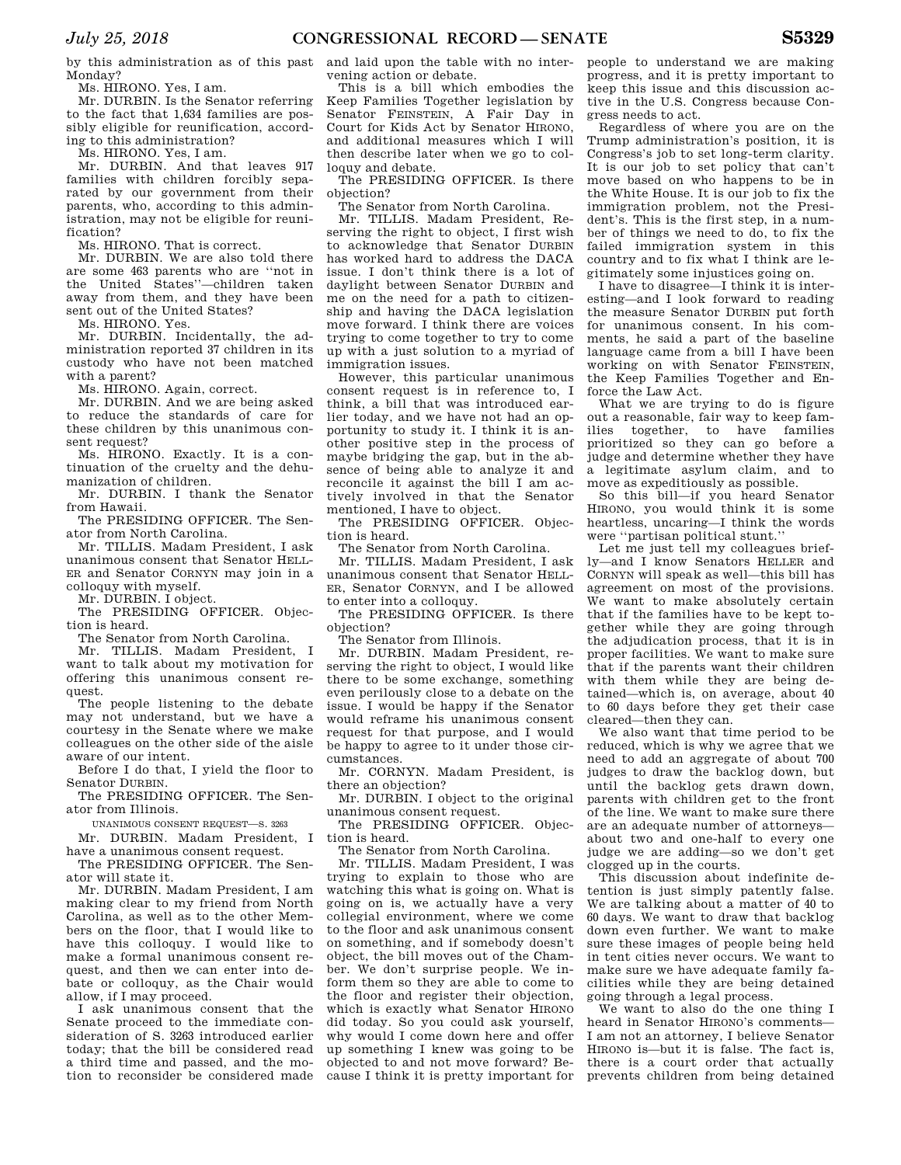by this administration as of this past Monday?

Ms. HIRONO. Yes, I am.

Mr. DURBIN. Is the Senator referring to the fact that 1,634 families are possibly eligible for reunification, according to this administration?

Ms. HIRONO. Yes, I am.

Mr. DURBIN. And that leaves 917 families with children forcibly separated by our government from their parents, who, according to this administration, may not be eligible for reunification?

Ms. HIRONO. That is correct.

Mr. DURBIN. We are also told there are some 463 parents who are ''not in the United States''—children taken away from them, and they have been sent out of the United States?

Ms. HIRONO. Yes.

Mr. DURBIN. Incidentally, the administration reported 37 children in its custody who have not been matched with a parent?

Ms. HIRONO. Again, correct.

Mr. DURBIN. And we are being asked to reduce the standards of care for these children by this unanimous consent request?

Ms. HIRONO. Exactly. It is a continuation of the cruelty and the dehumanization of children.

Mr. DURBIN. I thank the Senator from Hawaii.

The PRESIDING OFFICER. The Senator from North Carolina.

Mr. TILLIS. Madam President, I ask unanimous consent that Senator HELL-ER and Senator CORNYN may join in a colloquy with myself.

Mr. DURBIN. I object.

The PRESIDING OFFICER. Objection is heard.

The Senator from North Carolina.

Mr. TILLIS. Madam President, I want to talk about my motivation for offering this unanimous consent request.

The people listening to the debate may not understand, but we have a courtesy in the Senate where we make colleagues on the other side of the aisle aware of our intent.

Before I do that, I yield the floor to Senator DURBIN.

The PRESIDING OFFICER. The Senator from Illinois.

UNANIMOUS CONSENT REQUEST—S. 3263

Mr. DURBIN. Madam President, I have a unanimous consent request.

The PRESIDING OFFICER. The Senator will state it.

Mr. DURBIN. Madam President, I am making clear to my friend from North Carolina, as well as to the other Members on the floor, that I would like to have this colloquy. I would like to make a formal unanimous consent request, and then we can enter into debate or colloquy, as the Chair would allow, if I may proceed.

I ask unanimous consent that the Senate proceed to the immediate consideration of S. 3263 introduced earlier today; that the bill be considered read a third time and passed, and the motion to reconsider be considered made and laid upon the table with no intervening action or debate.

This is a bill which embodies the Keep Families Together legislation by Senator FEINSTEIN, A Fair Day in Court for Kids Act by Senator HIRONO, and additional measures which I will then describe later when we go to colloquy and debate.

The PRESIDING OFFICER. Is there objection?

The Senator from North Carolina.

Mr. TILLIS. Madam President, Reserving the right to object, I first wish to acknowledge that Senator DURBIN has worked hard to address the DACA issue. I don't think there is a lot of daylight between Senator DURBIN and me on the need for a path to citizenship and having the DACA legislation move forward. I think there are voices trying to come together to try to come up with a just solution to a myriad of immigration issues.

However, this particular unanimous consent request is in reference to, I think, a bill that was introduced earlier today, and we have not had an opportunity to study it. I think it is another positive step in the process of maybe bridging the gap, but in the absence of being able to analyze it and reconcile it against the bill I am actively involved in that the Senator mentioned, I have to object.

The PRESIDING OFFICER. Objection is heard.

The Senator from North Carolina.

Mr. TILLIS. Madam President, I ask unanimous consent that Senator HELL-ER, Senator CORNYN, and I be allowed to enter into a colloquy.

The PRESIDING OFFICER. Is there objection?

The Senator from Illinois.

Mr. DURBIN. Madam President, reserving the right to object, I would like there to be some exchange, something even perilously close to a debate on the issue. I would be happy if the Senator would reframe his unanimous consent request for that purpose, and I would be happy to agree to it under those circumstances.

Mr. CORNYN. Madam President, is there an objection?

Mr. DURBIN. I object to the original unanimous consent request.

The PRESIDING OFFICER. Objection is heard.

The Senator from North Carolina.

Mr. TILLIS. Madam President, I was trying to explain to those who are watching this what is going on. What is going on is, we actually have a very collegial environment, where we come to the floor and ask unanimous consent on something, and if somebody doesn't object, the bill moves out of the Chamber. We don't surprise people. We inform them so they are able to come to the floor and register their objection, which is exactly what Senator HIRONO did today. So you could ask yourself, why would I come down here and offer up something I knew was going to be objected to and not move forward? Because I think it is pretty important for people to understand we are making progress, and it is pretty important to keep this issue and this discussion active in the U.S. Congress because Congress needs to act.

Regardless of where you are on the Trump administration's position, it is Congress's job to set long-term clarity. It is our job to set policy that can't move based on who happens to be in the White House. It is our job to fix the immigration problem, not the President's. This is the first step, in a number of things we need to do, to fix the failed immigration system in this country and to fix what I think are legitimately some injustices going on.

I have to disagree—I think it is interesting—and I look forward to reading the measure Senator DURBIN put forth for unanimous consent. In his comments, he said a part of the baseline language came from a bill I have been working on with Senator FEINSTEIN, the Keep Families Together and Enforce the Law Act.

What we are trying to do is figure out a reasonable, fair way to keep families together, to have families prioritized so they can go before a judge and determine whether they have a legitimate asylum claim, and to move as expeditiously as possible.

So this bill—if you heard Senator HIRONO, you would think it is some heartless, uncaring—I think the words were ''partisan political stunt.''

Let me just tell my colleagues briefly—and I know Senators HELLER and CORNYN will speak as well—this bill has agreement on most of the provisions. We want to make absolutely certain that if the families have to be kept together while they are going through the adjudication process, that it is in proper facilities. We want to make sure that if the parents want their children with them while they are being detained—which is, on average, about 40 to 60 days before they get their case cleared—then they can.

We also want that time period to be reduced, which is why we agree that we need to add an aggregate of about 700 judges to draw the backlog down, but until the backlog gets drawn down, parents with children get to the front of the line. We want to make sure there are an adequate number of attorneys about two and one-half to every one judge we are adding—so we don't get clogged up in the courts.

This discussion about indefinite detention is just simply patently false. We are talking about a matter of 40 to 60 days. We want to draw that backlog down even further. We want to make sure these images of people being held in tent cities never occurs. We want to make sure we have adequate family facilities while they are being detained going through a legal process.

We want to also do the one thing I heard in Senator HIRONO's comments— I am not an attorney, I believe Senator HIRONO is—but it is false. The fact is, there is a court order that actually prevents children from being detained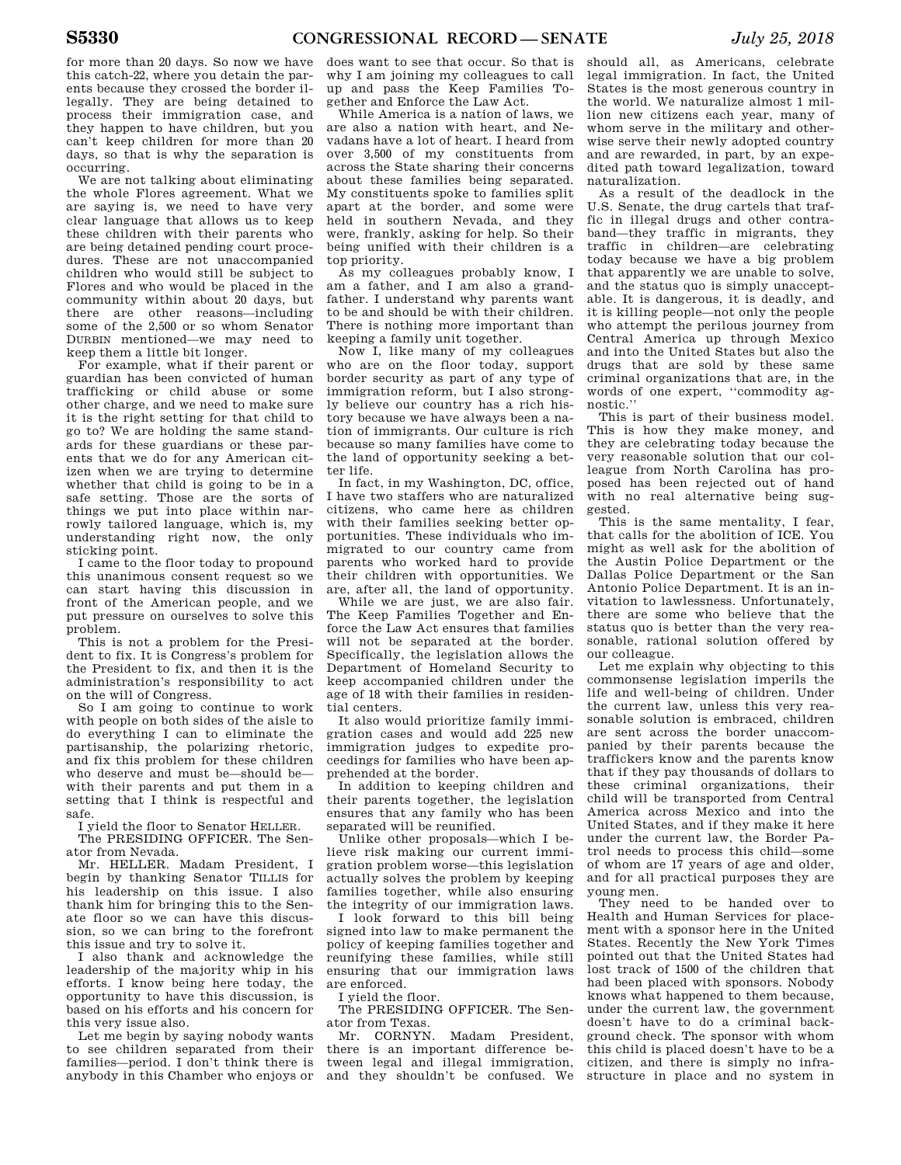for more than 20 days. So now we have this catch-22, where you detain the parents because they crossed the border illegally. They are being detained to process their immigration case, and they happen to have children, but you can't keep children for more than 20 days, so that is why the separation is occurring.

We are not talking about eliminating the whole Flores agreement. What we are saying is, we need to have very clear language that allows us to keep these children with their parents who are being detained pending court procedures. These are not unaccompanied children who would still be subject to Flores and who would be placed in the community within about 20 days, but there are other reasons—including some of the 2,500 or so whom Senator DURBIN mentioned—we may need to keep them a little bit longer.

For example, what if their parent or guardian has been convicted of human trafficking or child abuse or some other charge, and we need to make sure it is the right setting for that child to go to? We are holding the same standards for these guardians or these parents that we do for any American citizen when we are trying to determine whether that child is going to be in a safe setting. Those are the sorts of things we put into place within narrowly tailored language, which is, my understanding right now, the only sticking point.

I came to the floor today to propound this unanimous consent request so we can start having this discussion in front of the American people, and we put pressure on ourselves to solve this problem.

This is not a problem for the President to fix. It is Congress's problem for the President to fix, and then it is the administration's responsibility to act on the will of Congress.

So I am going to continue to work with people on both sides of the aisle to do everything I can to eliminate the partisanship, the polarizing rhetoric, and fix this problem for these children who deserve and must be—should be with their parents and put them in a setting that I think is respectful and safe.

I yield the floor to Senator HELLER.

The PRESIDING OFFICER. The Senator from Nevada.

Mr. HELLER. Madam President, I begin by thanking Senator TILLIS for his leadership on this issue. I also thank him for bringing this to the Senate floor so we can have this discussion, so we can bring to the forefront this issue and try to solve it.

I also thank and acknowledge the leadership of the majority whip in his efforts. I know being here today, the opportunity to have this discussion, is based on his efforts and his concern for this very issue also.

Let me begin by saying nobody wants to see children separated from their families—period. I don't think there is anybody in this Chamber who enjoys or

does want to see that occur. So that is why I am joining my colleagues to call up and pass the Keep Families Together and Enforce the Law Act.

While America is a nation of laws, we are also a nation with heart, and Nevadans have a lot of heart. I heard from over 3,500 of my constituents from across the State sharing their concerns about these families being separated. My constituents spoke to families split apart at the border, and some were held in southern Nevada, and they were, frankly, asking for help. So their being unified with their children is a top priority.

As my colleagues probably know, I am a father, and I am also a grandfather. I understand why parents want to be and should be with their children. There is nothing more important than keeping a family unit together.

Now I, like many of my colleagues who are on the floor today, support border security as part of any type of immigration reform, but I also strongly believe our country has a rich history because we have always been a nation of immigrants. Our culture is rich because so many families have come to the land of opportunity seeking a better life.

In fact, in my Washington, DC, office, I have two staffers who are naturalized citizens, who came here as children with their families seeking better opportunities. These individuals who immigrated to our country came from parents who worked hard to provide their children with opportunities. We are, after all, the land of opportunity.

While we are just, we are also fair. The Keep Families Together and Enforce the Law Act ensures that families will not be separated at the border. Specifically, the legislation allows the Department of Homeland Security to keep accompanied children under the age of 18 with their families in residential centers.

It also would prioritize family immigration cases and would add 225 new immigration judges to expedite proceedings for families who have been apprehended at the border.

In addition to keeping children and their parents together, the legislation ensures that any family who has been separated will be reunified.

Unlike other proposals—which I believe risk making our current immigration problem worse—this legislation actually solves the problem by keeping families together, while also ensuring the integrity of our immigration laws.

I look forward to this bill being signed into law to make permanent the policy of keeping families together and reunifying these families, while still ensuring that our immigration laws are enforced.

I yield the floor.

The PRESIDING OFFICER. The Senator from Texas.

Mr. CORNYN. Madam President, there is an important difference between legal and illegal immigration, and they shouldn't be confused. We

should all, as Americans, celebrate legal immigration. In fact, the United States is the most generous country in the world. We naturalize almost 1 million new citizens each year, many of whom serve in the military and otherwise serve their newly adopted country and are rewarded, in part, by an expedited path toward legalization, toward naturalization.

As a result of the deadlock in the U.S. Senate, the drug cartels that traffic in illegal drugs and other contraband—they traffic in migrants, they traffic in children—are celebrating today because we have a big problem that apparently we are unable to solve, and the status quo is simply unacceptable. It is dangerous, it is deadly, and it is killing people—not only the people who attempt the perilous journey from Central America up through Mexico and into the United States but also the drugs that are sold by these same criminal organizations that are, in the words of one expert, ''commodity agnostic.''

This is part of their business model. This is how they make money, and they are celebrating today because the very reasonable solution that our colleague from North Carolina has proposed has been rejected out of hand with no real alternative being suggested.

This is the same mentality, I fear, that calls for the abolition of ICE. You might as well ask for the abolition of the Austin Police Department or the Dallas Police Department or the San Antonio Police Department. It is an invitation to lawlessness. Unfortunately, there are some who believe that the status quo is better than the very reasonable, rational solution offered by our colleague.

Let me explain why objecting to this commonsense legislation imperils the life and well-being of children. Under the current law, unless this very reasonable solution is embraced, children are sent across the border unaccompanied by their parents because the traffickers know and the parents know that if they pay thousands of dollars to these criminal organizations, their child will be transported from Central America across Mexico and into the United States, and if they make it here under the current law, the Border Patrol needs to process this child—some of whom are 17 years of age and older, and for all practical purposes they are young men.

They need to be handed over to Health and Human Services for placement with a sponsor here in the United States. Recently the New York Times pointed out that the United States had lost track of 1500 of the children that had been placed with sponsors. Nobody knows what happened to them because, under the current law, the government doesn't have to do a criminal background check. The sponsor with whom this child is placed doesn't have to be a citizen, and there is simply no infrastructure in place and no system in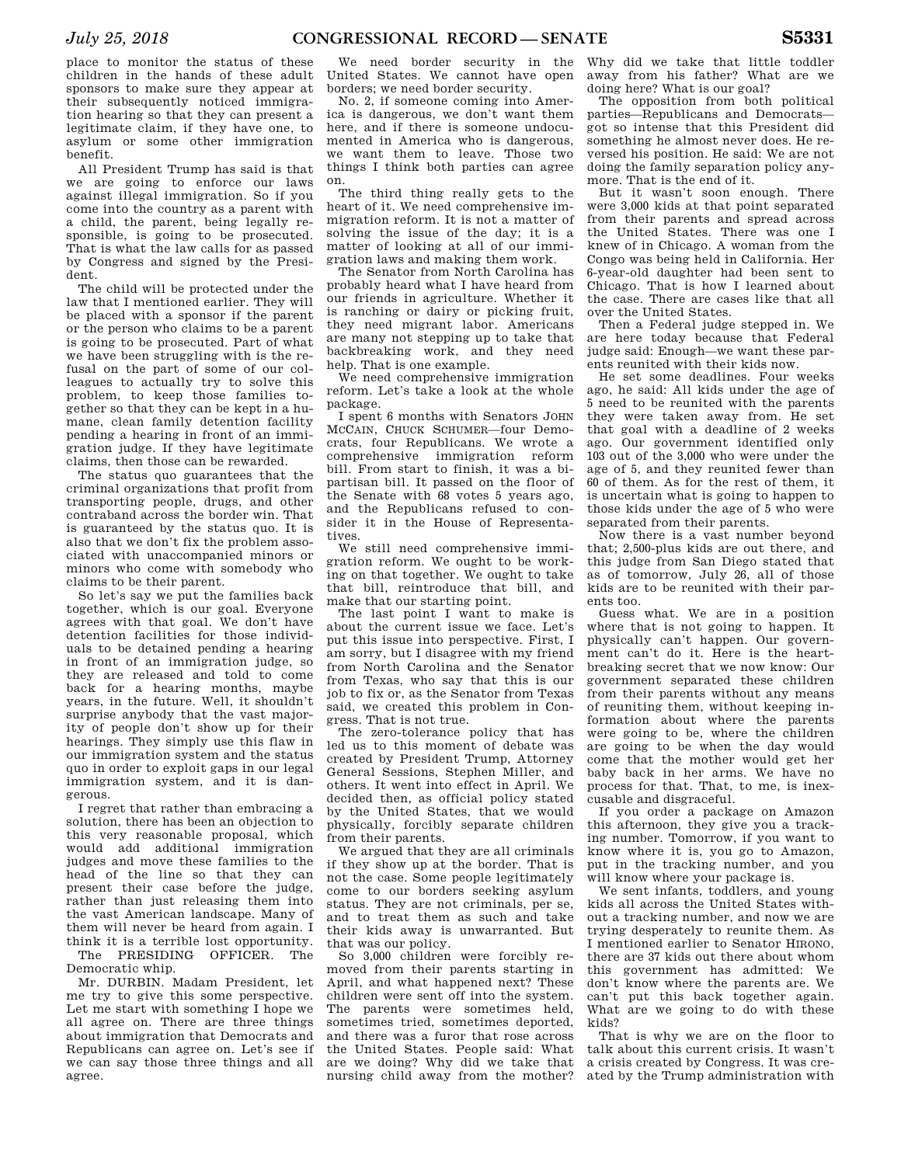place to monitor the status of these children in the hands of these adult sponsors to make sure they appear at their subsequently noticed immigration hearing so that they can present a legitimate claim, if they have one, to asylum or some other immigration benefit.

All President Trump has said is that we are going to enforce our laws against illegal immigration. So if you come into the country as a parent with a child, the parent, being legally responsible, is going to be prosecuted. That is what the law calls for as passed by Congress and signed by the President.

The child will be protected under the law that I mentioned earlier. They will be placed with a sponsor if the parent or the person who claims to be a parent is going to be prosecuted. Part of what we have been struggling with is the refusal on the part of some of our colleagues to actually try to solve this problem, to keep those families together so that they can be kept in a humane, clean family detention facility pending a hearing in front of an immigration judge. If they have legitimate claims, then those can be rewarded.

The status quo guarantees that the criminal organizations that profit from transporting people, drugs, and other contraband across the border win. That is guaranteed by the status quo. It is also that we don't fix the problem associated with unaccompanied minors or minors who come with somebody who claims to be their parent.

So let's say we put the families back together, which is our goal. Everyone agrees with that goal. We don't have detention facilities for those individuals to be detained pending a hearing in front of an immigration judge, so they are released and told to come back for a hearing months, maybe years, in the future. Well, it shouldn't surprise anybody that the vast majority of people don't show up for their hearings. They simply use this flaw in our immigration system and the status quo in order to exploit gaps in our legal immigration system, and it is dangerous.

I regret that rather than embracing a solution, there has been an objection to this very reasonable proposal, which would add additional immigration judges and move these families to the head of the line so that they can present their case before the judge, rather than just releasing them into the vast American landscape. Many of them will never be heard from again. I think it is a terrible lost opportunity.

The PRESIDING OFFICER. The Democratic whip.

Mr. DURBIN. Madam President, let me try to give this some perspective. Let me start with something I hope we all agree on. There are three things about immigration that Democrats and Republicans can agree on. Let's see if we can say those three things and all agree.

We need border security in the United States. We cannot have open borders; we need border security.

No. 2, if someone coming into America is dangerous, we don't want them here, and if there is someone undocumented in America who is dangerous, we want them to leave. Those two things I think both parties can agree on.

The third thing really gets to the heart of it. We need comprehensive immigration reform. It is not a matter of solving the issue of the day; it is a matter of looking at all of our immigration laws and making them work.

The Senator from North Carolina has probably heard what I have heard from our friends in agriculture. Whether it is ranching or dairy or picking fruit, they need migrant labor. Americans are many not stepping up to take that backbreaking work, and they need help. That is one example.

We need comprehensive immigration reform. Let's take a look at the whole package.

I spent 6 months with Senators JOHN MCCAIN, CHUCK SCHUMER—four Democrats, four Republicans. We wrote a comprehensive immigration reform bill. From start to finish, it was a bipartisan bill. It passed on the floor of the Senate with 68 votes 5 years ago, and the Republicans refused to consider it in the House of Representatives.

We still need comprehensive immigration reform. We ought to be working on that together. We ought to take that bill, reintroduce that bill, and make that our starting point.

The last point I want to make is about the current issue we face. Let's put this issue into perspective. First, I am sorry, but I disagree with my friend from North Carolina and the Senator from Texas, who say that this is our job to fix or, as the Senator from Texas said, we created this problem in Congress. That is not true.

The zero-tolerance policy that has led us to this moment of debate was created by President Trump, Attorney General Sessions, Stephen Miller, and others. It went into effect in April. We decided then, as official policy stated by the United States, that we would physically, forcibly separate children from their parents.

We argued that they are all criminals if they show up at the border. That is not the case. Some people legitimately come to our borders seeking asylum status. They are not criminals, per se, and to treat them as such and take their kids away is unwarranted. But that was our policy.

So 3,000 children were forcibly removed from their parents starting in April, and what happened next? These children were sent off into the system. The parents were sometimes held, sometimes tried, sometimes deported, and there was a furor that rose across the United States. People said: What are we doing? Why did we take that nursing child away from the mother?

Why did we take that little toddler away from his father? What are we doing here? What is our goal?

The opposition from both political parties—Republicans and Democrats got so intense that this President did something he almost never does. He reversed his position. He said: We are not doing the family separation policy anymore. That is the end of it.

But it wasn't soon enough. There were 3,000 kids at that point separated from their parents and spread across the United States. There was one I knew of in Chicago. A woman from the Congo was being held in California. Her 6-year-old daughter had been sent to Chicago. That is how I learned about the case. There are cases like that all over the United States.

Then a Federal judge stepped in. We are here today because that Federal judge said: Enough—we want these parents reunited with their kids now.

He set some deadlines. Four weeks ago, he said: All kids under the age of 5 need to be reunited with the parents they were taken away from. He set that goal with a deadline of 2 weeks ago. Our government identified only 103 out of the 3,000 who were under the age of 5, and they reunited fewer than 60 of them. As for the rest of them, it is uncertain what is going to happen to those kids under the age of 5 who were separated from their parents.

Now there is a vast number beyond that; 2,500-plus kids are out there, and this judge from San Diego stated that as of tomorrow, July 26, all of those kids are to be reunited with their parents too.

Guess what. We are in a position where that is not going to happen. It physically can't happen. Our government can't do it. Here is the heartbreaking secret that we now know: Our government separated these children from their parents without any means of reuniting them, without keeping information about where the parents were going to be, where the children are going to be when the day would come that the mother would get her baby back in her arms. We have no process for that. That, to me, is inexcusable and disgraceful.

If you order a package on Amazon this afternoon, they give you a tracking number. Tomorrow, if you want to know where it is, you go to Amazon, put in the tracking number, and you will know where your package is.

We sent infants, toddlers, and young kids all across the United States without a tracking number, and now we are trying desperately to reunite them. As I mentioned earlier to Senator HIRONO, there are 37 kids out there about whom this government has admitted: We don't know where the parents are. We can't put this back together again. What are we going to do with these kids?

That is why we are on the floor to talk about this current crisis. It wasn't a crisis created by Congress. It was created by the Trump administration with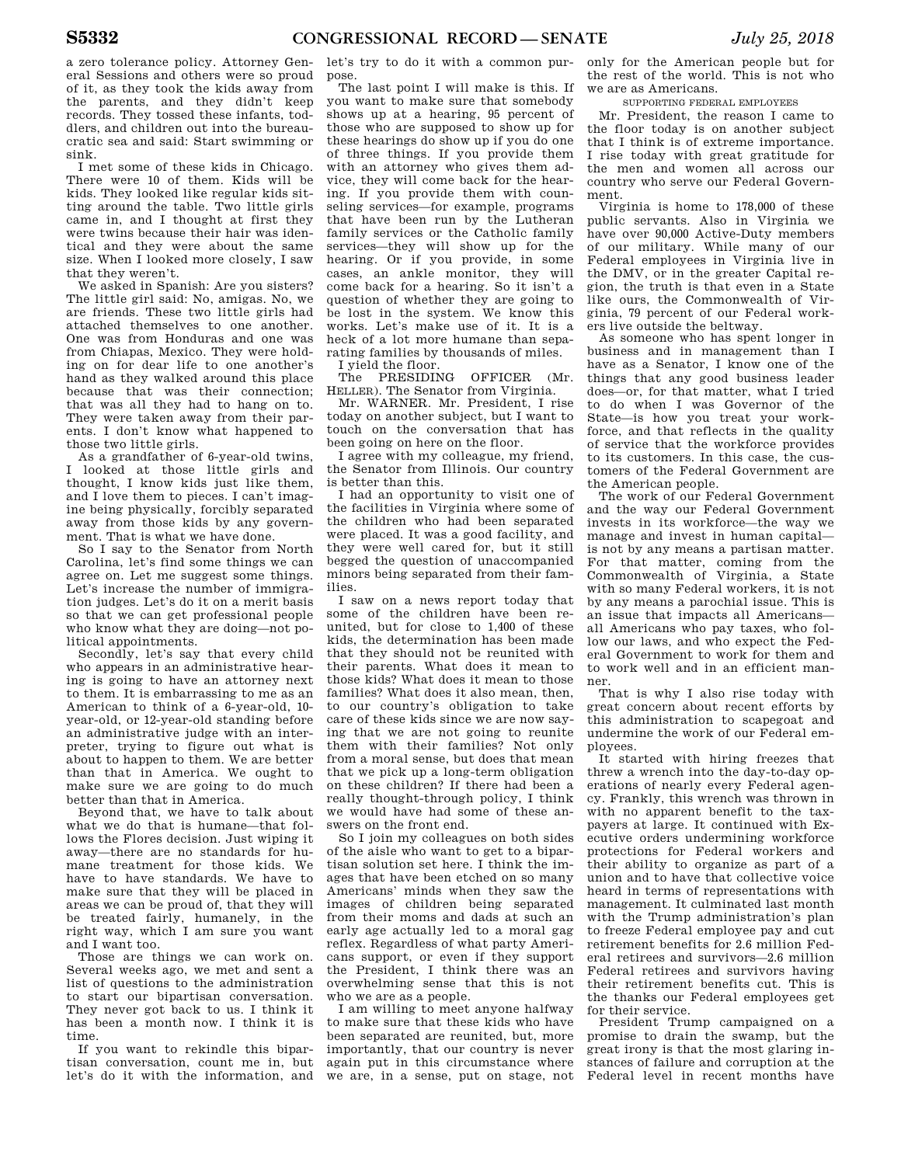a zero tolerance policy. Attorney General Sessions and others were so proud of it, as they took the kids away from the parents, and they didn't keep records. They tossed these infants, toddlers, and children out into the bureaucratic sea and said: Start swimming or sink.

I met some of these kids in Chicago. There were 10 of them. Kids will be kids. They looked like regular kids sitting around the table. Two little girls came in, and I thought at first they were twins because their hair was identical and they were about the same size. When I looked more closely, I saw that they weren't.

We asked in Spanish: Are you sisters? The little girl said: No, amigas. No, we are friends. These two little girls had attached themselves to one another. One was from Honduras and one was from Chiapas, Mexico. They were holding on for dear life to one another's hand as they walked around this place because that was their connection; that was all they had to hang on to. They were taken away from their parents. I don't know what happened to those two little girls.

As a grandfather of 6-year-old twins, I looked at those little girls and thought, I know kids just like them, and I love them to pieces. I can't imagine being physically, forcibly separated away from those kids by any government. That is what we have done.

So I say to the Senator from North Carolina, let's find some things we can agree on. Let me suggest some things. Let's increase the number of immigration judges. Let's do it on a merit basis so that we can get professional people who know what they are doing—not political appointments.

Secondly, let's say that every child who appears in an administrative hearing is going to have an attorney next to them. It is embarrassing to me as an American to think of a 6-year-old, 10 year-old, or 12-year-old standing before an administrative judge with an interpreter, trying to figure out what is about to happen to them. We are better than that in America. We ought to make sure we are going to do much better than that in America.

Beyond that, we have to talk about what we do that is humane—that follows the Flores decision. Just wiping it away—there are no standards for humane treatment for those kids. We have to have standards. We have to make sure that they will be placed in areas we can be proud of, that they will be treated fairly, humanely, in the right way, which I am sure you want and I want too.

Those are things we can work on. Several weeks ago, we met and sent a list of questions to the administration to start our bipartisan conversation. They never got back to us. I think it has been a month now. I think it is time.

If you want to rekindle this bipartisan conversation, count me in, but let's do it with the information, and

let's try to do it with a common purpose.

The last point I will make is this. If you want to make sure that somebody shows up at a hearing, 95 percent of those who are supposed to show up for these hearings do show up if you do one of three things. If you provide them with an attorney who gives them advice, they will come back for the hearing. If you provide them with counseling services—for example, programs that have been run by the Lutheran family services or the Catholic family services—they will show up for the hearing. Or if you provide, in some cases, an ankle monitor, they will come back for a hearing. So it isn't a question of whether they are going to be lost in the system. We know this works. Let's make use of it. It is a heck of a lot more humane than separating families by thousands of miles.

I yield the floor.

The PRESIDING OFFICER (Mr. HELLER). The Senator from Virginia.

Mr. WARNER. Mr. President, I rise today on another subject, but I want to touch on the conversation that has been going on here on the floor.

I agree with my colleague, my friend, the Senator from Illinois. Our country is better than this.

I had an opportunity to visit one of the facilities in Virginia where some of the children who had been separated were placed. It was a good facility, and they were well cared for, but it still begged the question of unaccompanied minors being separated from their families.

I saw on a news report today that some of the children have been reunited, but for close to 1,400 of these kids, the determination has been made that they should not be reunited with their parents. What does it mean to those kids? What does it mean to those families? What does it also mean, then, to our country's obligation to take care of these kids since we are now saying that we are not going to reunite them with their families? Not only from a moral sense, but does that mean that we pick up a long-term obligation on these children? If there had been a really thought-through policy, I think we would have had some of these answers on the front end.

So I join my colleagues on both sides of the aisle who want to get to a bipartisan solution set here. I think the images that have been etched on so many Americans' minds when they saw the images of children being separated from their moms and dads at such an early age actually led to a moral gag reflex. Regardless of what party Americans support, or even if they support the President, I think there was an overwhelming sense that this is not who we are as a people.

I am willing to meet anyone halfway to make sure that these kids who have been separated are reunited, but, more importantly, that our country is never again put in this circumstance where we are, in a sense, put on stage, not

only for the American people but for the rest of the world. This is not who we are as Americans.

SUPPORTING FEDERAL EMPLOYEES

Mr. President, the reason I came to the floor today is on another subject that I think is of extreme importance. I rise today with great gratitude for the men and women all across our country who serve our Federal Government.

Virginia is home to 178,000 of these public servants. Also in Virginia we have over 90,000 Active-Duty members of our military. While many of our Federal employees in Virginia live in the DMV, or in the greater Capital region, the truth is that even in a State like ours, the Commonwealth of Virginia, 79 percent of our Federal workers live outside the beltway.

As someone who has spent longer in business and in management than I have as a Senator, I know one of the things that any good business leader does—or, for that matter, what I tried to do when I was Governor of the State—is how you treat your workforce, and that reflects in the quality of service that the workforce provides to its customers. In this case, the customers of the Federal Government are the American people.

The work of our Federal Government and the way our Federal Government invests in its workforce—the way we manage and invest in human capital is not by any means a partisan matter. For that matter, coming from the Commonwealth of Virginia, a State with so many Federal workers, it is not by any means a parochial issue. This is an issue that impacts all Americans all Americans who pay taxes, who follow our laws, and who expect the Federal Government to work for them and to work well and in an efficient manner.

That is why I also rise today with great concern about recent efforts by this administration to scapegoat and undermine the work of our Federal employees.

It started with hiring freezes that threw a wrench into the day-to-day operations of nearly every Federal agency. Frankly, this wrench was thrown in with no apparent benefit to the taxpayers at large. It continued with Executive orders undermining workforce protections for Federal workers and their ability to organize as part of a union and to have that collective voice heard in terms of representations with management. It culminated last month with the Trump administration's plan to freeze Federal employee pay and cut retirement benefits for 2.6 million Federal retirees and survivors—2.6 million Federal retirees and survivors having their retirement benefits cut. This is the thanks our Federal employees get for their service.

President Trump campaigned on a promise to drain the swamp, but the great irony is that the most glaring instances of failure and corruption at the Federal level in recent months have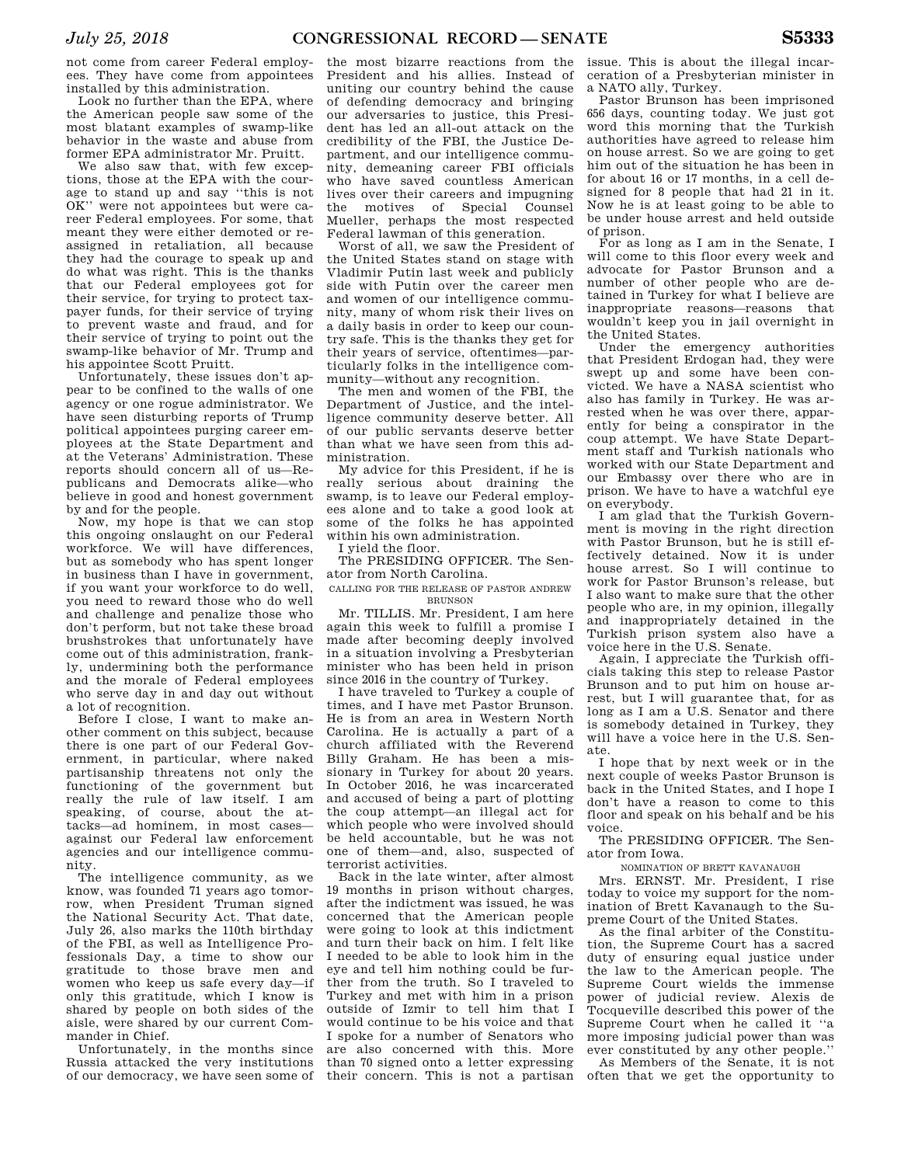not come from career Federal employees. They have come from appointees installed by this administration.

Look no further than the EPA, where the American people saw some of the most blatant examples of swamp-like behavior in the waste and abuse from former EPA administrator Mr. Pruitt.

We also saw that, with few exceptions, those at the EPA with the courage to stand up and say ''this is not OK'' were not appointees but were career Federal employees. For some, that meant they were either demoted or reassigned in retaliation, all because they had the courage to speak up and do what was right. This is the thanks that our Federal employees got for their service, for trying to protect taxpayer funds, for their service of trying to prevent waste and fraud, and for their service of trying to point out the swamp-like behavior of Mr. Trump and his appointee Scott Pruitt.

Unfortunately, these issues don't appear to be confined to the walls of one agency or one rogue administrator. We have seen disturbing reports of Trump political appointees purging career employees at the State Department and at the Veterans' Administration. These reports should concern all of us—Republicans and Democrats alike—who believe in good and honest government by and for the people.

Now, my hope is that we can stop this ongoing onslaught on our Federal workforce. We will have differences, but as somebody who has spent longer in business than I have in government, if you want your workforce to do well, you need to reward those who do well and challenge and penalize those who don't perform, but not take these broad brushstrokes that unfortunately have come out of this administration, frankly, undermining both the performance and the morale of Federal employees who serve day in and day out without a lot of recognition.

Before I close, I want to make another comment on this subject, because there is one part of our Federal Government, in particular, where naked partisanship threatens not only the functioning of the government but really the rule of law itself. I am speaking, of course, about the attacks—ad hominem, in most cases against our Federal law enforcement agencies and our intelligence community.

The intelligence community, as we know, was founded 71 years ago tomorrow, when President Truman signed the National Security Act. That date, July 26, also marks the 110th birthday of the FBI, as well as Intelligence Professionals Day, a time to show our gratitude to those brave men and women who keep us safe every day—if only this gratitude, which I know is shared by people on both sides of the aisle, were shared by our current Commander in Chief.

Unfortunately, in the months since Russia attacked the very institutions of our democracy, we have seen some of

the most bizarre reactions from the President and his allies. Instead of uniting our country behind the cause of defending democracy and bringing our adversaries to justice, this President has led an all-out attack on the credibility of the FBI, the Justice Department, and our intelligence community, demeaning career FBI officials who have saved countless American lives over their careers and impugning the motives of Special Counsel Mueller, perhaps the most respected Federal lawman of this generation.

Worst of all, we saw the President of the United States stand on stage with Vladimir Putin last week and publicly side with Putin over the career men and women of our intelligence community, many of whom risk their lives on a daily basis in order to keep our country safe. This is the thanks they get for their years of service, oftentimes—particularly folks in the intelligence community—without any recognition.

The men and women of the FBI, the Department of Justice, and the intelligence community deserve better. All of our public servants deserve better than what we have seen from this administration.

My advice for this President, if he is really serious about draining the swamp, is to leave our Federal employees alone and to take a good look at some of the folks he has appointed within his own administration.

I yield the floor.

The PRESIDING OFFICER. The Senator from North Carolina.

CALLING FOR THE RELEASE OF PASTOR ANDREW **BRUNSON** 

Mr. TILLIS. Mr. President, I am here again this week to fulfill a promise I made after becoming deeply involved in a situation involving a Presbyterian minister who has been held in prison since 2016 in the country of Turkey.

I have traveled to Turkey a couple of times, and I have met Pastor Brunson. He is from an area in Western North Carolina. He is actually a part of a church affiliated with the Reverend Billy Graham. He has been a missionary in Turkey for about 20 years. In October 2016, he was incarcerated and accused of being a part of plotting the coup attempt—an illegal act for which people who were involved should be held accountable, but he was not one of them—and, also, suspected of terrorist activities.

Back in the late winter, after almost 19 months in prison without charges, after the indictment was issued, he was concerned that the American people were going to look at this indictment and turn their back on him. I felt like I needed to be able to look him in the eye and tell him nothing could be further from the truth. So I traveled to Turkey and met with him in a prison outside of Izmir to tell him that I would continue to be his voice and that I spoke for a number of Senators who are also concerned with this. More than 70 signed onto a letter expressing their concern. This is not a partisan

issue. This is about the illegal incarceration of a Presbyterian minister in a NATO ally, Turkey.

Pastor Brunson has been imprisoned 656 days, counting today. We just got word this morning that the Turkish authorities have agreed to release him on house arrest. So we are going to get him out of the situation he has been in for about 16 or 17 months, in a cell designed for 8 people that had 21 in it. Now he is at least going to be able to be under house arrest and held outside of prison.

For as long as I am in the Senate, I will come to this floor every week and advocate for Pastor Brunson and a number of other people who are detained in Turkey for what I believe are inappropriate reasons—reasons that wouldn't keep you in jail overnight in the United States.

Under the emergency authorities that President Erdogan had, they were swept up and some have been convicted. We have a NASA scientist who also has family in Turkey. He was arrested when he was over there, apparently for being a conspirator in the coup attempt. We have State Department staff and Turkish nationals who worked with our State Department and our Embassy over there who are in prison. We have to have a watchful eye on everybody.

I am glad that the Turkish Government is moving in the right direction with Pastor Brunson, but he is still effectively detained. Now it is under house arrest. So I will continue to work for Pastor Brunson's release, but I also want to make sure that the other people who are, in my opinion, illegally and inappropriately detained in the Turkish prison system also have a voice here in the U.S. Senate.

Again, I appreciate the Turkish officials taking this step to release Pastor Brunson and to put him on house arrest, but I will guarantee that, for as long as I am a U.S. Senator and there is somebody detained in Turkey, they will have a voice here in the U.S. Senate.

I hope that by next week or in the next couple of weeks Pastor Brunson is back in the United States, and I hope I don't have a reason to come to this floor and speak on his behalf and be his voice.

The PRESIDING OFFICER. The Senator from Iowa.

NOMINATION OF BRETT KAVANAUGH

Mrs. ERNST. Mr. President, I rise today to voice my support for the nomination of Brett Kavanaugh to the Supreme Court of the United States.

As the final arbiter of the Constitution, the Supreme Court has a sacred duty of ensuring equal justice under the law to the American people. The Supreme Court wields the immense power of judicial review. Alexis de Tocqueville described this power of the Supreme Court when he called it ''a more imposing judicial power than was ever constituted by any other people.''

As Members of the Senate, it is not often that we get the opportunity to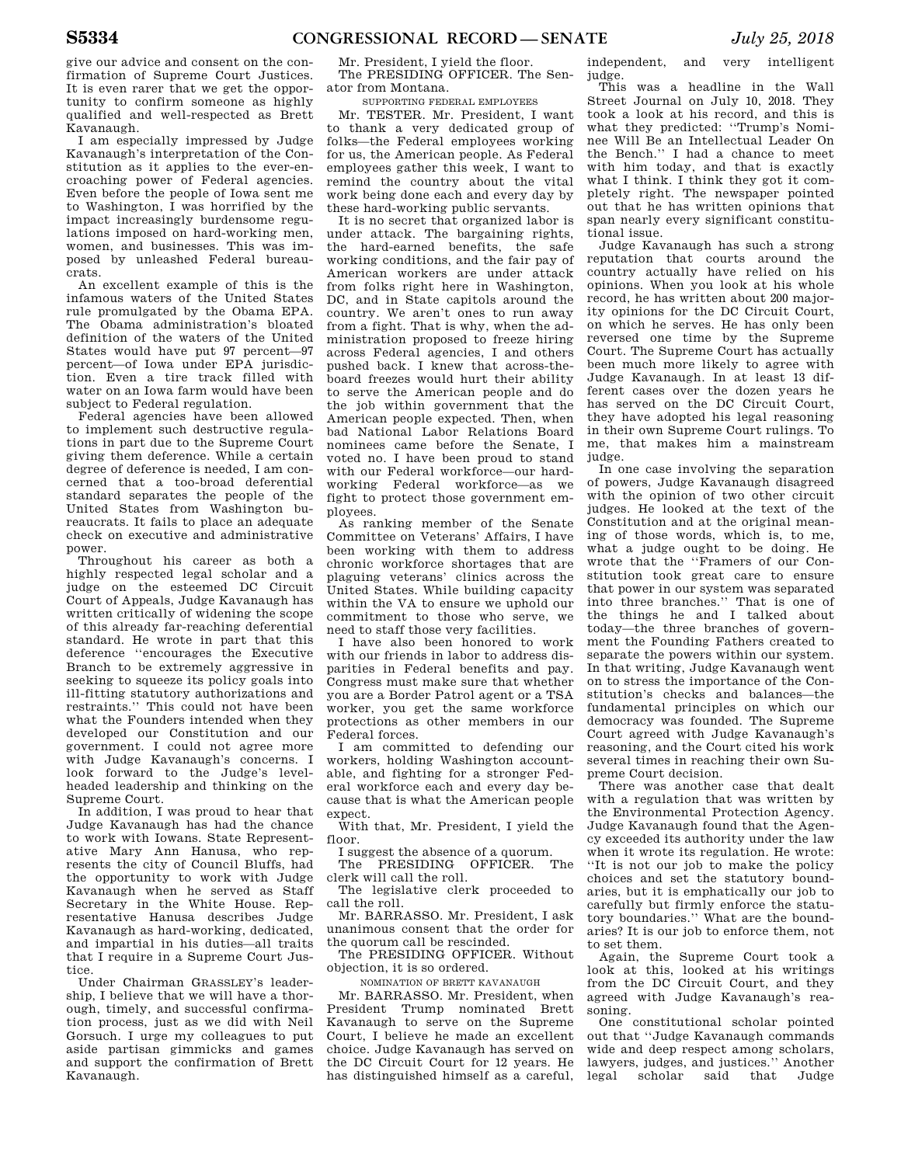give our advice and consent on the confirmation of Supreme Court Justices. It is even rarer that we get the opportunity to confirm someone as highly qualified and well-respected as Brett Kavanaugh.

I am especially impressed by Judge Kavanaugh's interpretation of the Constitution as it applies to the ever-encroaching power of Federal agencies. Even before the people of Iowa sent me to Washington, I was horrified by the impact increasingly burdensome regulations imposed on hard-working men, women, and businesses. This was imposed by unleashed Federal bureaucrats.

An excellent example of this is the infamous waters of the United States rule promulgated by the Obama EPA. The Obama administration's bloated definition of the waters of the United States would have put 97 percent—97 percent—of Iowa under EPA jurisdiction. Even a tire track filled with water on an Iowa farm would have been subject to Federal regulation.

Federal agencies have been allowed to implement such destructive regulations in part due to the Supreme Court giving them deference. While a certain degree of deference is needed, I am concerned that a too-broad deferential standard separates the people of the United States from Washington bureaucrats. It fails to place an adequate check on executive and administrative power.

Throughout his career as both a highly respected legal scholar and a judge on the esteemed DC Circuit Court of Appeals, Judge Kavanaugh has written critically of widening the scope of this already far-reaching deferential standard. He wrote in part that this deference ''encourages the Executive Branch to be extremely aggressive in seeking to squeeze its policy goals into ill-fitting statutory authorizations and restraints.'' This could not have been what the Founders intended when they developed our Constitution and our government. I could not agree more with Judge Kavanaugh's concerns. I look forward to the Judge's levelheaded leadership and thinking on the Supreme Court.

In addition, I was proud to hear that Judge Kavanaugh has had the chance to work with Iowans. State Representative Mary Ann Hanusa, who represents the city of Council Bluffs, had the opportunity to work with Judge Kavanaugh when he served as Staff Secretary in the White House. Representative Hanusa describes Judge Kavanaugh as hard-working, dedicated, and impartial in his duties—all traits that I require in a Supreme Court Justice.

Under Chairman GRASSLEY's leadership, I believe that we will have a thorough, timely, and successful confirmation process, just as we did with Neil Gorsuch. I urge my colleagues to put aside partisan gimmicks and games and support the confirmation of Brett Kavanaugh.

Mr. President, I yield the floor. The PRESIDING OFFICER. The Senator from Montana.

SUPPORTING FEDERAL EMPLOYEES

Mr. TESTER. Mr. President, I want to thank a very dedicated group of folks—the Federal employees working for us, the American people. As Federal employees gather this week, I want to remind the country about the vital work being done each and every day by these hard-working public servants.

It is no secret that organized labor is under attack. The bargaining rights, the hard-earned benefits, the safe working conditions, and the fair pay of American workers are under attack from folks right here in Washington, DC, and in State capitols around the country. We aren't ones to run away from a fight. That is why, when the administration proposed to freeze hiring across Federal agencies, I and others pushed back. I knew that across-theboard freezes would hurt their ability to serve the American people and do the job within government that the American people expected. Then, when bad National Labor Relations Board nominees came before the Senate, I voted no. I have been proud to stand with our Federal workforce—our hardworking Federal workforce—as we fight to protect those government employees.

As ranking member of the Senate Committee on Veterans' Affairs, I have been working with them to address chronic workforce shortages that are plaguing veterans' clinics across the United States. While building capacity within the VA to ensure we uphold our commitment to those who serve, we need to staff those very facilities.

I have also been honored to work with our friends in labor to address disparities in Federal benefits and pay. Congress must make sure that whether you are a Border Patrol agent or a TSA worker, you get the same workforce protections as other members in our Federal forces.

I am committed to defending our workers, holding Washington accountable, and fighting for a stronger Federal workforce each and every day because that is what the American people expect.

With that, Mr. President, I yield the floor.

I suggest the absence of a quorum.<br>The PRESIDING OFFICER The The PRESIDING OFFICER.

clerk will call the roll. The legislative clerk proceeded to

call the roll. Mr. BARRASSO. Mr. President, I ask

unanimous consent that the order for the quorum call be rescinded.

The PRESIDING OFFICER. Without objection, it is so ordered.

NOMINATION OF BRETT KAVANAUGH

Mr. BARRASSO. Mr. President, when President Trump nominated Brett Kavanaugh to serve on the Supreme Court, I believe he made an excellent choice. Judge Kavanaugh has served on the DC Circuit Court for 12 years. He has distinguished himself as a careful,

independent, and very intelligent judge.

This was a headline in the Wall Street Journal on July 10, 2018. They took a look at his record, and this is what they predicted: ''Trump's Nominee Will Be an Intellectual Leader On the Bench.'' I had a chance to meet with him today, and that is exactly what I think. I think they got it completely right. The newspaper pointed out that he has written opinions that span nearly every significant constitutional issue.

Judge Kavanaugh has such a strong reputation that courts around the country actually have relied on his opinions. When you look at his whole record, he has written about 200 majority opinions for the DC Circuit Court, on which he serves. He has only been reversed one time by the Supreme Court. The Supreme Court has actually been much more likely to agree with Judge Kavanaugh. In at least 13 different cases over the dozen years he has served on the DC Circuit Court, they have adopted his legal reasoning in their own Supreme Court rulings. To me, that makes him a mainstream judge.

In one case involving the separation of powers, Judge Kavanaugh disagreed with the opinion of two other circuit judges. He looked at the text of the Constitution and at the original meaning of those words, which is, to me, what a judge ought to be doing. He wrote that the ''Framers of our Constitution took great care to ensure that power in our system was separated into three branches.'' That is one of the things he and I talked about today—the three branches of government the Founding Fathers created to separate the powers within our system. In that writing, Judge Kavanaugh went on to stress the importance of the Constitution's checks and balances—the fundamental principles on which our democracy was founded. The Supreme Court agreed with Judge Kavanaugh's reasoning, and the Court cited his work several times in reaching their own Supreme Court decision.

There was another case that dealt with a regulation that was written by the Environmental Protection Agency. Judge Kavanaugh found that the Agency exceeded its authority under the law when it wrote its regulation. He wrote: ''It is not our job to make the policy choices and set the statutory boundaries, but it is emphatically our job to carefully but firmly enforce the statutory boundaries.'' What are the boundaries? It is our job to enforce them, not to set them.

Again, the Supreme Court took a look at this, looked at his writings from the DC Circuit Court, and they agreed with Judge Kavanaugh's reasoning.

One constitutional scholar pointed out that ''Judge Kavanaugh commands wide and deep respect among scholars, lawyers, judges, and justices.'' Another legal scholar said that Judge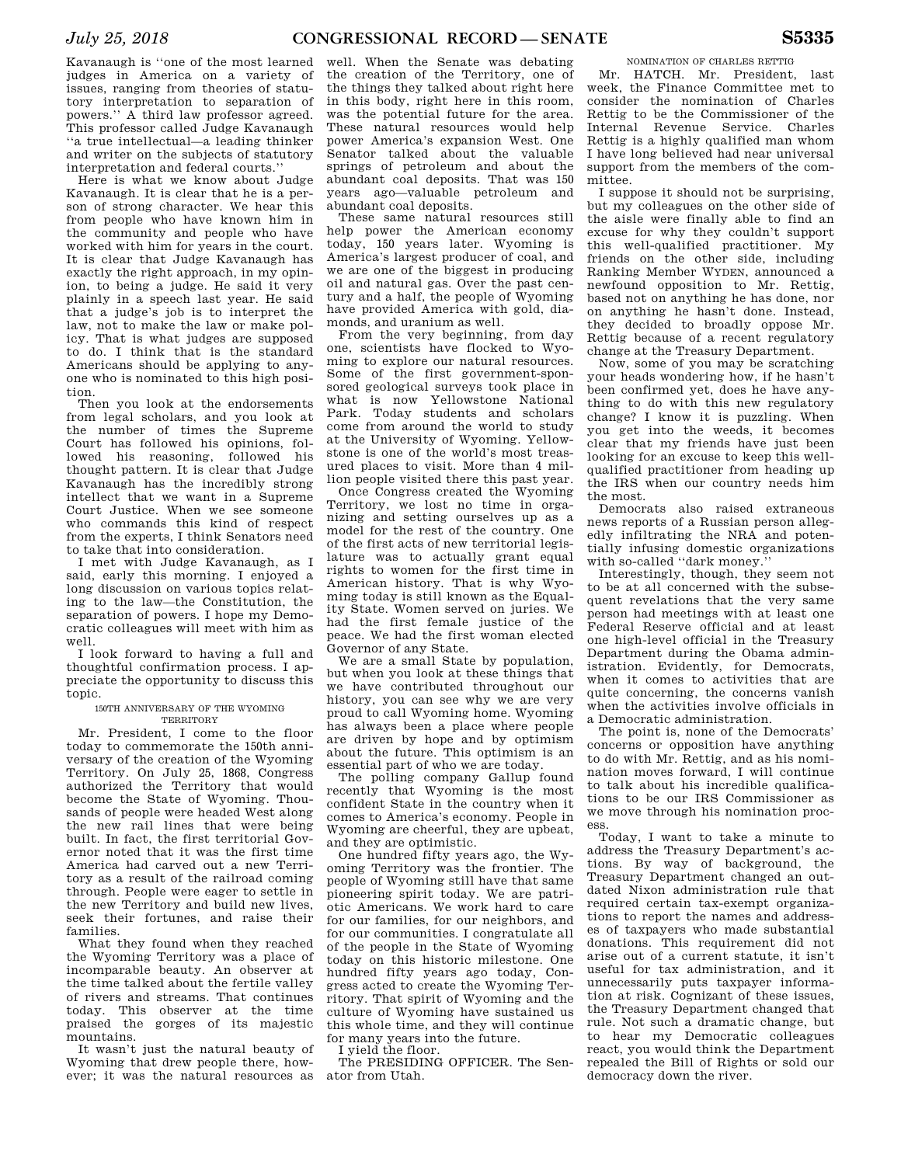Kavanaugh is ''one of the most learned judges in America on a variety of issues, ranging from theories of statutory interpretation to separation of powers.'' A third law professor agreed. This professor called Judge Kavanaugh ''a true intellectual—a leading thinker and writer on the subjects of statutory interpretation and federal courts.''

Here is what we know about Judge Kavanaugh. It is clear that he is a person of strong character. We hear this from people who have known him in the community and people who have worked with him for years in the court. It is clear that Judge Kavanaugh has exactly the right approach, in my opinion, to being a judge. He said it very plainly in a speech last year. He said that a judge's job is to interpret the law, not to make the law or make policy. That is what judges are supposed to do. I think that is the standard Americans should be applying to anyone who is nominated to this high position.

Then you look at the endorsements from legal scholars, and you look at the number of times the Supreme Court has followed his opinions, followed his reasoning, followed his thought pattern. It is clear that Judge Kavanaugh has the incredibly strong intellect that we want in a Supreme Court Justice. When we see someone who commands this kind of respect from the experts, I think Senators need to take that into consideration.

I met with Judge Kavanaugh, as I said, early this morning. I enjoyed a long discussion on various topics relating to the law—the Constitution, the separation of powers. I hope my Democratic colleagues will meet with him as well.

I look forward to having a full and thoughtful confirmation process. I appreciate the opportunity to discuss this topic.

#### 150TH ANNIVERSARY OF THE WYOMING **TERRITORY**

Mr. President, I come to the floor today to commemorate the 150th anniversary of the creation of the Wyoming Territory. On July 25, 1868, Congress authorized the Territory that would become the State of Wyoming. Thousands of people were headed West along the new rail lines that were being built. In fact, the first territorial Governor noted that it was the first time America had carved out a new Territory as a result of the railroad coming through. People were eager to settle in the new Territory and build new lives, seek their fortunes, and raise their families.

What they found when they reached the Wyoming Territory was a place of incomparable beauty. An observer at the time talked about the fertile valley of rivers and streams. That continues today. This observer at the time praised the gorges of its majestic mountains.

It wasn't just the natural beauty of Wyoming that drew people there, however; it was the natural resources as ator from Utah.

well. When the Senate was debating the creation of the Territory, one of the things they talked about right here in this body, right here in this room, was the potential future for the area. These natural resources would help power America's expansion West. One Senator talked about the valuable springs of petroleum and about the abundant coal deposits. That was 150 years ago—valuable petroleum and abundant coal deposits.

These same natural resources still help power the American economy today, 150 years later. Wyoming is America's largest producer of coal, and we are one of the biggest in producing oil and natural gas. Over the past century and a half, the people of Wyoming have provided America with gold, diamonds, and uranium as well.

From the very beginning, from day one, scientists have flocked to Wyoming to explore our natural resources. Some of the first government-sponsored geological surveys took place in what is now Yellowstone National Park. Today students and scholars come from around the world to study at the University of Wyoming. Yellowstone is one of the world's most treasured places to visit. More than 4 million people visited there this past year.

Once Congress created the Wyoming Territory, we lost no time in organizing and setting ourselves up as a model for the rest of the country. One of the first acts of new territorial legislature was to actually grant equal rights to women for the first time in American history. That is why Wyoming today is still known as the Equality State. Women served on juries. We had the first female justice of the peace. We had the first woman elected Governor of any State.

We are a small State by population, but when you look at these things that we have contributed throughout our history, you can see why we are very proud to call Wyoming home. Wyoming has always been a place where people are driven by hope and by optimism about the future. This optimism is an essential part of who we are today.

The polling company Gallup found recently that Wyoming is the most confident State in the country when it comes to America's economy. People in Wyoming are cheerful, they are upbeat, and they are optimistic.

One hundred fifty years ago, the Wyoming Territory was the frontier. The people of Wyoming still have that same pioneering spirit today. We are patriotic Americans. We work hard to care for our families, for our neighbors, and for our communities. I congratulate all of the people in the State of Wyoming today on this historic milestone. One hundred fifty years ago today, Congress acted to create the Wyoming Territory. That spirit of Wyoming and the culture of Wyoming have sustained us this whole time, and they will continue for many years into the future.

I yield the floor.

The PRESIDING OFFICER. The Sen-

NOMINATION OF CHARLES RETTIG Mr. HATCH. Mr. President, last week, the Finance Committee met to consider the nomination of Charles Rettig to be the Commissioner of the Internal Revenue Service. Charles Rettig is a highly qualified man whom I have long believed had near universal support from the members of the committee.

I suppose it should not be surprising, but my colleagues on the other side of the aisle were finally able to find an excuse for why they couldn't support this well-qualified practitioner. My friends on the other side, including Ranking Member WYDEN, announced a newfound opposition to Mr. Rettig, based not on anything he has done, nor on anything he hasn't done. Instead, they decided to broadly oppose Mr. Rettig because of a recent regulatory change at the Treasury Department.

Now, some of you may be scratching your heads wondering how, if he hasn't been confirmed yet, does he have anything to do with this new regulatory change? I know it is puzzling. When you get into the weeds, it becomes clear that my friends have just been looking for an excuse to keep this wellqualified practitioner from heading up the IRS when our country needs him the most.

Democrats also raised extraneous news reports of a Russian person allegedly infiltrating the NRA and potentially infusing domestic organizations with so-called ''dark money.''

Interestingly, though, they seem not to be at all concerned with the subsequent revelations that the very same person had meetings with at least one Federal Reserve official and at least one high-level official in the Treasury Department during the Obama administration. Evidently, for Democrats, when it comes to activities that are quite concerning, the concerns vanish when the activities involve officials in a Democratic administration.

The point is, none of the Democrats' concerns or opposition have anything to do with Mr. Rettig, and as his nomination moves forward, I will continue to talk about his incredible qualifications to be our IRS Commissioner as we move through his nomination process.

Today, I want to take a minute to address the Treasury Department's actions. By way of background, the Treasury Department changed an outdated Nixon administration rule that required certain tax-exempt organizations to report the names and addresses of taxpayers who made substantial donations. This requirement did not arise out of a current statute, it isn't useful for tax administration, and it unnecessarily puts taxpayer information at risk. Cognizant of these issues, the Treasury Department changed that rule. Not such a dramatic change, but to hear my Democratic colleagues react, you would think the Department repealed the Bill of Rights or sold our democracy down the river.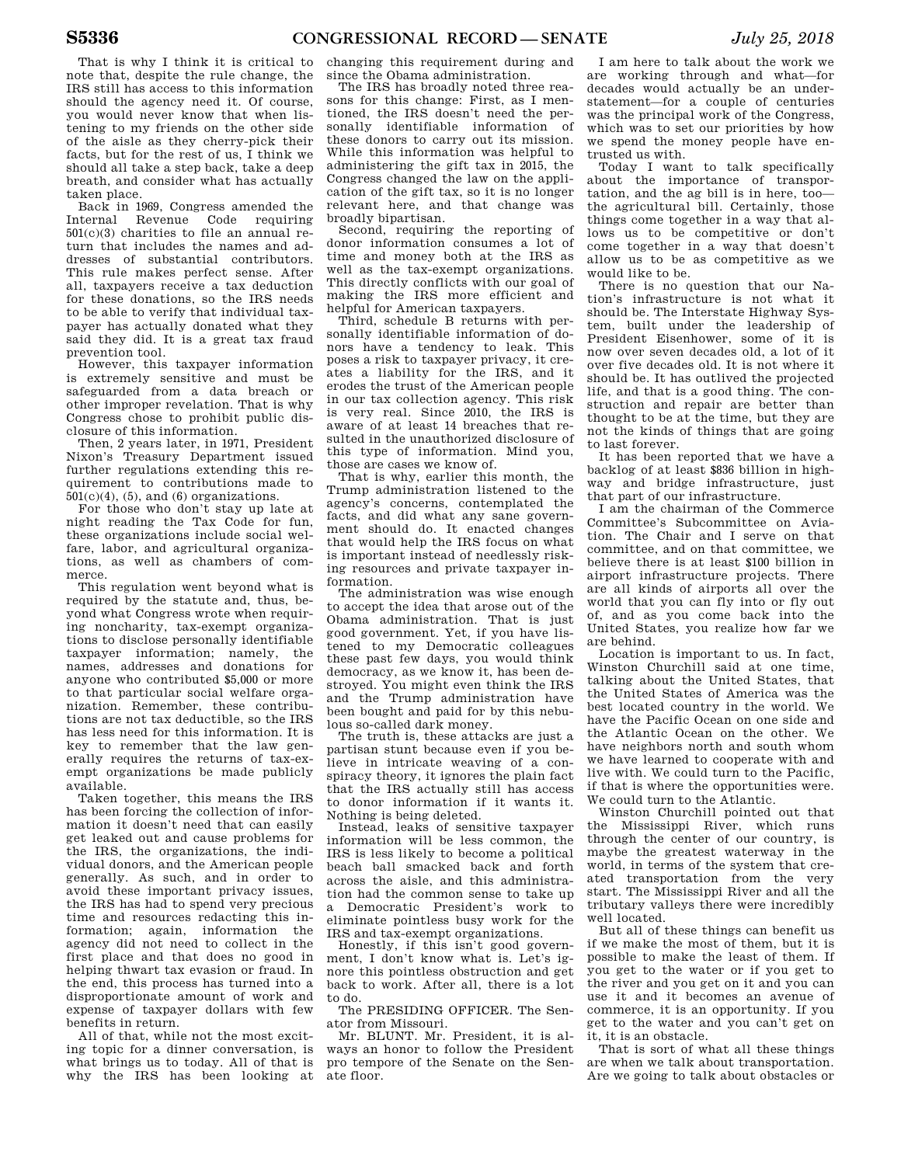That is why I think it is critical to note that, despite the rule change, the IRS still has access to this information should the agency need it. Of course, you would never know that when listening to my friends on the other side of the aisle as they cherry-pick their facts, but for the rest of us, I think we should all take a step back, take a deep breath, and consider what has actually taken place.

Back in 1969, Congress amended the Internal Revenue Code requiring  $501(c)(3)$  charities to file an annual return that includes the names and addresses of substantial contributors. This rule makes perfect sense. After all, taxpayers receive a tax deduction for these donations, so the IRS needs to be able to verify that individual taxpayer has actually donated what they said they did. It is a great tax fraud prevention tool.

However, this taxpayer information is extremely sensitive and must be safeguarded from a data breach or other improper revelation. That is why Congress chose to prohibit public disclosure of this information.

Then, 2 years later, in 1971, President Nixon's Treasury Department issued further regulations extending this requirement to contributions made to  $501(c)(4)$ ,  $(5)$ , and  $(6)$  organizations.

For those who don't stay up late at night reading the Tax Code for fun, these organizations include social welfare, labor, and agricultural organizations, as well as chambers of commerce.

This regulation went beyond what is required by the statute and, thus, beyond what Congress wrote when requiring noncharity, tax-exempt organizations to disclose personally identifiable taxpayer information; namely, the names, addresses and donations for anyone who contributed \$5,000 or more to that particular social welfare organization. Remember, these contributions are not tax deductible, so the IRS has less need for this information. It is key to remember that the law generally requires the returns of tax-exempt organizations be made publicly available.

Taken together, this means the IRS has been forcing the collection of information it doesn't need that can easily get leaked out and cause problems for the IRS, the organizations, the individual donors, and the American people generally. As such, and in order to avoid these important privacy issues, the IRS has had to spend very precious time and resources redacting this information; again, information the agency did not need to collect in the first place and that does no good in helping thwart tax evasion or fraud. In the end, this process has turned into a disproportionate amount of work and expense of taxpayer dollars with few benefits in return.

All of that, while not the most exciting topic for a dinner conversation, is what brings us to today. All of that is why the IRS has been looking at

changing this requirement during and since the Obama administration.

The IRS has broadly noted three reasons for this change: First, as I mentioned, the IRS doesn't need the personally identifiable information of these donors to carry out its mission. While this information was helpful to administering the gift tax in 2015, the Congress changed the law on the application of the gift tax, so it is no longer relevant here, and that change was broadly bipartisan.

Second, requiring the reporting of donor information consumes a lot of time and money both at the IRS as well as the tax-exempt organizations. This directly conflicts with our goal of making the IRS more efficient and helpful for American taxpayers.

Third, schedule B returns with personally identifiable information of donors have a tendency to leak. This poses a risk to taxpayer privacy, it creates a liability for the IRS, and it erodes the trust of the American people in our tax collection agency. This risk is very real. Since 2010, the IRS is aware of at least 14 breaches that resulted in the unauthorized disclosure of this type of information. Mind you, those are cases we know of.

That is why, earlier this month, the Trump administration listened to the agency's concerns, contemplated the facts, and did what any sane government should do. It enacted changes that would help the IRS focus on what is important instead of needlessly risking resources and private taxpayer information.

The administration was wise enough to accept the idea that arose out of the Obama administration. That is just good government. Yet, if you have listened to my Democratic colleagues these past few days, you would think democracy, as we know it, has been destroyed. You might even think the IRS and the Trump administration have been bought and paid for by this nebulous so-called dark money.

The truth is, these attacks are just a partisan stunt because even if you believe in intricate weaving of a conspiracy theory, it ignores the plain fact that the IRS actually still has access to donor information if it wants it. Nothing is being deleted.

Instead, leaks of sensitive taxpayer information will be less common, the IRS is less likely to become a political beach ball smacked back and forth across the aisle, and this administration had the common sense to take up a Democratic President's work to eliminate pointless busy work for the IRS and tax-exempt organizations.

Honestly, if this isn't good government, I don't know what is. Let's ignore this pointless obstruction and get back to work. After all, there is a lot to do.

The PRESIDING OFFICER. The Senator from Missouri.

Mr. BLUNT. Mr. President, it is always an honor to follow the President pro tempore of the Senate on the Senate floor.

I am here to talk about the work we are working through and what—for decades would actually be an understatement—for a couple of centuries was the principal work of the Congress, which was to set our priorities by how we spend the money people have entrusted us with.

Today I want to talk specifically about the importance of transportation, and the ag bill is in here, too the agricultural bill. Certainly, those things come together in a way that allows us to be competitive or don't come together in a way that doesn't allow us to be as competitive as we would like to be.

There is no question that our Nation's infrastructure is not what it should be. The Interstate Highway System, built under the leadership of President Eisenhower, some of it is now over seven decades old, a lot of it over five decades old. It is not where it should be. It has outlived the projected life, and that is a good thing. The construction and repair are better than thought to be at the time, but they are not the kinds of things that are going to last forever.

It has been reported that we have a backlog of at least \$836 billion in highway and bridge infrastructure, just that part of our infrastructure.

I am the chairman of the Commerce Committee's Subcommittee on Aviation. The Chair and I serve on that committee, and on that committee, we believe there is at least \$100 billion in airport infrastructure projects. There are all kinds of airports all over the world that you can fly into or fly out of, and as you come back into the United States, you realize how far we are behind.

Location is important to us. In fact, Winston Churchill said at one time, talking about the United States, that the United States of America was the best located country in the world. We have the Pacific Ocean on one side and the Atlantic Ocean on the other. We have neighbors north and south whom we have learned to cooperate with and live with. We could turn to the Pacific, if that is where the opportunities were. We could turn to the Atlantic.

Winston Churchill pointed out that the Mississippi River, which runs through the center of our country, is maybe the greatest waterway in the world, in terms of the system that created transportation from the very start. The Mississippi River and all the tributary valleys there were incredibly well located.

But all of these things can benefit us if we make the most of them, but it is possible to make the least of them. If you get to the water or if you get to the river and you get on it and you can use it and it becomes an avenue of commerce, it is an opportunity. If you get to the water and you can't get on it, it is an obstacle.

That is sort of what all these things are when we talk about transportation. Are we going to talk about obstacles or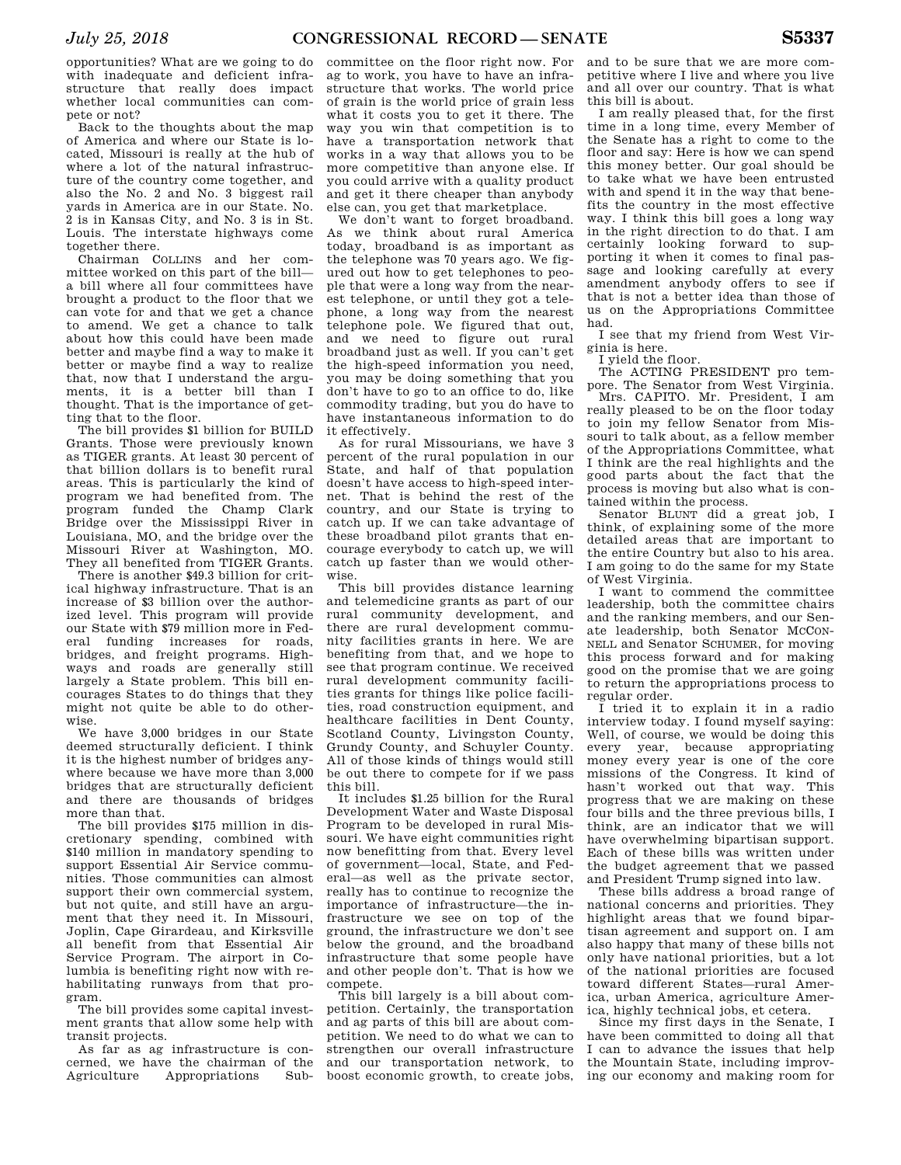opportunities? What are we going to do with inadequate and deficient infrastructure that really does impact whether local communities can compete or not?

Back to the thoughts about the map of America and where our State is located, Missouri is really at the hub of where a lot of the natural infrastructure of the country come together, and also the No. 2 and No. 3 biggest rail yards in America are in our State. No. 2 is in Kansas City, and No. 3 is in St. Louis. The interstate highways come together there.

Chairman COLLINS and her committee worked on this part of the bill a bill where all four committees have brought a product to the floor that we can vote for and that we get a chance to amend. We get a chance to talk about how this could have been made better and maybe find a way to make it better or maybe find a way to realize that, now that I understand the arguments, it is a better bill than I thought. That is the importance of getting that to the floor.

The bill provides \$1 billion for BUILD Grants. Those were previously known as TIGER grants. At least 30 percent of that billion dollars is to benefit rural areas. This is particularly the kind of program we had benefited from. The program funded the Champ Clark Bridge over the Mississippi River in Louisiana, MO, and the bridge over the Missouri River at Washington, MO. They all benefited from TIGER Grants.

There is another \$49.3 billion for critical highway infrastructure. That is an increase of \$3 billion over the authorized level. This program will provide our State with \$79 million more in Federal funding increases for roads, bridges, and freight programs. Highways and roads are generally still largely a State problem. This bill encourages States to do things that they might not quite be able to do otherwise.

We have 3,000 bridges in our State deemed structurally deficient. I think it is the highest number of bridges anywhere because we have more than 3,000 bridges that are structurally deficient and there are thousands of bridges more than that.

The bill provides \$175 million in discretionary spending, combined with \$140 million in mandatory spending to support Essential Air Service communities. Those communities can almost support their own commercial system, but not quite, and still have an argument that they need it. In Missouri, Joplin, Cape Girardeau, and Kirksville all benefit from that Essential Air Service Program. The airport in Columbia is benefiting right now with rehabilitating runways from that program.

The bill provides some capital investment grants that allow some help with transit projects.

As far as ag infrastructure is concerned, we have the chairman of the Agriculture Appropriations Sub-

committee on the floor right now. For ag to work, you have to have an infrastructure that works. The world price of grain is the world price of grain less what it costs you to get it there. The way you win that competition is to have a transportation network that works in a way that allows you to be more competitive than anyone else. If you could arrive with a quality product and get it there cheaper than anybody else can, you get that marketplace.

We don't want to forget broadband. As we think about rural America today, broadband is as important as the telephone was 70 years ago. We figured out how to get telephones to people that were a long way from the nearest telephone, or until they got a telephone, a long way from the nearest telephone pole. We figured that out, and we need to figure out rural broadband just as well. If you can't get the high-speed information you need, you may be doing something that you don't have to go to an office to do, like commodity trading, but you do have to have instantaneous information to do it effectively.

As for rural Missourians, we have 3 percent of the rural population in our State, and half of that population doesn't have access to high-speed internet. That is behind the rest of the country, and our State is trying to catch up. If we can take advantage of these broadband pilot grants that encourage everybody to catch up, we will catch up faster than we would otherwise.

This bill provides distance learning and telemedicine grants as part of our rural community development, and there are rural development community facilities grants in here. We are benefiting from that, and we hope to see that program continue. We received rural development community facilities grants for things like police facilities, road construction equipment, and healthcare facilities in Dent County, Scotland County, Livingston County, Grundy County, and Schuyler County. All of those kinds of things would still be out there to compete for if we pass this bill.

It includes \$1.25 billion for the Rural Development Water and Waste Disposal Program to be developed in rural Missouri. We have eight communities right now benefitting from that. Every level of government—local, State, and Federal—as well as the private sector, really has to continue to recognize the importance of infrastructure—the infrastructure we see on top of the ground, the infrastructure we don't see below the ground, and the broadband infrastructure that some people have and other people don't. That is how we compete.

This bill largely is a bill about competition. Certainly, the transportation and ag parts of this bill are about competition. We need to do what we can to strengthen our overall infrastructure and our transportation network, to boost economic growth, to create jobs,

and to be sure that we are more competitive where I live and where you live and all over our country. That is what this bill is about.

I am really pleased that, for the first time in a long time, every Member of the Senate has a right to come to the floor and say: Here is how we can spend this money better. Our goal should be to take what we have been entrusted with and spend it in the way that benefits the country in the most effective way. I think this bill goes a long way in the right direction to do that. I am certainly looking forward to supporting it when it comes to final passage and looking carefully at every amendment anybody offers to see if that is not a better idea than those of us on the Appropriations Committee had.

I see that my friend from West Virginia is here.

I yield the floor.

The ACTING PRESIDENT pro tempore. The Senator from West Virginia.

Mrs. CAPITO. Mr. President, I am really pleased to be on the floor today to join my fellow Senator from Missouri to talk about, as a fellow member of the Appropriations Committee, what I think are the real highlights and the good parts about the fact that the process is moving but also what is contained within the process.

Senator BLUNT did a great job, I think, of explaining some of the more detailed areas that are important to the entire Country but also to his area. I am going to do the same for my State of West Virginia.

I want to commend the committee leadership, both the committee chairs and the ranking members, and our Senate leadership, both Senator MCCON-NELL and Senator SCHUMER, for moving this process forward and for making good on the promise that we are going to return the appropriations process to regular order.

I tried it to explain it in a radio interview today. I found myself saying: Well, of course, we would be doing this every year, because appropriating money every year is one of the core missions of the Congress. It kind of hasn't worked out that way. This progress that we are making on these four bills and the three previous bills, I think, are an indicator that we will have overwhelming bipartisan support. Each of these bills was written under the budget agreement that we passed and President Trump signed into law.

These bills address a broad range of national concerns and priorities. They highlight areas that we found bipartisan agreement and support on. I am also happy that many of these bills not only have national priorities, but a lot of the national priorities are focused toward different States—rural America, urban America, agriculture America, highly technical jobs, et cetera.

Since my first days in the Senate, I have been committed to doing all that I can to advance the issues that help the Mountain State, including improving our economy and making room for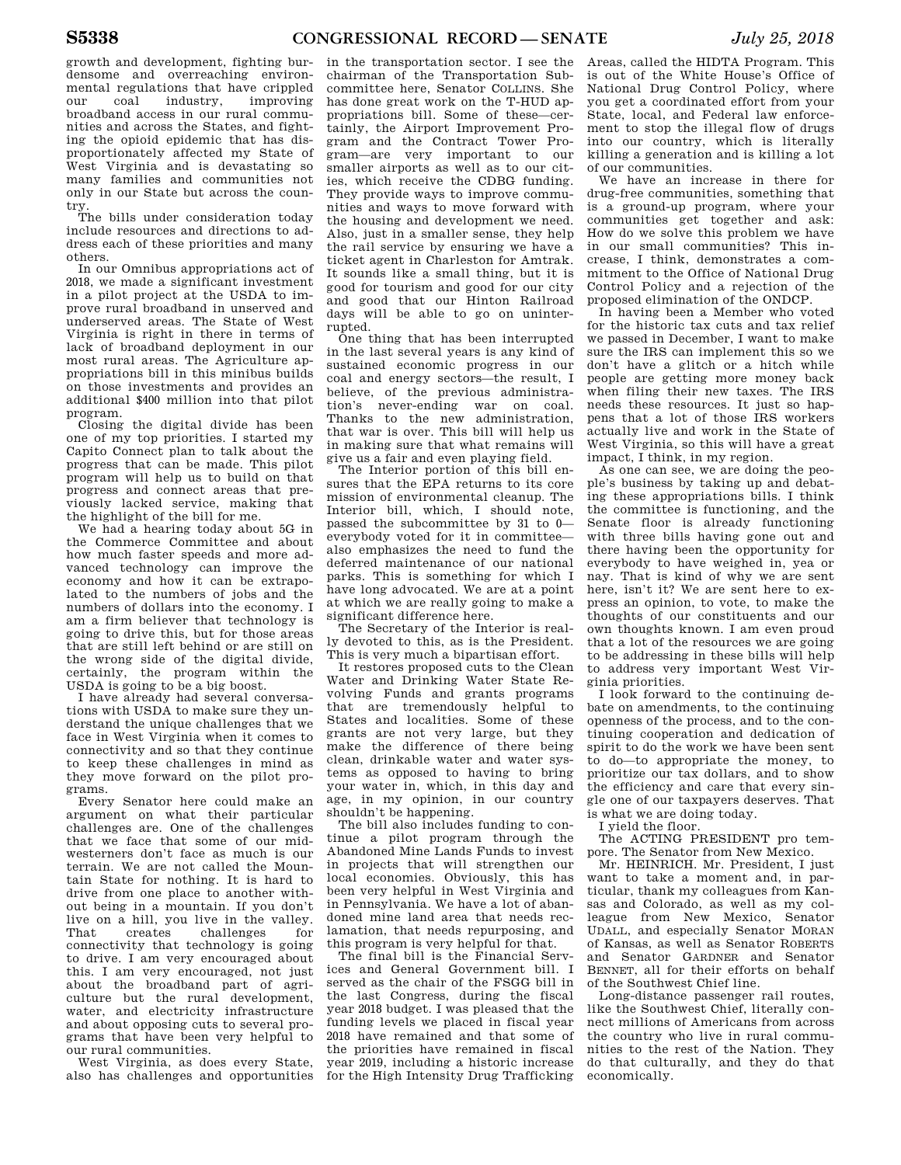growth and development, fighting burdensome and overreaching environmental regulations that have crippled our coal industry, improving broadband access in our rural communities and across the States, and fighting the opioid epidemic that has disproportionately affected my State of West Virginia and is devastating so many families and communities not only in our State but across the country.

The bills under consideration today include resources and directions to address each of these priorities and many others.

In our Omnibus appropriations act of 2018, we made a significant investment in a pilot project at the USDA to improve rural broadband in unserved and underserved areas. The State of West Virginia is right in there in terms of lack of broadband deployment in our most rural areas. The Agriculture appropriations bill in this minibus builds on those investments and provides an additional \$400 million into that pilot program.

Closing the digital divide has been one of my top priorities. I started my Capito Connect plan to talk about the progress that can be made. This pilot program will help us to build on that progress and connect areas that previously lacked service, making that the highlight of the bill for me.

We had a hearing today about 5G in the Commerce Committee and about how much faster speeds and more advanced technology can improve the economy and how it can be extrapolated to the numbers of jobs and the numbers of dollars into the economy. I am a firm believer that technology is going to drive this, but for those areas that are still left behind or are still on the wrong side of the digital divide, certainly, the program within the USDA is going to be a big boost.

I have already had several conversations with USDA to make sure they understand the unique challenges that we face in West Virginia when it comes to connectivity and so that they continue to keep these challenges in mind as they move forward on the pilot programs.

Every Senator here could make an argument on what their particular challenges are. One of the challenges that we face that some of our midwesterners don't face as much is our terrain. We are not called the Mountain State for nothing. It is hard to drive from one place to another without being in a mountain. If you don't live on a hill, you live in the valley. challenges for connectivity that technology is going to drive. I am very encouraged about this. I am very encouraged, not just about the broadband part of agriculture but the rural development, water, and electricity infrastructure and about opposing cuts to several programs that have been very helpful to our rural communities.

West Virginia, as does every State, also has challenges and opportunities

in the transportation sector. I see the chairman of the Transportation Subcommittee here, Senator COLLINS. She has done great work on the T-HUD appropriations bill. Some of these—certainly, the Airport Improvement Program and the Contract Tower Program—are very important to our smaller airports as well as to our cities, which receive the CDBG funding. They provide ways to improve communities and ways to move forward with the housing and development we need. Also, just in a smaller sense, they help the rail service by ensuring we have a ticket agent in Charleston for Amtrak. It sounds like a small thing, but it is good for tourism and good for our city and good that our Hinton Railroad days will be able to go on uninterrupted.

One thing that has been interrupted in the last several years is any kind of sustained economic progress in our coal and energy sectors—the result, I believe, of the previous administration's never-ending war on coal. Thanks to the new administration, that war is over. This bill will help us in making sure that what remains will give us a fair and even playing field.

The Interior portion of this bill ensures that the EPA returns to its core mission of environmental cleanup. The Interior bill, which, I should note, passed the subcommittee by 31 to 0 everybody voted for it in committee also emphasizes the need to fund the deferred maintenance of our national parks. This is something for which I have long advocated. We are at a point at which we are really going to make a significant difference here.

The Secretary of the Interior is really devoted to this, as is the President. This is very much a bipartisan effort.

It restores proposed cuts to the Clean Water and Drinking Water State Revolving Funds and grants programs that are tremendously helpful to States and localities. Some of these grants are not very large, but they make the difference of there being clean, drinkable water and water systems as opposed to having to bring your water in, which, in this day and age, in my opinion, in our country shouldn't be happening.

The bill also includes funding to continue a pilot program through the Abandoned Mine Lands Funds to invest in projects that will strengthen our local economies. Obviously, this has been very helpful in West Virginia and in Pennsylvania. We have a lot of abandoned mine land area that needs reclamation, that needs repurposing, and this program is very helpful for that.

The final bill is the Financial Services and General Government bill. I served as the chair of the FSGG bill in the last Congress, during the fiscal year 2018 budget. I was pleased that the funding levels we placed in fiscal year 2018 have remained and that some of the priorities have remained in fiscal year 2019, including a historic increase for the High Intensity Drug Trafficking

Areas, called the HIDTA Program. This is out of the White House's Office of National Drug Control Policy, where you get a coordinated effort from your State, local, and Federal law enforcement to stop the illegal flow of drugs into our country, which is literally killing a generation and is killing a lot of our communities.

We have an increase in there for drug-free communities, something that is a ground-up program, where your communities get together and ask: How do we solve this problem we have in our small communities? This increase, I think, demonstrates a commitment to the Office of National Drug Control Policy and a rejection of the proposed elimination of the ONDCP.

In having been a Member who voted for the historic tax cuts and tax relief we passed in December, I want to make sure the IRS can implement this so we don't have a glitch or a hitch while people are getting more money back when filing their new taxes. The IRS needs these resources. It just so happens that a lot of those IRS workers actually live and work in the State of West Virginia, so this will have a great impact, I think, in my region.

As one can see, we are doing the people's business by taking up and debating these appropriations bills. I think the committee is functioning, and the Senate floor is already functioning with three bills having gone out and there having been the opportunity for everybody to have weighed in, yea or nay. That is kind of why we are sent here, isn't it? We are sent here to express an opinion, to vote, to make the thoughts of our constituents and our own thoughts known. I am even proud that a lot of the resources we are going to be addressing in these bills will help to address very important West Virginia priorities.

I look forward to the continuing debate on amendments, to the continuing openness of the process, and to the continuing cooperation and dedication of spirit to do the work we have been sent to do—to appropriate the money, to prioritize our tax dollars, and to show the efficiency and care that every single one of our taxpayers deserves. That is what we are doing today.

I yield the floor.

The ACTING PRESIDENT pro tempore. The Senator from New Mexico.

Mr. HEINRICH. Mr. President, I just want to take a moment and, in particular, thank my colleagues from Kansas and Colorado, as well as my colleague from New Mexico, Senator UDALL, and especially Senator MORAN of Kansas, as well as Senator ROBERTS and Senator GARDNER and Senator BENNET, all for their efforts on behalf of the Southwest Chief line.

Long-distance passenger rail routes, like the Southwest Chief, literally connect millions of Americans from across the country who live in rural communities to the rest of the Nation. They do that culturally, and they do that economically.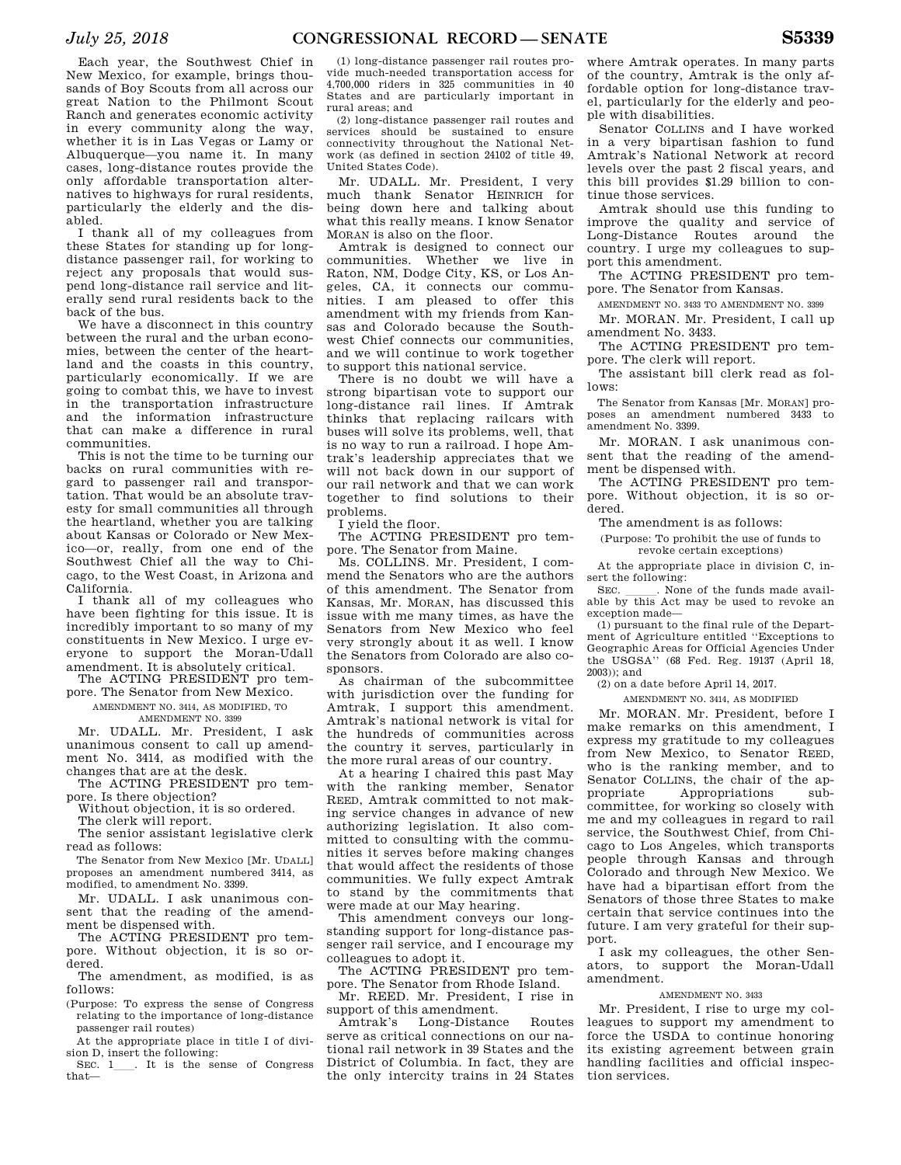Each year, the Southwest Chief in New Mexico, for example, brings thousands of Boy Scouts from all across our great Nation to the Philmont Scout Ranch and generates economic activity in every community along the way, whether it is in Las Vegas or Lamy or Albuquerque—you name it. In many cases, long-distance routes provide the only affordable transportation alternatives to highways for rural residents, particularly the elderly and the disabled.

I thank all of my colleagues from these States for standing up for longdistance passenger rail, for working to reject any proposals that would suspend long-distance rail service and literally send rural residents back to the back of the bus.

We have a disconnect in this country between the rural and the urban economies, between the center of the heartland and the coasts in this country, particularly economically. If we are going to combat this, we have to invest in the transportation infrastructure and the information infrastructure that can make a difference in rural communities.

This is not the time to be turning our backs on rural communities with regard to passenger rail and transportation. That would be an absolute travesty for small communities all through the heartland, whether you are talking about Kansas or Colorado or New Mexico—or, really, from one end of the Southwest Chief all the way to Chicago, to the West Coast, in Arizona and California.

I thank all of my colleagues who have been fighting for this issue. It is incredibly important to so many of my constituents in New Mexico. I urge everyone to support the Moran-Udall amendment. It is absolutely critical.

The ACTING PRESIDENT pro tempore. The Senator from New Mexico.

AMENDMENT NO. 3414, AS MODIFIED, TO AMENDMENT NO. 3399

Mr. UDALL. Mr. President, I ask unanimous consent to call up amendment No. 3414, as modified with the changes that are at the desk.

The ACTING PRESIDENT pro tempore. Is there objection?

Without objection, it is so ordered. The clerk will report.

The senior assistant legislative clerk read as follows:

The Senator from New Mexico [Mr. UDALL] proposes an amendment numbered 3414, as modified, to amendment No. 3399.

Mr. UDALL. I ask unanimous consent that the reading of the amendment be dispensed with.

The ACTING PRESIDENT pro tempore. Without objection, it is so ordered.

The amendment, as modified, is as follows:

(Purpose: To express the sense of Congress relating to the importance of long-distance passenger rail routes)

At the appropriate place in title I of division D, insert the following:

SEC. 1\_\_\_. It is the sense of Congress that—

(1) long-distance passenger rail routes provide much-needed transportation access for 4,700,000 riders in 325 communities in 40 States and are particularly important in rural areas; and

(2) long-distance passenger rail routes and services should be sustained to ensure connectivity throughout the National Network (as defined in section 24102 of title 49, United States Code).

Mr. UDALL. Mr. President, I very much thank Senator HEINRICH for being down here and talking about what this really means. I know Senator MORAN is also on the floor.

Amtrak is designed to connect our communities. Whether we live in Raton, NM, Dodge City, KS, or Los Angeles, CA, it connects our communities. I am pleased to offer this amendment with my friends from Kansas and Colorado because the Southwest Chief connects our communities, and we will continue to work together to support this national service.

There is no doubt we will have a strong bipartisan vote to support our long-distance rail lines. If Amtrak thinks that replacing railcars with buses will solve its problems, well, that is no way to run a railroad. I hope Amtrak's leadership appreciates that we will not back down in our support of our rail network and that we can work together to find solutions to their problems.

I yield the floor.

The ACTING PRESIDENT pro tempore. The Senator from Maine.

Ms. COLLINS. Mr. President, I commend the Senators who are the authors of this amendment. The Senator from Kansas, Mr. MORAN, has discussed this issue with me many times, as have the Senators from New Mexico who feel very strongly about it as well. I know the Senators from Colorado are also cosponsors.

As chairman of the subcommittee with jurisdiction over the funding for Amtrak, I support this amendment. Amtrak's national network is vital for the hundreds of communities across the country it serves, particularly in the more rural areas of our country.

At a hearing I chaired this past May with the ranking member, Senator REED, Amtrak committed to not making service changes in advance of new authorizing legislation. It also committed to consulting with the communities it serves before making changes that would affect the residents of those communities. We fully expect Amtrak to stand by the commitments that were made at our May hearing.

This amendment conveys our longstanding support for long-distance passenger rail service, and I encourage my colleagues to adopt it.

The ACTING PRESIDENT pro tempore. The Senator from Rhode Island.

Mr. REED. Mr. President, I rise in support of this amendment.

Amtrak's Long-Distance Routes serve as critical connections on our national rail network in 39 States and the District of Columbia. In fact, they are the only intercity trains in 24 States

where Amtrak operates. In many parts of the country, Amtrak is the only affordable option for long-distance travel, particularly for the elderly and people with disabilities.

Senator COLLINS and I have worked in a very bipartisan fashion to fund Amtrak's National Network at record levels over the past 2 fiscal years, and this bill provides \$1.29 billion to continue those services.

Amtrak should use this funding to improve the quality and service of Long-Distance Routes around the country. I urge my colleagues to support this amendment.

The ACTING PRESIDENT pro tempore. The Senator from Kansas.

AMENDMENT NO. 3433 TO AMENDMENT NO. 3399

Mr. MORAN. Mr. President, I call up amendment No. 3433.

The ACTING PRESIDENT pro tempore. The clerk will report.

The assistant bill clerk read as follows:

The Senator from Kansas [Mr. MORAN] proposes an amendment numbered 3433 to amendment No. 3399.

Mr. MORAN. I ask unanimous consent that the reading of the amendment be dispensed with.

The ACTING PRESIDENT pro tempore. Without objection, it is so ordered.

The amendment is as follows:

(Purpose: To prohibit the use of funds to revoke certain exceptions)

At the appropriate place in division C, insert the following:<br>SEC. None of the funds made avail-

SEC.  $\frac{1}{\text{Table by this Act may be used to revoke an}}$ exception made—

(1) pursuant to the final rule of the Department of Agriculture entitled ''Exceptions to Geographic Areas for Official Agencies Under the USGSA'' (68 Fed. Reg. 19137 (April 18, 2003)); and

(2) on a date before April 14, 2017.

AMENDMENT NO. 3414, AS MODIFIED

Mr. MORAN. Mr. President, before I make remarks on this amendment, I express my gratitude to my colleagues from New Mexico, to Senator REED, who is the ranking member, and to Senator COLLINS, the chair of the appropriate Appropriations subcommittee, for working so closely with me and my colleagues in regard to rail service, the Southwest Chief, from Chicago to Los Angeles, which transports people through Kansas and through Colorado and through New Mexico. We have had a bipartisan effort from the Senators of those three States to make certain that service continues into the future. I am very grateful for their support.

I ask my colleagues, the other Senators, to support the Moran-Udall amendment.

#### AMENDMENT NO. 3433

Mr. President, I rise to urge my colleagues to support my amendment to force the USDA to continue honoring its existing agreement between grain handling facilities and official inspection services.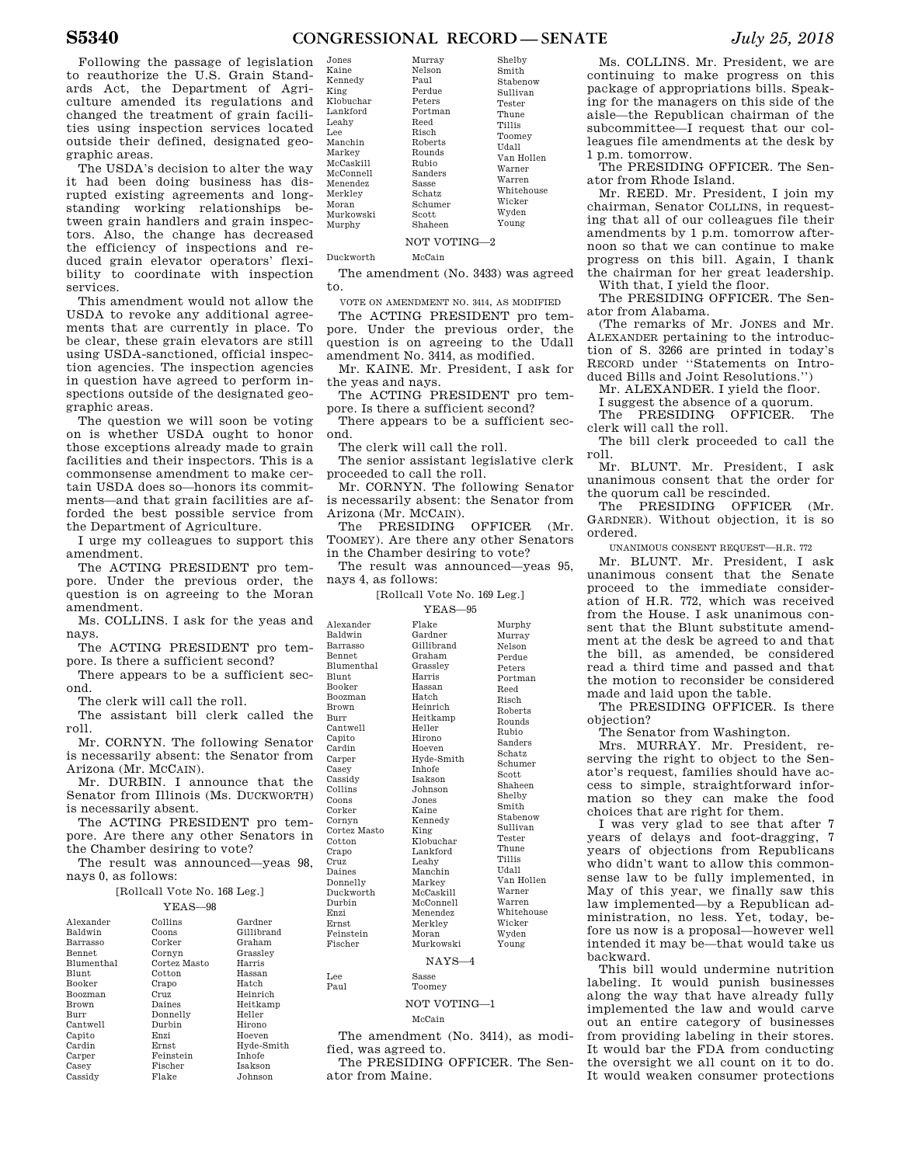Following the passage of legislation to reauthorize the U.S. Grain Standards Act, the Department of Agriculture amended its regulations and changed the treatment of grain facilities using inspection services located outside their defined, designated geographic areas.  $\mathbf{K}$  $\mathbf K$  $K$  $\mathbf K$  $Lg$  $L_{\text{eff}}$  $\mathbf{L}$  $\overline{M}$ 

The USDA's decision to alter the way it had been doing business has disrupted existing agreements and longstanding working relationships between grain handlers and grain inspectors. Also, the change has decreased the efficiency of inspections and reduced grain elevator operators' flexibility to coordinate with inspection services.

This amendment would not allow the USDA to revoke any additional agreements that are currently in place. To be clear, these grain elevators are still using USDA-sanctioned, official inspection agencies. The inspection agencies in question have agreed to perform inspections outside of the designated geographic areas.

The question we will soon be voting on is whether USDA ought to honor those exceptions already made to grain facilities and their inspectors. This is a commonsense amendment to make certain USDA does so—honors its commitments—and that grain facilities are afforded the best possible service from the Department of Agriculture.

I urge my colleagues to support this amendment.

The ACTING PRESIDENT pro tempore. Under the previous order, the question is on agreeing to the Moran amendment.

Ms. COLLINS. I ask for the yeas and nays.

The ACTING PRESIDENT pro tempore. Is there a sufficient second?

There appears to be a sufficient second.

The clerk will call the roll.

The assistant bill clerk called the roll.

Mr. CORNYN. The following Senator is necessarily absent: the Senator from Arizona (Mr. MCCAIN).

Mr. DURBIN. I announce that the Senator from Illinois (Ms. DUCKWORTH) is necessarily absent.

The ACTING PRESIDENT pro tempore. Are there any other Senators in the Chamber desiring to vote?

The result was announced—yeas 98, nays 0, as follows:

#### [Rollcall Vote No. 168 Leg.]  $\overline{y}$

|                | Ү. F.A. S—98 |               |
|----------------|--------------|---------------|
| Alexander      | Collins      | Gardner       |
| Baldwin        | Coons        | Gillibrand    |
| Barrasso       | Corker       | Graham        |
| <b>Bennet</b>  | Cornyn       | Grassley      |
| Blumenthal     | Cortez Masto | Harris        |
| Blunt          | Cotton       | Hassan        |
| Booker         | Crapo        | Hatch         |
| <b>Boozman</b> | Cruz         | Heinrich      |
| Brown          | Daines       | Heitkamp      |
| Burr           | Donnelly     | Heller        |
| Cantwell       | Durbin       | Hirono        |
| Capito         | Enzi         | Hoeven        |
| Cardin         | Ernst        | Hyde-Smith    |
| Carper         | Feinstein    | <b>Inhofe</b> |
| Casey          | Fischer      | Isakson       |
| Cassidy        | Flake        | Johnson       |
|                |              |               |

| Jones     | Murray         | Shelby     |
|-----------|----------------|------------|
| Kaine     | Nelson         | Smith      |
| Kennedy   | Paul           | Stabenow   |
| King      | Perdue         | Sullivan   |
| Klobuchar | Peters         | Tester     |
| Lankford  | Portman        | Thune      |
| Leahv     | Reed           | Tillis     |
| Lee       | Risch          | Toomey     |
| Manchin   | <b>Roberts</b> | Udall      |
| Markev    | Rounds         | Van Hollen |
| McCaskill | Rubio          | Warner     |
| McConnell | Sanders        | Warren     |
| Menendez  | Sasse          | Whitehouse |
| Merkley   | Schatz         | Wicker     |
| Moran     | Schumer        | Wyden      |
| Murkowski | $_{\rm Scott}$ |            |
| Murphy    | Shaheen        | Young      |
|           | NOT VOTING-2   |            |

Duckworth McCain

 $\mathbf{M}$  $\mathbf{M}$  $\mathbf{M}$  $\overline{M}$ 

 $\mathbf{M}$  $M$  $\mathbf{M}$ 

Lee Paul

The amendment (No. 3433) was agreed to.

VOTE ON AMENDMENT NO. 3414, AS MODIFIED

The ACTING PRESIDENT pro tempore. Under the previous order, the question is on agreeing to the Udall amendment No. 3414, as modified.

Mr. KAINE. Mr. President, I ask for the yeas and nays.

The ACTING PRESIDENT pro tempore. Is there a sufficient second?

There appears to be a sufficient second.

The clerk will call the roll.

The senior assistant legislative clerk proceeded to call the roll.

Mr. CORNYN. The following Senator is necessarily absent: the Senator from Arizona (Mr. MCCAIN).

The PRESIDING OFFICER (Mr. TOOMEY). Are there any other Senators in the Chamber desiring to vote?

The result was announced—yeas 95, nays 4, as follows:

# [Rollcall Vote No. 169 Leg.]

|                   | $YEAS = 95$    |             |
|-------------------|----------------|-------------|
| Alexander         | Flake          | Murphy      |
| Baldwin           | Gardner        | Murrav      |
| Barrasso          | Gillibrand     | Nelson      |
| <b>Bennet</b>     | Graham         | Perdue      |
| <b>Blumenthal</b> | Grasslev       | Peters      |
| <b>Blunt</b>      | Harris         | Portman     |
| Booker            | Hassan         | <b>Reed</b> |
| <b>Boozman</b>    | Hatch          | Risch       |
| Brown             | Heinrich       | Roberts     |
| Burr              | Heitkamp       | Rounds      |
| Cantwell          | Heller         | Rubio       |
| Capito            | Hirono         | Sanders     |
| Cardin            | Hoeven         | Schatz      |
| Carper            | Hyde-Smith     | Schumer     |
| Casey             | <b>Inhofe</b>  | Scott       |
| Cassidy           | <b>Isakson</b> | Shaheen     |
| Collins           | Johnson        | Shelby      |
| Coons             | Jones          | Smith       |
| Corker            | Kaine          | Stabenow    |
| Cornyn            | Kennedy        |             |
| Cortez Masto      | King           | Sullivan    |
| Cotton            | Klobuchar      | Tester      |
| Crapo             | Lankford       | Thune       |
| Cruz              | Leahv          | Tillis      |
| Daines            | Manchin        | Udall       |
| Donnelly          | Markey         | Van Hollen  |
| Duckworth         | McCaskill      | Warner      |
| Durbin            | McConnell      | Warren      |
| Enzi              | Menendez       | Whitehouse  |
| <b>Ernst</b>      | Merkley        | Wicker      |
| Feinstein         | Moran          | Wyden       |
| Fischer           | Murkowski      | Young       |
|                   | $NAYS-4$       |             |

Sasse

Toomey

# NOT VOTING—1

McCain

The amendment (No. 3414), as modified, was agreed to.

The PRESIDING OFFICER. The Senator from Maine.

Ms. COLLINS. Mr. President, we are continuing to make progress on this package of appropriations bills. Speaking for the managers on this side of the aisle—the Republican chairman of the subcommittee—I request that our colleagues file amendments at the desk by 1 p.m. tomorrow.

The PRESIDING OFFICER. The Senator from Rhode Island.

Mr. REED. Mr. President, I join my chairman, Senator COLLINS, in requesting that all of our colleagues file their amendments by 1 p.m. tomorrow afternoon so that we can continue to make progress on this bill. Again, I thank the chairman for her great leadership. With that, I yield the floor.

The PRESIDING OFFICER. The Senator from Alabama.

(The remarks of Mr. JONES and Mr. ALEXANDER pertaining to the introduction of S. 3266 are printed in today's RECORD under "Statements on Introduced Bills and Joint Resolutions.'')

Mr. ALEXANDER. I yield the floor.

I suggest the absence of a quorum.

The PRESIDING OFFICER. The clerk will call the roll.

The bill clerk proceeded to call the roll.

Mr. BLUNT. Mr. President, I ask unanimous consent that the order for the quorum call be rescinded.

The PRESIDING OFFICER (Mr. GARDNER). Without objection, it is so ordered.

UNANIMOUS CONSENT REQUEST—H.R. 772

Mr. BLUNT. Mr. President, I ask unanimous consent that the Senate proceed to the immediate consideration of H.R. 772, which was received from the House. I ask unanimous consent that the Blunt substitute amendment at the desk be agreed to and that the bill, as amended, be considered read a third time and passed and that the motion to reconsider be considered made and laid upon the table.

The PRESIDING OFFICER. Is there objection?

The Senator from Washington.

Mrs. MURRAY. Mr. President, reserving the right to object to the Senator's request, families should have access to simple, straightforward information so they can make the food choices that are right for them.

I was very glad to see that after 7 years of delays and foot-dragging, 7 years of objections from Republicans who didn't want to allow this commonsense law to be fully implemented, in May of this year, we finally saw this law implemented—by a Republican administration, no less. Yet, today, before us now is a proposal—however well intended it may be—that would take us backward.

This bill would undermine nutrition labeling. It would punish businesses along the way that have already fully implemented the law and would carve out an entire category of businesses from providing labeling in their stores. It would bar the FDA from conducting the oversight we all count on it to do. It would weaken consumer protections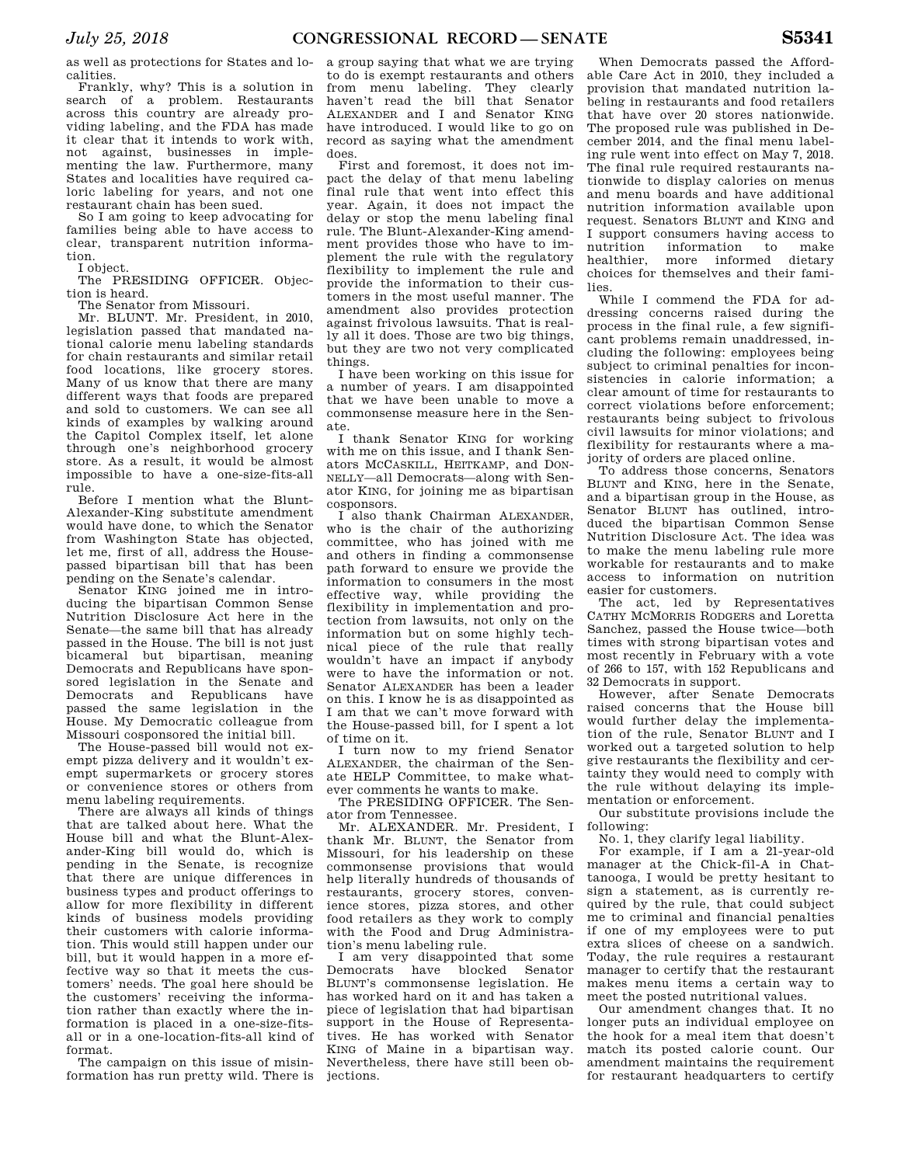as well as protections for States and localities.

Frankly, why? This is a solution in search of a problem. Restaurants across this country are already providing labeling, and the FDA has made it clear that it intends to work with, not against, businesses in implementing the law. Furthermore, many States and localities have required caloric labeling for years, and not one restaurant chain has been sued.

So I am going to keep advocating for families being able to have access to clear, transparent nutrition information.

I object.

The PRESIDING OFFICER. Objection is heard.

The Senator from Missouri.

Mr. BLUNT. Mr. President, in 2010, legislation passed that mandated national calorie menu labeling standards for chain restaurants and similar retail food locations, like grocery stores. Many of us know that there are many different ways that foods are prepared and sold to customers. We can see all kinds of examples by walking around the Capitol Complex itself, let alone through one's neighborhood grocery store. As a result, it would be almost impossible to have a one-size-fits-all rule.

Before I mention what the Blunt-Alexander-King substitute amendment would have done, to which the Senator from Washington State has objected, let me, first of all, address the Housepassed bipartisan bill that has been pending on the Senate's calendar.

Senator KING joined me in introducing the bipartisan Common Sense Nutrition Disclosure Act here in the Senate—the same bill that has already passed in the House. The bill is not just bicameral but bipartisan, meaning Democrats and Republicans have sponsored legislation in the Senate and Democrats and Republicans have passed the same legislation in the House. My Democratic colleague from Missouri cosponsored the initial bill.

The House-passed bill would not exempt pizza delivery and it wouldn't exempt supermarkets or grocery stores or convenience stores or others from menu labeling requirements.

There are always all kinds of things that are talked about here. What the House bill and what the Blunt-Alexander-King bill would do, which is pending in the Senate, is recognize that there are unique differences in business types and product offerings to allow for more flexibility in different kinds of business models providing their customers with calorie information. This would still happen under our bill, but it would happen in a more effective way so that it meets the customers' needs. The goal here should be the customers' receiving the information rather than exactly where the information is placed in a one-size-fitsall or in a one-location-fits-all kind of format.

The campaign on this issue of misinformation has run pretty wild. There is a group saying that what we are trying to do is exempt restaurants and others from menu labeling. They clearly haven't read the bill that Senator ALEXANDER and I and Senator KING have introduced. I would like to go on record as saying what the amendment does.

First and foremost, it does not impact the delay of that menu labeling final rule that went into effect this year. Again, it does not impact the delay or stop the menu labeling final rule. The Blunt-Alexander-King amendment provides those who have to implement the rule with the regulatory flexibility to implement the rule and provide the information to their customers in the most useful manner. The amendment also provides protection against frivolous lawsuits. That is really all it does. Those are two big things, but they are two not very complicated things.

I have been working on this issue for a number of years. I am disappointed that we have been unable to move a commonsense measure here in the Senate.

I thank Senator KING for working with me on this issue, and I thank Senators MCCASKILL, HEITKAMP, and DON-NELLY—all Democrats—along with Senator KING, for joining me as bipartisan cosponsors.

I also thank Chairman ALEXANDER, who is the chair of the authorizing committee, who has joined with me and others in finding a commonsense path forward to ensure we provide the information to consumers in the most effective way, while providing the flexibility in implementation and protection from lawsuits, not only on the information but on some highly technical piece of the rule that really wouldn't have an impact if anybody were to have the information or not. Senator ALEXANDER has been a leader on this. I know he is as disappointed as I am that we can't move forward with the House-passed bill, for I spent a lot of time on it.

I turn now to my friend Senator ALEXANDER, the chairman of the Senate HELP Committee, to make whatever comments he wants to make.

The PRESIDING OFFICER. The Senator from Tennessee.

Mr. ALEXANDER. Mr. President, I thank Mr. BLUNT, the Senator from Missouri, for his leadership on these commonsense provisions that would help literally hundreds of thousands of restaurants, grocery stores, convenience stores, pizza stores, and other food retailers as they work to comply with the Food and Drug Administration's menu labeling rule.

I am very disappointed that some Democrats have blocked Senator BLUNT's commonsense legislation. He has worked hard on it and has taken a piece of legislation that had bipartisan support in the House of Representatives. He has worked with Senator KING of Maine in a bipartisan way. Nevertheless, there have still been objections.

When Democrats passed the Affordable Care Act in 2010, they included a provision that mandated nutrition labeling in restaurants and food retailers that have over 20 stores nationwide. The proposed rule was published in December 2014, and the final menu labeling rule went into effect on May 7, 2018. The final rule required restaurants nationwide to display calories on menus and menu boards and have additional nutrition information available upon request. Senators BLUNT and KING and I support consumers having access to nutrition information to make healthier, more informed dietary choices for themselves and their families.

While I commend the FDA for addressing concerns raised during the process in the final rule, a few significant problems remain unaddressed including the following: employees being subject to criminal penalties for inconsistencies in calorie information; a clear amount of time for restaurants to correct violations before enforcement; restaurants being subject to frivolous civil lawsuits for minor violations; and flexibility for restaurants where a majority of orders are placed online.

To address those concerns, Senators BLUNT and KING, here in the Senate, and a bipartisan group in the House, as Senator BLUNT has outlined, introduced the bipartisan Common Sense Nutrition Disclosure Act. The idea was to make the menu labeling rule more workable for restaurants and to make access to information on nutrition easier for customers.

The act, led by Representatives CATHY MCMORRIS RODGERS and Loretta Sanchez, passed the House twice—both times with strong bipartisan votes and most recently in February with a vote of 266 to 157, with 152 Republicans and 32 Democrats in support.

However, after Senate Democrats raised concerns that the House bill would further delay the implementation of the rule, Senator BLUNT and I worked out a targeted solution to help give restaurants the flexibility and certainty they would need to comply with the rule without delaying its implementation or enforcement.

Our substitute provisions include the following:

No. 1, they clarify legal liability.

For example, if I am a 21-year-old manager at the Chick-fil-A in Chattanooga, I would be pretty hesitant to sign a statement, as is currently required by the rule, that could subject me to criminal and financial penalties if one of my employees were to put extra slices of cheese on a sandwich. Today, the rule requires a restaurant manager to certify that the restaurant makes menu items a certain way to meet the posted nutritional values.

Our amendment changes that. It no longer puts an individual employee on the hook for a meal item that doesn't match its posted calorie count. Our amendment maintains the requirement for restaurant headquarters to certify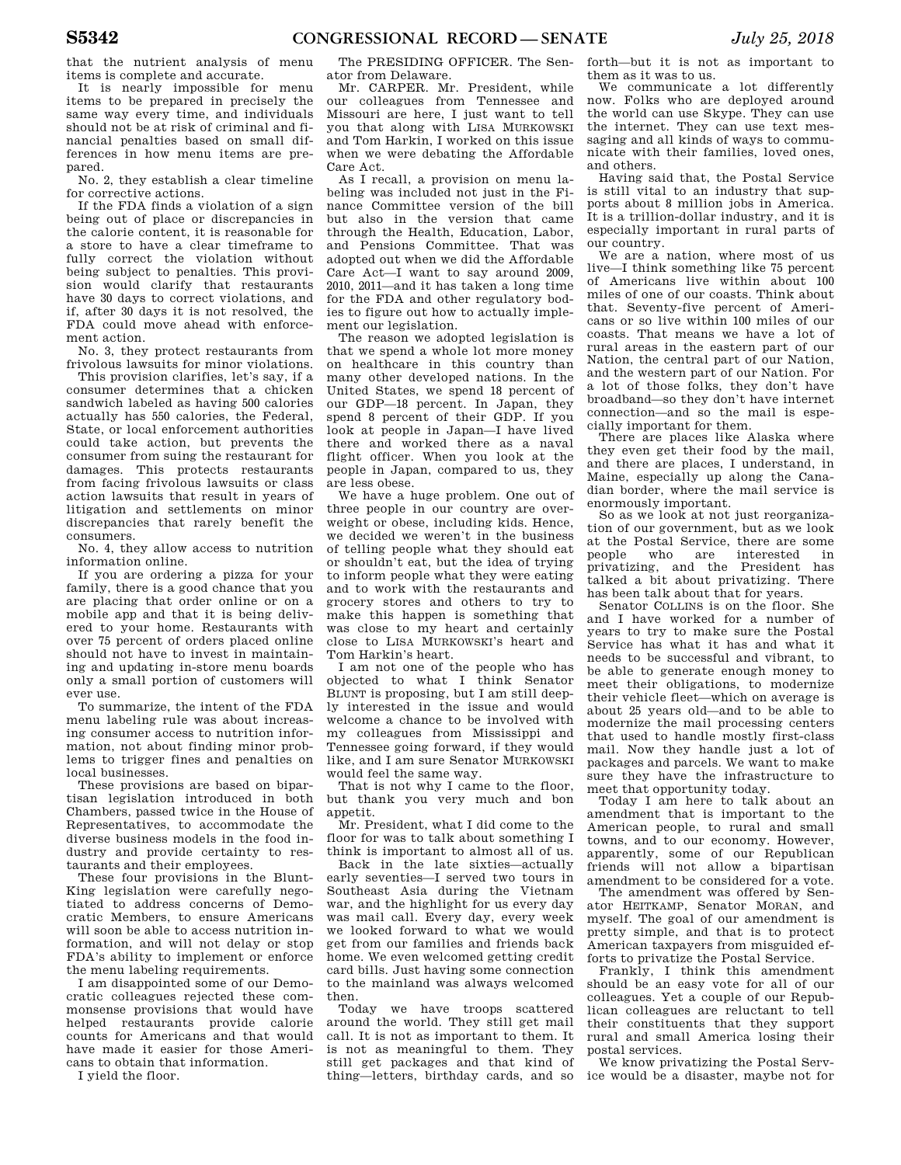that the nutrient analysis of menu items is complete and accurate.

It is nearly impossible for menu items to be prepared in precisely the same way every time, and individuals should not be at risk of criminal and financial penalties based on small differences in how menu items are prepared.

No. 2, they establish a clear timeline for corrective actions.

If the FDA finds a violation of a sign being out of place or discrepancies in the calorie content, it is reasonable for a store to have a clear timeframe to fully correct the violation without being subject to penalties. This provision would clarify that restaurants have 30 days to correct violations, and if, after 30 days it is not resolved, the FDA could move ahead with enforcement action.

No. 3, they protect restaurants from frivolous lawsuits for minor violations.

This provision clarifies, let's say, if a consumer determines that a chicken sandwich labeled as having 500 calories actually has 550 calories, the Federal, State, or local enforcement authorities could take action, but prevents the consumer from suing the restaurant for damages. This protects restaurants from facing frivolous lawsuits or class action lawsuits that result in years of litigation and settlements on minor discrepancies that rarely benefit the consumers.

No. 4, they allow access to nutrition information online.

If you are ordering a pizza for your family, there is a good chance that you are placing that order online or on a mobile app and that it is being delivered to your home. Restaurants with over 75 percent of orders placed online should not have to invest in maintaining and updating in-store menu boards only a small portion of customers will ever use.

To summarize, the intent of the FDA menu labeling rule was about increasing consumer access to nutrition information, not about finding minor problems to trigger fines and penalties on local businesses.

These provisions are based on bipartisan legislation introduced in both Chambers, passed twice in the House of Representatives, to accommodate the diverse business models in the food industry and provide certainty to restaurants and their employees.

These four provisions in the Blunt-King legislation were carefully negotiated to address concerns of Democratic Members, to ensure Americans will soon be able to access nutrition information, and will not delay or stop FDA's ability to implement or enforce the menu labeling requirements.

I am disappointed some of our Democratic colleagues rejected these commonsense provisions that would have helped restaurants provide calorie counts for Americans and that would have made it easier for those Americans to obtain that information.

I yield the floor.

The PRESIDING OFFICER. The Senator from Delaware.

Mr. CARPER. Mr. President, while our colleagues from Tennessee and Missouri are here, I just want to tell you that along with LISA MURKOWSKI and Tom Harkin, I worked on this issue when we were debating the Affordable Care Act.

As I recall, a provision on menu labeling was included not just in the Finance Committee version of the bill but also in the version that came through the Health, Education, Labor, and Pensions Committee. That was adopted out when we did the Affordable Care Act—I want to say around 2009, 2010, 2011—and it has taken a long time for the FDA and other regulatory bodies to figure out how to actually implement our legislation.

The reason we adopted legislation is that we spend a whole lot more money on healthcare in this country than many other developed nations. In the United States, we spend 18 percent of our GDP—18 percent. In Japan, they spend 8 percent of their GDP. If you look at people in Japan—I have lived there and worked there as a naval flight officer. When you look at the people in Japan, compared to us, they are less obese.

We have a huge problem. One out of three people in our country are overweight or obese, including kids. Hence, we decided we weren't in the business of telling people what they should eat or shouldn't eat, but the idea of trying to inform people what they were eating and to work with the restaurants and grocery stores and others to try to make this happen is something that was close to my heart and certainly close to LISA MURKOWSKI's heart and Tom Harkin's heart.

I am not one of the people who has objected to what I think Senator BLUNT is proposing, but I am still deeply interested in the issue and would welcome a chance to be involved with my colleagues from Mississippi and Tennessee going forward, if they would like, and I am sure Senator MURKOWSKI would feel the same way.

That is not why I came to the floor, but thank you very much and bon appetit.

Mr. President, what I did come to the floor for was to talk about something I think is important to almost all of us.

Back in the late sixties—actually early seventies—I served two tours in Southeast Asia during the Vietnam war, and the highlight for us every day was mail call. Every day, every week we looked forward to what we would get from our families and friends back home. We even welcomed getting credit card bills. Just having some connection to the mainland was always welcomed

then.<br>Today we have troops scattered around the world. They still get mail call. It is not as important to them. It is not as meaningful to them. They still get packages and that kind of thing—letters, birthday cards, and so

forth—but it is not as important to them as it was to us.

We communicate a lot differently now. Folks who are deployed around the world can use Skype. They can use the internet. They can use text messaging and all kinds of ways to communicate with their families, loved ones, and others.

Having said that, the Postal Service is still vital to an industry that supports about 8 million jobs in America. It is a trillion-dollar industry, and it is especially important in rural parts of our country.

We are a nation, where most of us live—I think something like 75 percent of Americans live within about 100 miles of one of our coasts. Think about that. Seventy-five percent of Americans or so live within 100 miles of our coasts. That means we have a lot of rural areas in the eastern part of our Nation, the central part of our Nation, and the western part of our Nation. For a lot of those folks, they don't have broadband—so they don't have internet connection—and so the mail is especially important for them.

There are places like Alaska where they even get their food by the mail, and there are places, I understand, in Maine, especially up along the Canadian border, where the mail service is enormously important.

So as we look at not just reorganization of our government, but as we look at the Postal Service, there are some who are interested in<br>pe and the President has privatizing, and the President talked a bit about privatizing. There has been talk about that for years.

Senator COLLINS is on the floor. She and I have worked for a number of years to try to make sure the Postal Service has what it has and what it needs to be successful and vibrant, to be able to generate enough money to meet their obligations, to modernize their vehicle fleet—which on average is about 25 years old—and to be able to modernize the mail processing centers that used to handle mostly first-class mail. Now they handle just a lot of packages and parcels. We want to make sure they have the infrastructure to meet that opportunity today.

Today I am here to talk about an amendment that is important to the American people, to rural and small towns, and to our economy. However, apparently, some of our Republican friends will not allow a bipartisan amendment to be considered for a vote.

The amendment was offered by Senator HEITKAMP, Senator MORAN, and myself. The goal of our amendment is pretty simple, and that is to protect American taxpayers from misguided efforts to privatize the Postal Service.

Frankly, I think this amendment should be an easy vote for all of our colleagues. Yet a couple of our Republican colleagues are reluctant to tell their constituents that they support rural and small America losing their postal services.

We know privatizing the Postal Service would be a disaster, maybe not for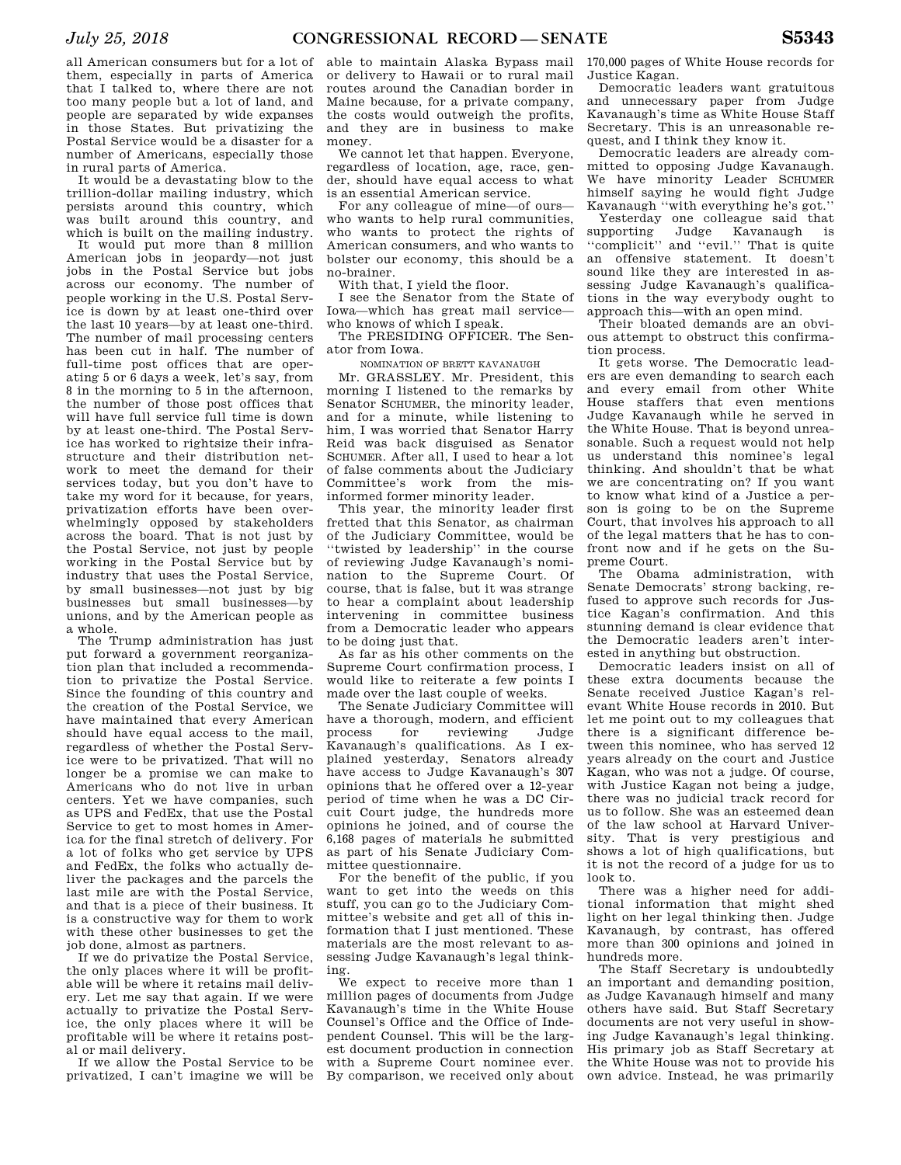It would be a devastating blow to the trillion-dollar mailing industry, which persists around this country, which was built around this country, and which is built on the mailing industry.

It would put more than 8 million American jobs in jeopardy—not just jobs in the Postal Service but jobs across our economy. The number of people working in the U.S. Postal Service is down by at least one-third over the last 10 years—by at least one-third. The number of mail processing centers has been cut in half. The number of full-time post offices that are operating 5 or 6 days a week, let's say, from 8 in the morning to 5 in the afternoon, the number of those post offices that will have full service full time is down by at least one-third. The Postal Service has worked to rightsize their infrastructure and their distribution network to meet the demand for their services today, but you don't have to take my word for it because, for years, privatization efforts have been overwhelmingly opposed by stakeholders across the board. That is not just by the Postal Service, not just by people working in the Postal Service but by industry that uses the Postal Service, by small businesses—not just by big businesses but small businesses—by unions, and by the American people as a whole.

The Trump administration has just put forward a government reorganization plan that included a recommendation to privatize the Postal Service. Since the founding of this country and the creation of the Postal Service, we have maintained that every American should have equal access to the mail, regardless of whether the Postal Service were to be privatized. That will no longer be a promise we can make to Americans who do not live in urban centers. Yet we have companies, such as UPS and FedEx, that use the Postal Service to get to most homes in America for the final stretch of delivery. For a lot of folks who get service by UPS and FedEx, the folks who actually deliver the packages and the parcels the last mile are with the Postal Service, and that is a piece of their business. It is a constructive way for them to work with these other businesses to get the job done, almost as partners.

If we do privatize the Postal Service, the only places where it will be profitable will be where it retains mail delivery. Let me say that again. If we were actually to privatize the Postal Service, the only places where it will be profitable will be where it retains postal or mail delivery.

If we allow the Postal Service to be privatized, I can't imagine we will be able to maintain Alaska Bypass mail or delivery to Hawaii or to rural mail routes around the Canadian border in Maine because, for a private company, the costs would outweigh the profits, and they are in business to make money.

We cannot let that happen. Everyone, regardless of location, age, race, gender, should have equal access to what is an essential American service.

For any colleague of mine—of ours who wants to help rural communities, who wants to protect the rights of American consumers, and who wants to bolster our economy, this should be a no-brainer.

With that, I yield the floor.

I see the Senator from the State of Iowa—which has great mail service who knows of which I speak.

The PRESIDING OFFICER. The Senator from Iowa.

NOMINATION OF BRETT KAVANAUGH

Mr. GRASSLEY. Mr. President, this morning I listened to the remarks by Senator SCHUMER, the minority leader, and for a minute, while listening to him, I was worried that Senator Harry Reid was back disguised as Senator SCHUMER. After all, I used to hear a lot of false comments about the Judiciary Committee's work from the misinformed former minority leader.

This year, the minority leader first fretted that this Senator, as chairman of the Judiciary Committee, would be ''twisted by leadership'' in the course of reviewing Judge Kavanaugh's nomination to the Supreme Court. Of course, that is false, but it was strange to hear a complaint about leadership intervening in committee business from a Democratic leader who appears to be doing just that.

As far as his other comments on the Supreme Court confirmation process, I would like to reiterate a few points I made over the last couple of weeks.

The Senate Judiciary Committee will have a thorough, modern, and efficient process for reviewing Judge Kavanaugh's qualifications. As I explained yesterday, Senators already have access to Judge Kavanaugh's 307 opinions that he offered over a 12-year period of time when he was a DC Circuit Court judge, the hundreds more opinions he joined, and of course the 6,168 pages of materials he submitted as part of his Senate Judiciary Committee questionnaire.

For the benefit of the public, if you want to get into the weeds on this stuff, you can go to the Judiciary Committee's website and get all of this information that I just mentioned. These materials are the most relevant to assessing Judge Kavanaugh's legal thinking.

We expect to receive more than 1 million pages of documents from Judge Kavanaugh's time in the White House Counsel's Office and the Office of Independent Counsel. This will be the largest document production in connection with a Supreme Court nominee ever. By comparison, we received only about

170,000 pages of White House records for Justice Kagan.

Democratic leaders want gratuitous and unnecessary paper from Judge Kavanaugh's time as White House Staff Secretary. This is an unreasonable request, and I think they know it.

Democratic leaders are already committed to opposing Judge Kavanaugh. We have minority Leader SCHUMER himself saying he would fight Judge Kavanaugh ''with everything he's got.''

Yesterday one colleague said that supporting Judge Kavanaugh is ''complicit'' and ''evil.'' That is quite an offensive statement. It doesn't sound like they are interested in assessing Judge Kavanaugh's qualifications in the way everybody ought to approach this—with an open mind.

Their bloated demands are an obvious attempt to obstruct this confirmation process.

It gets worse. The Democratic leaders are even demanding to search each and every email from other White House staffers that even mentions Judge Kavanaugh while he served in the White House. That is beyond unreasonable. Such a request would not help us understand this nominee's legal thinking. And shouldn't that be what we are concentrating on? If you want to know what kind of a Justice a person is going to be on the Supreme Court, that involves his approach to all of the legal matters that he has to confront now and if he gets on the Supreme Court.

The Obama administration, with Senate Democrats' strong backing, refused to approve such records for Justice Kagan's confirmation. And this stunning demand is clear evidence that the Democratic leaders aren't interested in anything but obstruction.

Democratic leaders insist on all of these extra documents because the Senate received Justice Kagan's relevant White House records in 2010. But let me point out to my colleagues that there is a significant difference between this nominee, who has served 12 years already on the court and Justice Kagan, who was not a judge. Of course, with Justice Kagan not being a judge, there was no judicial track record for us to follow. She was an esteemed dean of the law school at Harvard University. That is very prestigious and shows a lot of high qualifications, but it is not the record of a judge for us to look to.

There was a higher need for additional information that might shed light on her legal thinking then. Judge Kavanaugh, by contrast, has offered more than 300 opinions and joined in hundreds more.

The Staff Secretary is undoubtedly an important and demanding position, as Judge Kavanaugh himself and many others have said. But Staff Secretary documents are not very useful in showing Judge Kavanaugh's legal thinking. His primary job as Staff Secretary at the White House was not to provide his own advice. Instead, he was primarily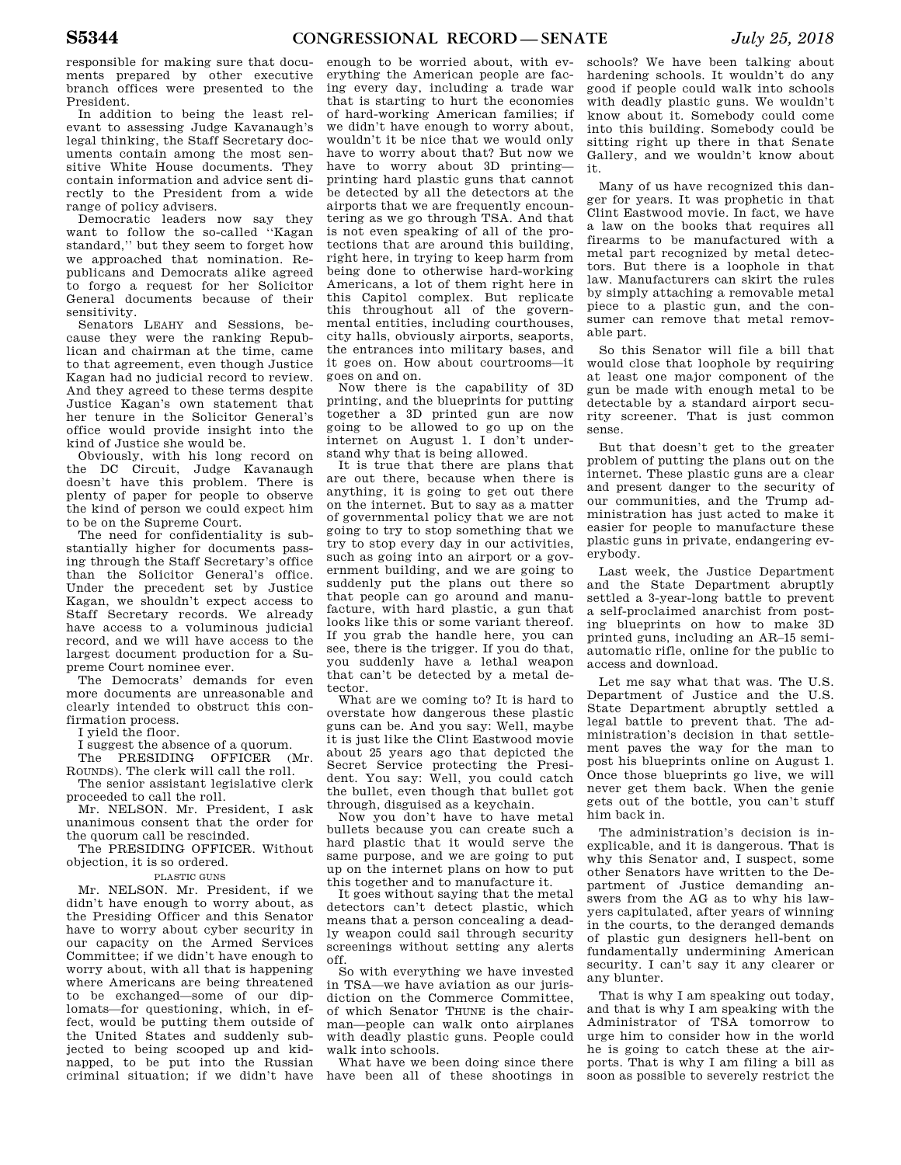responsible for making sure that documents prepared by other executive branch offices were presented to the President.

In addition to being the least relevant to assessing Judge Kavanaugh's legal thinking, the Staff Secretary documents contain among the most sensitive White House documents. They contain information and advice sent directly to the President from a wide range of policy advisers.

Democratic leaders now say they want to follow the so-called ''Kagan standard,'' but they seem to forget how we approached that nomination. Republicans and Democrats alike agreed to forgo a request for her Solicitor General documents because of their sensitivity.

Senators LEAHY and Sessions, because they were the ranking Republican and chairman at the time, came to that agreement, even though Justice Kagan had no judicial record to review. And they agreed to these terms despite Justice Kagan's own statement that her tenure in the Solicitor General's office would provide insight into the kind of Justice she would be.

Obviously, with his long record on the DC Circuit, Judge Kavanaugh doesn't have this problem. There is plenty of paper for people to observe the kind of person we could expect him to be on the Supreme Court.

The need for confidentiality is substantially higher for documents passing through the Staff Secretary's office than the Solicitor General's office. Under the precedent set by Justice Kagan, we shouldn't expect access to Staff Secretary records. We already have access to a voluminous judicial record, and we will have access to the largest document production for a Supreme Court nominee ever.

The Democrats' demands for even more documents are unreasonable and clearly intended to obstruct this confirmation process.

I yield the floor.

I suggest the absence of a quorum.

The PRESIDING OFFICER (Mr. ROUNDS). The clerk will call the roll.

The senior assistant legislative clerk proceeded to call the roll.

Mr. NELSON. Mr. President, I ask unanimous consent that the order for the quorum call be rescinded.

The PRESIDING OFFICER. Without objection, it is so ordered.

#### PLASTIC GUNS

Mr. NELSON. Mr. President, if we didn't have enough to worry about, as the Presiding Officer and this Senator have to worry about cyber security in our capacity on the Armed Services Committee; if we didn't have enough to worry about, with all that is happening where Americans are being threatened to be exchanged—some of our diplomats—for questioning, which, in effect, would be putting them outside of the United States and suddenly subjected to being scooped up and kidnapped, to be put into the Russian criminal situation; if we didn't have

enough to be worried about, with everything the American people are facing every day, including a trade war that is starting to hurt the economies of hard-working American families; if we didn't have enough to worry about, wouldn't it be nice that we would only have to worry about that? But now we have to worry about 3D printing printing hard plastic guns that cannot be detected by all the detectors at the airports that we are frequently encountering as we go through TSA. And that is not even speaking of all of the protections that are around this building, right here, in trying to keep harm from being done to otherwise hard-working Americans, a lot of them right here in this Capitol complex. But replicate this throughout all of the governmental entities, including courthouses, city halls, obviously airports, seaports, the entrances into military bases, and it goes on. How about courtrooms—it goes on and on.

Now there is the capability of 3D printing, and the blueprints for putting together a 3D printed gun are now going to be allowed to go up on the internet on August 1. I don't understand why that is being allowed.

It is true that there are plans that are out there, because when there is anything, it is going to get out there on the internet. But to say as a matter of governmental policy that we are not going to try to stop something that we try to stop every day in our activities, such as going into an airport or a government building, and we are going to suddenly put the plans out there so that people can go around and manufacture, with hard plastic, a gun that looks like this or some variant thereof. If you grab the handle here, you can see, there is the trigger. If you do that, you suddenly have a lethal weapon that can't be detected by a metal detector.

What are we coming to? It is hard to overstate how dangerous these plastic guns can be. And you say: Well, maybe it is just like the Clint Eastwood movie about 25 years ago that depicted the Secret Service protecting the President. You say: Well, you could catch the bullet, even though that bullet got through, disguised as a keychain.

Now you don't have to have metal bullets because you can create such a hard plastic that it would serve the same purpose, and we are going to put up on the internet plans on how to put this together and to manufacture it.

It goes without saying that the metal detectors can't detect plastic, which means that a person concealing a deadly weapon could sail through security screenings without setting any alerts off.

So with everything we have invested in TSA—we have aviation as our jurisdiction on the Commerce Committee, of which Senator THUNE is the chairman—people can walk onto airplanes with deadly plastic guns. People could walk into schools.

What have we been doing since there have been all of these shootings in

schools? We have been talking about hardening schools. It wouldn't do any good if people could walk into schools with deadly plastic guns. We wouldn't know about it. Somebody could come into this building. Somebody could be sitting right up there in that Senate Gallery, and we wouldn't know about it.

Many of us have recognized this danger for years. It was prophetic in that Clint Eastwood movie. In fact, we have a law on the books that requires all firearms to be manufactured with a metal part recognized by metal detectors. But there is a loophole in that law. Manufacturers can skirt the rules by simply attaching a removable metal piece to a plastic gun, and the consumer can remove that metal removable part.

So this Senator will file a bill that would close that loophole by requiring at least one major component of the gun be made with enough metal to be detectable by a standard airport security screener. That is just common sense.

But that doesn't get to the greater problem of putting the plans out on the internet. These plastic guns are a clear and present danger to the security of our communities, and the Trump administration has just acted to make it easier for people to manufacture these plastic guns in private, endangering everybody.

Last week, the Justice Department and the State Department abruptly settled a 3-year-long battle to prevent a self-proclaimed anarchist from posting blueprints on how to make 3D printed guns, including an AR–15 semiautomatic rifle, online for the public to access and download.

Let me say what that was. The U.S. Department of Justice and the U.S. State Department abruptly settled a legal battle to prevent that. The administration's decision in that settlement paves the way for the man to post his blueprints online on August 1. Once those blueprints go live, we will never get them back. When the genie gets out of the bottle, you can't stuff him back in.

The administration's decision is inexplicable, and it is dangerous. That is why this Senator and, I suspect, some other Senators have written to the Department of Justice demanding answers from the AG as to why his lawyers capitulated, after years of winning in the courts, to the deranged demands of plastic gun designers hell-bent on fundamentally undermining American security. I can't say it any clearer or any blunter.

That is why I am speaking out today, and that is why I am speaking with the Administrator of TSA tomorrow to urge him to consider how in the world he is going to catch these at the airports. That is why I am filing a bill as soon as possible to severely restrict the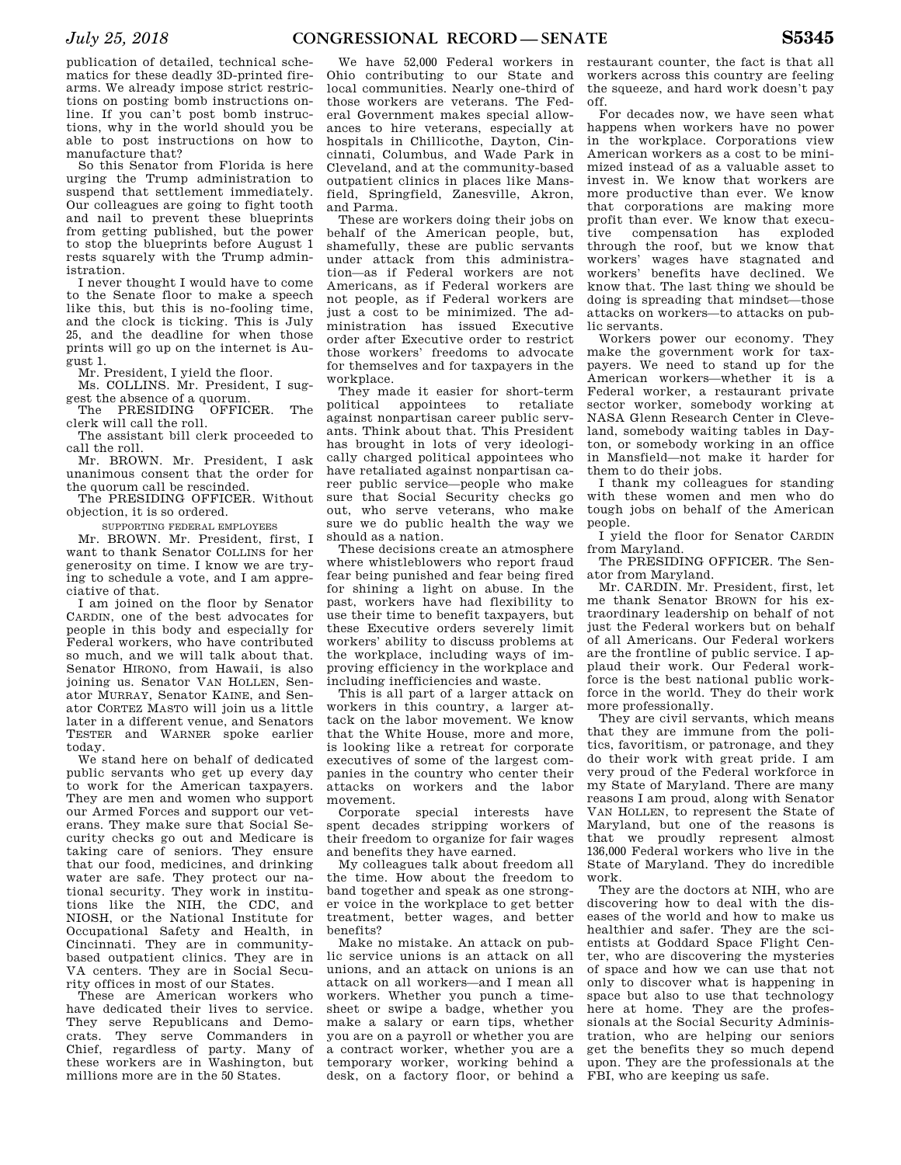publication of detailed, technical schematics for these deadly 3D-printed firearms. We already impose strict restrictions on posting bomb instructions online. If you can't post bomb instructions, why in the world should you be able to post instructions on how to manufacture that?

So this Senator from Florida is here urging the Trump administration to suspend that settlement immediately. Our colleagues are going to fight tooth and nail to prevent these blueprints from getting published, but the power to stop the blueprints before August 1 rests squarely with the Trump administration.

I never thought I would have to come to the Senate floor to make a speech like this, but this is no-fooling time, and the clock is ticking. This is July 25, and the deadline for when those prints will go up on the internet is August 1.

Mr. President, I yield the floor.

Ms. COLLINS. Mr. President, I suggest the absence of a quorum.

The PRESIDING OFFICER. The clerk will call the roll.

The assistant bill clerk proceeded to call the roll.

Mr. BROWN. Mr. President, I ask unanimous consent that the order for the quorum call be rescinded.

The PRESIDING OFFICER. Without objection, it is so ordered.

SUPPORTING FEDERAL EMPLOYEES

Mr. BROWN. Mr. President, first, I want to thank Senator COLLINS for her generosity on time. I know we are trying to schedule a vote, and I am appreciative of that.

I am joined on the floor by Senator CARDIN, one of the best advocates for people in this body and especially for Federal workers, who have contributed so much, and we will talk about that. Senator HIRONO, from Hawaii, is also joining us. Senator VAN HOLLEN, Senator MURRAY, Senator KAINE, and Senator CORTEZ MASTO will join us a little later in a different venue, and Senators TESTER and WARNER spoke earlier today.

We stand here on behalf of dedicated public servants who get up every day to work for the American taxpayers. They are men and women who support our Armed Forces and support our veterans. They make sure that Social Security checks go out and Medicare is taking care of seniors. They ensure that our food, medicines, and drinking water are safe. They protect our national security. They work in institutions like the NIH, the CDC, and NIOSH, or the National Institute for Occupational Safety and Health, in Cincinnati. They are in communitybased outpatient clinics. They are in VA centers. They are in Social Security offices in most of our States.

These are American workers who have dedicated their lives to service. They serve Republicans and Democrats. They serve Commanders in Chief, regardless of party. Many of these workers are in Washington, but millions more are in the 50 States.

We have 52,000 Federal workers in Ohio contributing to our State and local communities. Nearly one-third of those workers are veterans. The Federal Government makes special allowances to hire veterans, especially at hospitals in Chillicothe, Dayton, Cincinnati, Columbus, and Wade Park in Cleveland, and at the community-based outpatient clinics in places like Mansfield, Springfield, Zanesville, Akron, and Parma.

These are workers doing their jobs on behalf of the American people, but, shamefully, these are public servants under attack from this administration—as if Federal workers are not Americans, as if Federal workers are not people, as if Federal workers are just a cost to be minimized. The administration has issued Executive order after Executive order to restrict those workers' freedoms to advocate for themselves and for taxpayers in the workplace.

They made it easier for short-term<br>plitical sappointees to retaliate political appointees to against nonpartisan career public servants. Think about that. This President has brought in lots of very ideologically charged political appointees who have retaliated against nonpartisan career public service—people who make sure that Social Security checks go out, who serve veterans, who make sure we do public health the way we should as a nation.

These decisions create an atmosphere where whistleblowers who report fraud fear being punished and fear being fired for shining a light on abuse. In the past, workers have had flexibility to use their time to benefit taxpayers, but these Executive orders severely limit workers' ability to discuss problems at the workplace, including ways of improving efficiency in the workplace and including inefficiencies and waste.

This is all part of a larger attack on workers in this country, a larger attack on the labor movement. We know that the White House, more and more, is looking like a retreat for corporate executives of some of the largest companies in the country who center their attacks on workers and the labor movement.

Corporate special interests have spent decades stripping workers of their freedom to organize for fair wages and benefits they have earned.

My colleagues talk about freedom all the time. How about the freedom to band together and speak as one stronger voice in the workplace to get better treatment, better wages, and better benefits?

Make no mistake. An attack on public service unions is an attack on all unions, and an attack on unions is an attack on all workers—and I mean all workers. Whether you punch a timesheet or swipe a badge, whether you make a salary or earn tips, whether you are on a payroll or whether you are a contract worker, whether you are a temporary worker, working behind a desk, on a factory floor, or behind a

restaurant counter, the fact is that all workers across this country are feeling the squeeze, and hard work doesn't pay off.

For decades now, we have seen what happens when workers have no power in the workplace. Corporations view American workers as a cost to be minimized instead of as a valuable asset to invest in. We know that workers are more productive than ever. We know that corporations are making more profit than ever. We know that execu-<br>tive compensation has exploded compensation has through the roof, but we know that workers' wages have stagnated and workers' benefits have declined. We know that. The last thing we should be doing is spreading that mindset—those attacks on workers—to attacks on public servants.

Workers power our economy. They make the government work for taxpayers. We need to stand up for the American workers—whether it is a Federal worker, a restaurant private sector worker, somebody working at NASA Glenn Research Center in Cleveland, somebody waiting tables in Dayton, or somebody working in an office in Mansfield—not make it harder for them to do their jobs.

I thank my colleagues for standing with these women and men who do tough jobs on behalf of the American people.

I yield the floor for Senator CARDIN from Maryland.

The PRESIDING OFFICER. The Senator from Maryland.

Mr. CARDIN. Mr. President, first, let me thank Senator BROWN for his extraordinary leadership on behalf of not just the Federal workers but on behalf of all Americans. Our Federal workers are the frontline of public service. I applaud their work. Our Federal workforce is the best national public workforce in the world. They do their work more professionally.

They are civil servants, which means that they are immune from the politics, favoritism, or patronage, and they do their work with great pride. I am very proud of the Federal workforce in my State of Maryland. There are many reasons I am proud, along with Senator VAN HOLLEN, to represent the State of Maryland, but one of the reasons is that we proudly represent almost 136,000 Federal workers who live in the State of Maryland. They do incredible work.

They are the doctors at NIH, who are discovering how to deal with the diseases of the world and how to make us healthier and safer. They are the scientists at Goddard Space Flight Center, who are discovering the mysteries of space and how we can use that not only to discover what is happening in space but also to use that technology here at home. They are the professionals at the Social Security Administration, who are helping our seniors get the benefits they so much depend upon. They are the professionals at the FBI, who are keeping us safe.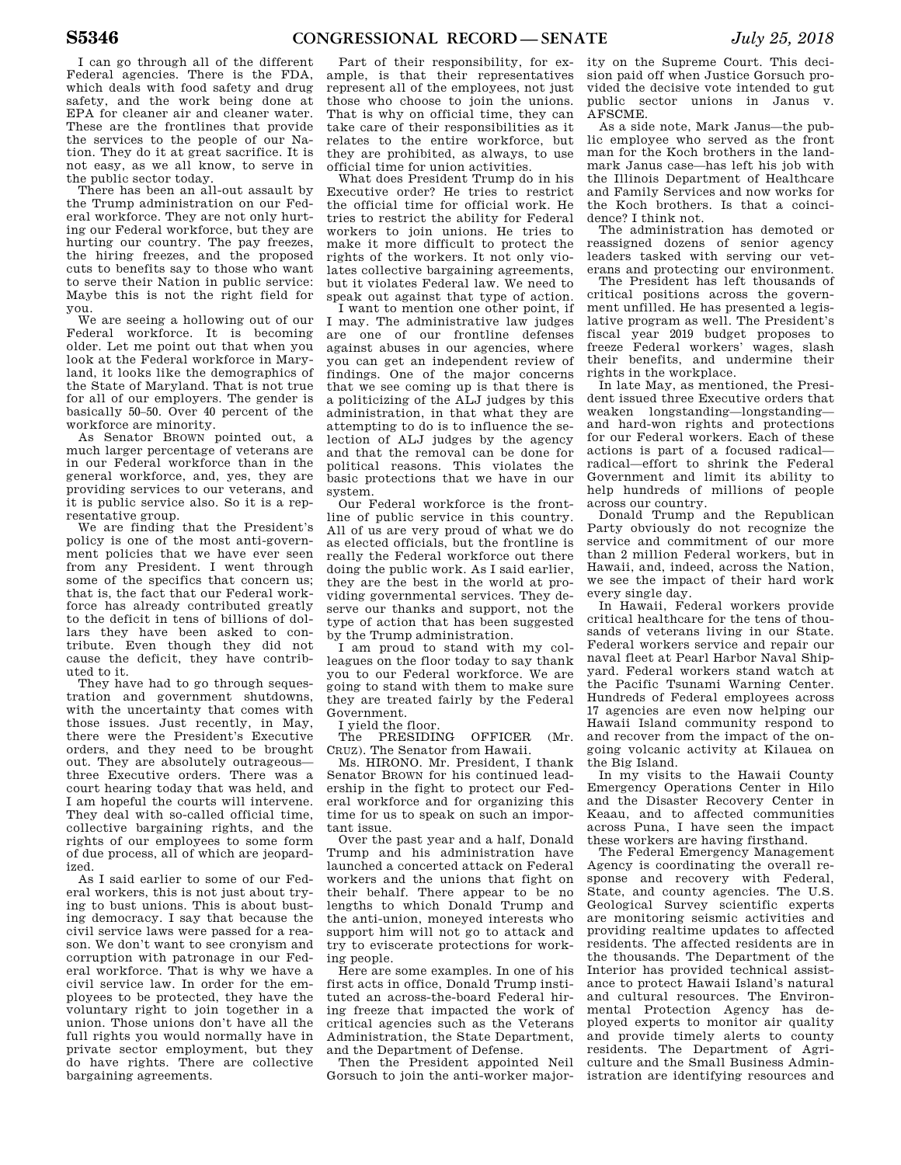I can go through all of the different Federal agencies. There is the FDA, which deals with food safety and drug safety, and the work being done at EPA for cleaner air and cleaner water. These are the frontlines that provide the services to the people of our Nation. They do it at great sacrifice. It is not easy, as we all know, to serve in the public sector today.

There has been an all-out assault by the Trump administration on our Federal workforce. They are not only hurting our Federal workforce, but they are hurting our country. The pay freezes, the hiring freezes, and the proposed cuts to benefits say to those who want to serve their Nation in public service: Maybe this is not the right field for you.

We are seeing a hollowing out of our Federal workforce. It is becoming older. Let me point out that when you look at the Federal workforce in Maryland, it looks like the demographics of the State of Maryland. That is not true for all of our employers. The gender is basically 50–50. Over 40 percent of the workforce are minority.

As Senator BROWN pointed out, a much larger percentage of veterans are in our Federal workforce than in the general workforce, and, yes, they are providing services to our veterans, and it is public service also. So it is a representative group.

We are finding that the President's policy is one of the most anti-government policies that we have ever seen from any President. I went through some of the specifics that concern us; that is, the fact that our Federal workforce has already contributed greatly to the deficit in tens of billions of dollars they have been asked to contribute. Even though they did not cause the deficit, they have contributed to it.

They have had to go through sequestration and government shutdowns, with the uncertainty that comes with those issues. Just recently, in May, there were the President's Executive orders, and they need to be brought out. They are absolutely outrageous three Executive orders. There was a court hearing today that was held, and I am hopeful the courts will intervene. They deal with so-called official time, collective bargaining rights, and the rights of our employees to some form of due process, all of which are jeopardized.

As I said earlier to some of our Federal workers, this is not just about trying to bust unions. This is about busting democracy. I say that because the civil service laws were passed for a reason. We don't want to see cronyism and corruption with patronage in our Federal workforce. That is why we have a civil service law. In order for the employees to be protected, they have the voluntary right to join together in a union. Those unions don't have all the full rights you would normally have in private sector employment, but they do have rights. There are collective bargaining agreements.

Part of their responsibility, for example, is that their representatives represent all of the employees, not just those who choose to join the unions. That is why on official time, they can take care of their responsibilities as it relates to the entire workforce, but they are prohibited, as always, to use official time for union activities.

What does President Trump do in his Executive order? He tries to restrict the official time for official work. He tries to restrict the ability for Federal workers to join unions. He tries to make it more difficult to protect the rights of the workers. It not only violates collective bargaining agreements, but it violates Federal law. We need to speak out against that type of action.

I want to mention one other point, if I may. The administrative law judges are one of our frontline defenses against abuses in our agencies, where you can get an independent review of findings. One of the major concerns that we see coming up is that there is a politicizing of the ALJ judges by this administration, in that what they are attempting to do is to influence the selection of ALJ judges by the agency and that the removal can be done for political reasons. This violates the basic protections that we have in our system.

Our Federal workforce is the frontline of public service in this country. All of us are very proud of what we do as elected officials, but the frontline is really the Federal workforce out there doing the public work. As I said earlier, they are the best in the world at providing governmental services. They deserve our thanks and support, not the type of action that has been suggested by the Trump administration.

I am proud to stand with my colleagues on the floor today to say thank you to our Federal workforce. We are going to stand with them to make sure they are treated fairly by the Federal Government.

I yield the floor.

The PRESIDING OFFICER (Mr. CRUZ). The Senator from Hawaii.

Ms. HIRONO. Mr. President, I thank Senator BROWN for his continued leadership in the fight to protect our Federal workforce and for organizing this time for us to speak on such an important issue.

Over the past year and a half, Donald Trump and his administration have launched a concerted attack on Federal workers and the unions that fight on their behalf. There appear to be no lengths to which Donald Trump and the anti-union, moneyed interests who support him will not go to attack and try to eviscerate protections for working people.

Here are some examples. In one of his first acts in office, Donald Trump instituted an across-the-board Federal hiring freeze that impacted the work of critical agencies such as the Veterans Administration, the State Department, and the Department of Defense.

Then the President appointed Neil Gorsuch to join the anti-worker major-

ity on the Supreme Court. This decision paid off when Justice Gorsuch provided the decisive vote intended to gut public sector unions in Janus v. AFSCME.

As a side note, Mark Janus—the public employee who served as the front man for the Koch brothers in the landmark Janus case—has left his job with the Illinois Department of Healthcare and Family Services and now works for the Koch brothers. Is that a coincidence? I think not.

The administration has demoted or reassigned dozens of senior agency leaders tasked with serving our veterans and protecting our environment.

The President has left thousands of critical positions across the government unfilled. He has presented a legislative program as well. The President's fiscal year 2019 budget proposes to freeze Federal workers' wages, slash their benefits, and undermine their rights in the workplace.

In late May, as mentioned, the President issued three Executive orders that weaken longstanding—longstanding and hard-won rights and protections for our Federal workers. Each of these actions is part of a focused radical radical—effort to shrink the Federal Government and limit its ability to help hundreds of millions of people across our country.

Donald Trump and the Republican Party obviously do not recognize the service and commitment of our more than 2 million Federal workers, but in Hawaii, and, indeed, across the Nation, we see the impact of their hard work every single day.

In Hawaii, Federal workers provide critical healthcare for the tens of thousands of veterans living in our State. Federal workers service and repair our naval fleet at Pearl Harbor Naval Shipyard. Federal workers stand watch at the Pacific Tsunami Warning Center. Hundreds of Federal employees across 17 agencies are even now helping our Hawaii Island community respond to and recover from the impact of the ongoing volcanic activity at Kilauea on the Big Island.

In my visits to the Hawaii County Emergency Operations Center in Hilo and the Disaster Recovery Center in Keaau, and to affected communities across Puna, I have seen the impact these workers are having firsthand.

The Federal Emergency Management Agency is coordinating the overall response and recovery with Federal, State, and county agencies. The U.S. Geological Survey scientific experts are monitoring seismic activities and providing realtime updates to affected residents. The affected residents are in the thousands. The Department of the Interior has provided technical assistance to protect Hawaii Island's natural and cultural resources. The Environmental Protection Agency has deployed experts to monitor air quality and provide timely alerts to county residents. The Department of Agriculture and the Small Business Administration are identifying resources and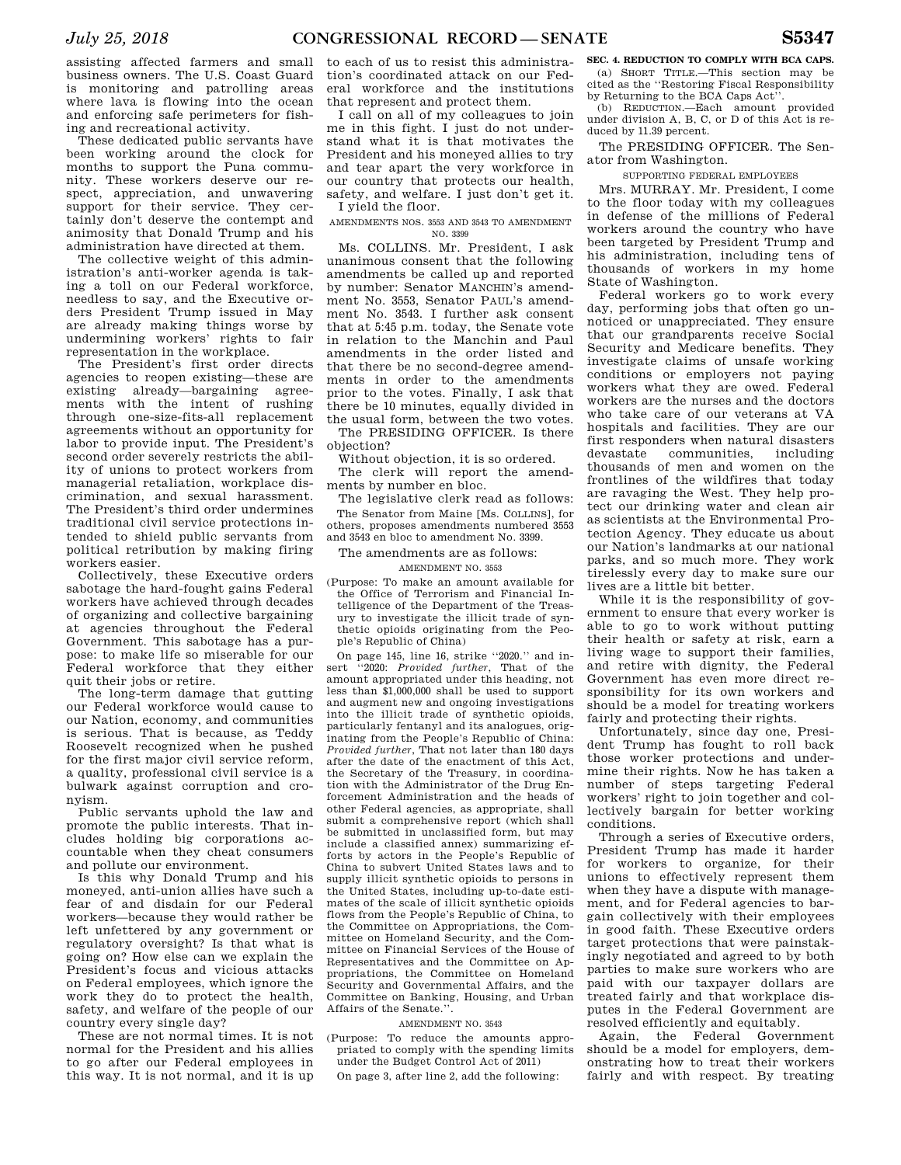assisting affected farmers and small business owners. The U.S. Coast Guard is monitoring and patrolling areas where lava is flowing into the ocean and enforcing safe perimeters for fishing and recreational activity.

These dedicated public servants have been working around the clock for months to support the Puna community. These workers deserve our respect, appreciation, and unwavering support for their service. They certainly don't deserve the contempt and animosity that Donald Trump and his administration have directed at them.

The collective weight of this administration's anti-worker agenda is taking a toll on our Federal workforce, needless to say, and the Executive orders President Trump issued in May are already making things worse by undermining workers' rights to fair representation in the workplace.

The President's first order directs agencies to reopen existing—these are existing already—bargaining agreements with the intent of rushing through one-size-fits-all replacement agreements without an opportunity for labor to provide input. The President's second order severely restricts the ability of unions to protect workers from managerial retaliation, workplace discrimination, and sexual harassment. The President's third order undermines traditional civil service protections intended to shield public servants from political retribution by making firing workers easier.

Collectively, these Executive orders sabotage the hard-fought gains Federal workers have achieved through decades of organizing and collective bargaining at agencies throughout the Federal Government. This sabotage has a purpose: to make life so miserable for our Federal workforce that they either quit their jobs or retire.

The long-term damage that gutting our Federal workforce would cause to our Nation, economy, and communities is serious. That is because, as Teddy Roosevelt recognized when he pushed for the first major civil service reform, a quality, professional civil service is a bulwark against corruption and cronyism.

Public servants uphold the law and promote the public interests. That includes holding big corporations accountable when they cheat consumers and pollute our environment.

Is this why Donald Trump and his moneyed, anti-union allies have such a fear of and disdain for our Federal workers—because they would rather be left unfettered by any government or regulatory oversight? Is that what is going on? How else can we explain the President's focus and vicious attacks on Federal employees, which ignore the work they do to protect the health, safety, and welfare of the people of our country every single day?

These are not normal times. It is not normal for the President and his allies to go after our Federal employees in this way. It is not normal, and it is up

to each of us to resist this administration's coordinated attack on our Federal workforce and the institutions that represent and protect them.

I call on all of my colleagues to join me in this fight. I just do not understand what it is that motivates the President and his moneyed allies to try and tear apart the very workforce in our country that protects our health, safety, and welfare. I just don't get it. I yield the floor.

AMENDMENTS NOS. 3553 AND 3543 TO AMENDMENT NO. 3399

Ms. COLLINS. Mr. President, I ask unanimous consent that the following amendments be called up and reported by number: Senator MANCHIN's amendment No. 3553, Senator PAUL's amendment No. 3543. I further ask consent that at 5:45 p.m. today, the Senate vote in relation to the Manchin and Paul amendments in the order listed and that there be no second-degree amendments in order to the amendments prior to the votes. Finally, I ask that there be 10 minutes, equally divided in the usual form, between the two votes.

The PRESIDING OFFICER. Is there objection?

Without objection, it is so ordered. The clerk will report the amendments by number en bloc.

The legislative clerk read as follows: The Senator from Maine [Ms. COLLINS], for others, proposes amendments numbered 3553 and 3543 en bloc to amendment No. 3399.

The amendments are as follows:

#### AMENDMENT NO. 3553

(Purpose: To make an amount available for the Office of Terrorism and Financial Intelligence of the Department of the Treasury to investigate the illicit trade of synthetic opioids originating from the People's Republic of China)

On page 145, line 16, strike ''2020.'' and insert ''2020: *Provided further*, That of the amount appropriated under this heading, not less than \$1,000,000 shall be used to support and augment new and ongoing investigations into the illicit trade of synthetic opioids, particularly fentanyl and its analogues, originating from the People's Republic of China: *Provided further*, That not later than 180 days after the date of the enactment of this Act, the Secretary of the Treasury, in coordination with the Administrator of the Drug Enforcement Administration and the heads of other Federal agencies, as appropriate, shall submit a comprehensive report (which shall be submitted in unclassified form, but may include a classified annex) summarizing efforts by actors in the People's Republic of China to subvert United States laws and to supply illicit synthetic opioids to persons in the United States, including up-to-date estimates of the scale of illicit synthetic opioids flows from the People's Republic of China, to the Committee on Appropriations, the Committee on Homeland Security, and the Committee on Financial Services of the House of Representatives and the Committee on Appropriations, the Committee on Homeland Security and Governmental Affairs, and the Committee on Banking, Housing, and Urban Affairs of the Senate.''.

#### AMENDMENT NO. 3543

(Purpose: To reduce the amounts appropriated to comply with the spending limits under the Budget Control Act of 2011)

On page 3, after line 2, add the following:

**SEC. 4. REDUCTION TO COMPLY WITH BCA CAPS.**  (a) SHORT TITLE.—This section may be

cited as the ''Restoring Fiscal Responsibility by Returning to the BCA Caps Act''.

(b) REDUCTION.—Each amount provided under division A, B, C, or D of this Act is reduced by 11.39 percent.

The PRESIDING OFFICER. The Senator from Washington.

SUPPORTING FEDERAL EMPLOYEES

Mrs. MURRAY. Mr. President, I come to the floor today with my colleagues in defense of the millions of Federal workers around the country who have been targeted by President Trump and his administration, including tens of thousands of workers in my home State of Washington.

Federal workers go to work every day, performing jobs that often go unnoticed or unappreciated. They ensure that our grandparents receive Social Security and Medicare benefits. They investigate claims of unsafe working conditions or employers not paying workers what they are owed. Federal workers are the nurses and the doctors who take care of our veterans at VA hospitals and facilities. They are our first responders when natural disasters devastate communities, including thousands of men and women on the frontlines of the wildfires that today are ravaging the West. They help protect our drinking water and clean air as scientists at the Environmental Protection Agency. They educate us about our Nation's landmarks at our national parks, and so much more. They work tirelessly every day to make sure our lives are a little bit better.

While it is the responsibility of government to ensure that every worker is able to go to work without putting their health or safety at risk, earn a living wage to support their families, and retire with dignity, the Federal Government has even more direct responsibility for its own workers and should be a model for treating workers fairly and protecting their rights.

Unfortunately, since day one, President Trump has fought to roll back those worker protections and undermine their rights. Now he has taken a number of steps targeting Federal workers' right to join together and collectively bargain for better working conditions.

Through a series of Executive orders, President Trump has made it harder for workers to organize, for their unions to effectively represent them when they have a dispute with management, and for Federal agencies to bargain collectively with their employees in good faith. These Executive orders target protections that were painstakingly negotiated and agreed to by both parties to make sure workers who are paid with our taxpayer dollars are treated fairly and that workplace disputes in the Federal Government are resolved efficiently and equitably.

Again, the Federal Government should be a model for employers, demonstrating how to treat their workers fairly and with respect. By treating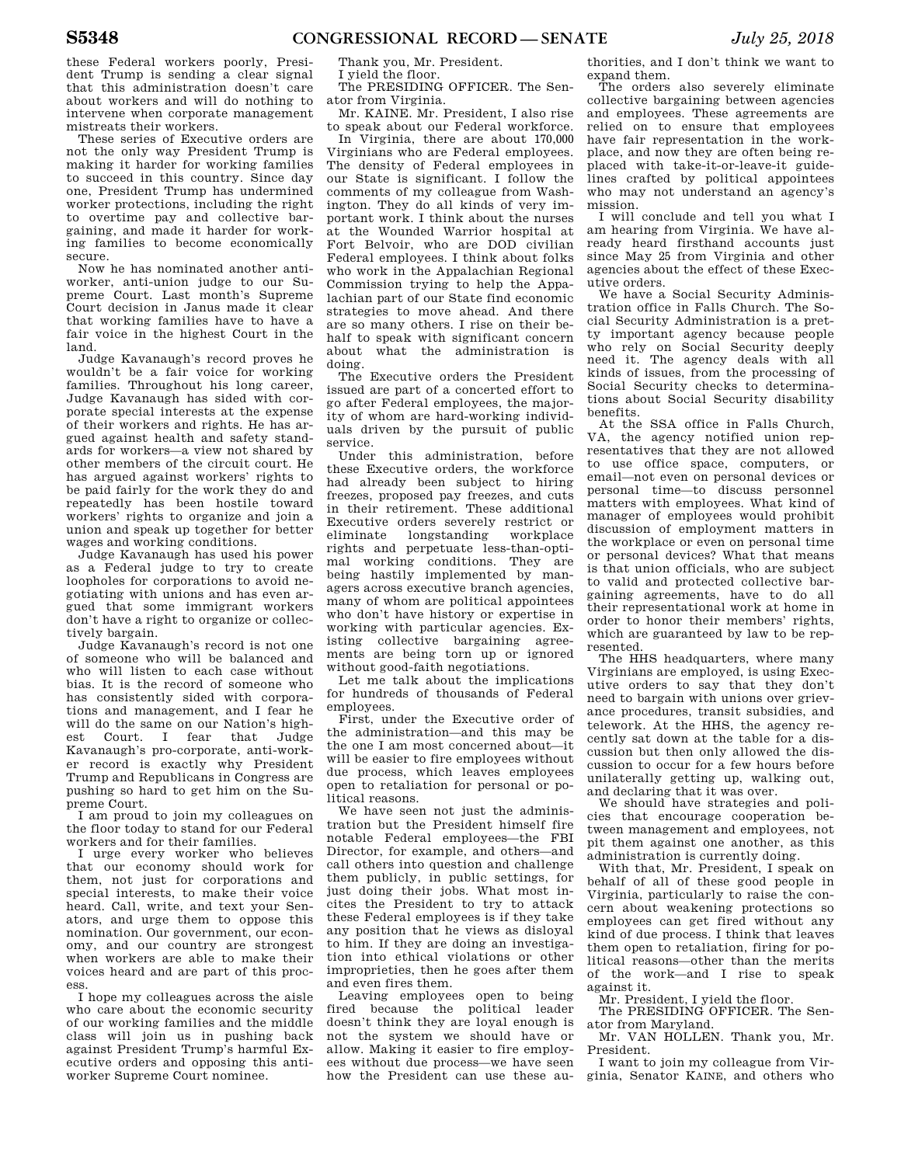these Federal workers poorly, President Trump is sending a clear signal that this administration doesn't care about workers and will do nothing to intervene when corporate management mistreats their workers.

These series of Executive orders are not the only way President Trump is making it harder for working families to succeed in this country. Since day one, President Trump has undermined worker protections, including the right to overtime pay and collective bargaining, and made it harder for working families to become economically secure.

Now he has nominated another antiworker, anti-union judge to our Supreme Court. Last month's Supreme Court decision in Janus made it clear that working families have to have a fair voice in the highest Court in the land.

Judge Kavanaugh's record proves he wouldn't be a fair voice for working families. Throughout his long career, Judge Kavanaugh has sided with corporate special interests at the expense of their workers and rights. He has argued against health and safety standards for workers—a view not shared by other members of the circuit court. He has argued against workers' rights to be paid fairly for the work they do and repeatedly has been hostile toward workers' rights to organize and join a union and speak up together for better wages and working conditions.

Judge Kavanaugh has used his power as a Federal judge to try to create loopholes for corporations to avoid negotiating with unions and has even argued that some immigrant workers don't have a right to organize or collectively bargain.

Judge Kavanaugh's record is not one of someone who will be balanced and who will listen to each case without bias. It is the record of someone who has consistently sided with corporations and management, and I fear he will do the same on our Nation's highest Court. I fear that Judge Kavanaugh's pro-corporate, anti-worker record is exactly why President Trump and Republicans in Congress are pushing so hard to get him on the Supreme Court.

I am proud to join my colleagues on the floor today to stand for our Federal workers and for their families.

I urge every worker who believes that our economy should work for them, not just for corporations and special interests, to make their voice heard. Call, write, and text your Senators, and urge them to oppose this nomination. Our government, our economy, and our country are strongest when workers are able to make their voices heard and are part of this process.

I hope my colleagues across the aisle who care about the economic security of our working families and the middle class will join us in pushing back against President Trump's harmful Executive orders and opposing this antiworker Supreme Court nominee.

Thank you, Mr. President.

I yield the floor.

The PRESIDING OFFICER. The Senator from Virginia.

Mr. KAINE. Mr. President, I also rise to speak about our Federal workforce.

In Virginia, there are about 170,000 Virginians who are Federal employees. The density of Federal employees in our State is significant. I follow the comments of my colleague from Washington. They do all kinds of very important work. I think about the nurses at the Wounded Warrior hospital at Fort Belvoir, who are DOD civilian Federal employees. I think about folks who work in the Appalachian Regional Commission trying to help the Appalachian part of our State find economic strategies to move ahead. And there are so many others. I rise on their behalf to speak with significant concern about what the administration is doing.

The Executive orders the President issued are part of a concerted effort to go after Federal employees, the majority of whom are hard-working individuals driven by the pursuit of public service.

Under this administration, before these Executive orders, the workforce had already been subject to hiring freezes, proposed pay freezes, and cuts in their retirement. These additional Executive orders severely restrict or eliminate longstanding workplace rights and perpetuate less-than-optimal working conditions. They are being hastily implemented by managers across executive branch agencies, many of whom are political appointees who don't have history or expertise in working with particular agencies. Existing collective bargaining agreements are being torn up or ignored without good-faith negotiations.

Let me talk about the implications for hundreds of thousands of Federal employees.

First, under the Executive order of the administration—and this may be the one I am most concerned about—it will be easier to fire employees without due process, which leaves employees open to retaliation for personal or political reasons.

We have seen not just the administration but the President himself fire notable Federal employees—the FBI Director, for example, and others—and call others into question and challenge them publicly, in public settings, for just doing their jobs. What most incites the President to try to attack these Federal employees is if they take any position that he views as disloyal to him. If they are doing an investigation into ethical violations or other improprieties, then he goes after them and even fires them.

Leaving employees open to being fired because the political leader doesn't think they are loyal enough is not the system we should have or allow. Making it easier to fire employees without due process—we have seen how the President can use these au-

thorities, and I don't think we want to expand them.

The orders also severely eliminate collective bargaining between agencies and employees. These agreements are relied on to ensure that employees have fair representation in the workplace, and now they are often being replaced with take-it-or-leave-it guidelines crafted by political appointees who may not understand an agency's mission.

I will conclude and tell you what I am hearing from Virginia. We have already heard firsthand accounts just since May 25 from Virginia and other agencies about the effect of these Executive orders.

We have a Social Security Administration office in Falls Church. The Social Security Administration is a pretty important agency because people who rely on Social Security deeply need it. The agency deals with all kinds of issues, from the processing of Social Security checks to determinations about Social Security disability benefits.

At the SSA office in Falls Church, VA, the agency notified union representatives that they are not allowed to use office space, computers, or email—not even on personal devices or personal time—to discuss personnel matters with employees. What kind of manager of employees would prohibit discussion of employment matters in the workplace or even on personal time or personal devices? What that means is that union officials, who are subject to valid and protected collective bargaining agreements, have to do all their representational work at home in order to honor their members' rights, which are guaranteed by law to be represented.

The HHS headquarters, where many Virginians are employed, is using Executive orders to say that they don't need to bargain with unions over grievance procedures, transit subsidies, and telework. At the HHS, the agency recently sat down at the table for a discussion but then only allowed the discussion to occur for a few hours before unilaterally getting up, walking out, and declaring that it was over.

We should have strategies and policies that encourage cooperation between management and employees, not pit them against one another, as this administration is currently doing.

With that, Mr. President, I speak on behalf of all of these good people in Virginia, particularly to raise the concern about weakening protections so employees can get fired without any kind of due process. I think that leaves them open to retaliation, firing for political reasons—other than the merits of the work—and I rise to speak against it.

Mr. President, I yield the floor.

The PRESIDING OFFICER. The Senator from Maryland.

Mr. VAN HOLLEN. Thank you, Mr. President.

I want to join my colleague from Virginia, Senator KAINE, and others who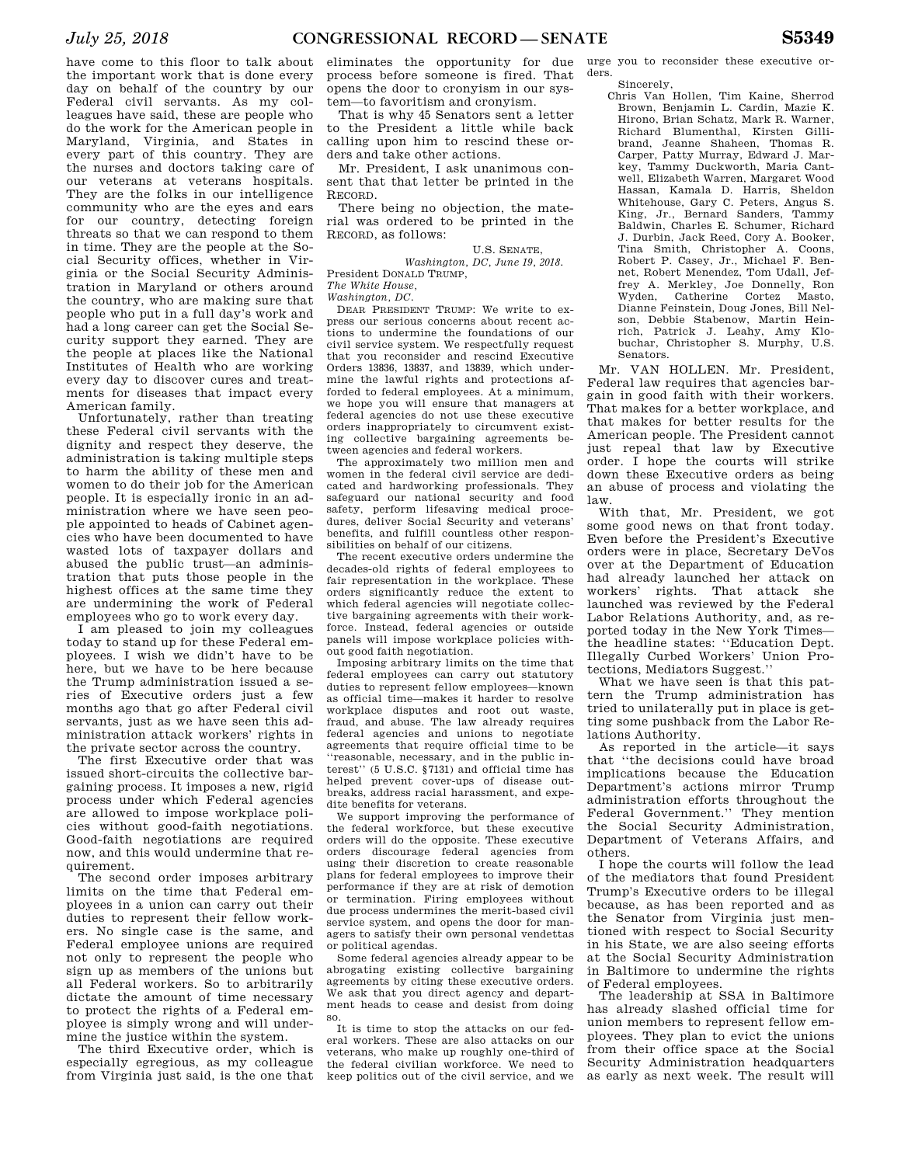have come to this floor to talk about the important work that is done every day on behalf of the country by our Federal civil servants. As my colleagues have said, these are people who do the work for the American people in Maryland, Virginia, and States in every part of this country. They are the nurses and doctors taking care of our veterans at veterans hospitals. They are the folks in our intelligence community who are the eyes and ears for our country, detecting foreign threats so that we can respond to them in time. They are the people at the Social Security offices, whether in Virginia or the Social Security Administration in Maryland or others around the country, who are making sure that people who put in a full day's work and had a long career can get the Social Security support they earned. They are the people at places like the National Institutes of Health who are working every day to discover cures and treatments for diseases that impact every American family.

Unfortunately, rather than treating these Federal civil servants with the dignity and respect they deserve, the administration is taking multiple steps to harm the ability of these men and women to do their job for the American people. It is especially ironic in an administration where we have seen people appointed to heads of Cabinet agencies who have been documented to have wasted lots of taxpayer dollars and abused the public trust—an administration that puts those people in the highest offices at the same time they are undermining the work of Federal employees who go to work every day.

I am pleased to join my colleagues today to stand up for these Federal employees. I wish we didn't have to be here, but we have to be here because the Trump administration issued a series of Executive orders just a few months ago that go after Federal civil servants, just as we have seen this administration attack workers' rights in the private sector across the country.

The first Executive order that was issued short-circuits the collective bargaining process. It imposes a new, rigid process under which Federal agencies are allowed to impose workplace policies without good-faith negotiations. Good-faith negotiations are required now, and this would undermine that requirement.

The second order imposes arbitrary limits on the time that Federal employees in a union can carry out their duties to represent their fellow workers. No single case is the same, and Federal employee unions are required not only to represent the people who sign up as members of the unions but all Federal workers. So to arbitrarily dictate the amount of time necessary to protect the rights of a Federal employee is simply wrong and will undermine the justice within the system.

The third Executive order, which is especially egregious, as my colleague from Virginia just said, is the one that eliminates the opportunity for due process before someone is fired. That opens the door to cronyism in our system—to favoritism and cronyism.

That is why 45 Senators sent a letter to the President a little while back calling upon him to rescind these orders and take other actions.

Mr. President, I ask unanimous consent that that letter be printed in the RECORD.

There being no objection, the material was ordered to be printed in the RECORD, as follows:

U.S. SENATE, *Washington, DC, June 19, 2018.*  President DONALD TRUMP,

*The White House,* 

*Washington, DC.* 

DEAR PRESIDENT TRUMP: We write to express our serious concerns about recent actions to undermine the foundations of our civil service system. We respectfully request that you reconsider and rescind Executive Orders 13836, 13837, and 13839, which undermine the lawful rights and protections afforded to federal employees. At a minimum, we hope you will ensure that managers at federal agencies do not use these executive orders inappropriately to circumvent existing collective bargaining agreements between agencies and federal workers.

The approximately two million men and women in the federal civil service are dedicated and hardworking professionals. They safeguard our national security and food safety, perform lifesaving medical procedures, deliver Social Security and veterans' benefits, and fulfill countless other responsibilities on behalf of our citizens.

The recent executive orders undermine the decades-old rights of federal employees to fair representation in the workplace. These orders significantly reduce the extent to which federal agencies will negotiate collective bargaining agreements with their workforce. Instead, federal agencies or outside panels will impose workplace policies without good faith negotiation.

Imposing arbitrary limits on the time that federal employees can carry out statutory duties to represent fellow employees—known as official time—makes it harder to resolve workplace disputes and root out waste, fraud, and abuse. The law already requires federal agencies and unions to negotiate agreements that require official time to be ''reasonable, necessary, and in the public interest'' (5 U.S.C. §7131) and official time has helped prevent cover-ups of disease outbreaks, address racial harassment, and expedite benefits for veterans.

We support improving the performance of the federal workforce, but these executive orders will do the opposite. These executive orders discourage federal agencies from using their discretion to create reasonable plans for federal employees to improve their performance if they are at risk of demotion or termination. Firing employees without due process undermines the merit-based civil service system, and opens the door for managers to satisfy their own personal vendettas or political agendas.

Some federal agencies already appear to be abrogating existing collective bargaining agreements by citing these executive orders. We ask that you direct agency and department heads to cease and desist from doing so.

It is time to stop the attacks on our federal workers. These are also attacks on our veterans, who make up roughly one-third of the federal civilian workforce. We need to keep politics out of the civil service, and we

urge you to reconsider these executive orders.

Sincerely,

Chris Van Hollen, Tim Kaine, Sherrod Brown, Benjamin L. Cardin, Mazie K. Hirono, Brian Schatz, Mark R. Warner, Richard Blumenthal, Kirsten Gillibrand, Jeanne Shaheen, Thomas R. Carper, Patty Murray, Edward J. Markey, Tammy Duckworth, Maria Cantwell, Elizabeth Warren, Margaret Wood Hassan, Kamala D. Harris, Sheldon Whitehouse, Gary C. Peters, Angus S. King, Jr., Bernard Sanders, Tammy Baldwin, Charles E. Schumer, Richard J. Durbin, Jack Reed, Cory A. Booker, Tina Smith, Christopher A. Coons, Robert P. Casey, Jr., Michael F. Bennet, Robert Menendez, Tom Udall, Jeffrey A. Merkley, Joe Donnelly, Ron Wyden, Catherine Cortez Masto, Dianne Feinstein, Doug Jones, Bill Nelson, Debbie Stabenow, Martin Heinrich, Patrick J. Leahy, Amy Klobuchar, Christopher S. Murphy, U.S. Senators.

Mr. VAN HOLLEN. Mr. President, Federal law requires that agencies bargain in good faith with their workers. That makes for a better workplace, and that makes for better results for the American people. The President cannot just repeal that law by Executive order. I hope the courts will strike down these Executive orders as being an abuse of process and violating the law.

With that, Mr. President, we got some good news on that front today Even before the President's Executive orders were in place, Secretary DeVos over at the Department of Education had already launched her attack on workers' rights. That attack she launched was reviewed by the Federal Labor Relations Authority, and, as reported today in the New York Times the headline states: ''Education Dept. Illegally Curbed Workers' Union Protections, Mediators Suggest.''

What we have seen is that this pattern the Trump administration has tried to unilaterally put in place is getting some pushback from the Labor Relations Authority.

As reported in the article—it says that ''the decisions could have broad implications because the Education Department's actions mirror Trump administration efforts throughout the Federal Government.'' They mention the Social Security Administration, Department of Veterans Affairs, and others.

I hope the courts will follow the lead of the mediators that found President Trump's Executive orders to be illegal because, as has been reported and as the Senator from Virginia just mentioned with respect to Social Security in his State, we are also seeing efforts at the Social Security Administration in Baltimore to undermine the rights of Federal employees.

The leadership at SSA in Baltimore has already slashed official time for union members to represent fellow employees. They plan to evict the unions from their office space at the Social Security Administration headquarters as early as next week. The result will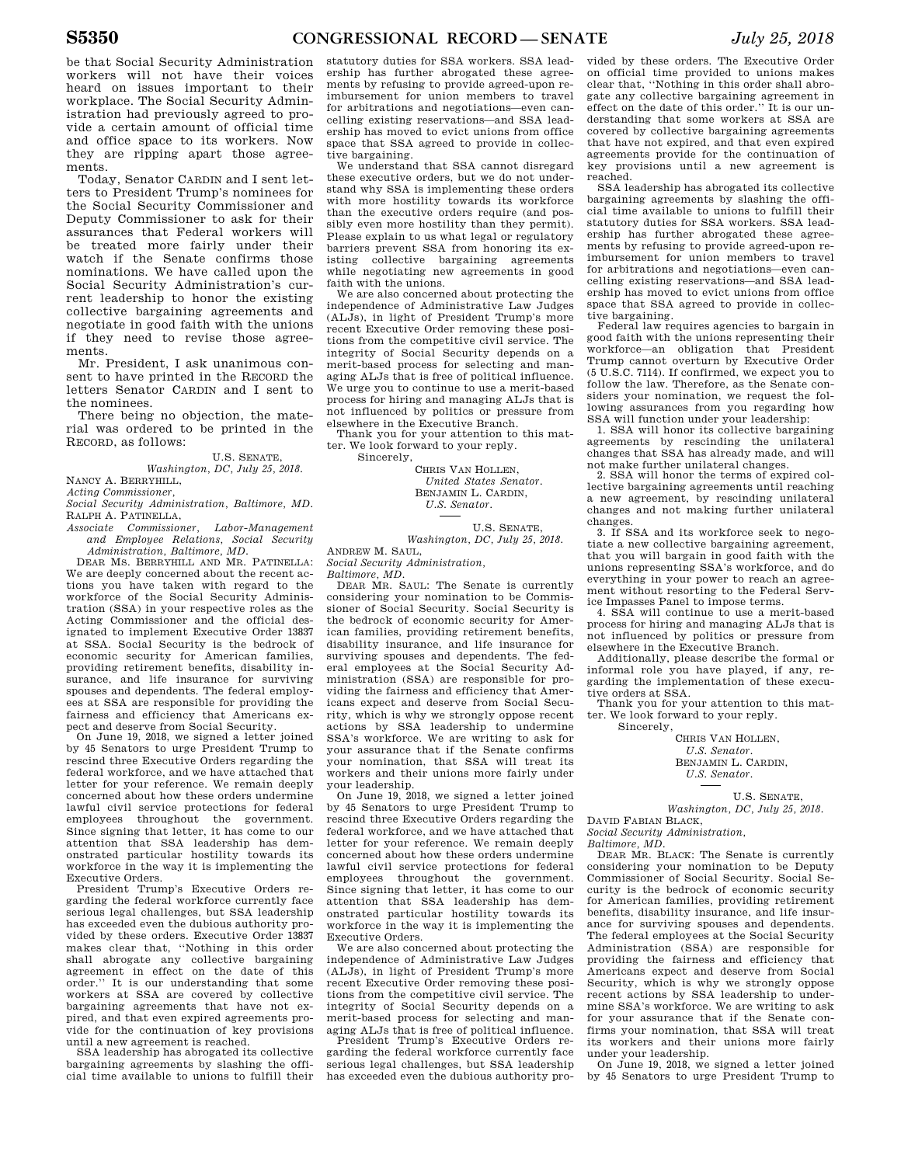be that Social Security Administration workers will not have their voices heard on issues important to their workplace. The Social Security Administration had previously agreed to provide a certain amount of official time and office space to its workers. Now they are ripping apart those agreements.

Today, Senator CARDIN and I sent letters to President Trump's nominees for the Social Security Commissioner and Deputy Commissioner to ask for their assurances that Federal workers will be treated more fairly under their watch if the Senate confirms those nominations. We have called upon the Social Security Administration's current leadership to honor the existing collective bargaining agreements and negotiate in good faith with the unions if they need to revise those agreements.

Mr. President, I ask unanimous consent to have printed in the RECORD the letters Senator CARDIN and I sent to the nominees.

There being no objection, the material was ordered to be printed in the RECORD, as follows:

U.S. SENATE,

*Washington, DC, July 25, 2018.*  NANCY A. BERRYHILL,

*Acting Commissioner,* 

*Social Security Administration, Baltimore, MD.*  RALPH A. PATINELLA,

*Associate Commissioner, Labor-Management and Employee Relations, Social Security Administration, Baltimore, MD.* 

DEAR MS. BERRYHILL AND MR. PATINELLA: We are deeply concerned about the recent actions you have taken with regard to the workforce of the Social Security Administration (SSA) in your respective roles as the Acting Commissioner and the official designated to implement Executive Order 13837 at SSA. Social Security is the bedrock of economic security for American families, providing retirement benefits, disability insurance, and life insurance for surviving spouses and dependents. The federal employees at SSA are responsible for providing the fairness and efficiency that Americans expect and deserve from Social Security.

On June 19, 2018, we signed a letter joined by 45 Senators to urge President Trump to rescind three Executive Orders regarding the federal workforce, and we have attached that letter for your reference. We remain deeply concerned about how these orders undermine lawful civil service protections for federal employees throughout the government. Since signing that letter, it has come to our attention that SSA leadership has demonstrated particular hostility towards its workforce in the way it is implementing the Executive Orders.

President Trump's Executive Orders regarding the federal workforce currently face serious legal challenges, but SSA leadership has exceeded even the dubious authority provided by these orders. Executive Order 13837 makes clear that, ''Nothing in this order shall abrogate any collective bargaining agreement in effect on the date of this order.'' It is our understanding that some workers at SSA are covered by collective bargaining agreements that have not expired, and that even expired agreements provide for the continuation of key provisions until a new agreement is reached.

SSA leadership has abrogated its collective bargaining agreements by slashing the official time available to unions to fulfill their

statutory duties for SSA workers. SSA leadership has further abrogated these agreements by refusing to provide agreed-upon reimbursement for union members to travel for arbitrations and negotiations—even cancelling existing reservations—and SSA leadership has moved to evict unions from office space that SSA agreed to provide in collective bargaining.

We understand that SSA cannot disregard these executive orders, but we do not understand why SSA is implementing these orders with more hostility towards its workforce than the executive orders require (and possibly even more hostility than they permit). Please explain to us what legal or regulatory barriers prevent SSA from honoring its existing collective bargaining agreements while negotiating new agreements in good faith with the unions.

We are also concerned about protecting the independence of Administrative Law Judges (ALJs), in light of President Trump's more recent Executive Order removing these positions from the competitive civil service. The integrity of Social Security depends on a merit-based process for selecting and managing ALJs that is free of political influence. We urge you to continue to use a merit-based process for hiring and managing ALJs that is not influenced by politics or pressure from elsewhere in the Executive Branch.

Thank you for your attention to this matter. We look forward to your reply.

Sincerely,

CHRIS VAN HOLLEN, *United States Senator.*  BENJAMIN L. CARDIN, *U.S. Senator.* 

U.S. SENATE, *Washington, DC, July 25, 2018.* 

ANDREW M. SAUL, *Social Security Administration,* 

*Baltimore, MD.* 

DEAR MR. SAUL: The Senate is currently considering your nomination to be Commissioner of Social Security. Social Security is the bedrock of economic security for American families, providing retirement benefits, disability insurance, and life insurance for surviving spouses and dependents. The federal employees at the Social Security Administration (SSA) are responsible for providing the fairness and efficiency that Americans expect and deserve from Social Security, which is why we strongly oppose recent actions by SSA leadership to undermine SSA's workforce. We are writing to ask for your assurance that if the Senate confirms your nomination, that SSA will treat its workers and their unions more fairly under your leadership.

On June 19, 2018, we signed a letter joined by 45 Senators to urge President Trump to rescind three Executive Orders regarding the federal workforce, and we have attached that letter for your reference. We remain deeply concerned about how these orders undermine lawful civil service protections for federal employees throughout the government. Since signing that letter, it has come to our attention that SSA leadership has demonstrated particular hostility towards its workforce in the way it is implementing the Executive Orders.

We are also concerned about protecting the independence of Administrative Law Judges (ALJs), in light of President Trump's more recent Executive Order removing these positions from the competitive civil service. The integrity of Social Security depends on a merit-based process for selecting and managing ALJs that is free of political influence.

President Trump's Executive Orders regarding the federal workforce currently face serious legal challenges, but SSA leadership has exceeded even the dubious authority pro-

vided by these orders. The Executive Order on official time provided to unions makes clear that, ''Nothing in this order shall abrogate any collective bargaining agreement in effect on the date of this order.'' It is our understanding that some workers at SSA are covered by collective bargaining agreements that have not expired, and that even expired agreements provide for the continuation of key provisions until a new agreement is reached.

SSA leadership has abrogated its collective bargaining agreements by slashing the official time available to unions to fulfill their statutory duties for SSA workers. SSA leadership has further abrogated these agreements by refusing to provide agreed-upon reimbursement for union members to travel for arbitrations and negotiations—even cancelling existing reservations—and SSA leadership has moved to evict unions from office space that SSA agreed to provide in collective bargaining.

Federal law requires agencies to bargain in good faith with the unions representing their workforce—an obligation that President Trump cannot overturn by Executive Order (5 U.S.C. 7114). If confirmed, we expect you to follow the law. Therefore, as the Senate considers your nomination, we request the following assurances from you regarding how SSA will function under your leadership:

1. SSA will honor its collective bargaining agreements by rescinding the unilateral changes that SSA has already made, and will not make further unilateral changes.

2. SSA will honor the terms of expired collective bargaining agreements until reaching a new agreement, by rescinding unilateral changes and not making further unilateral changes.

3. If SSA and its workforce seek to negotiate a new collective bargaining agreement, that you will bargain in good faith with the unions representing SSA's workforce, and do everything in your power to reach an agreement without resorting to the Federal Service Impasses Panel to impose terms.

4. SSA will continue to use a merit-based process for hiring and managing ALJs that is not influenced by politics or pressure from elsewhere in the Executive Branch.

Additionally, please describe the formal or informal role you have played, if any, regarding the implementation of these executive orders at SSA.

Thank you for your attention to this matter. We look forward to your reply. Sincerely,

CHRIS VAN HOLLEN, *U.S. Senator.*  BENJAMIN L. CARDIN, *U.S. Senator.* 

U.S. SENATE, *Washington, DC, July 25, 2018.* 

DAVID FABIAN BLACK, *Social Security Administration,* 

*Baltimore, MD.* 

DEAR MR. BLACK: The Senate is currently considering your nomination to be Deputy Commissioner of Social Security. Social Security is the bedrock of economic security for American families, providing retirement benefits, disability insurance, and life insurance for surviving spouses and dependents. The federal employees at the Social Security Administration (SSA) are responsible for providing the fairness and efficiency that Americans expect and deserve from Social Security, which is why we strongly oppose recent actions by SSA leadership to undermine SSA's workforce. We are writing to ask for your assurance that if the Senate confirms your nomination, that SSA will treat its workers and their unions more fairly under your leadership.

On June 19, 2018, we signed a letter joined by 45 Senators to urge President Trump to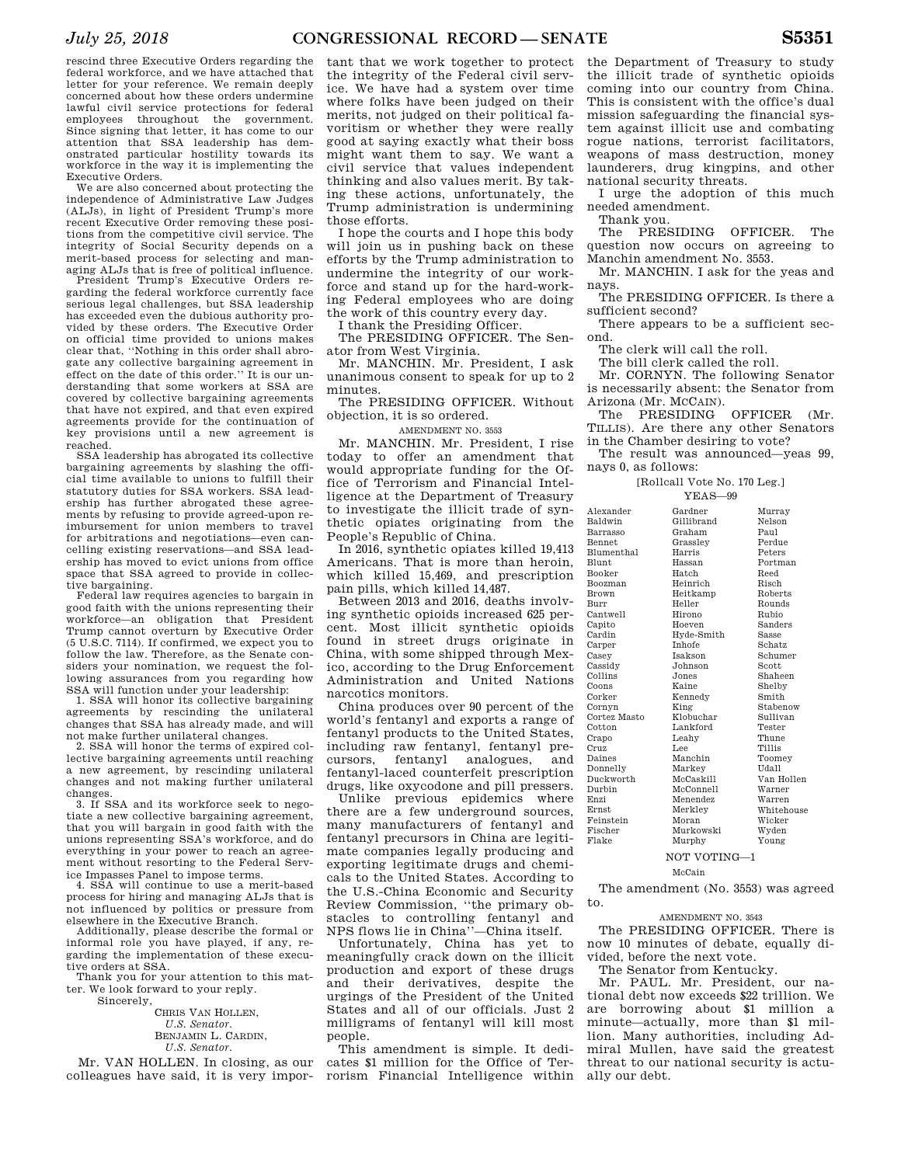rescind three Executive Orders regarding the federal workforce, and we have attached that letter for your reference. We remain deeply concerned about how these orders undermine lawful civil service protections for federal employees throughout the government. Since signing that letter, it has come to our attention that SSA leadership has demonstrated particular hostility towards its workforce in the way it is implementing the Executive Orders.

We are also concerned about protecting the independence of Administrative Law Judges (ALJs), in light of President Trump's more recent Executive Order removing these positions from the competitive civil service. The integrity of Social Security depends on a merit-based process for selecting and managing ALJs that is free of political influence.

President Trump's Executive Orders regarding the federal workforce currently face serious legal challenges, but SSA leadership has exceeded even the dubious authority provided by these orders. The Executive Order on official time provided to unions makes clear that, ''Nothing in this order shall abrogate any collective bargaining agreement in effect on the date of this order.'' It is our understanding that some workers at SSA are covered by collective bargaining agreements that have not expired, and that even expired agreements provide for the continuation of key provisions until a new agreement is reached.

SSA leadership has abrogated its collective bargaining agreements by slashing the official time available to unions to fulfill their statutory duties for SSA workers. SSA leadership has further abrogated these agreements by refusing to provide agreed-upon reimbursement for union members to travel for arbitrations and negotiations—even cancelling existing reservations—and SSA leadership has moved to evict unions from office space that SSA agreed to provide in collective bargaining.

Federal law requires agencies to bargain in good faith with the unions representing their workforce—an obligation that President Trump cannot overturn by Executive Order (5 U.S.C. 7114). If confirmed, we expect you to follow the law. Therefore, as the Senate considers your nomination, we request the following assurances from you regarding how SSA will function under your leadership:

1. SSA will honor its collective bargaining agreements by rescinding the unilateral changes that SSA has already made, and will not make further unilateral changes.

2. SSA will honor the terms of expired collective bargaining agreements until reaching a new agreement, by rescinding unilateral changes and not making further unilateral changes.

3. If SSA and its workforce seek to negotiate a new collective bargaining agreement, that you will bargain in good faith with the unions representing SSA's workforce, and do everything in your power to reach an agreement without resorting to the Federal Service Impasses Panel to impose terms.

4. SSA will continue to use a merit-based process for hiring and managing ALJs that is not influenced by politics or pressure from elsewhere in the Executive Branch.

Additionally, please describe the formal or informal role you have played, if any, regarding the implementation of these executive orders at SSA.

Thank you for your attention to this matter. We look forward to your reply. Sincerely,

CHRIS VAN HOLLEN, *U.S. Senator.*  BENJAMIN L. CARDIN, *U.S. Senator.* 

Mr. VAN HOLLEN. In closing, as our colleagues have said, it is very impor-

tant that we work together to protect the integrity of the Federal civil service. We have had a system over time where folks have been judged on their merits, not judged on their political favoritism or whether they were really good at saying exactly what their boss might want them to say. We want a civil service that values independent thinking and also values merit. By taking these actions, unfortunately, the Trump administration is undermining those efforts.

I hope the courts and I hope this body will join us in pushing back on these efforts by the Trump administration to undermine the integrity of our workforce and stand up for the hard-working Federal employees who are doing the work of this country every day.

I thank the Presiding Officer.

The PRESIDING OFFICER. The Senator from West Virginia.

Mr. MANCHIN. Mr. President, I ask unanimous consent to speak for up to 2 minutes.

The PRESIDING OFFICER. Without objection, it is so ordered.

AMENDMENT NO. 3553

Mr. MANCHIN. Mr. President, I rise today to offer an amendment that would appropriate funding for the Office of Terrorism and Financial Intelligence at the Department of Treasury to investigate the illicit trade of synthetic opiates originating from the People's Republic of China.

In 2016, synthetic opiates killed 19,413 Americans. That is more than heroin, which killed 15,469, and prescription pain pills, which killed 14,487.

Between 2013 and 2016, deaths involving synthetic opioids increased 625 percent. Most illicit synthetic opioids found in street drugs originate in China, with some shipped through Mexico, according to the Drug Enforcement Administration and United Nations narcotics monitors.

China produces over 90 percent of the world's fentanyl and exports a range of fentanyl products to the United States, including raw fentanyl, fentanyl precursors, fentanyl analogues, and fentanyl-laced counterfeit prescription drugs, like oxycodone and pill pressers.

Unlike previous epidemics where there are a few underground sources, many manufacturers of fentanyl and fentanyl precursors in China are legitimate companies legally producing and exporting legitimate drugs and chemicals to the United States. According to the U.S.-China Economic and Security Review Commission, ''the primary obstacles to controlling fentanyl and NPS flows lie in China''—China itself.

Unfortunately, China has yet to meaningfully crack down on the illicit production and export of these drugs and their derivatives, despite the urgings of the President of the United States and all of our officials. Just 2 milligrams of fentanyl will kill most people.

This amendment is simple. It dedicates \$1 million for the Office of Terrorism Financial Intelligence within

the Department of Treasury to study the illicit trade of synthetic opioids coming into our country from China. This is consistent with the office's dual mission safeguarding the financial system against illicit use and combating rogue nations, terrorist facilitators, weapons of mass destruction, money launderers, drug kingpins, and other national security threats.

I urge the adoption of this much needed amendment.

Thank you.

The PRESIDING OFFICER. The question now occurs on agreeing to Manchin amendment No. 3553.

Mr. MANCHIN. I ask for the yeas and nays.

The PRESIDING OFFICER. Is there a sufficient second?

There appears to be a sufficient second.

The clerk will call the roll.

The bill clerk called the roll.

Mr. CORNYN. The following Senator is necessarily absent: the Senator from Arizona (Mr. MCCAIN).

The PRESIDING OFFICER (Mr. TILLIS). Are there any other Senators in the Chamber desiring to vote?

The result was announced—yeas 99, nays 0, as follows:

[Rollcall Vote No. 170 Leg.]

### YEAS—99

| Alexander     | Gardner        | Murray       |
|---------------|----------------|--------------|
| Baldwin       | Gillibrand     | Nelson       |
| Barrasso      | Graham         | Paul         |
| <b>Bennet</b> | Grassley       | Perdue       |
| Blumenthal    | Harris         | Peters       |
| Blunt.        | Hassan         | Portman      |
| Booker        | Hatch          | Reed         |
| Boozman       | Heinrich       | Risch        |
| Brown         | Heitkamp       | Roberts      |
| Burr          | Heller         | Rounds       |
| Cantwell      | Hirono         | Rubio        |
| Capito        | Hoeven         | Sanders      |
| Cardin        | Hyde-Smith     | <b>Sasse</b> |
| Carper        | Inhofe         | Schatz       |
| Casey         | <b>Isakson</b> | Schumer      |
| Cassidy       | Johnson        | Scott        |
| Collins       | Jones          | Shaheen      |
| Coons         | Kaine          | Shelby       |
| Corker        | Kennedy        | Smith        |
| Cornyn        | King           | Stabenow     |
| Cortez Masto  | Klobuchar      | Sullivan     |
| Cotton        | Lankford       | Tester       |
| Crapo         | Leahy          | Thune        |
| Cruz          | Lee            | Tillis       |
| Daines        | Manchin        | Toomey       |
| Donnelly      | Markey         | Udall        |
| Duckworth     | McCaskill      | Van Hollen   |
| Durbin        | McConnell      | Warner       |
| Enzi          | Menendez       | Warren       |
| <b>Ernst</b>  | Merkley        | Whitehouse   |
| Feinstein     | Moran          | Wicker       |
| Fischer       | Murkowski      | Wyden        |
| Flake         | Murphy         | Young        |
|               |                |              |

NOT VOTING—1

McCain

The amendment (No. 3553) was agreed to.

### AMENDMENT NO. 3543

The PRESIDING OFFICER. There is now 10 minutes of debate, equally divided, before the next vote.

The Senator from Kentucky.

Mr. PAUL. Mr. President, our national debt now exceeds \$22 trillion. We are borrowing about \$1 million a minute—actually, more than \$1 million. Many authorities, including Admiral Mullen, have said the greatest threat to our national security is actually our debt.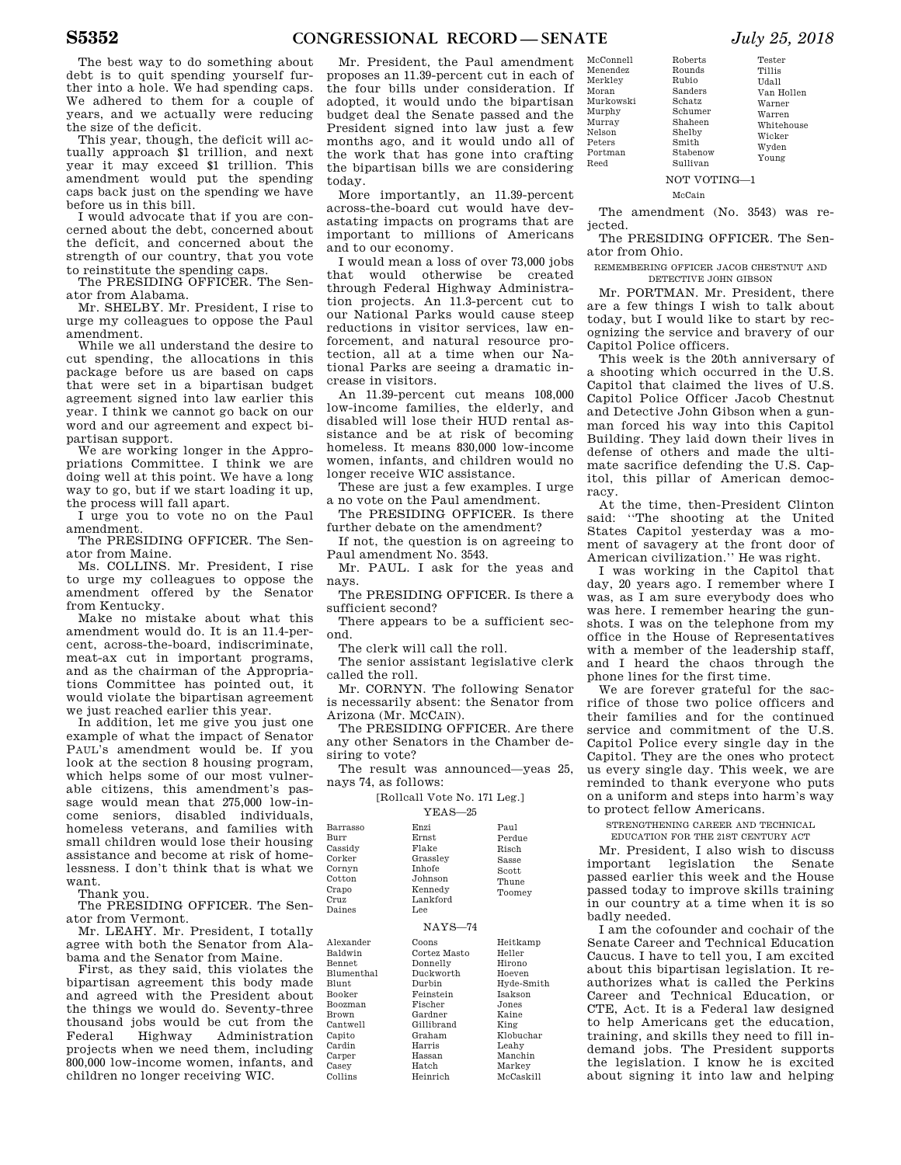Tester Tillis Udall Van Hollen Warner Warren Whitehouse Wicker Wyden Young

The best way to do something about debt is to quit spending yourself further into a hole. We had spending caps. We adhered to them for a couple of years, and we actually were reducing the size of the deficit.

This year, though, the deficit will actually approach \$1 trillion, and next year it may exceed \$1 trillion. This amendment would put the spending caps back just on the spending we have before us in this bill.

I would advocate that if you are concerned about the debt, concerned about the deficit, and concerned about the strength of our country, that you vote to reinstitute the spending caps.

The PRESIDING OFFICER. The Senator from Alabama.

Mr. SHELBY. Mr. President, I rise to urge my colleagues to oppose the Paul amendment.

While we all understand the desire to cut spending, the allocations in this package before us are based on caps that were set in a bipartisan budget agreement signed into law earlier this year. I think we cannot go back on our word and our agreement and expect bipartisan support.

We are working longer in the Appropriations Committee. I think we are doing well at this point. We have a long way to go, but if we start loading it up, the process will fall apart.

I urge you to vote no on the Paul amendment.

The PRESIDING OFFICER. The Senator from Maine.

Ms. COLLINS. Mr. President, I rise to urge my colleagues to oppose the amendment offered by the Senator from Kentucky.

Make no mistake about what this amendment would do. It is an 11.4-percent, across-the-board, indiscriminate, meat-ax cut in important programs, and as the chairman of the Appropriations Committee has pointed out, it would violate the bipartisan agreement we just reached earlier this year.

In addition, let me give you just one example of what the impact of Senator PAUL's amendment would be. If you look at the section 8 housing program, which helps some of our most vulnerable citizens, this amendment's passage would mean that 275,000 low-income seniors, disabled individuals, homeless veterans, and families with small children would lose their housing assistance and become at risk of homelessness. I don't think that is what we want.

Thank you.

The PRESIDING OFFICER. The Senator from Vermont. Cru Dai

Mr. LEAHY. Mr. President, I totally agree with both the Senator from Alabama and the Senator from Maine.

First, as they said, this violates the bipartisan agreement this body made and agreed with the President about the things we would do. Seventy-three thousand jobs would be cut from the<br>Federal Highway Administration Federal Highway Administration projects when we need them, including 800,000 low-income women, infants, and children no longer receiving WIC.  $Bln$ **Blu**  $B^{\alpha}$ Bro Car Cap Car Car Cas Col

Mr. President, the Paul amendment proposes an 11.39-percent cut in each of the four bills under consideration. If adopted, it would undo the bipartisan budget deal the Senate passed and the President signed into law just a few months ago, and it would undo all of the work that has gone into crafting the bipartisan bills we are considering today.

More importantly, an 11.39-percent across-the-board cut would have devastating impacts on programs that are important to millions of Americans and to our economy.

I would mean a loss of over 73,000 jobs that would otherwise be created through Federal Highway Administration projects. An 11.3-percent cut to our National Parks would cause steep reductions in visitor services, law enforcement, and natural resource protection, all at a time when our National Parks are seeing a dramatic increase in visitors.

An 11.39-percent cut means 108,000 low-income families, the elderly, and disabled will lose their HUD rental assistance and be at risk of becoming homeless. It means 830,000 low-income women, infants, and children would no longer receive WIC assistance.

These are just a few examples. I urge a no vote on the Paul amendment.

The PRESIDING OFFICER. Is there further debate on the amendment?

If not, the question is on agreeing to Paul amendment No. 3543.

Mr. PAUL. I ask for the yeas and nays.

The PRESIDING OFFICER. Is there a sufficient second?

There appears to be a sufficient second.

The clerk will call the roll.

The senior assistant legislative clerk called the roll.

Mr. CORNYN. The following Senator is necessarily absent: the Senator from Arizona (Mr. MCCAIN).

The PRESIDING OFFICER. Are there any other Senators in the Chamber desiring to vote?

The result was announced—yeas 25,

nays 74, as follows: [Rollcall Vote No. 171 Leg.]

YEAS—25

| Barrasso<br>Burr<br>Cassidy<br>Corker<br>Cornyn<br>Cotton<br>Crapo<br>Cruz<br>Daines                                        | Enzi<br>Ernst<br>Flake<br>Grassley<br><b>Inhofe</b><br>Johnson<br>Kennedy<br>Lankford<br>Lee              | Paul<br>Perdue<br>Risch<br>Sasse<br>Scott<br>Thune<br>Toomey                                      |
|-----------------------------------------------------------------------------------------------------------------------------|-----------------------------------------------------------------------------------------------------------|---------------------------------------------------------------------------------------------------|
|                                                                                                                             | $NAYS-74$                                                                                                 |                                                                                                   |
| Alexander<br>Baldwin<br><b>Bennet</b><br><b>Blumenthal</b><br><b>Blunt</b><br>Booker<br><b>Boozman</b><br>Brown<br>Cantwell | Coons<br>Cortez Masto<br>Donnelly<br>Duckworth<br>Durbin<br>Feinstein<br>Fischer<br>Gardner<br>Gillibrand | Heitkamp<br>Heller<br>Hirono<br>Hoeven<br>Hyde-Smith<br><b>Isakson</b><br>Jones.<br>Kaine<br>King |
| Capito<br>Cardin<br>Carper<br>Casey<br>Collins                                                                              | Graham<br>Harris<br>Hassan<br>Hatch<br>Heinrich                                                           | Klobuchar<br>Leahy<br>Manchin<br>Markey<br>McCaskill                                              |

| Menendez  |
|-----------|
| Merkley   |
| Moran     |
| Murkowski |
| Murphy    |
| Murray    |
| Nelson    |
| Peters    |
| Portman   |
| Reed      |
|           |

McConnell

NOT VOTING—1

McCain

Roberts Rounds Rubio Sanders Schatz Schumer Shaheen Shelby Smith Stabenow Sullivan

The amendment (No. 3543) was rejected.

The PRESIDING OFFICER. The Senator from Ohio.

REMEMBERING OFFICER JACOB CHESTNUT AND DETECTIVE JOHN GIBSON

Mr. PORTMAN. Mr. President, there are a few things I wish to talk about today, but I would like to start by recognizing the service and bravery of our Capitol Police officers.

This week is the 20th anniversary of a shooting which occurred in the U.S. Capitol that claimed the lives of U.S. Capitol Police Officer Jacob Chestnut and Detective John Gibson when a gunman forced his way into this Capitol Building. They laid down their lives in defense of others and made the ultimate sacrifice defending the U.S. Capitol, this pillar of American democracy.

At the time, then-President Clinton said: ''The shooting at the United States Capitol yesterday was a moment of savagery at the front door of American civilization.'' He was right.

I was working in the Capitol that day, 20 years ago. I remember where I was, as I am sure everybody does who was here. I remember hearing the gunshots. I was on the telephone from my office in the House of Representatives with a member of the leadership staff, and I heard the chaos through the phone lines for the first time.

We are forever grateful for the sacrifice of those two police officers and their families and for the continued service and commitment of the U.S. Capitol Police every single day in the Capitol. They are the ones who protect us every single day. This week, we are reminded to thank everyone who puts on a uniform and steps into harm's way to protect fellow Americans.

STRENGTHENING CAREER AND TECHNICAL

EDUCATION FOR THE 21ST CENTURY ACT

Mr. President, I also wish to discuss important legislation the Senate passed earlier this week and the House passed today to improve skills training in our country at a time when it is so badly needed.

I am the cofounder and cochair of the Senate Career and Technical Education Caucus. I have to tell you, I am excited about this bipartisan legislation. It reauthorizes what is called the Perkins Career and Technical Education, or CTE, Act. It is a Federal law designed to help Americans get the education, training, and skills they need to fill indemand jobs. The President supports the legislation. I know he is excited about signing it into law and helping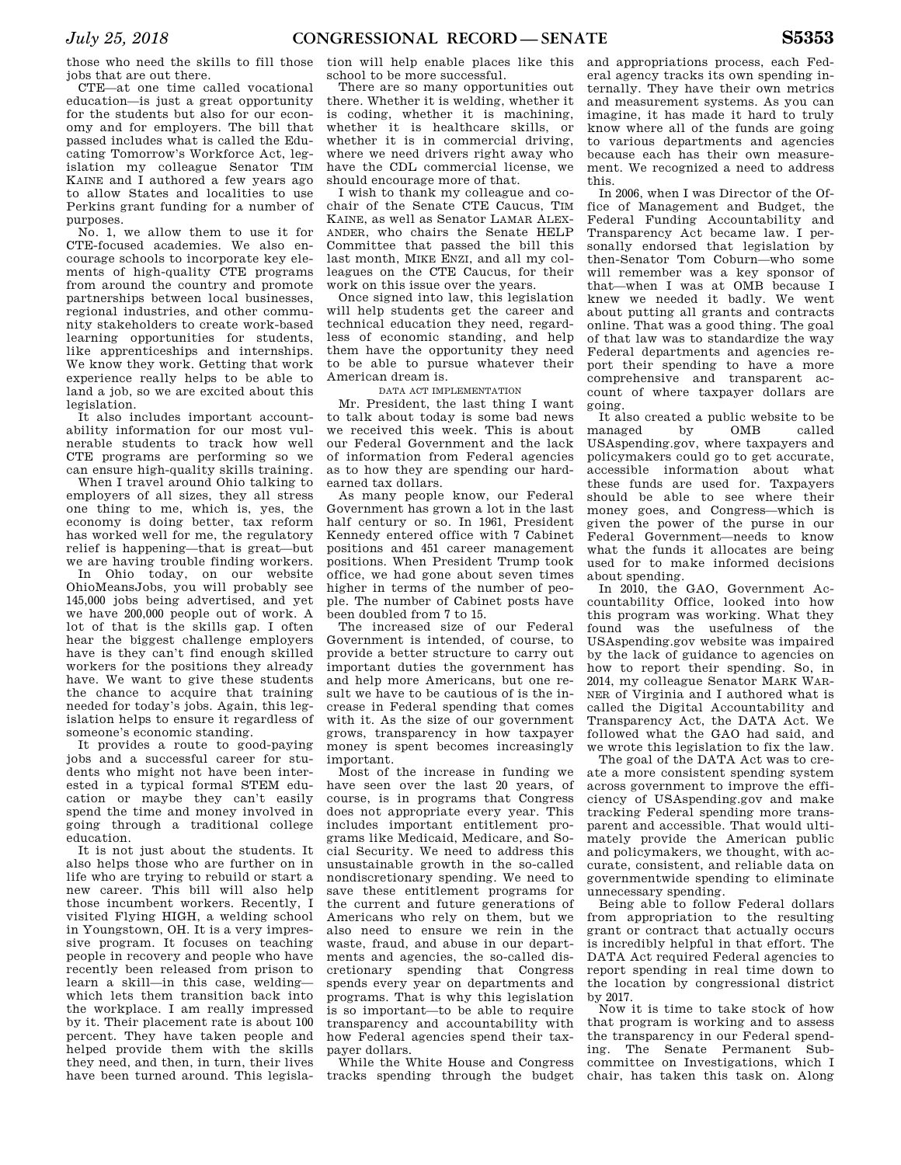those who need the skills to fill those jobs that are out there.

CTE—at one time called vocational education—is just a great opportunity for the students but also for our economy and for employers. The bill that passed includes what is called the Educating Tomorrow's Workforce Act, legislation my colleague Senator TIM KAINE and I authored a few years ago to allow States and localities to use Perkins grant funding for a number of purposes.

No. 1, we allow them to use it for CTE-focused academies. We also encourage schools to incorporate key elements of high-quality CTE programs from around the country and promote partnerships between local businesses, regional industries, and other community stakeholders to create work-based learning opportunities for students, like apprenticeships and internships. We know they work. Getting that work experience really helps to be able to land a job, so we are excited about this legislation.

It also includes important accountability information for our most vulnerable students to track how well CTE programs are performing so we can ensure high-quality skills training.

When I travel around Ohio talking to employers of all sizes, they all stress one thing to me, which is, yes, the economy is doing better, tax reform has worked well for me, the regulatory relief is happening—that is great—but we are having trouble finding workers.

In Ohio today, on our website OhioMeansJobs, you will probably see 145,000 jobs being advertised, and yet we have 200,000 people out of work. A lot of that is the skills gap. I often hear the biggest challenge employers have is they can't find enough skilled workers for the positions they already have. We want to give these students the chance to acquire that training needed for today's jobs. Again, this legislation helps to ensure it regardless of someone's economic standing.

It provides a route to good-paying jobs and a successful career for students who might not have been interested in a typical formal STEM education or maybe they can't easily spend the time and money involved in going through a traditional college education.

It is not just about the students. It also helps those who are further on in life who are trying to rebuild or start a new career. This bill will also help those incumbent workers. Recently, I visited Flying HIGH, a welding school in Youngstown, OH. It is a very impressive program. It focuses on teaching people in recovery and people who have recently been released from prison to learn a skill—in this case, welding which lets them transition back into the workplace. I am really impressed by it. Their placement rate is about 100 percent. They have taken people and helped provide them with the skills they need, and then, in turn, their lives have been turned around. This legisla-

tion will help enable places like this school to be more successful.

There are so many opportunities out there. Whether it is welding, whether it is coding, whether it is machining, whether it is healthcare skills, or whether it is in commercial driving, where we need drivers right away who have the CDL commercial license, we should encourage more of that.

I wish to thank my colleague and cochair of the Senate CTE Caucus, TIM KAINE, as well as Senator LAMAR ALEX-ANDER, who chairs the Senate HELP Committee that passed the bill this last month, MIKE ENZI, and all my colleagues on the CTE Caucus, for their work on this issue over the years.

Once signed into law, this legislation will help students get the career and technical education they need, regardless of economic standing, and help them have the opportunity they need to be able to pursue whatever their American dream is.

DATA ACT IMPLEMENTATION

Mr. President, the last thing I want to talk about today is some bad news we received this week. This is about our Federal Government and the lack of information from Federal agencies as to how they are spending our hardearned tax dollars.

As many people know, our Federal Government has grown a lot in the last half century or so. In 1961, President Kennedy entered office with 7 Cabinet positions and 451 career management positions. When President Trump took office, we had gone about seven times higher in terms of the number of people. The number of Cabinet posts have been doubled from 7 to 15.

The increased size of our Federal Government is intended, of course, to provide a better structure to carry out important duties the government has and help more Americans, but one result we have to be cautious of is the increase in Federal spending that comes with it. As the size of our government grows, transparency in how taxpayer money is spent becomes increasingly important.

Most of the increase in funding we have seen over the last 20 years, of course, is in programs that Congress does not appropriate every year. This includes important entitlement programs like Medicaid, Medicare, and Social Security. We need to address this unsustainable growth in the so-called nondiscretionary spending. We need to save these entitlement programs for the current and future generations of Americans who rely on them, but we also need to ensure we rein in the waste, fraud, and abuse in our departments and agencies, the so-called discretionary spending that Congress spends every year on departments and programs. That is why this legislation is so important—to be able to require transparency and accountability with how Federal agencies spend their taxpayer dollars.

While the White House and Congress tracks spending through the budget and appropriations process, each Federal agency tracks its own spending internally. They have their own metrics and measurement systems. As you can imagine, it has made it hard to truly know where all of the funds are going to various departments and agencies because each has their own measurement. We recognized a need to address this.

In 2006, when I was Director of the Office of Management and Budget, the Federal Funding Accountability and Transparency Act became law. I personally endorsed that legislation by then-Senator Tom Coburn—who some will remember was a key sponsor of that—when I was at OMB because I knew we needed it badly. We went about putting all grants and contracts online. That was a good thing. The goal of that law was to standardize the way Federal departments and agencies report their spending to have a more comprehensive and transparent account of where taxpayer dollars are going.

It also created a public website to be managed by OMB called USAspending.gov, where taxpayers and policymakers could go to get accurate, accessible information about what these funds are used for. Taxpayers should be able to see where their money goes, and Congress—which is given the power of the purse in our Federal Government—needs to know what the funds it allocates are being used for to make informed decisions about spending.

In 2010, the GAO, Government Accountability Office, looked into how this program was working. What they found was the usefulness of the USAspending.gov website was impaired by the lack of guidance to agencies on how to report their spending. So, in 2014, my colleague Senator MARK WAR-NER of Virginia and I authored what is called the Digital Accountability and Transparency Act, the DATA Act. We followed what the GAO had said, and we wrote this legislation to fix the law.

The goal of the DATA Act was to create a more consistent spending system across government to improve the efficiency of USAspending.gov and make tracking Federal spending more transparent and accessible. That would ultimately provide the American public and policymakers, we thought, with accurate, consistent, and reliable data on governmentwide spending to eliminate unnecessary spending.

Being able to follow Federal dollars from appropriation to the resulting grant or contract that actually occurs is incredibly helpful in that effort. The DATA Act required Federal agencies to report spending in real time down to the location by congressional district by 2017.

Now it is time to take stock of how that program is working and to assess the transparency in our Federal spending. The Senate Permanent Subcommittee on Investigations, which I chair, has taken this task on. Along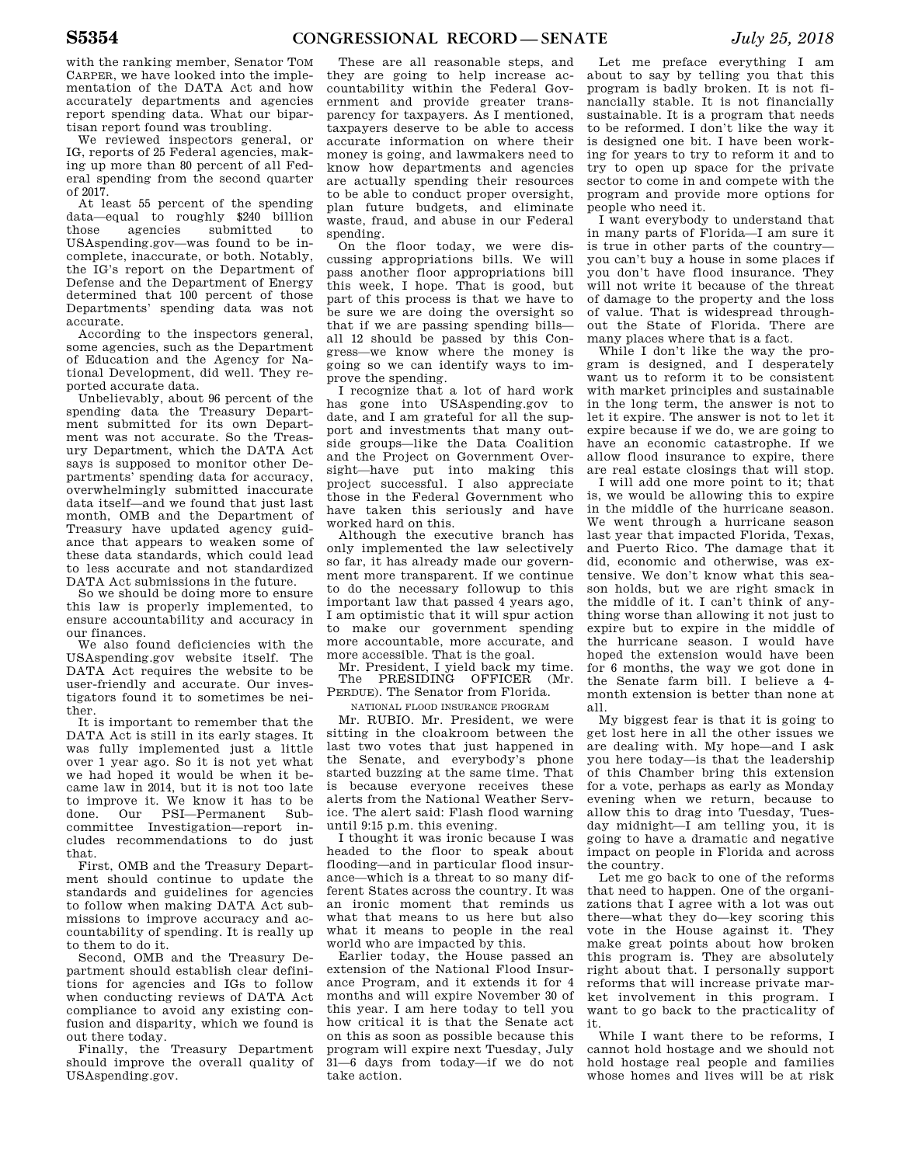with the ranking member, Senator TOM CARPER, we have looked into the implementation of the DATA Act and how accurately departments and agencies report spending data. What our bipartisan report found was troubling.

We reviewed inspectors general, or IG, reports of 25 Federal agencies, making up more than 80 percent of all Federal spending from the second quarter of 2017.

At least 55 percent of the spending data—equal to roughly \$240 billion<br>those agencies submitted to submitted to USAspending.gov—was found to be incomplete, inaccurate, or both. Notably, the IG's report on the Department of Defense and the Department of Energy determined that 100 percent of those Departments' spending data was not accurate.

According to the inspectors general, some agencies, such as the Department of Education and the Agency for National Development, did well. They reported accurate data.

Unbelievably, about 96 percent of the spending data the Treasury Department submitted for its own Department was not accurate. So the Treasury Department, which the DATA Act says is supposed to monitor other Departments' spending data for accuracy, overwhelmingly submitted inaccurate data itself—and we found that just last month, OMB and the Department of Treasury have updated agency guidance that appears to weaken some of these data standards, which could lead to less accurate and not standardized DATA Act submissions in the future.

So we should be doing more to ensure this law is properly implemented, to ensure accountability and accuracy in our finances.

We also found deficiencies with the USAspending.gov website itself. The DATA Act requires the website to be user-friendly and accurate. Our investigators found it to sometimes be neither.

It is important to remember that the DATA Act is still in its early stages. It was fully implemented just a little over 1 year ago. So it is not yet what we had hoped it would be when it became law in 2014, but it is not too late to improve it. We know it has to be done. Our PSI—Permanent Subcommittee Investigation—report includes recommendations to do just that.

First, OMB and the Treasury Department should continue to update the standards and guidelines for agencies to follow when making DATA Act submissions to improve accuracy and accountability of spending. It is really up to them to do it.

Second, OMB and the Treasury Department should establish clear definitions for agencies and IGs to follow when conducting reviews of DATA Act compliance to avoid any existing confusion and disparity, which we found is out there today.

Finally, the Treasury Department should improve the overall quality of USAspending.gov.

These are all reasonable steps, and they are going to help increase accountability within the Federal Government and provide greater transparency for taxpayers. As I mentioned, taxpayers deserve to be able to access accurate information on where their money is going, and lawmakers need to know how departments and agencies are actually spending their resources to be able to conduct proper oversight, plan future budgets, and eliminate waste, fraud, and abuse in our Federal spending.

On the floor today, we were discussing appropriations bills. We will pass another floor appropriations bill this week, I hope. That is good, but part of this process is that we have to be sure we are doing the oversight so that if we are passing spending bills all 12 should be passed by this Congress—we know where the money is going so we can identify ways to improve the spending.

I recognize that a lot of hard work has gone into USAspending.gov to date, and I am grateful for all the support and investments that many outside groups—like the Data Coalition and the Project on Government Oversight—have put into making this project successful. I also appreciate those in the Federal Government who have taken this seriously and have worked hard on this.

Although the executive branch has only implemented the law selectively so far, it has already made our government more transparent. If we continue to do the necessary followup to this important law that passed 4 years ago, I am optimistic that it will spur action to make our government spending more accountable, more accurate, and more accessible. That is the goal.

Mr. President, I yield back my time. The PRESIDING OFFICER (Mr. PERDUE). The Senator from Florida.

NATIONAL FLOOD INSURANCE PROGRAM

Mr. RUBIO. Mr. President, we were sitting in the cloakroom between the last two votes that just happened in the Senate, and everybody's phone started buzzing at the same time. That is because everyone receives these alerts from the National Weather Service. The alert said: Flash flood warning until 9:15 p.m. this evening.

I thought it was ironic because I was headed to the floor to speak about flooding—and in particular flood insurance—which is a threat to so many different States across the country. It was an ironic moment that reminds us what that means to us here but also what it means to people in the real world who are impacted by this.

Earlier today, the House passed an extension of the National Flood Insurance Program, and it extends it for 4 months and will expire November 30 of this year. I am here today to tell you how critical it is that the Senate act on this as soon as possible because this program will expire next Tuesday, July 31—6 days from today—if we do not take action.

Let me preface everything I am about to say by telling you that this program is badly broken. It is not financially stable. It is not financially sustainable. It is a program that needs to be reformed. I don't like the way it is designed one bit. I have been working for years to try to reform it and to try to open up space for the private sector to come in and compete with the program and provide more options for people who need it.

I want everybody to understand that in many parts of Florida—I am sure it is true in other parts of the country you can't buy a house in some places if you don't have flood insurance. They will not write it because of the threat of damage to the property and the loss of value. That is widespread throughout the State of Florida. There are many places where that is a fact.

While I don't like the way the program is designed, and I desperately want us to reform it to be consistent with market principles and sustainable in the long term, the answer is not to let it expire. The answer is not to let it expire because if we do, we are going to have an economic catastrophe. If we allow flood insurance to expire, there are real estate closings that will stop.

I will add one more point to it; that is, we would be allowing this to expire in the middle of the hurricane season. We went through a hurricane season last year that impacted Florida, Texas, and Puerto Rico. The damage that it did, economic and otherwise, was extensive. We don't know what this season holds, but we are right smack in the middle of it. I can't think of anything worse than allowing it not just to expire but to expire in the middle of the hurricane season. I would have hoped the extension would have been for 6 months, the way we got done in the Senate farm bill. I believe a 4 month extension is better than none at all.

My biggest fear is that it is going to get lost here in all the other issues we are dealing with. My hope—and I ask you here today—is that the leadership of this Chamber bring this extension for a vote, perhaps as early as Monday evening when we return, because to allow this to drag into Tuesday, Tuesday midnight—I am telling you, it is going to have a dramatic and negative impact on people in Florida and across the country.

Let me go back to one of the reforms that need to happen. One of the organizations that I agree with a lot was out there—what they do—key scoring this vote in the House against it. They make great points about how broken this program is. They are absolutely right about that. I personally support reforms that will increase private market involvement in this program. I want to go back to the practicality of it.

While I want there to be reforms, I cannot hold hostage and we should not hold hostage real people and families whose homes and lives will be at risk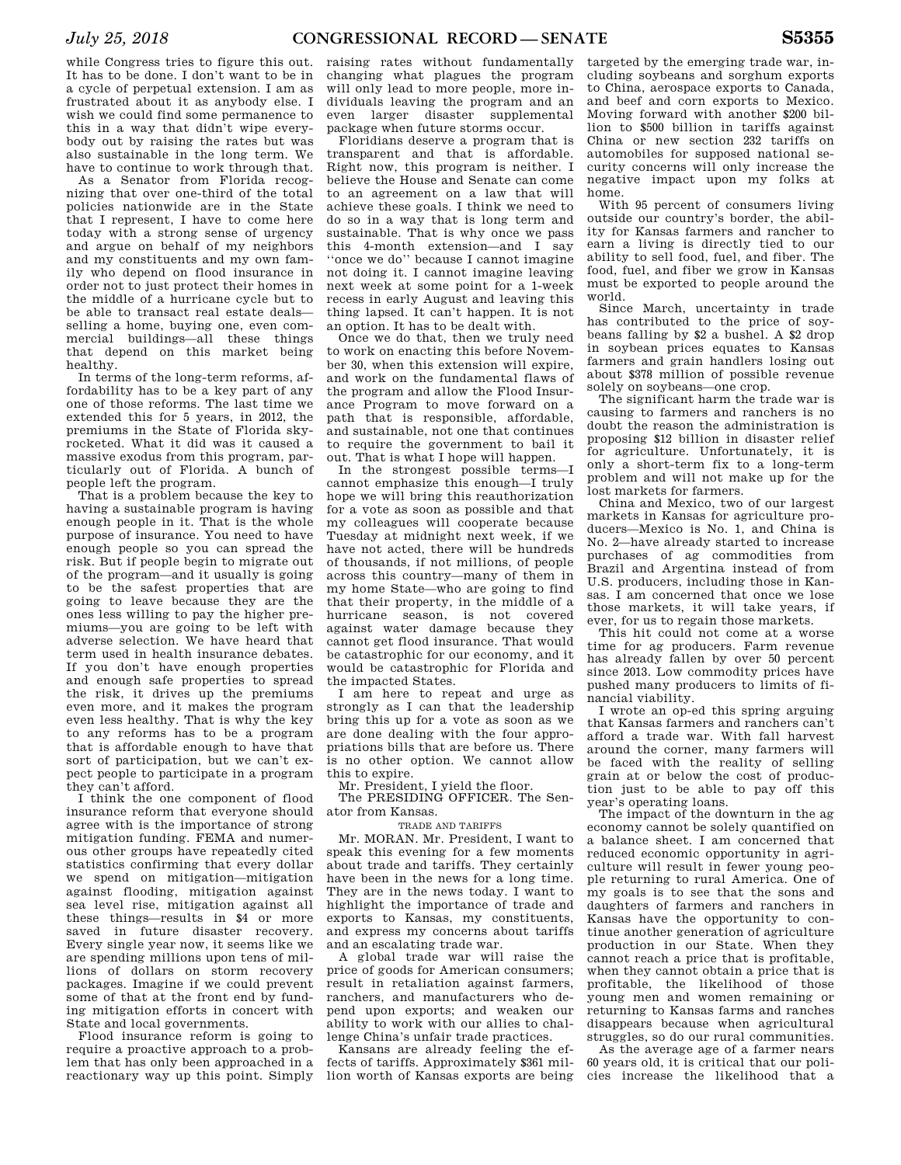while Congress tries to figure this out. It has to be done. I don't want to be in a cycle of perpetual extension. I am as frustrated about it as anybody else. I wish we could find some permanence to this in a way that didn't wipe everybody out by raising the rates but was also sustainable in the long term. We have to continue to work through that.

As a Senator from Florida recognizing that over one-third of the total policies nationwide are in the State that I represent, I have to come here today with a strong sense of urgency and argue on behalf of my neighbors and my constituents and my own family who depend on flood insurance in order not to just protect their homes in the middle of a hurricane cycle but to be able to transact real estate deals selling a home, buying one, even commercial buildings—all these things that depend on this market being healthy.

In terms of the long-term reforms, affordability has to be a key part of any one of those reforms. The last time we extended this for 5 years, in 2012, the premiums in the State of Florida skyrocketed. What it did was it caused a massive exodus from this program, particularly out of Florida. A bunch of people left the program.

That is a problem because the key to having a sustainable program is having enough people in it. That is the whole purpose of insurance. You need to have enough people so you can spread the risk. But if people begin to migrate out of the program—and it usually is going to be the safest properties that are going to leave because they are the ones less willing to pay the higher premiums—you are going to be left with adverse selection. We have heard that term used in health insurance debates. If you don't have enough properties and enough safe properties to spread the risk, it drives up the premiums even more, and it makes the program even less healthy. That is why the key to any reforms has to be a program that is affordable enough to have that sort of participation, but we can't expect people to participate in a program they can't afford.

I think the one component of flood insurance reform that everyone should agree with is the importance of strong mitigation funding. FEMA and numerous other groups have repeatedly cited statistics confirming that every dollar we spend on mitigation—mitigation against flooding, mitigation against sea level rise, mitigation against all these things—results in \$4 or more saved in future disaster recovery. Every single year now, it seems like we are spending millions upon tens of millions of dollars on storm recovery packages. Imagine if we could prevent some of that at the front end by funding mitigation efforts in concert with State and local governments.

Flood insurance reform is going to require a proactive approach to a problem that has only been approached in a reactionary way up this point. Simply

raising rates without fundamentally changing what plagues the program will only lead to more people, more individuals leaving the program and an even larger disaster supplemental package when future storms occur.

Floridians deserve a program that is transparent and that is affordable. Right now, this program is neither. I believe the House and Senate can come to an agreement on a law that will achieve these goals. I think we need to do so in a way that is long term and sustainable. That is why once we pass this 4-month extension—and I say ''once we do'' because I cannot imagine not doing it. I cannot imagine leaving next week at some point for a 1-week recess in early August and leaving this thing lapsed. It can't happen. It is not an option. It has to be dealt with.

Once we do that, then we truly need to work on enacting this before November 30, when this extension will expire, and work on the fundamental flaws of the program and allow the Flood Insurance Program to move forward on a path that is responsible, affordable, and sustainable, not one that continues to require the government to bail it out. That is what I hope will happen.

In the strongest possible terms—I cannot emphasize this enough—I truly hope we will bring this reauthorization for a vote as soon as possible and that my colleagues will cooperate because Tuesday at midnight next week, if we have not acted, there will be hundreds of thousands, if not millions, of people across this country—many of them in my home State—who are going to find that their property, in the middle of a hurricane season, is not covered against water damage because they cannot get flood insurance. That would be catastrophic for our economy, and it would be catastrophic for Florida and the impacted States.

I am here to repeat and urge as strongly as I can that the leadership bring this up for a vote as soon as we are done dealing with the four appropriations bills that are before us. There is no other option. We cannot allow this to expire.

Mr. President, I yield the floor.

The PRESIDING OFFICER. The Senator from Kansas.

TRADE AND TARIFFS

Mr. MORAN. Mr. President, I want to speak this evening for a few moments about trade and tariffs. They certainly have been in the news for a long time. They are in the news today. I want to highlight the importance of trade and exports to Kansas, my constituents, and express my concerns about tariffs and an escalating trade war.

A global trade war will raise the price of goods for American consumers; result in retaliation against farmers, ranchers, and manufacturers who depend upon exports; and weaken our ability to work with our allies to challenge China's unfair trade practices.

Kansans are already feeling the effects of tariffs. Approximately \$361 million worth of Kansas exports are being

targeted by the emerging trade war, including soybeans and sorghum exports to China, aerospace exports to Canada, and beef and corn exports to Mexico. Moving forward with another \$200 billion to \$500 billion in tariffs against China or new section 232 tariffs on automobiles for supposed national security concerns will only increase the negative impact upon my folks at home.

With 95 percent of consumers living outside our country's border, the ability for Kansas farmers and rancher to earn a living is directly tied to our ability to sell food, fuel, and fiber. The food, fuel, and fiber we grow in Kansas must be exported to people around the world.

Since March, uncertainty in trade has contributed to the price of soybeans falling by \$2 a bushel. A \$2 drop in soybean prices equates to Kansas farmers and grain handlers losing out about \$378 million of possible revenue solely on soybeans—one crop.

The significant harm the trade war is causing to farmers and ranchers is no doubt the reason the administration is proposing \$12 billion in disaster relief for agriculture. Unfortunately, it is only a short-term fix to a long-term problem and will not make up for the lost markets for farmers.

China and Mexico, two of our largest markets in Kansas for agriculture producers—Mexico is No. 1, and China is No. 2—have already started to increase purchases of ag commodities from Brazil and Argentina instead of from U.S. producers, including those in Kansas. I am concerned that once we lose those markets, it will take years, if ever, for us to regain those markets.

This hit could not come at a worse time for ag producers. Farm revenue has already fallen by over 50 percent since 2013. Low commodity prices have pushed many producers to limits of financial viability.

I wrote an op-ed this spring arguing that Kansas farmers and ranchers can't afford a trade war. With fall harvest around the corner, many farmers will be faced with the reality of selling grain at or below the cost of production just to be able to pay off this year's operating loans.

The impact of the downturn in the ag economy cannot be solely quantified on a balance sheet. I am concerned that reduced economic opportunity in agriculture will result in fewer young people returning to rural America. One of my goals is to see that the sons and daughters of farmers and ranchers in Kansas have the opportunity to continue another generation of agriculture production in our State. When they cannot reach a price that is profitable, when they cannot obtain a price that is profitable, the likelihood of those young men and women remaining or returning to Kansas farms and ranches disappears because when agricultural struggles, so do our rural communities.

As the average age of a farmer nears 60 years old, it is critical that our policies increase the likelihood that a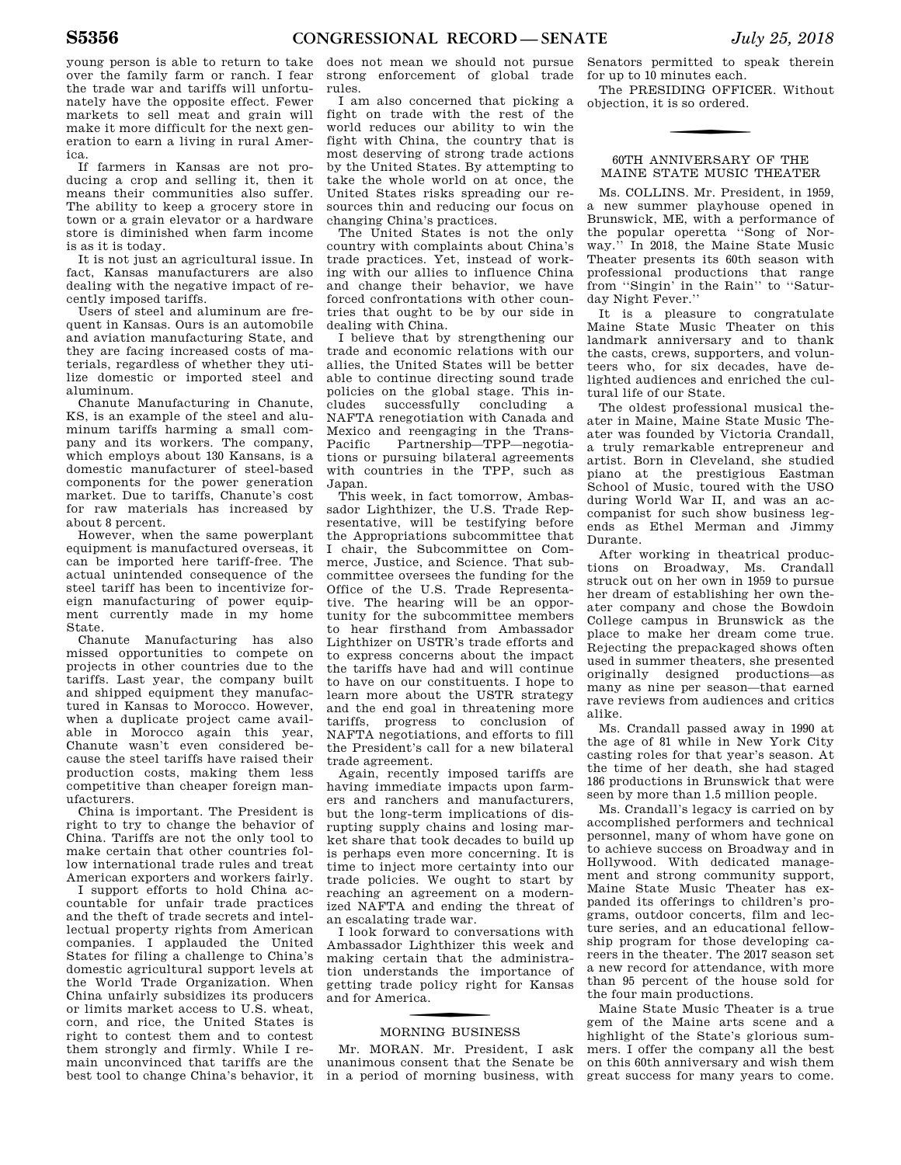young person is able to return to take over the family farm or ranch. I fear the trade war and tariffs will unfortunately have the opposite effect. Fewer markets to sell meat and grain will make it more difficult for the next generation to earn a living in rural America.

If farmers in Kansas are not producing a crop and selling it, then it means their communities also suffer. The ability to keep a grocery store in town or a grain elevator or a hardware store is diminished when farm income is as it is today.

It is not just an agricultural issue. In fact, Kansas manufacturers are also dealing with the negative impact of recently imposed tariffs.

Users of steel and aluminum are frequent in Kansas. Ours is an automobile and aviation manufacturing State, and they are facing increased costs of materials, regardless of whether they utilize domestic or imported steel and aluminum.

Chanute Manufacturing in Chanute, KS, is an example of the steel and aluminum tariffs harming a small company and its workers. The company, which employs about 130 Kansans, is a domestic manufacturer of steel-based components for the power generation market. Due to tariffs, Chanute's cost for raw materials has increased by about 8 percent.

However, when the same powerplant equipment is manufactured overseas, it can be imported here tariff-free. The actual unintended consequence of the steel tariff has been to incentivize foreign manufacturing of power equipment currently made in my home State.

Chanute Manufacturing has also missed opportunities to compete on projects in other countries due to the tariffs. Last year, the company built and shipped equipment they manufactured in Kansas to Morocco. However, when a duplicate project came available in Morocco again this year, Chanute wasn't even considered because the steel tariffs have raised their production costs, making them less competitive than cheaper foreign manufacturers.

China is important. The President is right to try to change the behavior of China. Tariffs are not the only tool to make certain that other countries follow international trade rules and treat American exporters and workers fairly.

I support efforts to hold China accountable for unfair trade practices and the theft of trade secrets and intellectual property rights from American companies. I applauded the United States for filing a challenge to China's domestic agricultural support levels at the World Trade Organization. When China unfairly subsidizes its producers or limits market access to U.S. wheat, corn, and rice, the United States is right to contest them and to contest them strongly and firmly. While I remain unconvinced that tariffs are the best tool to change China's behavior, it

does not mean we should not pursue strong enforcement of global trade rules.

I am also concerned that picking a fight on trade with the rest of the world reduces our ability to win the fight with China, the country that is most deserving of strong trade actions by the United States. By attempting to take the whole world on at once, the United States risks spreading our resources thin and reducing our focus on changing China's practices.

The United States is not the only country with complaints about China's trade practices. Yet, instead of working with our allies to influence China and change their behavior, we have forced confrontations with other countries that ought to be by our side in dealing with China.

I believe that by strengthening our trade and economic relations with our allies, the United States will be better able to continue directing sound trade policies on the global stage. This includes successfully concluding a NAFTA renegotiation with Canada and Mexico and reengaging in the Trans-<br>Pacific Partnership—TPP—negotia-Partnership—TPP—negotiations or pursuing bilateral agreements with countries in the TPP, such as Japan.

This week, in fact tomorrow, Ambassador Lighthizer, the U.S. Trade Representative, will be testifying before the Appropriations subcommittee that I chair, the Subcommittee on Commerce, Justice, and Science. That subcommittee oversees the funding for the Office of the U.S. Trade Representative. The hearing will be an opportunity for the subcommittee members to hear firsthand from Ambassador Lighthizer on USTR's trade efforts and to express concerns about the impact the tariffs have had and will continue to have on our constituents. I hope to learn more about the USTR strategy and the end goal in threatening more tariffs, progress to conclusion of NAFTA negotiations, and efforts to fill the President's call for a new bilateral trade agreement.

Again, recently imposed tariffs are having immediate impacts upon farmers and ranchers and manufacturers, but the long-term implications of disrupting supply chains and losing market share that took decades to build up is perhaps even more concerning. It is time to inject more certainty into our trade policies. We ought to start by reaching an agreement on a modernized NAFTA and ending the threat of an escalating trade war.

I look forward to conversations with Ambassador Lighthizer this week and making certain that the administration understands the importance of getting trade policy right for Kansas and for America.

## f MORNING BUSINESS

Mr. MORAN. Mr. President, I ask unanimous consent that the Senate be in a period of morning business, with

Senators permitted to speak therein for up to 10 minutes each.

The PRESIDING OFFICER. Without objection, it is so ordered.

### 60TH ANNIVERSARY OF THE MAINE STATE MUSIC THEATER

Ms. COLLINS. Mr. President, in 1959, a new summer playhouse opened in Brunswick, ME, with a performance of the popular operetta ''Song of Norway." In 2018, the Maine State Music Theater presents its 60th season with professional productions that range from ''Singin' in the Rain'' to ''Saturday Night Fever.''

It is a pleasure to congratulate Maine State Music Theater on this landmark anniversary and to thank the casts, crews, supporters, and volunteers who, for six decades, have delighted audiences and enriched the cultural life of our State.

The oldest professional musical theater in Maine, Maine State Music Theater was founded by Victoria Crandall, a truly remarkable entrepreneur and artist. Born in Cleveland, she studied piano at the prestigious Eastman School of Music, toured with the USO during World War II, and was an accompanist for such show business legends as Ethel Merman and Jimmy Durante.

After working in theatrical productions on Broadway, Ms. Crandall struck out on her own in 1959 to pursue her dream of establishing her own theater company and chose the Bowdoin College campus in Brunswick as the place to make her dream come true. Rejecting the prepackaged shows often used in summer theaters, she presented originally designed productions—as many as nine per season—that earned rave reviews from audiences and critics alike.

Ms. Crandall passed away in 1990 at the age of 81 while in New York City casting roles for that year's season. At the time of her death, she had staged 186 productions in Brunswick that were seen by more than 1.5 million people.

Ms. Crandall's legacy is carried on by accomplished performers and technical personnel, many of whom have gone on to achieve success on Broadway and in Hollywood. With dedicated management and strong community support, Maine State Music Theater has expanded its offerings to children's programs, outdoor concerts, film and lecture series, and an educational fellowship program for those developing careers in the theater. The 2017 season set a new record for attendance, with more than 95 percent of the house sold for the four main productions.

Maine State Music Theater is a true gem of the Maine arts scene and a highlight of the State's glorious summers. I offer the company all the best on this 60th anniversary and wish them great success for many years to come.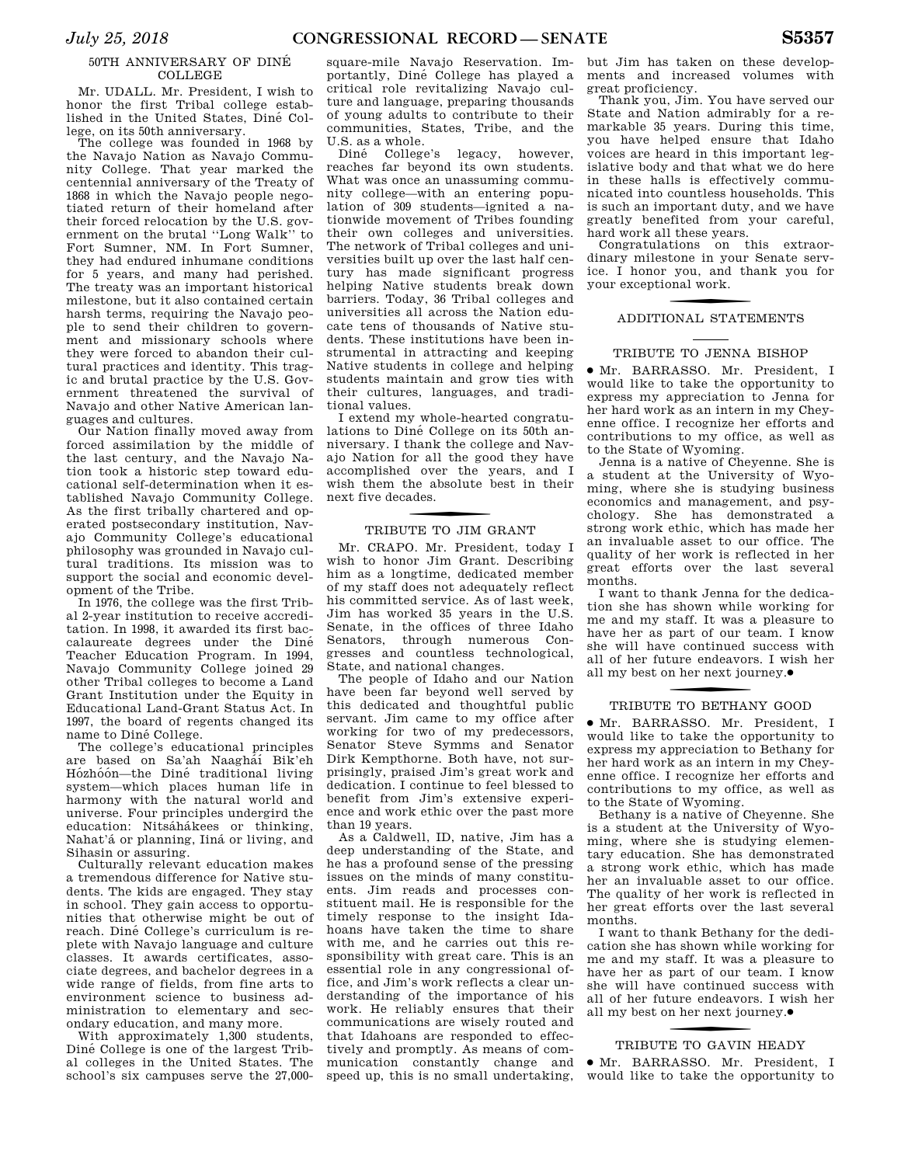### 50TH ANNIVERSARY OF DINE´ **COLLEGE**

Mr. UDALL. Mr. President, I wish to honor the first Tribal college established in the United States, Diné College, on its 50th anniversary.

The college was founded in 1968 by the Navajo Nation as Navajo Community College. That year marked the centennial anniversary of the Treaty of 1868 in which the Navajo people negotiated return of their homeland after their forced relocation by the U.S. government on the brutal ''Long Walk'' to Fort Sumner, NM. In Fort Sumner, they had endured inhumane conditions for 5 years, and many had perished. The treaty was an important historical milestone, but it also contained certain harsh terms, requiring the Navajo people to send their children to government and missionary schools where they were forced to abandon their cultural practices and identity. This tragic and brutal practice by the U.S. Government threatened the survival of Navajo and other Native American languages and cultures.

Our Nation finally moved away from forced assimilation by the middle of the last century, and the Navajo Nation took a historic step toward educational self-determination when it established Navajo Community College. As the first tribally chartered and operated postsecondary institution, Navajo Community College's educational philosophy was grounded in Navajo cultural traditions. Its mission was to support the social and economic development of the Tribe.

In 1976, the college was the first Tribal 2-year institution to receive accreditation. In 1998, it awarded its first baccalaureate degrees under the Diné Teacher Education Program. In 1994, Navajo Community College joined 29 other Tribal colleges to become a Land Grant Institution under the Equity in Educational Land-Grant Status Act. In 1997, the board of regents changed its name to Diné College.

The college's educational principles are based on Sa'ah Naagháí Bik'eh Hózhóón—the Diné traditional living system—which places human life in harmony with the natural world and universe. Four principles undergird the education: Nitsáhákees or thinking, Nahat'á or planning, Iiná or living, and Sihasin or assuring.

Culturally relevant education makes a tremendous difference for Native students. The kids are engaged. They stay in school. They gain access to opportunities that otherwise might be out of reach. Diné College's curriculum is replete with Navajo language and culture classes. It awards certificates, associate degrees, and bachelor degrees in a wide range of fields, from fine arts to environment science to business administration to elementary and secondary education, and many more.

With approximately 1,300 students, Diné College is one of the largest Tribal colleges in the United States. The school's six campuses serve the 27,000-

square-mile Navajo Reservation. Importantly, Dine´ College has played a critical role revitalizing Navajo culture and language, preparing thousands of young adults to contribute to their communities, States, Tribe, and the U.S. as a whole.

Diné College's legacy, however, reaches far beyond its own students. What was once an unassuming community college—with an entering population of 309 students—ignited a nationwide movement of Tribes founding their own colleges and universities. The network of Tribal colleges and universities built up over the last half century has made significant progress helping Native students break down barriers. Today, 36 Tribal colleges and universities all across the Nation educate tens of thousands of Native students. These institutions have been instrumental in attracting and keeping Native students in college and helping students maintain and grow ties with their cultures, languages, and traditional values.

I extend my whole-hearted congratulations to Diné College on its 50th anniversary. I thank the college and Navajo Nation for all the good they have accomplished over the years, and I wish them the absolute best in their next five decades.

# f TRIBUTE TO JIM GRANT

Mr. CRAPO. Mr. President, today I wish to honor Jim Grant. Describing him as a longtime, dedicated member of my staff does not adequately reflect his committed service. As of last week, Jim has worked 35 years in the U.S. Senate, in the offices of three Idaho Senators, through numerous Congresses and countless technological, State, and national changes.

The people of Idaho and our Nation have been far beyond well served by this dedicated and thoughtful public servant. Jim came to my office after working for two of my predecessors, Senator Steve Symms and Senator Dirk Kempthorne. Both have, not surprisingly, praised Jim's great work and dedication. I continue to feel blessed to benefit from Jim's extensive experience and work ethic over the past more than 19 years.

As a Caldwell, ID, native, Jim has a deep understanding of the State, and he has a profound sense of the pressing issues on the minds of many constituents. Jim reads and processes constituent mail. He is responsible for the timely response to the insight Idahoans have taken the time to share with me, and he carries out this responsibility with great care. This is an essential role in any congressional office, and Jim's work reflects a clear understanding of the importance of his work. He reliably ensures that their communications are wisely routed and that Idahoans are responded to effectively and promptly. As means of communication constantly change and speed up, this is no small undertaking,

but Jim has taken on these developments and increased volumes with great proficiency.

Thank you, Jim. You have served our State and Nation admirably for a remarkable 35 years. During this time, you have helped ensure that Idaho voices are heard in this important legislative body and that what we do here in these halls is effectively communicated into countless households. This is such an important duty, and we have greatly benefited from your careful, hard work all these years.

Congratulations on this extraordinary milestone in your Senate service. I honor you, and thank you for your exceptional work.

## f ADDITIONAL STATEMENTS

### TRIBUTE TO JENNA BISHOP

∑ Mr. BARRASSO. Mr. President, I would like to take the opportunity to express my appreciation to Jenna for her hard work as an intern in my Cheyenne office. I recognize her efforts and contributions to my office, as well as to the State of Wyoming.

Jenna is a native of Cheyenne. She is a student at the University of Wyoming, where she is studying business economics and management, and psychology. She has demonstrated a strong work ethic, which has made her an invaluable asset to our office. The quality of her work is reflected in her great efforts over the last several months.

I want to thank Jenna for the dedication she has shown while working for me and my staff. It was a pleasure to have her as part of our team. I know she will have continued success with all of her future endeavors. I wish her all my best on her next journey.●

## f TRIBUTE TO BETHANY GOOD

∑ Mr. BARRASSO. Mr. President, I would like to take the opportunity to express my appreciation to Bethany for her hard work as an intern in my Cheyenne office. I recognize her efforts and contributions to my office, as well as to the State of Wyoming.

Bethany is a native of Cheyenne. She is a student at the University of Wyoming, where she is studying elementary education. She has demonstrated a strong work ethic, which has made her an invaluable asset to our office. The quality of her work is reflected in her great efforts over the last several months.

I want to thank Bethany for the dedication she has shown while working for me and my staff. It was a pleasure to have her as part of our team. I know she will have continued success with all of her future endeavors. I wish her all my best on her next journey. ∑

# f TRIBUTE TO GAVIN HEADY

∑ Mr. BARRASSO. Mr. President, I would like to take the opportunity to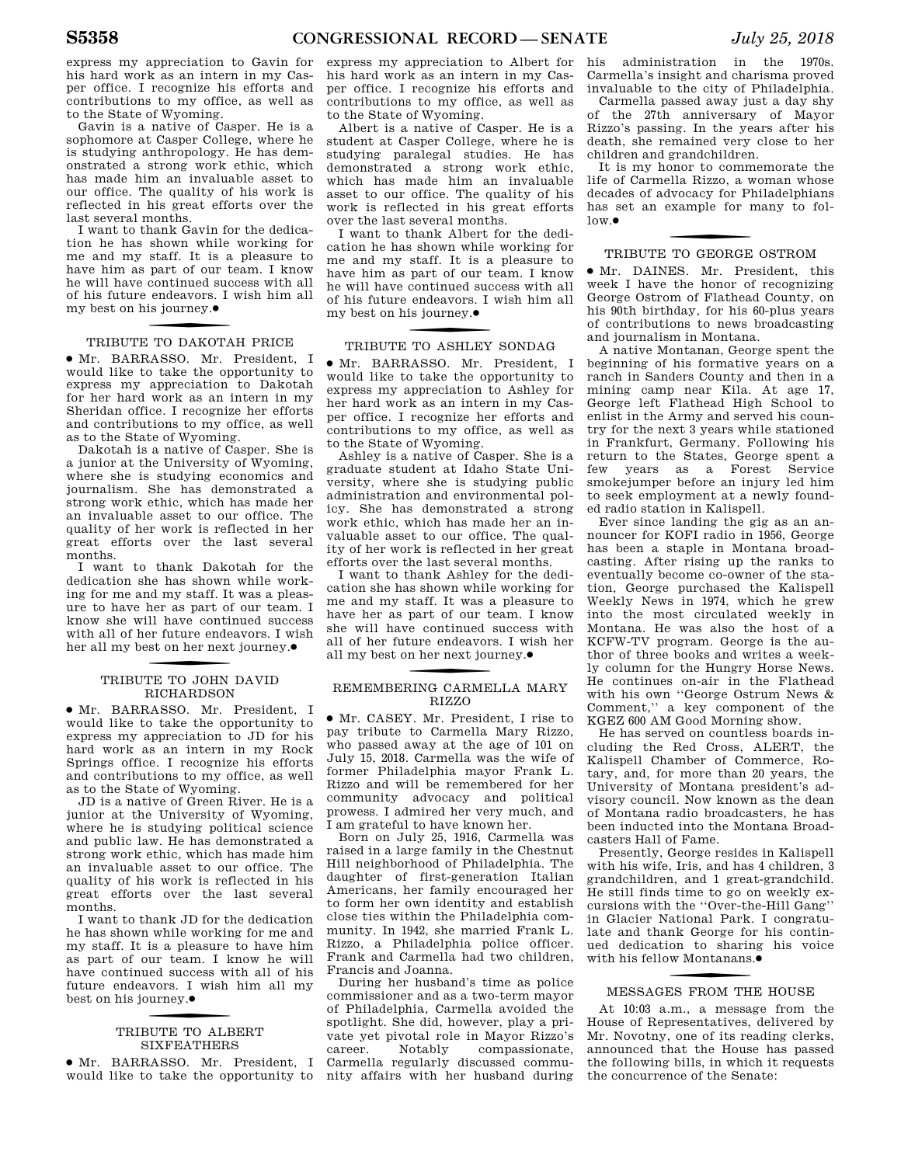express my appreciation to Gavin for his hard work as an intern in my Casper office. I recognize his efforts and contributions to my office, as well as to the State of Wyoming.

Gavin is a native of Casper. He is a sophomore at Casper College, where he is studying anthropology. He has demonstrated a strong work ethic, which has made him an invaluable asset to our office. The quality of his work is reflected in his great efforts over the last several months.

I want to thank Gavin for the dedication he has shown while working for me and my staff. It is a pleasure to have him as part of our team. I know he will have continued success with all of his future endeavors. I wish him all my best on his journey. ∑

## f TRIBUTE TO DAKOTAH PRICE

∑ Mr. BARRASSO. Mr. President, I would like to take the opportunity to express my appreciation to Dakotah for her hard work as an intern in my Sheridan office. I recognize her efforts and contributions to my office, as well as to the State of Wyoming.

Dakotah is a native of Casper. She is a junior at the University of Wyoming, where she is studying economics and journalism. She has demonstrated a strong work ethic, which has made her an invaluable asset to our office. The quality of her work is reflected in her great efforts over the last several months.

I want to thank Dakotah for the dedication she has shown while working for me and my staff. It was a pleasure to have her as part of our team. I know she will have continued success with all of her future endeavors. I wish her all my best on her next journey. ∑

## f TRIBUTE TO JOHN DAVID RICHARDSON

∑ Mr. BARRASSO. Mr. President, I would like to take the opportunity to express my appreciation to JD for his hard work as an intern in my Rock Springs office. I recognize his efforts and contributions to my office, as well as to the State of Wyoming.

JD is a native of Green River. He is a junior at the University of Wyoming, where he is studying political science and public law. He has demonstrated a strong work ethic, which has made him an invaluable asset to our office. The quality of his work is reflected in his great efforts over the last several months.

I want to thank JD for the dedication he has shown while working for me and my staff. It is a pleasure to have him as part of our team. I know he will have continued success with all of his future endeavors. I wish him all my best on his journey.●

## f TRIBUTE TO ALBERT SIXFEATHERS

∑ Mr. BARRASSO. Mr. President, I

express my appreciation to Albert for his hard work as an intern in my Casper office. I recognize his efforts and contributions to my office, as well as to the State of Wyoming.

Albert is a native of Casper. He is a student at Casper College, where he is studying paralegal studies. He has demonstrated a strong work ethic, which has made him an invaluable asset to our office. The quality of his work is reflected in his great efforts over the last several months.

I want to thank Albert for the dedication he has shown while working for me and my staff. It is a pleasure to have him as part of our team. I know he will have continued success with all of his future endeavors. I wish him all my best on his journey. ∑

## f TRIBUTE TO ASHLEY SONDAG

∑ Mr. BARRASSO. Mr. President, I would like to take the opportunity to express my appreciation to Ashley for her hard work as an intern in my Casper office. I recognize her efforts and contributions to my office, as well as to the State of Wyoming.

Ashley is a native of Casper. She is a graduate student at Idaho State University, where she is studying public administration and environmental policy. She has demonstrated a strong work ethic, which has made her an invaluable asset to our office. The quality of her work is reflected in her great efforts over the last several months.

I want to thank Ashley for the dedication she has shown while working for me and my staff. It was a pleasure to have her as part of our team. I know she will have continued success with all of her future endeavors. I wish her all my best on her next journey.●

### REMEMBERING CARMELLA MARY RIZZO

∑ Mr. CASEY. Mr. President, I rise to pay tribute to Carmella Mary Rizzo, who passed away at the age of 101 on July 15, 2018. Carmella was the wife of former Philadelphia mayor Frank L. Rizzo and will be remembered for her community advocacy and political prowess. I admired her very much, and I am grateful to have known her.

Born on July 25, 1916, Carmella was raised in a large family in the Chestnut Hill neighborhood of Philadelphia. The daughter of first-generation Italian Americans, her family encouraged her to form her own identity and establish close ties within the Philadelphia community. In 1942, she married Frank L. Rizzo, a Philadelphia police officer. Frank and Carmella had two children, Francis and Joanna.

would like to take the opportunity to nity affairs with her husband during During her husband's time as police commissioner and as a two-term mayor of Philadelphia, Carmella avoided the spotlight. She did, however, play a private yet pivotal role in Mayor Rizzo's career. Notably compassionate, Carmella regularly discussed commu-

his administration in the 1970s. Carmella's insight and charisma proved invaluable to the city of Philadelphia.

Carmella passed away just a day shy of the 27th anniversary of Mayor Rizzo's passing. In the years after his death, she remained very close to her children and grandchildren.

It is my honor to commemorate the life of Carmella Rizzo, a woman whose decades of advocacy for Philadelphians has set an example for many to fol $low \bullet$ 

## f TRIBUTE TO GEORGE OSTROM

∑ Mr. DAINES. Mr. President, this week I have the honor of recognizing George Ostrom of Flathead County, on his 90th birthday, for his 60-plus years of contributions to news broadcasting and journalism in Montana.

A native Montanan, George spent the beginning of his formative years on a ranch in Sanders County and then in a mining camp near Kila. At age 17, George left Flathead High School to enlist in the Army and served his country for the next 3 years while stationed in Frankfurt, Germany. Following his return to the States, George spent a few years as a Forest Service smokejumper before an injury led him to seek employment at a newly founded radio station in Kalispell.

Ever since landing the gig as an announcer for KOFI radio in 1956, George has been a staple in Montana broadcasting. After rising up the ranks to eventually become co-owner of the station, George purchased the Kalispell Weekly News in 1974, which he grew into the most circulated weekly in Montana. He was also the host of a KCFW-TV program. George is the author of three books and writes a weekly column for the Hungry Horse News. He continues on-air in the Flathead with his own ''George Ostrum News & Comment,'' a key component of the KGEZ 600 AM Good Morning show.

He has served on countless boards including the Red Cross, ALERT, the Kalispell Chamber of Commerce, Rotary, and, for more than 20 years, the University of Montana president's advisory council. Now known as the dean of Montana radio broadcasters, he has been inducted into the Montana Broadcasters Hall of Fame.

Presently, George resides in Kalispell with his wife, Iris, and has 4 children, 3 grandchildren, and 1 great-grandchild. He still finds time to go on weekly excursions with the ''Over-the-Hill Gang'' in Glacier National Park. I congratulate and thank George for his continued dedication to sharing his voice with his fellow Montanans. ∑

# f MESSAGES FROM THE HOUSE

At 10:03 a.m., a message from the House of Representatives, delivered by Mr. Novotny, one of its reading clerks, announced that the House has passed the following bills, in which it requests the concurrence of the Senate: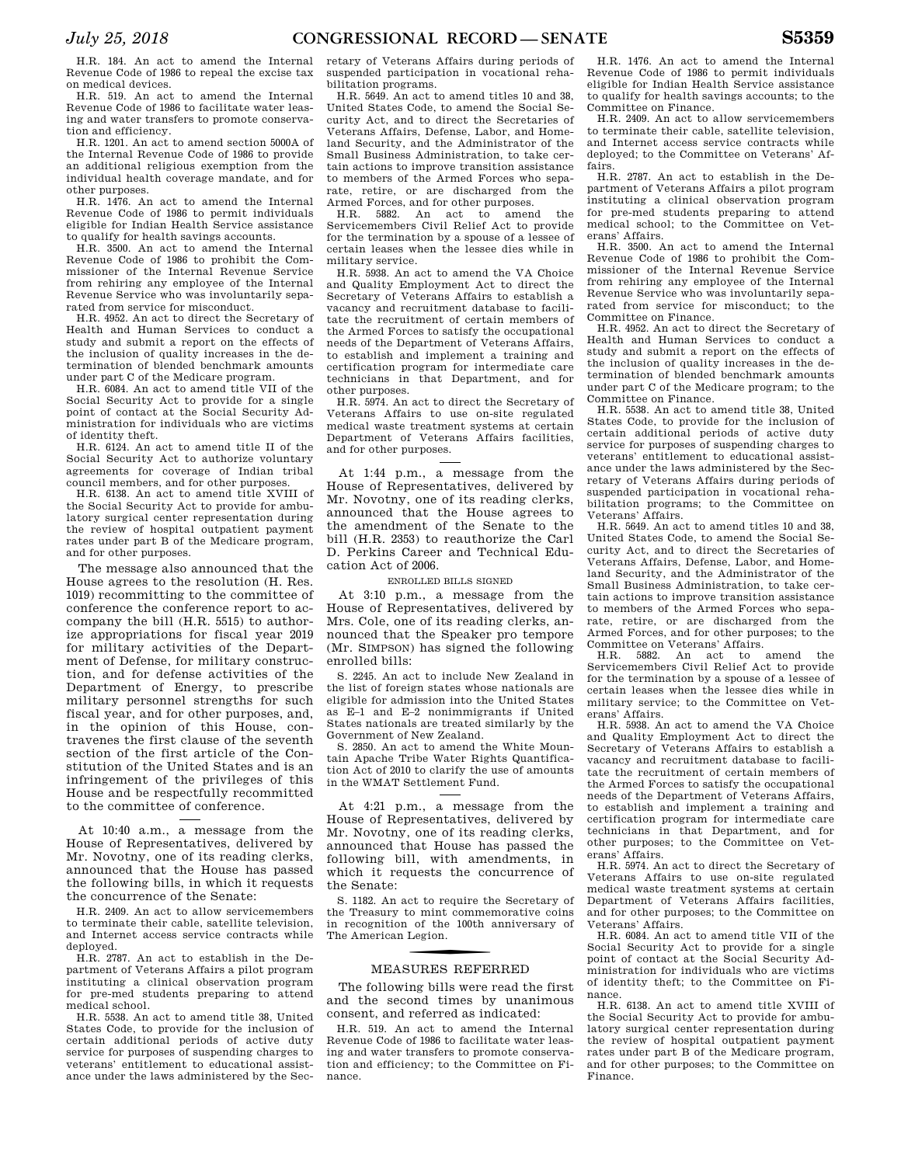H.R. 184. An act to amend the Internal Revenue Code of 1986 to repeal the excise tax on medical devices.

H.R. 519. An act to amend the Internal Revenue Code of 1986 to facilitate water leasing and water transfers to promote conservation and efficiency.

H.R. 1201. An act to amend section 5000A of the Internal Revenue Code of 1986 to provide an additional religious exemption from the individual health coverage mandate, and for other purposes.

H.R. 1476. An act to amend the Internal Revenue Code of 1986 to permit individuals eligible for Indian Health Service assistance to qualify for health savings accounts.

H.R. 3500. An act to amend the Internal Revenue Code of 1986 to prohibit the Commissioner of the Internal Revenue Service from rehiring any employee of the Internal Revenue Service who was involuntarily separated from service for misconduct.

H.R. 4952. An act to direct the Secretary of Health and Human Services to conduct a study and submit a report on the effects of the inclusion of quality increases in the determination of blended benchmark amounts under part C of the Medicare program.

H.R. 6084. An act to amend title VII of the Social Security Act to provide for a single point of contact at the Social Security Administration for individuals who are victims of identity theft.

H.R. 6124. An act to amend title II of the Social Security Act to authorize voluntary agreements for coverage of Indian tribal council members, and for other purposes.

H.R. 6138. An act to amend title XVIII of the Social Security Act to provide for ambulatory surgical center representation during the review of hospital outpatient payment rates under part B of the Medicare program, and for other purposes.

The message also announced that the House agrees to the resolution (H. Res. 1019) recommitting to the committee of conference the conference report to accompany the bill (H.R. 5515) to authorize appropriations for fiscal year 2019 for military activities of the Department of Defense, for military construction, and for defense activities of the Department of Energy, to prescribe military personnel strengths for such fiscal year, and for other purposes, and, in the opinion of this House, contravenes the first clause of the seventh section of the first article of the Constitution of the United States and is an infringement of the privileges of this House and be respectfully recommitted to the committee of conference.

At 10:40 a.m., a message from the House of Representatives, delivered by Mr. Novotny, one of its reading clerks, announced that the House has passed the following bills, in which it requests the concurrence of the Senate:

H.R. 2409. An act to allow servicemembers to terminate their cable, satellite television, and Internet access service contracts while deployed.

H.R. 2787. An act to establish in the Department of Veterans Affairs a pilot program instituting a clinical observation program for pre-med students preparing to attend medical school.

H.R. 5538. An act to amend title 38, United States Code, to provide for the inclusion of certain additional periods of active duty service for purposes of suspending charges to veterans' entitlement to educational assistance under the laws administered by the Secretary of Veterans Affairs during periods of suspended participation in vocational rehabilitation programs.

H.R. 5649. An act to amend titles 10 and 38, United States Code, to amend the Social Security Act, and to direct the Secretaries of Veterans Affairs, Defense, Labor, and Homeland Security, and the Administrator of the Small Business Administration, to take certain actions to improve transition assistance to members of the Armed Forces who separate, retire, or are discharged from the Armed Forces, and for other purposes.

H.R. 5882. An act to amend the Servicemembers Civil Relief Act to provide for the termination by a spouse of a lessee of certain leases when the lessee dies while in military service.

H.R. 5938. An act to amend the VA Choice and Quality Employment Act to direct the Secretary of Veterans Affairs to establish a vacancy and recruitment database to facilitate the recruitment of certain members of the Armed Forces to satisfy the occupational needs of the Department of Veterans Affairs, to establish and implement a training and certification program for intermediate care technicians in that Department, and for other purposes.

H.R. 5974. An act to direct the Secretary of Veterans Affairs to use on-site regulated medical waste treatment systems at certain Department of Veterans Affairs facilities, and for other purposes.

At 1:44 p.m., a message from the House of Representatives, delivered by Mr. Novotny, one of its reading clerks, announced that the House agrees to the amendment of the Senate to the bill (H.R. 2353) to reauthorize the Carl D. Perkins Career and Technical Education Act of 2006.

ENROLLED BILLS SIGNED

At 3:10 p.m., a message from the House of Representatives, delivered by Mrs. Cole, one of its reading clerks, announced that the Speaker pro tempore (Mr. SIMPSON) has signed the following enrolled bills:

S. 2245. An act to include New Zealand in the list of foreign states whose nationals are eligible for admission into the United States as E–1 and E–2 nonimmigrants if United States nationals are treated similarly by the Government of New Zealand.

S. 2850. An act to amend the White Mountain Apache Tribe Water Rights Quantification Act of 2010 to clarify the use of amounts in the WMAT Settlement Fund.

At 4:21 p.m., a message from the House of Representatives, delivered by Mr. Novotny, one of its reading clerks, announced that House has passed the following bill, with amendments, in which it requests the concurrence of the Senate:

S. 1182. An act to require the Secretary of the Treasury to mint commemorative coins in recognition of the 100th anniversary of The American Legion.

## f MEASURES REFERRED

The following bills were read the first and the second times by unanimous consent, and referred as indicated:

H.R. 519. An act to amend the Internal Revenue Code of 1986 to facilitate water leasing and water transfers to promote conservation and efficiency; to the Committee on Finance.

H.R. 1476. An act to amend the Internal Revenue Code of 1986 to permit individuals eligible for Indian Health Service assistance to qualify for health savings accounts; to the Committee on Finance.

H.R. 2409. An act to allow servicemembers to terminate their cable, satellite television, and Internet access service contracts while deployed; to the Committee on Veterans' Affairs.

H.R. 2787. An act to establish in the Department of Veterans Affairs a pilot program instituting a clinical observation program for pre-med students preparing to attend medical school; to the Committee on Veterans' Affairs.

H.R. 3500. An act to amend the Internal Revenue Code of 1986 to prohibit the Commissioner of the Internal Revenue Service from rehiring any employee of the Internal Revenue Service who was involuntarily separated from service for misconduct; to the Committee on Finance.

H.R. 4952. An act to direct the Secretary of Health and Human Services to conduct a study and submit a report on the effects of the inclusion of quality increases in the determination of blended benchmark amounts under part C of the Medicare program; to the Committee on Finance.

H.R. 5538. An act to amend title 38, United States Code, to provide for the inclusion of certain additional periods of active duty service for purposes of suspending charges to veterans' entitlement to educational assistance under the laws administered by the Secretary of Veterans Affairs during periods of suspended participation in vocational rehabilitation programs; to the Committee on Veterans' Affairs.

H.R. 5649. An act to amend titles 10 and 38, United States Code, to amend the Social Security Act, and to direct the Secretaries of Veterans Affairs, Defense, Labor, and Homeland Security, and the Administrator of the Small Business Administration, to take certain actions to improve transition assistance to members of the Armed Forces who separate, retire, or are discharged from the Armed Forces, and for other purposes; to the Committee on Veterans' Affairs.

H.R. 5882. An act to amend the Servicemembers Civil Relief Act to provide for the termination by a spouse of a lessee of certain leases when the lessee dies while in military service; to the Committee on Veterans' Affairs.

H.R. 5938. An act to amend the VA Choice and Quality Employment Act to direct the Secretary of Veterans Affairs to establish a vacancy and recruitment database to facilitate the recruitment of certain members of the Armed Forces to satisfy the occupational needs of the Department of Veterans Affairs, to establish and implement a training and certification program for intermediate care technicians in that Department, and for other purposes; to the Committee on Veterans' Affairs.

H.R. 5974. An act to direct the Secretary of Veterans Affairs to use on-site regulated medical waste treatment systems at certain Department of Veterans Affairs facilities, and for other purposes; to the Committee on Veterans' Affairs.

H.R. 6084. An act to amend title VII of the Social Security Act to provide for a single point of contact at the Social Security Administration for individuals who are victims of identity theft; to the Committee on Finance.

H.R. 6138. An act to amend title XVIII of the Social Security Act to provide for ambulatory surgical center representation during the review of hospital outpatient payment rates under part B of the Medicare program, and for other purposes; to the Committee on Finance.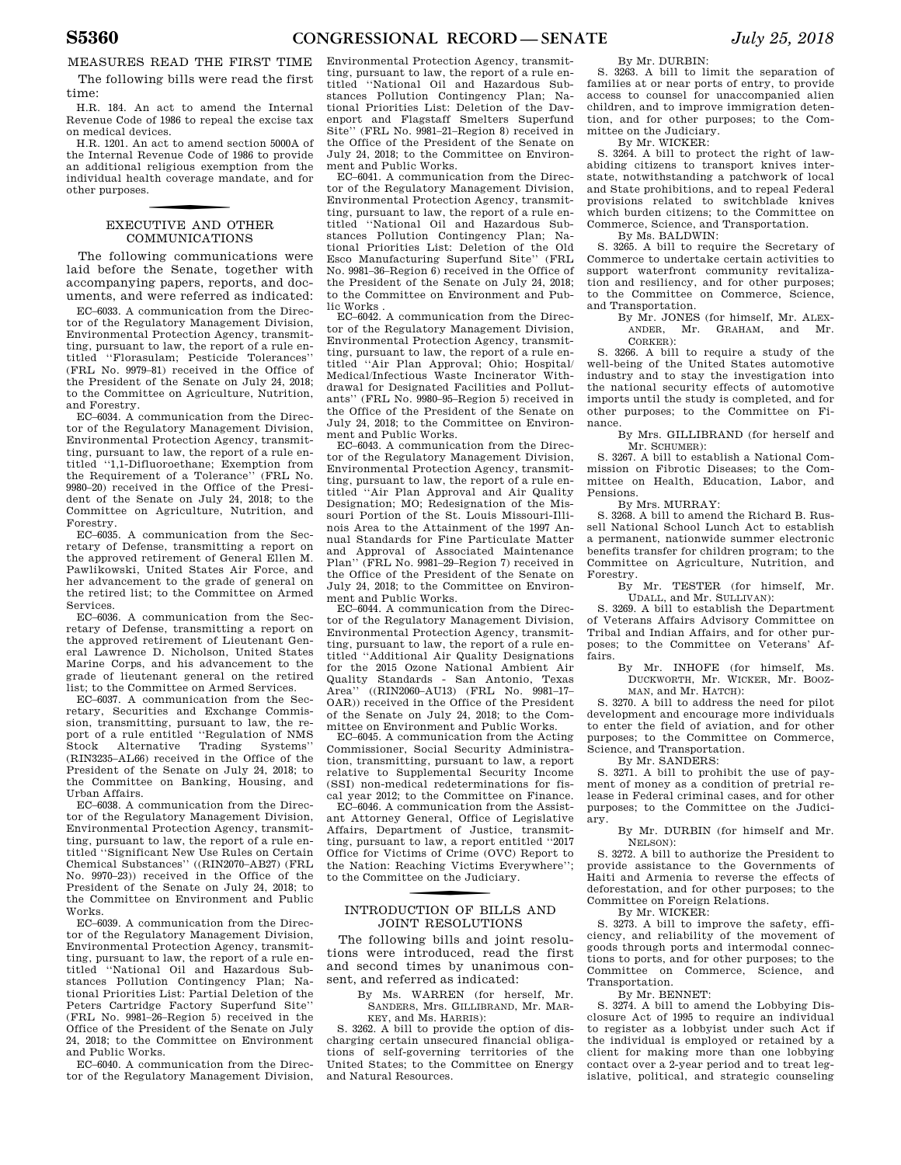MEASURES READ THE FIRST TIME

The following bills were read the first time:

H.R. 184. An act to amend the Internal Revenue Code of 1986 to repeal the excise tax on medical devices.

H.R. 1201. An act to amend section 5000A of the Internal Revenue Code of 1986 to provide an additional religious exemption from the individual health coverage mandate, and for other purposes.

## f EXECUTIVE AND OTHER COMMUNICATIONS

The following communications were laid before the Senate, together with accompanying papers, reports, and documents, and were referred as indicated:

EC–6033. A communication from the Director of the Regulatory Management Division, Environmental Protection Agency, transmitting, pursuant to law, the report of a rule entitled ''Florasulam; Pesticide Tolerances'' (FRL No. 9979–81) received in the Office of the President of the Senate on July 24, 2018; to the Committee on Agriculture, Nutrition, and Forestry.

EC–6034. A communication from the Director of the Regulatory Management Division, Environmental Protection Agency, transmitting, pursuant to law, the report of a rule entitled ''1,1-Difluoroethane; Exemption from the Requirement of a Tolerance'' (FRL No. 9980–20) received in the Office of the President of the Senate on July 24, 2018; to the Committee on Agriculture, Nutrition, and Forestry.

EC–6035. A communication from the Secretary of Defense, transmitting a report on the approved retirement of General Ellen M. Pawlikowski, United States Air Force, and her advancement to the grade of general on the retired list; to the Committee on Armed Services.

EC–6036. A communication from the Secretary of Defense, transmitting a report on the approved retirement of Lieutenant General Lawrence D. Nicholson, United States Marine Corps, and his advancement to the grade of lieutenant general on the retired list; to the Committee on Armed Services.

EC–6037. A communication from the Secretary, Securities and Exchange Commission, transmitting, pursuant to law, the report of a rule entitled "Regulation of NMS<br>Stock Alternative Trading Systems" Stock Alternative Trading Systems'' (RIN3235–AL66) received in the Office of the President of the Senate on July 24, 2018; to the Committee on Banking, Housing, and Urban Affairs.

EC–6038. A communication from the Director of the Regulatory Management Division, Environmental Protection Agency, transmitting, pursuant to law, the report of a rule entitled ''Significant New Use Rules on Certain Chemical Substances'' ((RIN2070–AB27) (FRL No. 9970–23)) received in the Office of the President of the Senate on July 24, 2018; to the Committee on Environment and Public Works.

EC–6039. A communication from the Director of the Regulatory Management Division, Environmental Protection Agency, transmitting, pursuant to law, the report of a rule entitled ''National Oil and Hazardous Substances Pollution Contingency Plan; National Priorities List: Partial Deletion of the Peters Cartridge Factory Superfund Site'' (FRL No. 9981–26–Region 5) received in the Office of the President of the Senate on July 24, 2018; to the Committee on Environment and Public Works.

EC–6040. A communication from the Director of the Regulatory Management Division, Environmental Protection Agency, transmitting, pursuant to law, the report of a rule entitled ''National Oil and Hazardous Substances Pollution Contingency Plan; National Priorities List: Deletion of the Davenport and Flagstaff Smelters Superfund Site'' (FRL No. 9981–21–Region 8) received in the Office of the President of the Senate on July 24, 2018; to the Committee on Environment and Public Works.

EC–6041. A communication from the Director of the Regulatory Management Division, Environmental Protection Agency, transmitting, pursuant to law, the report of a rule entitled ''National Oil and Hazardous Substances Pollution Contingency Plan; National Priorities List: Deletion of the Old Esco Manufacturing Superfund Site'' (FRL No. 9981–36–Region 6) received in the Office of the President of the Senate on July 24, 2018; to the Committee on Environment and Public Works .

EC–6042. A communication from the Director of the Regulatory Management Division, Environmental Protection Agency, transmitting, pursuant to law, the report of a rule entitled ''Air Plan Approval; Ohio; Hospital/ Medical/Infectious Waste Incinerator Withdrawal for Designated Facilities and Pollutants'' (FRL No. 9980–95–Region 5) received in the Office of the President of the Senate on July 24, 2018; to the Committee on Environment and Public Works.

EC–6043. A communication from the Director of the Regulatory Management Division, Environmental Protection Agency, transmitting, pursuant to law, the report of a rule entitled ''Air Plan Approval and Air Quality Designation; MO; Redesignation of the Missouri Portion of the St. Louis Missouri-Illinois Area to the Attainment of the 1997 Annual Standards for Fine Particulate Matter and Approval of Associated Maintenance Plan'' (FRL No. 9981–29–Region 7) received in the Office of the President of the Senate on July 24, 2018; to the Committee on Environment and Public Works.

EC–6044. A communication from the Director of the Regulatory Management Division, Environmental Protection Agency, transmitting, pursuant to law, the report of a rule entitled ''Additional Air Quality Designations for the 2015 Ozone National Ambient Air Quality Standards - San Antonio, Texas Area'' ((RIN2060–AU13) (FRL No. 9981–17– OAR)) received in the Office of the President of the Senate on July 24, 2018; to the Committee on Environment and Public Works.

EC–6045. A communication from the Acting Commissioner, Social Security Administration, transmitting, pursuant to law, a report relative to Supplemental Security Income (SSI) non-medical redeterminations for fiscal year 2012; to the Committee on Finance.

EC–6046. A communication from the Assistant Attorney General, Office of Legislative Affairs, Department of Justice, transmitting, pursuant to law, a report entitled ''2017 Office for Victims of Crime (OVC) Report to the Nation: Reaching Victims Everywhere''; to the Committee on the Judiciary.

## f INTRODUCTION OF BILLS AND JOINT RESOLUTIONS

The following bills and joint resolutions were introduced, read the first and second times by unanimous consent, and referred as indicated:

By Ms. WARREN (for herself, Mr. SANDERS, Mrs. GILLIBRAND, Mr. MAR-KEY, and Ms. HARRIS):

S. 3262. A bill to provide the option of discharging certain unsecured financial obligations of self-governing territories of the United States; to the Committee on Energy and Natural Resources.

By Mr. DURBIN:

S. 3263. A bill to limit the separation of families at or near ports of entry, to provide access to counsel for unaccompanied alien children, and to improve immigration detention, and for other purposes; to the Committee on the Judiciary.

By Mr. WICKER:

S. 3264. A bill to protect the right of lawabiding citizens to transport knives interstate, notwithstanding a patchwork of local and State prohibitions, and to repeal Federal provisions related to switchblade knives which burden citizens; to the Committee on Commerce, Science, and Transportation.

By Ms. BALDWIN:

S. 3265. A bill to require the Secretary of Commerce to undertake certain activities to support waterfront community revitalization and resiliency, and for other purposes; to the Committee on Commerce, Science, and Transportation.

By Mr. JONES (for himself, Mr. ALEX-ANDER, Mr. GRAHAM, and Mr. CORKER):

S. 3266. A bill to require a study of the well-being of the United States automotive industry and to stay the investigation into the national security effects of automotive imports until the study is completed, and for other purposes; to the Committee on Finance.

By Mrs. GILLIBRAND (for herself and Mr. SCHUMER):

S. 3267. A bill to establish a National Commission on Fibrotic Diseases; to the Committee on Health, Education, Labor, and Pensions.

By Mrs. MURRAY:

S. 3268. A bill to amend the Richard B. Russell National School Lunch Act to establish a permanent, nationwide summer electronic benefits transfer for children program; to the Committee on Agriculture, Nutrition, and Forestry.

By Mr. TESTER (for himself, Mr. UDALL, and Mr. SULLIVAN):

S. 3269. A bill to establish the Department of Veterans Affairs Advisory Committee on Tribal and Indian Affairs, and for other pur-<br>noses: to the Committee on Veterans' Afposes; to the Committee on Veterans' fairs.

By Mr. INHOFE (for himself, Ms. DUCKWORTH, Mr. WICKER, Mr. BOOZ-MAN, and Mr. HATCH):

S. 3270. A bill to address the need for pilot development and encourage more individuals to enter the field of aviation, and for other purposes; to the Committee on Commerce, Science, and Transportation.

By Mr. SANDERS:

S. 3271. A bill to prohibit the use of payment of money as a condition of pretrial release in Federal criminal cases, and for other purposes; to the Committee on the Judiciary.

By Mr. DURBIN (for himself and Mr. NELSON):

S. 3272. A bill to authorize the President to provide assistance to the Governments of Haiti and Armenia to reverse the effects of deforestation, and for other purposes; to the Committee on Foreign Relations.

By Mr. WICKER:

S. 3273. A bill to improve the safety, efficiency, and reliability of the movement of goods through ports and intermodal connections to ports, and for other purposes; to the Committee on Commerce, Science, and Transportation.

By Mr. BENNET:

S. 3274. A bill to amend the Lobbying Disclosure Act of 1995 to require an individual to register as a lobbyist under such Act if the individual is employed or retained by a client for making more than one lobbying contact over a 2-year period and to treat legislative, political, and strategic counseling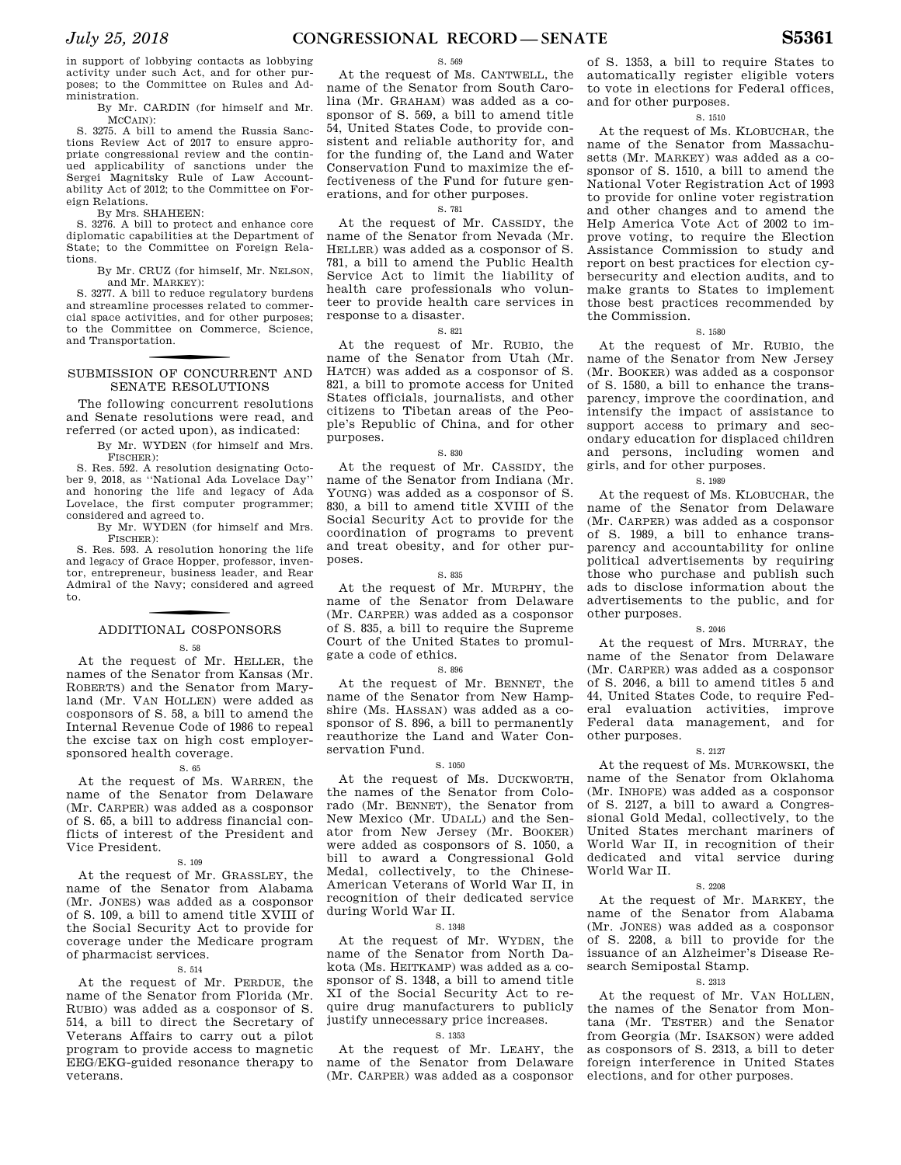in support of lobbying contacts as lobbying activity under such Act, and for other purposes; to the Committee on Rules and Administration.

By Mr. CARDIN (for himself and Mr. MCCAIN):

S. 3275. A bill to amend the Russia Sanctions Review Act of 2017 to ensure appropriate congressional review and the continued applicability of sanctions under the Sergei Magnitsky Rule of Law Accountability Act of 2012; to the Committee on Foreign Relations.

By Mrs. SHAHEEN:

S. 3276. A bill to protect and enhance core diplomatic capabilities at the Department of State; to the Committee on Foreign Relations.

By Mr. CRUZ (for himself, Mr. NELSON, and Mr. MARKEY):

S. 3277. A bill to reduce regulatory burdens and streamline processes related to commercial space activities, and for other purposes; to the Committee on Commerce, Science, and Transportation.

## SUBMISSION OF CONCURRENT AND SENATE RESOLUTIONS

The following concurrent resolutions and Senate resolutions were read, and referred (or acted upon), as indicated:

> By Mr. WYDEN (for himself and Mrs. FISCHER):

S. Res. 592. A resolution designating October 9, 2018, as ''National Ada Lovelace Day'' and honoring the life and legacy of Ada Lovelace, the first computer programmer; considered and agreed to.

By Mr. WYDEN (for himself and Mrs. FISCHER):

S. Res. 593. A resolution honoring the life and legacy of Grace Hopper, professor, inventor, entrepreneur, business leader, and Rear Admiral of the Navy; considered and agreed to.

## f ADDITIONAL COSPONSORS

S. 58

At the request of Mr. HELLER, the names of the Senator from Kansas (Mr. ROBERTS) and the Senator from Maryland (Mr. VAN HOLLEN) were added as cosponsors of S. 58, a bill to amend the Internal Revenue Code of 1986 to repeal the excise tax on high cost employersponsored health coverage.

S. 65

At the request of Ms. WARREN, the name of the Senator from Delaware (Mr. CARPER) was added as a cosponsor of S. 65, a bill to address financial conflicts of interest of the President and Vice President.

### S. 109

At the request of Mr. GRASSLEY, the name of the Senator from Alabama (Mr. JONES) was added as a cosponsor of S. 109, a bill to amend title XVIII of the Social Security Act to provide for coverage under the Medicare program of pharmacist services.

#### S. 514

At the request of Mr. PERDUE, the name of the Senator from Florida (Mr. RUBIO) was added as a cosponsor of S. 514, a bill to direct the Secretary of Veterans Affairs to carry out a pilot program to provide access to magnetic EEG/EKG-guided resonance therapy to veterans.

### S. 569

At the request of Ms. CANTWELL, the name of the Senator from South Carolina (Mr. GRAHAM) was added as a cosponsor of S. 569, a bill to amend title 54, United States Code, to provide consistent and reliable authority for, and for the funding of, the Land and Water Conservation Fund to maximize the effectiveness of the Fund for future generations, and for other purposes.

S. 781

At the request of Mr. CASSIDY, the name of the Senator from Nevada (Mr. HELLER) was added as a cosponsor of S. 781, a bill to amend the Public Health Service Act to limit the liability of health care professionals who volunteer to provide health care services in response to a disaster.

S. 821

At the request of Mr. RUBIO, the name of the Senator from Utah (Mr. HATCH) was added as a cosponsor of S. 821, a bill to promote access for United States officials, journalists, and other citizens to Tibetan areas of the People's Republic of China, and for other purposes.

#### S. 830

At the request of Mr. CASSIDY, the name of the Senator from Indiana (Mr. YOUNG) was added as a cosponsor of S. 830, a bill to amend title XVIII of the Social Security Act to provide for the coordination of programs to prevent and treat obesity, and for other purposes.

#### S. 835

At the request of Mr. MURPHY, the name of the Senator from Delaware (Mr. CARPER) was added as a cosponsor of S. 835, a bill to require the Supreme Court of the United States to promulgate a code of ethics.

#### S. 896

At the request of Mr. BENNET, the name of the Senator from New Hampshire (Ms. HASSAN) was added as a cosponsor of S. 896, a bill to permanently reauthorize the Land and Water Conservation Fund.

#### S. 1050

At the request of Ms. DUCKWORTH, the names of the Senator from Colorado (Mr. BENNET), the Senator from New Mexico (Mr. UDALL) and the Senator from New Jersey (Mr. BOOKER) were added as cosponsors of S. 1050, a bill to award a Congressional Gold Medal, collectively, to the Chinese-American Veterans of World War II, in recognition of their dedicated service during World War II.

### S. 1348

At the request of Mr. WYDEN, the name of the Senator from North Dakota (Ms. HEITKAMP) was added as a cosponsor of S. 1348, a bill to amend title XI of the Social Security Act to require drug manufacturers to publicly justify unnecessary price increases.

### S. 1353

At the request of Mr. LEAHY, the name of the Senator from Delaware (Mr. CARPER) was added as a cosponsor

of S. 1353, a bill to require States to automatically register eligible voters to vote in elections for Federal offices, and for other purposes.

### S. 1510

At the request of Ms. KLOBUCHAR, the name of the Senator from Massachusetts (Mr. MARKEY) was added as a cosponsor of S. 1510, a bill to amend the National Voter Registration Act of 1993 to provide for online voter registration and other changes and to amend the Help America Vote Act of 2002 to improve voting, to require the Election Assistance Commission to study and report on best practices for election cybersecurity and election audits, and to make grants to States to implement those best practices recommended by the Commission.

### S. 1580

At the request of Mr. RUBIO, the name of the Senator from New Jersey (Mr. BOOKER) was added as a cosponsor of S. 1580, a bill to enhance the transparency, improve the coordination, and intensify the impact of assistance to support access to primary and secondary education for displaced children and persons, including women and girls, and for other purposes.

### S. 1989

At the request of Ms. KLOBUCHAR, the name of the Senator from Delaware (Mr. CARPER) was added as a cosponsor of S. 1989, a bill to enhance transparency and accountability for online political advertisements by requiring those who purchase and publish such ads to disclose information about the advertisements to the public, and for other purposes.

#### S. 2046

At the request of Mrs. MURRAY, the name of the Senator from Delaware (Mr. CARPER) was added as a cosponsor of S. 2046, a bill to amend titles 5 and 44, United States Code, to require Federal evaluation activities, improve Federal data management, and for other purposes.

#### S. 2127

At the request of Ms. MURKOWSKI, the name of the Senator from Oklahoma (Mr. INHOFE) was added as a cosponsor of S. 2127, a bill to award a Congressional Gold Medal, collectively, to the United States merchant mariners of World War II, in recognition of their dedicated and vital service during World War II.

### S. 2208

At the request of Mr. MARKEY, the name of the Senator from Alabama (Mr. JONES) was added as a cosponsor of S. 2208, a bill to provide for the issuance of an Alzheimer's Disease Research Semipostal Stamp.

### S. 2313

At the request of Mr. VAN HOLLEN, the names of the Senator from Montana (Mr. TESTER) and the Senator from Georgia (Mr. ISAKSON) were added as cosponsors of S. 2313, a bill to deter foreign interference in United States elections, and for other purposes.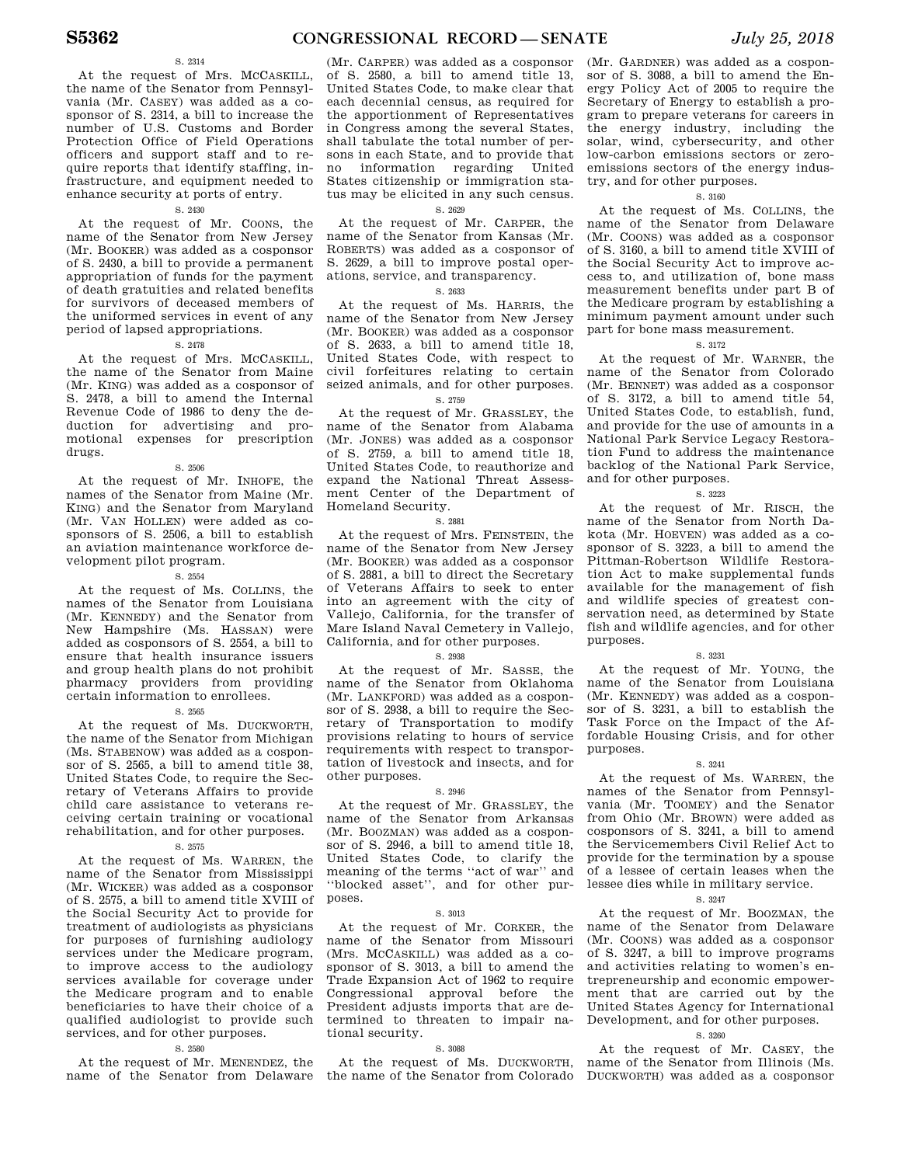### S. 2314

At the request of Mrs. MCCASKILL, the name of the Senator from Pennsylvania (Mr. CASEY) was added as a cosponsor of S. 2314, a bill to increase the number of U.S. Customs and Border Protection Office of Field Operations officers and support staff and to require reports that identify staffing, infrastructure, and equipment needed to enhance security at ports of entry.

### S. 2430

At the request of Mr. COONS, the name of the Senator from New Jersey (Mr. BOOKER) was added as a cosponsor of S. 2430, a bill to provide a permanent appropriation of funds for the payment of death gratuities and related benefits for survivors of deceased members of the uniformed services in event of any period of lapsed appropriations.

### S. 2478

At the request of Mrs. MCCASKILL, the name of the Senator from Maine (Mr. KING) was added as a cosponsor of S. 2478, a bill to amend the Internal Revenue Code of 1986 to deny the deduction for advertising and promotional expenses for prescription drugs.

S. 2506

At the request of Mr. INHOFE, the names of the Senator from Maine (Mr. KING) and the Senator from Maryland (Mr. VAN HOLLEN) were added as cosponsors of S. 2506, a bill to establish an aviation maintenance workforce development pilot program.

### S. 2554

At the request of Ms. COLLINS, the names of the Senator from Louisiana (Mr. KENNEDY) and the Senator from New Hampshire (Ms. HASSAN) were added as cosponsors of S. 2554, a bill to ensure that health insurance issuers and group health plans do not prohibit pharmacy providers from providing certain information to enrollees.

### S. 2565

At the request of Ms. DUCKWORTH, the name of the Senator from Michigan (Ms. STABENOW) was added as a cosponsor of S. 2565, a bill to amend title 38, United States Code, to require the Secretary of Veterans Affairs to provide child care assistance to veterans receiving certain training or vocational rehabilitation, and for other purposes.

### S. 2575

At the request of Ms. WARREN, the name of the Senator from Mississippi (Mr. WICKER) was added as a cosponsor of S. 2575, a bill to amend title XVIII of the Social Security Act to provide for treatment of audiologists as physicians for purposes of furnishing audiology services under the Medicare program, to improve access to the audiology services available for coverage under the Medicare program and to enable beneficiaries to have their choice of a qualified audiologist to provide such services, and for other purposes.

### S. 2580

At the request of Mr. MENENDEZ, the name of the Senator from Delaware

(Mr. CARPER) was added as a cosponsor of S. 2580, a bill to amend title 13, United States Code, to make clear that each decennial census, as required for the apportionment of Representatives in Congress among the several States, shall tabulate the total number of persons in each State, and to provide that no information regarding United States citizenship or immigration status may be elicited in any such census.

### S. 2629

At the request of Mr. CARPER, the name of the Senator from Kansas (Mr. ROBERTS) was added as a cosponsor of S. 2629, a bill to improve postal operations, service, and transparency.

### S. 2633

At the request of Ms. HARRIS, the name of the Senator from New Jersey (Mr. BOOKER) was added as a cosponsor of S. 2633, a bill to amend title 18, United States Code, with respect to civil forfeitures relating to certain seized animals, and for other purposes.

### S. 2759

At the request of Mr. GRASSLEY, the name of the Senator from Alabama (Mr. JONES) was added as a cosponsor of S. 2759, a bill to amend title 18, United States Code, to reauthorize and expand the National Threat Assessment Center of the Department of Homeland Security.

#### S. 2881

At the request of Mrs. FEINSTEIN, the name of the Senator from New Jersey (Mr. BOOKER) was added as a cosponsor of S. 2881, a bill to direct the Secretary of Veterans Affairs to seek to enter into an agreement with the city of Vallejo, California, for the transfer of Mare Island Naval Cemetery in Vallejo, California, and for other purposes.

### S. 2938

At the request of Mr. SASSE, the name of the Senator from Oklahoma (Mr. LANKFORD) was added as a cosponsor of S. 2938, a bill to require the Secretary of Transportation to modify provisions relating to hours of service requirements with respect to transportation of livestock and insects, and for other purposes.

### S. 2946

At the request of Mr. GRASSLEY, the name of the Senator from Arkansas (Mr. BOOZMAN) was added as a cosponsor of S. 2946, a bill to amend title 18, United States Code, to clarify the meaning of the terms ''act of war'' and ''blocked asset'', and for other purposes.

#### S. 3013

At the request of Mr. CORKER, the name of the Senator from Missouri (Mrs. MCCASKILL) was added as a cosponsor of S. 3013, a bill to amend the Trade Expansion Act of 1962 to require Congressional approval before the President adjusts imports that are determined to threaten to impair national security.

### S. 3088

At the request of Ms. DUCKWORTH, the name of the Senator from Colorado

(Mr. GARDNER) was added as a cosponsor of S. 3088, a bill to amend the Energy Policy Act of 2005 to require the Secretary of Energy to establish a program to prepare veterans for careers in the energy industry, including the solar, wind, cybersecurity, and other low-carbon emissions sectors or zeroemissions sectors of the energy industry, and for other purposes.

### S. 3160

At the request of Ms. COLLINS, the name of the Senator from Delaware (Mr. COONS) was added as a cosponsor of S. 3160, a bill to amend title XVIII of the Social Security Act to improve access to, and utilization of, bone mass measurement benefits under part B of the Medicare program by establishing a minimum payment amount under such part for bone mass measurement.

### S. 3172

At the request of Mr. WARNER, the name of the Senator from Colorado (Mr. BENNET) was added as a cosponsor of S. 3172, a bill to amend title 54, United States Code, to establish, fund, and provide for the use of amounts in a National Park Service Legacy Restoration Fund to address the maintenance backlog of the National Park Service, and for other purposes.

### S. 3223

At the request of Mr. RISCH, the name of the Senator from North Dakota (Mr. HOEVEN) was added as a cosponsor of S. 3223, a bill to amend the Pittman-Robertson Wildlife Restoration Act to make supplemental funds available for the management of fish and wildlife species of greatest conservation need, as determined by State fish and wildlife agencies, and for other purposes.

### S. 3231

At the request of Mr. YOUNG, the name of the Senator from Louisiana (Mr. KENNEDY) was added as a cosponsor of S. 3231, a bill to establish the Task Force on the Impact of the Affordable Housing Crisis, and for other purposes.

#### S. 3241

At the request of Ms. WARREN, the names of the Senator from Pennsylvania (Mr. TOOMEY) and the Senator from Ohio (Mr. BROWN) were added as cosponsors of S. 3241, a bill to amend the Servicemembers Civil Relief Act to provide for the termination by a spouse of a lessee of certain leases when the lessee dies while in military service.

### S. 3247

At the request of Mr. BOOZMAN, the name of the Senator from Delaware (Mr. COONS) was added as a cosponsor of S. 3247, a bill to improve programs and activities relating to women's entrepreneurship and economic empowerment that are carried out by the United States Agency for International Development, and for other purposes.

### S. 3260

At the request of Mr. CASEY, the name of the Senator from Illinois (Ms. DUCKWORTH) was added as a cosponsor

### **S5362 CONGRESSIONAL RECORD — SENATE** *July 25, 2018*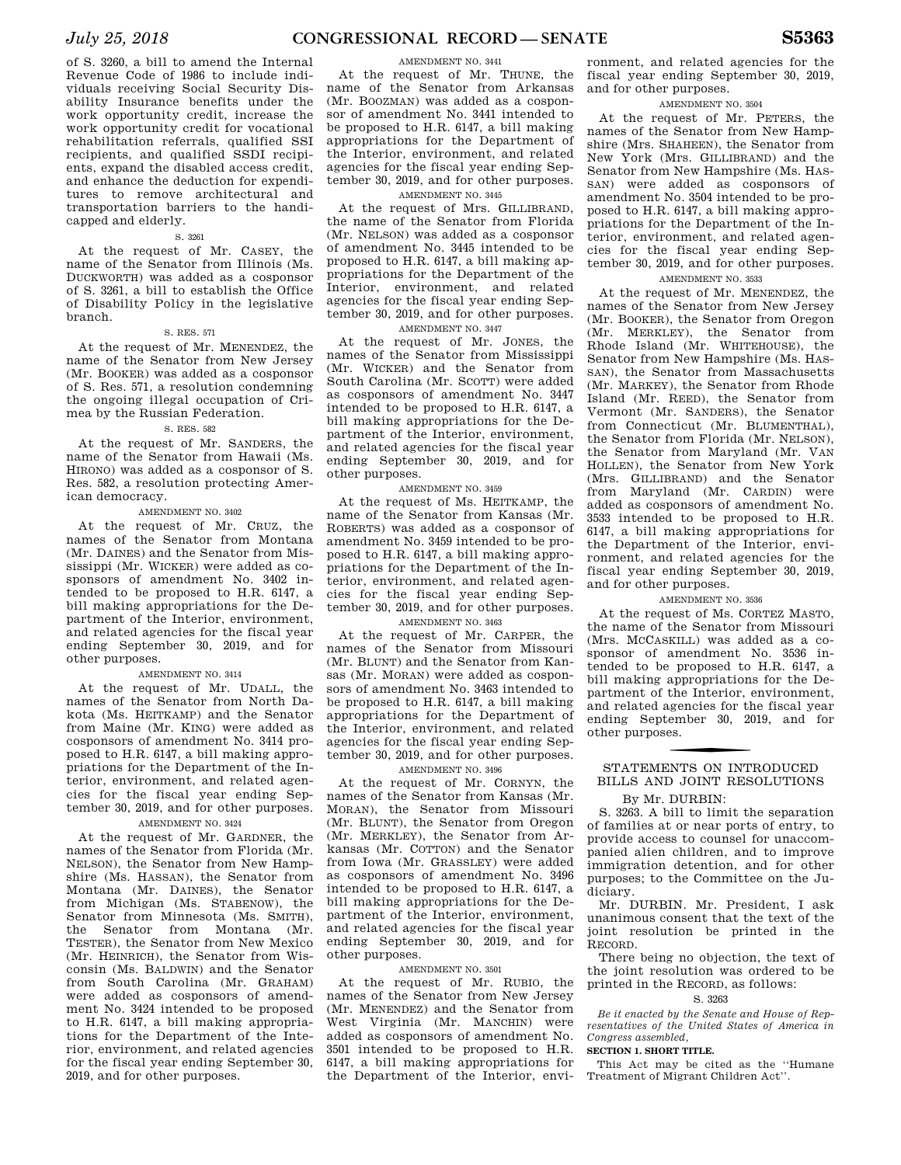of S. 3260, a bill to amend the Internal Revenue Code of 1986 to include individuals receiving Social Security Disability Insurance benefits under the work opportunity credit, increase the work opportunity credit for vocational rehabilitation referrals, qualified SSI recipients, and qualified SSDI recipients, expand the disabled access credit, and enhance the deduction for expenditures to remove architectural and transportation barriers to the handicapped and elderly.

### S. 3261

At the request of Mr. CASEY, the name of the Senator from Illinois (Ms. DUCKWORTH) was added as a cosponsor of S. 3261, a bill to establish the Office of Disability Policy in the legislative branch.

### S. RES. 571

At the request of Mr. MENENDEZ, the name of the Senator from New Jersey (Mr. BOOKER) was added as a cosponsor of S. Res. 571, a resolution condemning the ongoing illegal occupation of Crimea by the Russian Federation.

### S. RES. 582

At the request of Mr. SANDERS, the name of the Senator from Hawaii (Ms. HIRONO) was added as a cosponsor of S. Res. 582, a resolution protecting American democracy.

### AMENDMENT NO. 3402

At the request of Mr. CRUZ, the names of the Senator from Montana (Mr. DAINES) and the Senator from Mississippi (Mr. WICKER) were added as cosponsors of amendment No. 3402 intended to be proposed to H.R. 6147, a bill making appropriations for the Department of the Interior, environment, and related agencies for the fiscal year ending September 30, 2019, and for other purposes.

### AMENDMENT NO. 3414

At the request of Mr. UDALL, the names of the Senator from North Dakota (Ms. HEITKAMP) and the Senator from Maine (Mr. KING) were added as cosponsors of amendment No. 3414 proposed to H.R. 6147, a bill making appropriations for the Department of the Interior, environment, and related agencies for the fiscal year ending September 30, 2019, and for other purposes. AMENDMENT NO. 3424

At the request of Mr. GARDNER, the names of the Senator from Florida (Mr. NELSON), the Senator from New Hampshire (Ms. HASSAN), the Senator from Montana (Mr. DAINES), the Senator from Michigan (Ms. STABENOW), the Senator from Minnesota (Ms. SMITH), the Senator from Montana (Mr. TESTER), the Senator from New Mexico (Mr. HEINRICH), the Senator from Wisconsin (Ms. BALDWIN) and the Senator from South Carolina (Mr. GRAHAM) were added as cosponsors of amendment No. 3424 intended to be proposed to H.R. 6147, a bill making appropriations for the Department of the Interior, environment, and related agencies for the fiscal year ending September 30, 2019, and for other purposes.

### AMENDMENT NO. 3441

At the request of Mr. THUNE, the name of the Senator from Arkansas (Mr. BOOZMAN) was added as a cosponsor of amendment No. 3441 intended to be proposed to H.R. 6147, a bill making appropriations for the Department of the Interior, environment, and related agencies for the fiscal year ending September 30, 2019, and for other purposes.

AMENDMENT NO. 3445

At the request of Mrs. GILLIBRAND, the name of the Senator from Florida (Mr. NELSON) was added as a cosponsor of amendment No. 3445 intended to be proposed to H.R. 6147, a bill making appropriations for the Department of the Interior, environment, and related agencies for the fiscal year ending September 30, 2019, and for other purposes.

### AMENDMENT NO. 3447

At the request of Mr. JONES, the names of the Senator from Mississippi (Mr. WICKER) and the Senator from South Carolina (Mr. SCOTT) were added as cosponsors of amendment No. 3447 intended to be proposed to H.R. 6147, a bill making appropriations for the Department of the Interior, environment, and related agencies for the fiscal year ending September 30, 2019, and for other purposes.

### AMENDMENT NO. 3459

At the request of Ms. HEITKAMP, the name of the Senator from Kansas (Mr. ROBERTS) was added as a cosponsor of amendment No. 3459 intended to be proposed to H.R. 6147, a bill making appropriations for the Department of the Interior, environment, and related agencies for the fiscal year ending September 30, 2019, and for other purposes.

### AMENDMENT NO. 3463

At the request of Mr. CARPER, the names of the Senator from Missouri (Mr. BLUNT) and the Senator from Kansas (Mr. MORAN) were added as cosponsors of amendment No. 3463 intended to be proposed to H.R. 6147, a bill making appropriations for the Department of the Interior, environment, and related agencies for the fiscal year ending September 30, 2019, and for other purposes.

### AMENDMENT NO. 3496

At the request of Mr. CORNYN, the names of the Senator from Kansas (Mr. MORAN), the Senator from Missouri (Mr. BLUNT), the Senator from Oregon (Mr. MERKLEY), the Senator from Arkansas (Mr. COTTON) and the Senator from Iowa (Mr. GRASSLEY) were added as cosponsors of amendment No. 3496 intended to be proposed to H.R. 6147, a bill making appropriations for the Department of the Interior, environment, and related agencies for the fiscal year ending September 30, 2019, and for other purposes.

### AMENDMENT NO. 3501

At the request of Mr. RUBIO, the names of the Senator from New Jersey (Mr. MENENDEZ) and the Senator from West Virginia (Mr. MANCHIN) were added as cosponsors of amendment No. 3501 intended to be proposed to H.R. 6147, a bill making appropriations for the Department of the Interior, envi-

ronment, and related agencies for the fiscal year ending September 30, 2019, and for other purposes.

### AMENDMENT NO. 3504

At the request of Mr. PETERS, the names of the Senator from New Hampshire (Mrs. SHAHEEN), the Senator from New York (Mrs. GILLIBRAND) and the Senator from New Hampshire (Ms. HAS-SAN) were added as cosponsors of amendment No. 3504 intended to be proposed to H.R. 6147, a bill making appropriations for the Department of the Interior, environment, and related agencies for the fiscal year ending September 30, 2019, and for other purposes.

### AMENDMENT NO. 3533

At the request of Mr. MENENDEZ, the names of the Senator from New Jersey (Mr. BOOKER), the Senator from Oregon (Mr. MERKLEY), the Senator from Rhode Island (Mr. WHITEHOUSE), the Senator from New Hampshire (Ms. HAS-SAN), the Senator from Massachusetts (Mr. MARKEY), the Senator from Rhode Island (Mr. REED), the Senator from Vermont (Mr. SANDERS), the Senator from Connecticut (Mr. BLUMENTHAL), the Senator from Florida (Mr. NELSON), the Senator from Maryland (Mr. VAN HOLLEN), the Senator from New York (Mrs. GILLIBRAND) and the Senator from Maryland (Mr. CARDIN) were added as cosponsors of amendment No. 3533 intended to be proposed to H.R. 6147, a bill making appropriations for the Department of the Interior, environment, and related agencies for the fiscal year ending September 30, 2019, and for other purposes.

### AMENDMENT NO. 3536

At the request of Ms. CORTEZ MASTO, the name of the Senator from Missouri (Mrs. MCCASKILL) was added as a cosponsor of amendment No. 3536 intended to be proposed to H.R. 6147, a bill making appropriations for the Department of the Interior, environment, and related agencies for the fiscal year ending September 30, 2019, and for other purposes.

### STATEMENTS ON INTRODUCED BILLS AND JOINT RESOLUTIONS

### By Mr. DURBIN:

S. 3263. A bill to limit the separation of families at or near ports of entry, to provide access to counsel for unaccompanied alien children, and to improve immigration detention, and for other purposes; to the Committee on the Judiciary.

Mr. DURBIN. Mr. President, I ask unanimous consent that the text of the joint resolution be printed in the RECORD.

There being no objection, the text of the joint resolution was ordered to be printed in the RECORD, as follows:

### S. 3263

*Be it enacted by the Senate and House of Representatives of the United States of America in Congress assembled,* 

### **SECTION 1. SHORT TITLE.**

This Act may be cited as the ''Humane Treatment of Migrant Children Act''.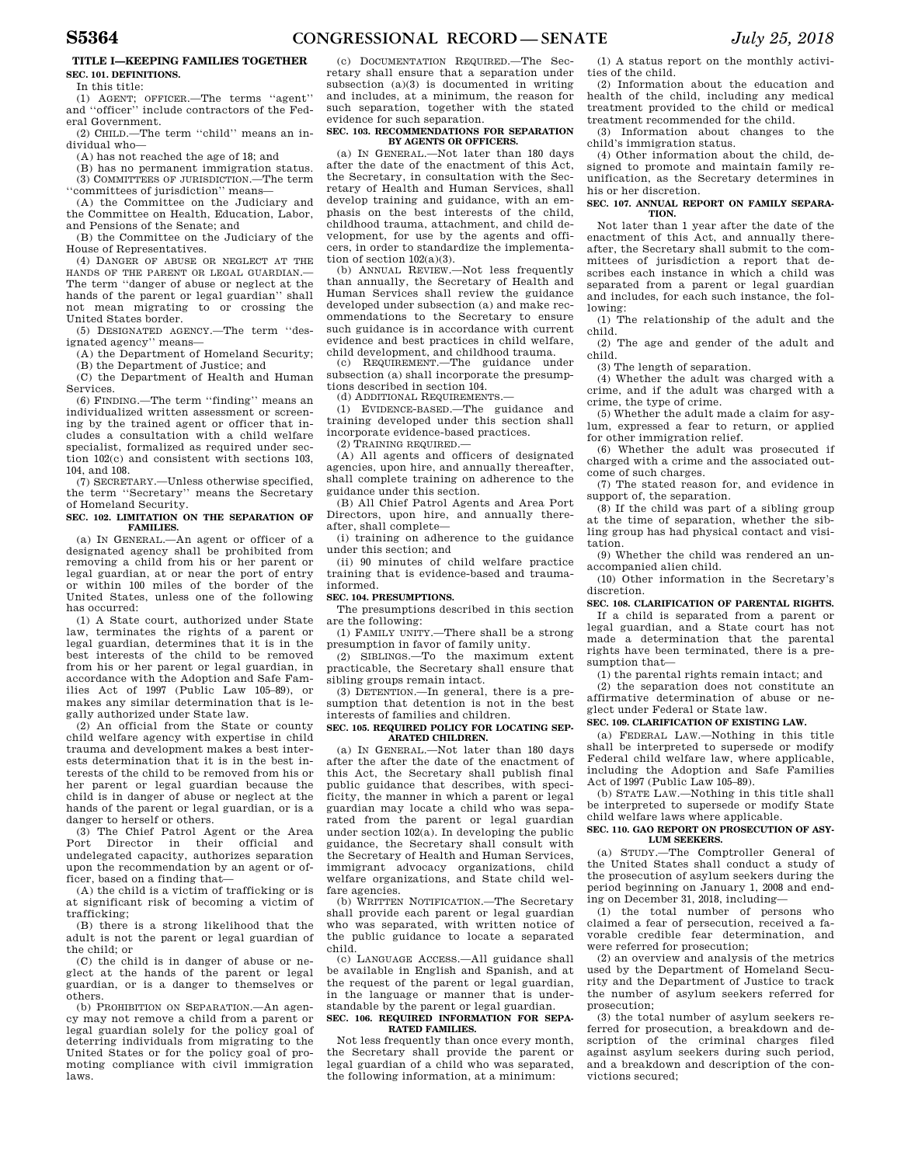### **TITLE I—KEEPING FAMILIES TOGETHER SEC. 101. DEFINITIONS.**

In this title:

(1) AGENT; OFFICER.—The terms ''agent'' and ''officer'' include contractors of the Fed-

eral Government. (2) CHILD.—The term ''child'' means an individual who—

(A) has not reached the age of 18; and

(B) has no permanent immigration status. (3) COMMITTEES OF JURISDICTION.—The term

''committees of jurisdiction'' means— (A) the Committee on the Judiciary and the Committee on Health, Education, Labor,

and Pensions of the Senate; and (B) the Committee on the Judiciary of the

House of Representatives.

(4) DANGER OF ABUSE OR NEGLECT AT THE HANDS OF THE PARENT OR LEGAL GUARDIAN.— The term ''danger of abuse or neglect at the hands of the parent or legal guardian'' shall not mean migrating to or crossing the United States border.

(5) DESIGNATED AGENCY.—The term ''designated agency'' means—

(A) the Department of Homeland Security;

(B) the Department of Justice; and

(C) the Department of Health and Human Services.

(6) FINDING.—The term ''finding'' means an individualized written assessment or screening by the trained agent or officer that includes a consultation with a child welfare specialist, formalized as required under section 102(c) and consistent with sections 103, 104, and 108.

(7) SECRETARY.—Unless otherwise specified, the term ''Secretary'' means the Secretary of Homeland Security.

### **SEC. 102. LIMITATION ON THE SEPARATION OF FAMILIES.**

(a) IN GENERAL.—An agent or officer of a designated agency shall be prohibited from removing a child from his or her parent or legal guardian, at or near the port of entry or within 100 miles of the border of the United States, unless one of the following has occurred:

(1) A State court, authorized under State law, terminates the rights of a parent or legal guardian, determines that it is in the best interests of the child to be removed from his or her parent or legal guardian, in accordance with the Adoption and Safe Families Act of 1997 (Public Law 105–89), or makes any similar determination that is legally authorized under State law.

(2) An official from the State or county child welfare agency with expertise in child trauma and development makes a best interests determination that it is in the best interests of the child to be removed from his or her parent or legal guardian because the child is in danger of abuse or neglect at the hands of the parent or legal guardian, or is a danger to herself or others.

(3) The Chief Patrol Agent or the Area Port Director in their official and undelegated capacity, authorizes separation upon the recommendation by an agent or officer, based on a finding that—

(A) the child is a victim of trafficking or is at significant risk of becoming a victim of trafficking;

(B) there is a strong likelihood that the adult is not the parent or legal guardian of the child; or

(C) the child is in danger of abuse or neglect at the hands of the parent or legal guardian, or is a danger to themselves or others. (b) PROHIBITION ON SEPARATION.—An agen-

cy may not remove a child from a parent or legal guardian solely for the policy goal of deterring individuals from migrating to the United States or for the policy goal of promoting compliance with civil immigration laws.

(c) DOCUMENTATION REQUIRED.—The Secretary shall ensure that a separation under subsection (a)(3) is documented in writing and includes, at a minimum, the reason for such separation, together with the stated evidence for such separation.

### **SEC. 103. RECOMMENDATIONS FOR SEPARATION BY AGENTS OR OFFICERS.**

(a) IN GENERAL.—Not later than 180 days after the date of the enactment of this Act, the Secretary, in consultation with the Secretary of Health and Human Services, shall develop training and guidance, with an emphasis on the best interests of the child, childhood trauma, attachment, and child development, for use by the agents and officers, in order to standardize the implementation of section  $102(a)(3)$ .

(b) ANNUAL REVIEW.—Not less frequently than annually, the Secretary of Health and Human Services shall review the guidance developed under subsection (a) and make recommendations to the Secretary to ensure such guidance is in accordance with current evidence and best practices in child welfare, child development, and childhood trauma.

(c) REQUIREMENT.—The guidance under subsection (a) shall incorporate the presumptions described in section 104.

(d) ADDITIONAL REQUIREMENTS.—

(1) EVIDENCE-BASED.—The guidance and training developed under this section shall incorporate evidence-based practices.

 $(2)$  Training required  $-$ 

(A) All agents and officers of designated agencies, upon hire, and annually thereafter, shall complete training on adherence to the guidance under this section.

(B) All Chief Patrol Agents and Area Port Directors, upon hire, and annually thereafter, shall complete—

(i) training on adherence to the guidance under this section; and

(ii) 90 minutes of child welfare practice training that is evidence-based and traumainformed.

#### **SEC. 104. PRESUMPTIONS.**

The presumptions described in this section are the following:

(1) FAMILY UNITY.—There shall be a strong presumption in favor of family unity.

(2) SIBLINGS.—To the maximum extent practicable, the Secretary shall ensure that sibling groups remain intact.

(3) DETENTION.—In general, there is a presumption that detention is not in the best interests of families and children.

### **SEC. 105. REQUIRED POLICY FOR LOCATING SEP-ARATED CHILDREN.**

(a) IN GENERAL.—Not later than 180 days after the after the date of the enactment of this Act, the Secretary shall publish final public guidance that describes, with specificity, the manner in which a parent or legal guardian may locate a child who was separated from the parent or legal guardian under section  $102(a)$ . In developing the public guidance, the Secretary shall consult with the Secretary of Health and Human Services, immigrant advocacy organizations, child welfare organizations, and State child welfare agencies.

(b) WRITTEN NOTIFICATION.—The Secretary shall provide each parent or legal guardian who was separated, with written notice of the public guidance to locate a separated child.

(c) LANGUAGE ACCESS.—All guidance shall be available in English and Spanish, and at the request of the parent or legal guardian, in the language or manner that is understandable by the parent or legal guardian.

### **SEC. 106. REQUIRED INFORMATION FOR SEPA-RATED FAMILIES.**

Not less frequently than once every month, the Secretary shall provide the parent or legal guardian of a child who was separated, the following information, at a minimum:

(1) A status report on the monthly activities of the child.

(2) Information about the education and health of the child, including any medical treatment provided to the child or medical treatment recommended for the child.

(3) Information about changes to the child's immigration status.

(4) Other information about the child, designed to promote and maintain family reunification, as the Secretary determines in his or her discretion.

### **SEC. 107. ANNUAL REPORT ON FAMILY SEPARA-TION.**

Not later than 1 year after the date of the enactment of this Act, and annually thereafter, the Secretary shall submit to the committees of jurisdiction a report that describes each instance in which a child was separated from a parent or legal guardian and includes, for each such instance, the following:

(1) The relationship of the adult and the child.

(2) The age and gender of the adult and child.

(3) The length of separation.

(4) Whether the adult was charged with a crime, and if the adult was charged with a crime, the type of crime.

(5) Whether the adult made a claim for asylum, expressed a fear to return, or applied for other immigration relief.

(6) Whether the adult was prosecuted if charged with a crime and the associated outcome of such charges.

(7) The stated reason for, and evidence in support of, the separation.

(8) If the child was part of a sibling group at the time of separation, whether the sibling group has had physical contact and visitation.

(9) Whether the child was rendered an unaccompanied alien child.

(10) Other information in the Secretary's discretion.

**SEC. 108. CLARIFICATION OF PARENTAL RIGHTS.**  If a child is separated from a parent or legal guardian, and a State court has not made a determination that the parental rights have been terminated, there is a presumption that—

(1) the parental rights remain intact; and

(2) the separation does not constitute an affirmative determination of abuse or neglect under Federal or State law.

### **SEC. 109. CLARIFICATION OF EXISTING LAW.**

(a) FEDERAL LAW.—Nothing in this title shall be interpreted to supersede or modify Federal child welfare law, where applicable, including the Adoption and Safe Families Act of 1997 (Public Law 105–89).

(b) STATE LAW.—Nothing in this title shall be interpreted to supersede or modify State child welfare laws where applicable.

#### **SEC. 110. GAO REPORT ON PROSECUTION OF ASY-LUM SEEKERS.**

(a) STUDY.—The Comptroller General of the United States shall conduct a study of the prosecution of asylum seekers during the period beginning on January 1, 2008 and ending on December 31, 2018, including—

(1) the total number of persons who claimed a fear of persecution, received a favorable credible fear determination, and were referred for prosecution;

(2) an overview and analysis of the metrics used by the Department of Homeland Security and the Department of Justice to track the number of asylum seekers referred for prosecution;

(3) the total number of asylum seekers referred for prosecution, a breakdown and description of the criminal charges filed against asylum seekers during such period, and a breakdown and description of the convictions secured;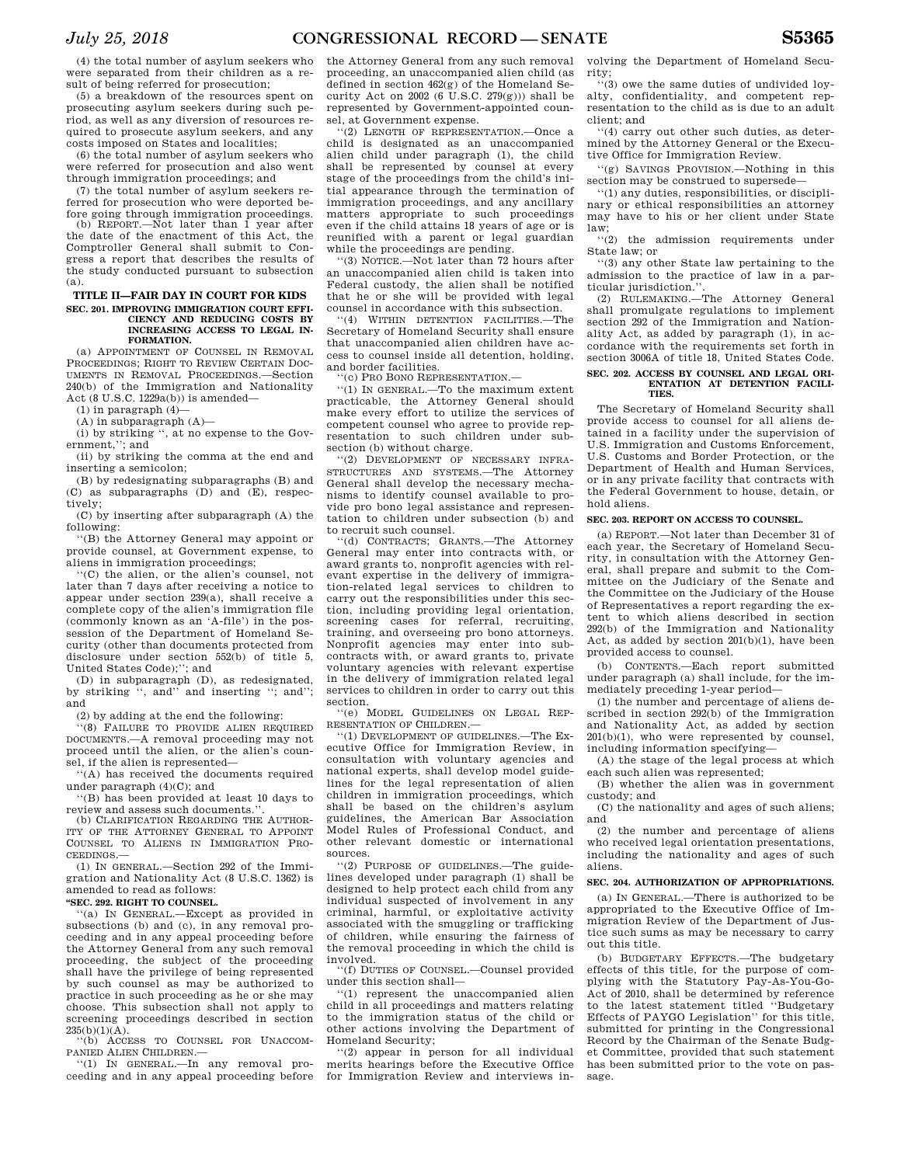(4) the total number of asylum seekers who were separated from their children as a result of being referred for prosecution;

(5) a breakdown of the resources spent on prosecuting asylum seekers during such period, as well as any diversion of resources required to prosecute asylum seekers, and any costs imposed on States and localities;

(6) the total number of asylum seekers who were referred for prosecution and also went through immigration proceedings; and

(7) the total number of asylum seekers referred for prosecution who were deported before going through immigration proceedings.

REPORT.—Not later than 1 year after the date of the enactment of this Act, the Comptroller General shall submit to Congress a report that describes the results of the study conducted pursuant to subsection (a).

#### **TITLE II—FAIR DAY IN COURT FOR KIDS**  SEC. 201. **IMPROVING IMMIGRATION COURT EFFI-CIENCY AND REDUCING COSTS BY INCREASING ACCESS TO LEGAL IN-FORMATION.**

(a) APPOINTMENT OF COUNSEL IN REMOVAL PROCEEDINGS; RIGHT TO REVIEW CERTAIN DOC-UMENTS IN REMOVAL PROCEEDINGS.—Section 240(b) of the Immigration and Nationality Act (8 U.S.C. 1229a(b)) is amended—

(1) in paragraph (4)—

(A) in subparagraph (A)—

(i) by striking '', at no expense to the Government,''; and

(ii) by striking the comma at the end and inserting a semicolon;

(B) by redesignating subparagraphs (B) and (C) as subparagraphs (D) and (E), respectively;

(C) by inserting after subparagraph (A) the following:

''(B) the Attorney General may appoint or provide counsel, at Government expense, to aliens in immigration proceedings;

''(C) the alien, or the alien's counsel, not later than 7 days after receiving a notice to appear under section 239(a), shall receive a complete copy of the alien's immigration file (commonly known as an 'A-file') in the possession of the Department of Homeland Security (other than documents protected from disclosure under section 552(b) of title 5, United States Code);''; and

(D) in subparagraph (D), as redesignated, by striking '', and'' and inserting ''; and''; and

(2) by adding at the end the following:

''(8) FAILURE TO PROVIDE ALIEN REQUIRED DOCUMENTS.—A removal proceeding may not proceed until the alien, or the alien's counsel, if the alien is represented—

''(A) has received the documents required under paragraph (4)(C); and

''(B) has been provided at least 10 days to review and assess such documents.''.

(b) CLARIFICATION REGARDING THE AUTHOR-ITY OF THE ATTORNEY GENERAL TO APPOINT COUNSEL TO ALIENS IN IMMIGRATION PRO-CEEDINGS.—

(1) IN GENERAL.—Section 292 of the Immigration and Nationality Act (8 U.S.C. 1362) is amended to read as follows:

**''SEC. 292. RIGHT TO COUNSEL.** 

''(a) IN GENERAL.—Except as provided in subsections (b) and (c), in any removal proceeding and in any appeal proceeding before the Attorney General from any such removal proceeding, the subject of the proceeding shall have the privilege of being represented by such counsel as may be authorized to practice in such proceeding as he or she may choose. This subsection shall not apply to screening proceedings described in section  $235(b)(1)(A)$ .

''(b) ACCESS TO COUNSEL FOR UNACCOM-PANIED ALIEN CHILDREN.

''(1) IN GENERAL.—In any removal proceeding and in any appeal proceeding before

the Attorney General from any such removal proceeding, an unaccompanied alien child (as defined in section 462(g) of the Homeland Security Act on 2002 (6 U.S.C. 279(g))) shall be represented by Government-appointed counsel, at Government expense.

''(2) LENGTH OF REPRESENTATION.—Once a child is designated as an unaccompanied alien child under paragraph (1), the child shall be represented by counsel at every stage of the proceedings from the child's initial appearance through the termination of immigration proceedings, and any ancillary matters appropriate to such proceedings even if the child attains 18 years of age or is reunified with a parent or legal guardian while the proceedings are pending.

''(3) NOTICE.—Not later than 72 hours after an unaccompanied alien child is taken into Federal custody, the alien shall be notified that he or she will be provided with legal counsel in accordance with this subsection.

''(4) WITHIN DETENTION FACILITIES.—The Secretary of Homeland Security shall ensure that unaccompanied alien children have access to counsel inside all detention, holding, and border facilities.

''(c) PRO BONO REPRESENTATION.—

''(1) IN GENERAL.—To the maximum extent practicable, the Attorney General should make every effort to utilize the services of competent counsel who agree to provide representation to such children under subsection (b) without charge.

''(2) DEVELOPMENT OF NECESSARY INFRA-STRUCTURES AND SYSTEMS.—The Attorney General shall develop the necessary mechanisms to identify counsel available to provide pro bono legal assistance and representation to children under subsection (b) and to recruit such counsel.

''(d) CONTRACTS; GRANTS.—The Attorney General may enter into contracts with, or award grants to, nonprofit agencies with relevant expertise in the delivery of immigration-related legal services to children to carry out the responsibilities under this section, including providing legal orientation, screening cases for referral, recruiting, training, and overseeing pro bono attorneys. Nonprofit agencies may enter into subcontracts with, or award grants to, private voluntary agencies with relevant expertise in the delivery of immigration related legal services to children in order to carry out this section.

'(e) MODEL GUIDELINES ON LEGAL REP-RESENTATION OF CHILDREN.—

''(1) DEVELOPMENT OF GUIDELINES.—The Executive Office for Immigration Review, in consultation with voluntary agencies and national experts, shall develop model guidelines for the legal representation of alien children in immigration proceedings, which shall be based on the children's asylum guidelines, the American Bar Association Model Rules of Professional Conduct, and other relevant domestic or international sources.

''(2) PURPOSE OF GUIDELINES.—The guidelines developed under paragraph (1) shall be designed to help protect each child from any individual suspected of involvement in any criminal, harmful, or exploitative activity associated with the smuggling or trafficking of children, while ensuring the fairness of the removal proceeding in which the child is involved.

''(f) DUTIES OF COUNSEL.—Counsel provided under this section shall—

''(1) represent the unaccompanied alien child in all proceedings and matters relating to the immigration status of the child or other actions involving the Department of Homeland Security;

(2) appear in person for all individual merits hearings before the Executive Office for Immigration Review and interviews in-

volving the Department of Homeland Security;

''(3) owe the same duties of undivided loyalty, confidentiality, and competent representation to the child as is due to an adult client; and

''(4) carry out other such duties, as determined by the Attorney General or the Executive Office for Immigration Review.

''(g) SAVINGS PROVISION.—Nothing in this section may be construed to supersede—

''(1) any duties, responsibilities, or disciplinary or ethical responsibilities an attorney may have to his or her client under State law;

''(2) the admission requirements under State law; or

''(3) any other State law pertaining to the admission to the practice of law in a particular jurisdiction.'

(2) RULEMAKING.—The Attorney General shall promulgate regulations to implement section 292 of the Immigration and Nationality Act, as added by paragraph (1), in accordance with the requirements set forth in section 3006A of title 18, United States Code.

#### **SEC. 202. ACCESS BY COUNSEL AND LEGAL ORI-ENTATION AT DETENTION FACILI-TIES.**

The Secretary of Homeland Security shall provide access to counsel for all aliens detained in a facility under the supervision of U.S. Immigration and Customs Enforcement, U.S. Customs and Border Protection, or the Department of Health and Human Services, or in any private facility that contracts with the Federal Government to house, detain, or hold aliens.

### **SEC. 203. REPORT ON ACCESS TO COUNSEL.**

(a) REPORT.—Not later than December 31 of each year, the Secretary of Homeland Security, in consultation with the Attorney General, shall prepare and submit to the Committee on the Judiciary of the Senate and the Committee on the Judiciary of the House of Representatives a report regarding the extent to which aliens described in section 292(b) of the Immigration and Nationality Act, as added by section 201(b)(1), have been provided access to counsel.

(b) CONTENTS.—Each report submitted under paragraph (a) shall include, for the immediately preceding 1-year period—

(1) the number and percentage of aliens described in section 292(b) of the Immigration and Nationality Act, as added by section 201(b)(1), who were represented by counsel, including information specifying—

(A) the stage of the legal process at which each such alien was represented;

(B) whether the alien was in government custody; and

(C) the nationality and ages of such aliens; and

(2) the number and percentage of aliens who received legal orientation presentations, including the nationality and ages of such aliens.

### **SEC. 204. AUTHORIZATION OF APPROPRIATIONS.**

(a) IN GENERAL.—There is authorized to be appropriated to the Executive Office of Immigration Review of the Department of Justice such sums as may be necessary to carry out this title.

(b) BUDGETARY EFFECTS.—The budgetary effects of this title, for the purpose of complying with the Statutory Pay-As-You-Go-Act of 2010, shall be determined by reference to the latest statement titled ''Budgetary Effects of PAYGO Legislation'' for this title, submitted for printing in the Congressional Record by the Chairman of the Senate Budget Committee, provided that such statement has been submitted prior to the vote on passage.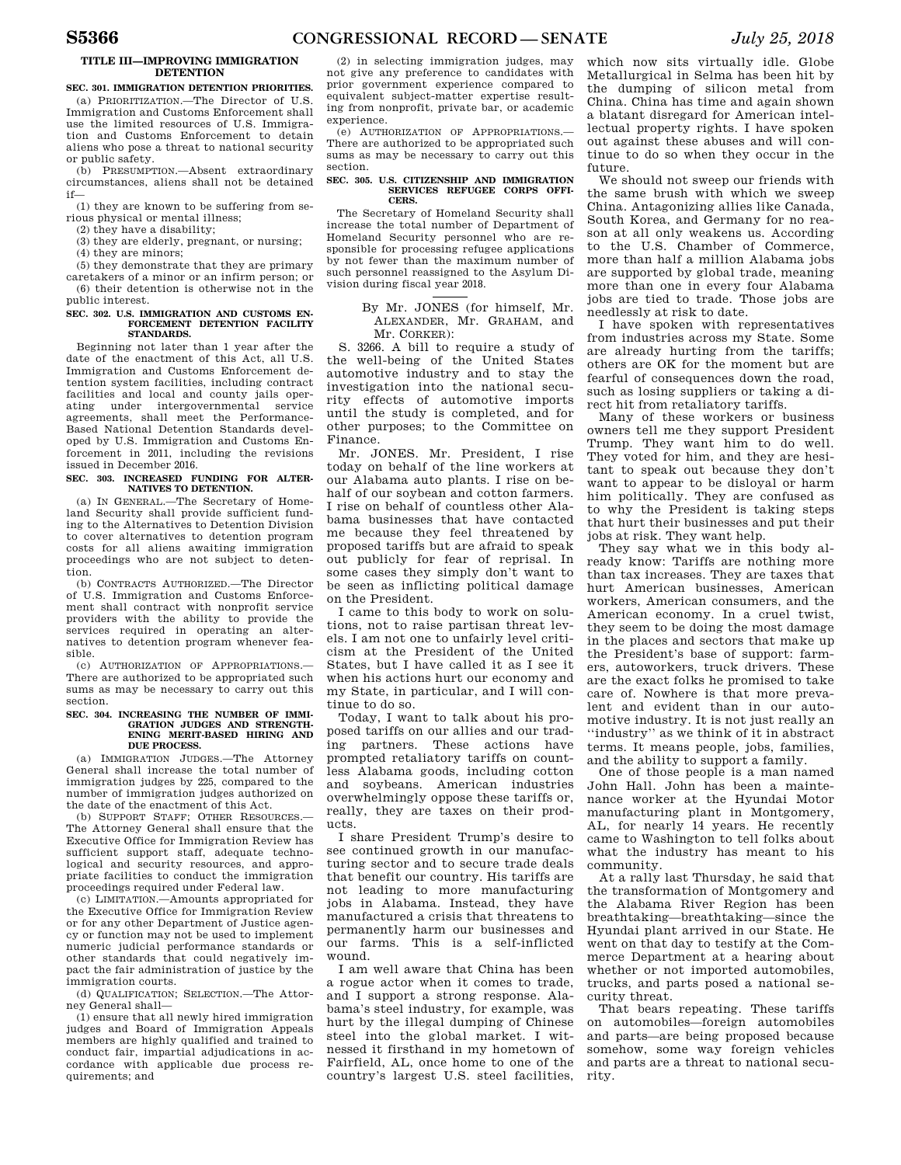### **TITLE III—IMPROVING IMMIGRATION DETENTION**

**SEC. 301. IMMIGRATION DETENTION PRIORITIES.**  (a) PRIORITIZATION.—The Director of U.S. Immigration and Customs Enforcement shall use the limited resources of U.S. Immigration and Customs Enforcement to detain aliens who pose a threat to national security or public safety.

(b) PRESUMPTION.—Absent extraordinary circumstances, aliens shall not be detained if—

(1) they are known to be suffering from serious physical or mental illness;

(2) they have a disability;

(3) they are elderly, pregnant, or nursing;

(4) they are minors;

(5) they demonstrate that they are primary caretakers of a minor or an infirm person; or (6) their detention is otherwise not in the public interest.

### SEC. 302. U.S. IMMIGRATION AND CUSTOMS EN. **FORCEMENT DETENTION FACILITY STANDARDS.**

Beginning not later than 1 year after the date of the enactment of this Act, all U.S. Immigration and Customs Enforcement detention system facilities, including contract facilities and local and county jails operating under intergovernmental service agreements, shall meet the Performance-Based National Detention Standards developed by U.S. Immigration and Customs Enforcement in 2011, including the revisions issued in December 2016.

### **SEC. 303. INCREASED FUNDING FOR ALTER-NATIVES TO DETENTION.**

(a) IN GENERAL.—The Secretary of Homeland Security shall provide sufficient funding to the Alternatives to Detention Division to cover alternatives to detention program costs for all aliens awaiting immigration proceedings who are not subject to detention.

(b) CONTRACTS AUTHORIZED.—The Director of U.S. Immigration and Customs Enforcement shall contract with nonprofit service providers with the ability to provide the services required in operating an alternatives to detention program whenever feasible.

(c) AUTHORIZATION OF APPROPRIATIONS.— There are authorized to be appropriated such sums as may be necessary to carry out this section.

### **SEC. 304. INCREASING THE NUMBER OF IMMI-GRATION JUDGES AND STRENGTH-ENING MERIT-BASED HIRING AND DUE PROCESS.**

(a) IMMIGRATION JUDGES.—The Attorney General shall increase the total number of immigration judges by 225, compared to the number of immigration judges authorized on the date of the enactment of this Act.

(b) SUPPORT STAFF; OTHER RESOURCES.— The Attorney General shall ensure that the Executive Office for Immigration Review has sufficient support staff, adequate technological and security resources, and appropriate facilities to conduct the immigration proceedings required under Federal law.

(c) LIMITATION.—Amounts appropriated for the Executive Office for Immigration Review or for any other Department of Justice agency or function may not be used to implement numeric judicial performance standards or other standards that could negatively impact the fair administration of justice by the immigration courts.

(d) QUALIFICATION; SELECTION.—The Attorney General shall—

(1) ensure that all newly hired immigration judges and Board of Immigration Appeals members are highly qualified and trained to conduct fair, impartial adjudications in accordance with applicable due process requirements; and

(2) in selecting immigration judges, may not give any preference to candidates with prior government experience compared to equivalent subject-matter expertise resulting from nonprofit, private bar, or academic experience.

(e) AUTHORIZATION OF APPROPRIATIONS.— There are authorized to be appropriated such sums as may be necessary to carry out this section.

#### **SEC. 305. U.S. CITIZENSHIP AND IMMIGRATION SERVICES REFUGEE CORPS OFFI-CERS.**

The Secretary of Homeland Security shall increase the total number of Department of Homeland Security personnel who are responsible for processing refugee applications by not fewer than the maximum number of such personnel reassigned to the Asylum Division during fiscal year 2018.

### By Mr. JONES (for himself, Mr. ALEXANDER, Mr. GRAHAM, and Mr. CORKER):

S. 3266. A bill to require a study of the well-being of the United States automotive industry and to stay the investigation into the national security effects of automotive imports until the study is completed, and for other purposes; to the Committee on Finance.

Mr. JONES. Mr. President, I rise today on behalf of the line workers at our Alabama auto plants. I rise on behalf of our soybean and cotton farmers. I rise on behalf of countless other Alabama businesses that have contacted me because they feel threatened by proposed tariffs but are afraid to speak out publicly for fear of reprisal. In some cases they simply don't want to be seen as inflicting political damage on the President.

I came to this body to work on solutions, not to raise partisan threat levels. I am not one to unfairly level criticism at the President of the United States, but I have called it as I see it when his actions hurt our economy and my State, in particular, and I will continue to do so.

Today, I want to talk about his proposed tariffs on our allies and our trading partners. These actions have prompted retaliatory tariffs on countless Alabama goods, including cotton and soybeans. American industries overwhelmingly oppose these tariffs or, really, they are taxes on their products.

I share President Trump's desire to see continued growth in our manufacturing sector and to secure trade deals that benefit our country. His tariffs are not leading to more manufacturing jobs in Alabama. Instead, they have manufactured a crisis that threatens to permanently harm our businesses and our farms. This is a self-inflicted wound.

I am well aware that China has been a rogue actor when it comes to trade, and I support a strong response. Alabama's steel industry, for example, was hurt by the illegal dumping of Chinese steel into the global market. I witnessed it firsthand in my hometown of Fairfield, AL, once home to one of the country's largest U.S. steel facilities,

which now sits virtually idle. Globe Metallurgical in Selma has been hit by the dumping of silicon metal from China. China has time and again shown a blatant disregard for American intellectual property rights. I have spoken out against these abuses and will continue to do so when they occur in the future.

We should not sweep our friends with the same brush with which we sweep China. Antagonizing allies like Canada, South Korea, and Germany for no reason at all only weakens us. According to the U.S. Chamber of Commerce, more than half a million Alabama jobs are supported by global trade, meaning more than one in every four Alabama jobs are tied to trade. Those jobs are needlessly at risk to date.

I have spoken with representatives from industries across my State. Some are already hurting from the tariffs; others are OK for the moment but are fearful of consequences down the road, such as losing suppliers or taking a direct hit from retaliatory tariffs.

Many of these workers or business owners tell me they support President Trump. They want him to do well. They voted for him, and they are hesitant to speak out because they don't want to appear to be disloyal or harm him politically. They are confused as to why the President is taking steps that hurt their businesses and put their jobs at risk. They want help.

They say what we in this body already know: Tariffs are nothing more than tax increases. They are taxes that hurt American businesses, American workers, American consumers, and the American economy. In a cruel twist, they seem to be doing the most damage in the places and sectors that make up the President's base of support: farmers, autoworkers, truck drivers. These are the exact folks he promised to take care of. Nowhere is that more prevalent and evident than in our automotive industry. It is not just really an ''industry'' as we think of it in abstract terms. It means people, jobs, families, and the ability to support a family.

One of those people is a man named John Hall. John has been a maintenance worker at the Hyundai Motor manufacturing plant in Montgomery, AL, for nearly 14 years. He recently came to Washington to tell folks about what the industry has meant to his community.

At a rally last Thursday, he said that the transformation of Montgomery and the Alabama River Region has been breathtaking—breathtaking—since the Hyundai plant arrived in our State. He went on that day to testify at the Commerce Department at a hearing about whether or not imported automobiles, trucks, and parts posed a national security threat.

That bears repeating. These tariffs on automobiles—foreign automobiles and parts—are being proposed because somehow, some way foreign vehicles and parts are a threat to national security.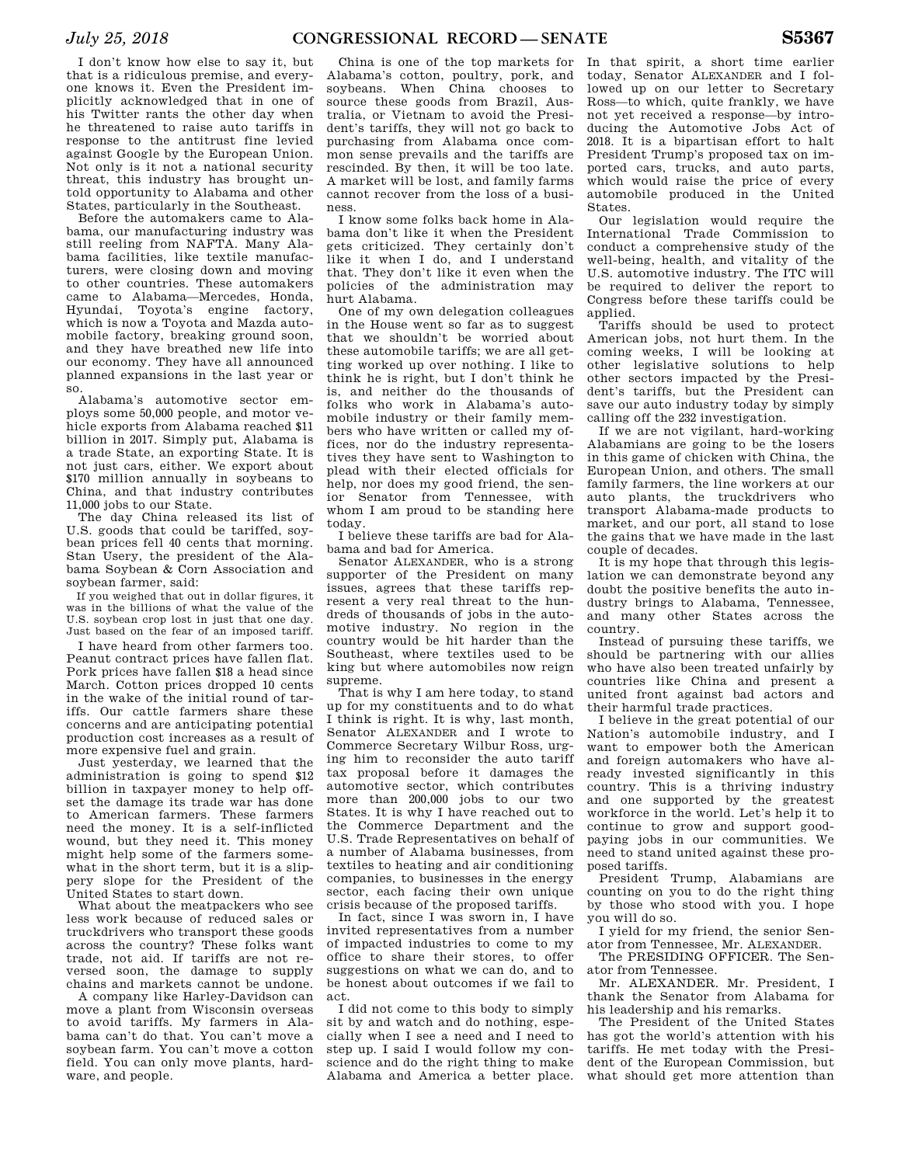I don't know how else to say it, but that is a ridiculous premise, and everyone knows it. Even the President implicitly acknowledged that in one of his Twitter rants the other day when he threatened to raise auto tariffs in response to the antitrust fine levied against Google by the European Union. Not only is it not a national security threat, this industry has brought untold opportunity to Alabama and other States, particularly in the Southeast.

Before the automakers came to Alabama, our manufacturing industry was still reeling from NAFTA. Many Alabama facilities, like textile manufacturers, were closing down and moving to other countries. These automakers came to Alabama—Mercedes, Honda, Hyundai, Toyota's engine factory, which is now a Toyota and Mazda automobile factory, breaking ground soon, and they have breathed new life into our economy. They have all announced planned expansions in the last year or so.

Alabama's automotive sector employs some 50,000 people, and motor vehicle exports from Alabama reached \$11 billion in 2017. Simply put, Alabama is a trade State, an exporting State. It is not just cars, either. We export about \$170 million annually in soybeans to China, and that industry contributes 11,000 jobs to our State.

The day China released its list of U.S. goods that could be tariffed, soybean prices fell 40 cents that morning. Stan Usery, the president of the Alabama Soybean & Corn Association and soybean farmer, said:

If you weighed that out in dollar figures, it was in the billions of what the value of the U.S. soybean crop lost in just that one day. Just based on the fear of an imposed tariff.

I have heard from other farmers too. Peanut contract prices have fallen flat. Pork prices have fallen \$18 a head since March. Cotton prices dropped 10 cents in the wake of the initial round of tariffs. Our cattle farmers share these concerns and are anticipating potential production cost increases as a result of more expensive fuel and grain.

Just yesterday, we learned that the administration is going to spend \$12 billion in taxpayer money to help offset the damage its trade war has done to American farmers. These farmers need the money. It is a self-inflicted wound, but they need it. This money might help some of the farmers somewhat in the short term, but it is a slippery slope for the President of the United States to start down.

What about the meatpackers who see less work because of reduced sales or truckdrivers who transport these goods across the country? These folks want trade, not aid. If tariffs are not reversed soon, the damage to supply chains and markets cannot be undone.

A company like Harley-Davidson can move a plant from Wisconsin overseas to avoid tariffs. My farmers in Alabama can't do that. You can't move a soybean farm. You can't move a cotton field. You can only move plants, hardware, and people.

China is one of the top markets for Alabama's cotton, poultry, pork, and soybeans. When China chooses to source these goods from Brazil, Australia, or Vietnam to avoid the President's tariffs, they will not go back to purchasing from Alabama once common sense prevails and the tariffs are rescinded. By then, it will be too late. A market will be lost, and family farms cannot recover from the loss of a business.

I know some folks back home in Alabama don't like it when the President gets criticized. They certainly don't like it when I do, and I understand that. They don't like it even when the policies of the administration may hurt Alabama.

One of my own delegation colleagues in the House went so far as to suggest that we shouldn't be worried about these automobile tariffs; we are all getting worked up over nothing. I like to think he is right, but I don't think he is, and neither do the thousands of folks who work in Alabama's automobile industry or their family members who have written or called my offices, nor do the industry representatives they have sent to Washington to plead with their elected officials for help, nor does my good friend, the senior Senator from Tennessee, with whom I am proud to be standing here today.

I believe these tariffs are bad for Alabama and bad for America.

Senator ALEXANDER, who is a strong supporter of the President on many issues, agrees that these tariffs represent a very real threat to the hundreds of thousands of jobs in the automotive industry. No region in the country would be hit harder than the Southeast, where textiles used to be king but where automobiles now reign supreme.

That is why I am here today, to stand up for my constituents and to do what I think is right. It is why, last month, Senator ALEXANDER and I wrote to Commerce Secretary Wilbur Ross, urging him to reconsider the auto tariff tax proposal before it damages the automotive sector, which contributes more than 200,000 jobs to our two States. It is why I have reached out to the Commerce Department and the U.S. Trade Representatives on behalf of a number of Alabama businesses, from textiles to heating and air conditioning companies, to businesses in the energy sector, each facing their own unique crisis because of the proposed tariffs.

In fact, since I was sworn in, I have invited representatives from a number of impacted industries to come to my office to share their stores, to offer suggestions on what we can do, and to be honest about outcomes if we fail to act.

I did not come to this body to simply sit by and watch and do nothing, especially when I see a need and I need to step up. I said I would follow my conscience and do the right thing to make Alabama and America a better place.

In that spirit, a short time earlier today, Senator ALEXANDER and I followed up on our letter to Secretary Ross—to which, quite frankly, we have not yet received a response—by introducing the Automotive Jobs Act of 2018. It is a bipartisan effort to halt President Trump's proposed tax on imported cars, trucks, and auto parts, which would raise the price of every automobile produced in the United States.

Our legislation would require the International Trade Commission to conduct a comprehensive study of the well-being, health, and vitality of the U.S. automotive industry. The ITC will be required to deliver the report to Congress before these tariffs could be applied.

Tariffs should be used to protect American jobs, not hurt them. In the coming weeks, I will be looking at other legislative solutions to help other sectors impacted by the President's tariffs, but the President can save our auto industry today by simply calling off the 232 investigation.

If we are not vigilant, hard-working Alabamians are going to be the losers in this game of chicken with China, the European Union, and others. The small family farmers, the line workers at our auto plants, the truckdrivers who transport Alabama-made products to market, and our port, all stand to lose the gains that we have made in the last couple of decades.

It is my hope that through this legislation we can demonstrate beyond any doubt the positive benefits the auto industry brings to Alabama, Tennessee, and many other States across the country.

Instead of pursuing these tariffs, we should be partnering with our allies who have also been treated unfairly by countries like China and present a united front against bad actors and their harmful trade practices.

I believe in the great potential of our Nation's automobile industry, and I want to empower both the American and foreign automakers who have already invested significantly in this country. This is a thriving industry and one supported by the greatest workforce in the world. Let's help it to continue to grow and support goodpaying jobs in our communities. We need to stand united against these proposed tariffs.

President Trump, Alabamians are counting on you to do the right thing by those who stood with you. I hope you will do so.

I yield for my friend, the senior Senator from Tennessee, Mr. ALEXANDER.

The PRESIDING OFFICER. The Senator from Tennessee.

Mr. ALEXANDER. Mr. President, I thank the Senator from Alabama for his leadership and his remarks.

The President of the United States has got the world's attention with his tariffs. He met today with the President of the European Commission, but what should get more attention than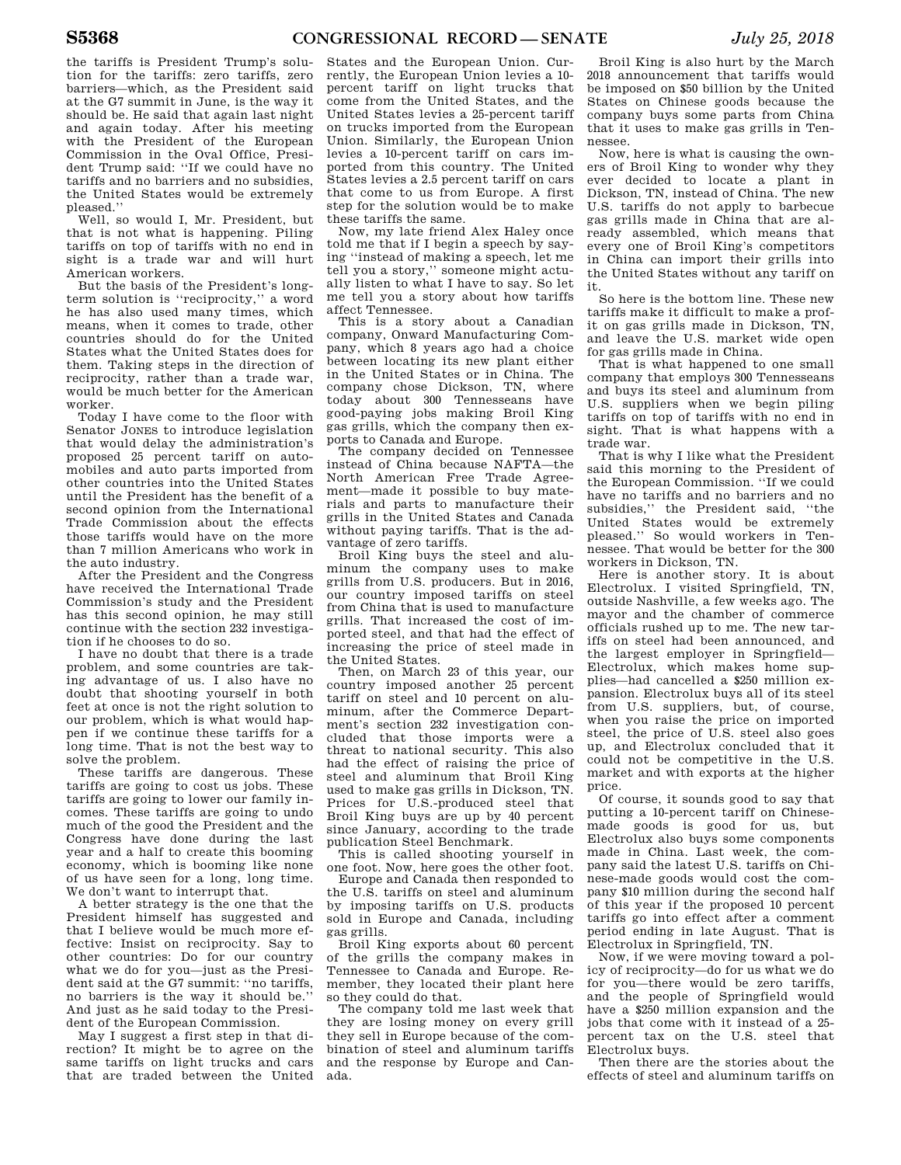the tariffs is President Trump's solution for the tariffs: zero tariffs, zero barriers—which, as the President said at the G7 summit in June, is the way it should be. He said that again last night and again today. After his meeting with the President of the European Commission in the Oval Office, President Trump said: ''If we could have no tariffs and no barriers and no subsidies, the United States would be extremely pleased.''

Well, so would I, Mr. President, but that is not what is happening. Piling tariffs on top of tariffs with no end in sight is a trade war and will hurt American workers.

But the basis of the President's longterm solution is ''reciprocity,'' a word he has also used many times, which means, when it comes to trade, other countries should do for the United States what the United States does for them. Taking steps in the direction of reciprocity, rather than a trade war, would be much better for the American worker.

Today I have come to the floor with Senator JONES to introduce legislation that would delay the administration's proposed 25 percent tariff on automobiles and auto parts imported from other countries into the United States until the President has the benefit of a second opinion from the International Trade Commission about the effects those tariffs would have on the more than 7 million Americans who work in the auto industry.

After the President and the Congress have received the International Trade Commission's study and the President has this second opinion, he may still continue with the section 232 investigation if he chooses to do so.

I have no doubt that there is a trade problem, and some countries are taking advantage of us. I also have no doubt that shooting yourself in both feet at once is not the right solution to our problem, which is what would happen if we continue these tariffs for a long time. That is not the best way to solve the problem.

These tariffs are dangerous. These tariffs are going to cost us jobs. These tariffs are going to lower our family incomes. These tariffs are going to undo much of the good the President and the Congress have done during the last year and a half to create this booming economy, which is booming like none of us have seen for a long, long time. We don't want to interrupt that.

A better strategy is the one that the President himself has suggested and that I believe would be much more effective: Insist on reciprocity. Say to other countries: Do for our country what we do for you—just as the President said at the G7 summit: ''no tariffs, no barriers is the way it should be.'' And just as he said today to the President of the European Commission.

May I suggest a first step in that direction? It might be to agree on the same tariffs on light trucks and cars that are traded between the United

States and the European Union. Currently, the European Union levies a 10 percent tariff on light trucks that come from the United States, and the United States levies a 25-percent tariff on trucks imported from the European Union. Similarly, the European Union levies a 10-percent tariff on cars imported from this country. The United States levies a 2.5 percent tariff on cars that come to us from Europe. A first step for the solution would be to make these tariffs the same.

Now, my late friend Alex Haley once told me that if I begin a speech by saying ''instead of making a speech, let me tell you a story,'' someone might actually listen to what I have to say. So let me tell you a story about how tariffs affect Tennessee.

This is a story about a Canadian company, Onward Manufacturing Company, which 8 years ago had a choice between locating its new plant either in the United States or in China. The company chose Dickson, TN, where today about 300 Tennesseans have good-paying jobs making Broil King gas grills, which the company then exports to Canada and Europe.

The company decided on Tennessee instead of China because NAFTA—the North American Free Trade Agreement—made it possible to buy materials and parts to manufacture their grills in the United States and Canada without paying tariffs. That is the advantage of zero tariffs.

Broil King buys the steel and aluminum the company uses to make grills from U.S. producers. But in 2016, our country imposed tariffs on steel from China that is used to manufacture grills. That increased the cost of imported steel, and that had the effect of increasing the price of steel made in the United States.

Then, on March 23 of this year, our country imposed another 25 percent tariff on steel and 10 percent on aluminum, after the Commerce Department's section 232 investigation concluded that those imports were a threat to national security. This also had the effect of raising the price of steel and aluminum that Broil King used to make gas grills in Dickson, TN. Prices for U.S.-produced steel that Broil King buys are up by 40 percent since January, according to the trade publication Steel Benchmark.

This is called shooting yourself in one foot. Now, here goes the other foot.

Europe and Canada then responded to the U.S. tariffs on steel and aluminum by imposing tariffs on U.S. products sold in Europe and Canada, including gas grills.

Broil King exports about 60 percent of the grills the company makes in Tennessee to Canada and Europe. Remember, they located their plant here so they could do that.

The company told me last week that they are losing money on every grill they sell in Europe because of the combination of steel and aluminum tariffs and the response by Europe and Canada.

Broil King is also hurt by the March 2018 announcement that tariffs would be imposed on \$50 billion by the United States on Chinese goods because the company buys some parts from China that it uses to make gas grills in Tennessee.

Now, here is what is causing the owners of Broil King to wonder why they ever decided to locate a plant in Dickson, TN, instead of China. The new U.S. tariffs do not apply to barbecue gas grills made in China that are already assembled, which means that every one of Broil King's competitors in China can import their grills into the United States without any tariff on it.

So here is the bottom line. These new tariffs make it difficult to make a profit on gas grills made in Dickson, TN, and leave the U.S. market wide open for gas grills made in China.

That is what happened to one small company that employs 300 Tennesseans and buys its steel and aluminum from U.S. suppliers when we begin piling tariffs on top of tariffs with no end in sight. That is what happens with a trade war.

That is why I like what the President said this morning to the President of the European Commission. ''If we could have no tariffs and no barriers and no subsidies,'' the President said, ''the United States would be extremely pleased.'' So would workers in Tennessee. That would be better for the 300 workers in Dickson, TN.

Here is another story. It is about Electrolux. I visited Springfield, TN, outside Nashville, a few weeks ago. The mayor and the chamber of commerce officials rushed up to me. The new tariffs on steel had been announced, and the largest employer in Springfield— Electrolux, which makes home supplies—had cancelled a \$250 million expansion. Electrolux buys all of its steel from U.S. suppliers, but, of course, when you raise the price on imported steel, the price of U.S. steel also goes up, and Electrolux concluded that it could not be competitive in the U.S. market and with exports at the higher price.

Of course, it sounds good to say that putting a 10-percent tariff on Chinesemade goods is good for us, but Electrolux also buys some components made in China. Last week, the company said the latest U.S. tariffs on Chinese-made goods would cost the company \$10 million during the second half of this year if the proposed 10 percent tariffs go into effect after a comment period ending in late August. That is Electrolux in Springfield, TN.

Now, if we were moving toward a policy of reciprocity—do for us what we do for you—there would be zero tariffs, and the people of Springfield would have a \$250 million expansion and the jobs that come with it instead of a 25 percent tax on the U.S. steel that Electrolux buys.

Then there are the stories about the effects of steel and aluminum tariffs on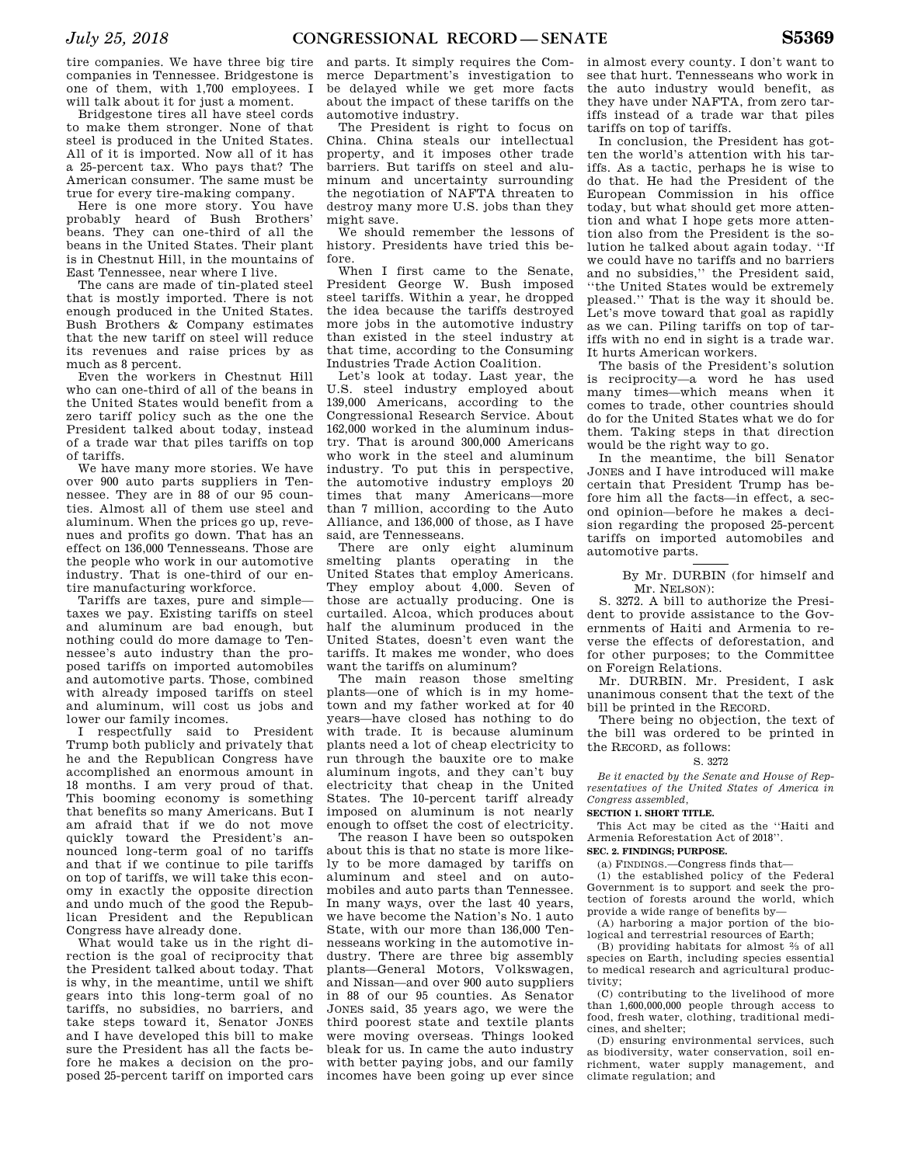tire companies. We have three big tire companies in Tennessee. Bridgestone is one of them, with 1,700 employees. I will talk about it for just a moment.

Bridgestone tires all have steel cords to make them stronger. None of that steel is produced in the United States. All of it is imported. Now all of it has a 25-percent tax. Who pays that? The American consumer. The same must be true for every tire-making company.

Here is one more story. You have probably heard of Bush Brothers' beans. They can one-third of all the beans in the United States. Their plant is in Chestnut Hill, in the mountains of East Tennessee, near where I live.

The cans are made of tin-plated steel that is mostly imported. There is not enough produced in the United States. Bush Brothers & Company estimates that the new tariff on steel will reduce its revenues and raise prices by as much as 8 percent.

Even the workers in Chestnut Hill who can one-third of all of the beans in the United States would benefit from a zero tariff policy such as the one the President talked about today, instead of a trade war that piles tariffs on top of tariffs.

We have many more stories. We have over 900 auto parts suppliers in Tennessee. They are in 88 of our 95 counties. Almost all of them use steel and aluminum. When the prices go up, revenues and profits go down. That has an effect on 136,000 Tennesseans. Those are the people who work in our automotive industry. That is one-third of our entire manufacturing workforce.

Tariffs are taxes, pure and simple taxes we pay. Existing tariffs on steel and aluminum are bad enough, but nothing could do more damage to Tennessee's auto industry than the proposed tariffs on imported automobiles and automotive parts. Those, combined with already imposed tariffs on steel and aluminum, will cost us jobs and lower our family incomes.

I respectfully said to President Trump both publicly and privately that he and the Republican Congress have accomplished an enormous amount in 18 months. I am very proud of that. This booming economy is something that benefits so many Americans. But I am afraid that if we do not move quickly toward the President's announced long-term goal of no tariffs and that if we continue to pile tariffs on top of tariffs, we will take this economy in exactly the opposite direction and undo much of the good the Republican President and the Republican Congress have already done.

What would take us in the right direction is the goal of reciprocity that the President talked about today. That is why, in the meantime, until we shift gears into this long-term goal of no tariffs, no subsidies, no barriers, and take steps toward it, Senator JONES and I have developed this bill to make sure the President has all the facts before he makes a decision on the proposed 25-percent tariff on imported cars

and parts. It simply requires the Commerce Department's investigation to be delayed while we get more facts about the impact of these tariffs on the automotive industry.

The President is right to focus on China. China steals our intellectual property, and it imposes other trade barriers. But tariffs on steel and aluminum and uncertainty surrounding the negotiation of NAFTA threaten to destroy many more U.S. jobs than they might save.

We should remember the lessons of history. Presidents have tried this before.

When I first came to the Senate, President George W. Bush imposed steel tariffs. Within a year, he dropped the idea because the tariffs destroyed more jobs in the automotive industry than existed in the steel industry at that time, according to the Consuming Industries Trade Action Coalition.

Let's look at today. Last year, the U.S. steel industry employed about 139,000 Americans, according to the Congressional Research Service. About 162,000 worked in the aluminum industry. That is around 300,000 Americans who work in the steel and aluminum industry. To put this in perspective, the automotive industry employs 20 times that many Americans—more than 7 million, according to the Auto Alliance, and 136,000 of those, as I have said, are Tennesseans.

There are only eight aluminum smelting plants operating in the United States that employ Americans. They employ about 4,000. Seven of those are actually producing. One is curtailed. Alcoa, which produces about half the aluminum produced in the United States, doesn't even want the tariffs. It makes me wonder, who does want the tariffs on aluminum?

The main reason those smelting plants—one of which is in my hometown and my father worked at for 40 years—have closed has nothing to do with trade. It is because aluminum plants need a lot of cheap electricity to run through the bauxite ore to make aluminum ingots, and they can't buy electricity that cheap in the United States. The 10-percent tariff already imposed on aluminum is not nearly enough to offset the cost of electricity.

The reason I have been so outspoken about this is that no state is more likely to be more damaged by tariffs on aluminum and steel and on automobiles and auto parts than Tennessee. In many ways, over the last 40 years, we have become the Nation's No. 1 auto State, with our more than 136,000 Tennesseans working in the automotive industry. There are three big assembly plants—General Motors, Volkswagen, and Nissan—and over 900 auto suppliers in 88 of our 95 counties. As Senator JONES said, 35 years ago, we were the third poorest state and textile plants were moving overseas. Things looked bleak for us. In came the auto industry with better paying jobs, and our family incomes have been going up ever since

in almost every county. I don't want to see that hurt. Tennesseans who work in the auto industry would benefit, as they have under NAFTA, from zero tariffs instead of a trade war that piles tariffs on top of tariffs.

In conclusion, the President has gotten the world's attention with his tariffs. As a tactic, perhaps he is wise to do that. He had the President of the European Commission in his office today, but what should get more attention and what I hope gets more attention also from the President is the solution he talked about again today. ''If we could have no tariffs and no barriers and no subsidies,'' the President said, ''the United States would be extremely pleased.'' That is the way it should be. Let's move toward that goal as rapidly as we can. Piling tariffs on top of tariffs with no end in sight is a trade war. It hurts American workers.

The basis of the President's solution is reciprocity—a word he has used many times—which means when it comes to trade, other countries should do for the United States what we do for them. Taking steps in that direction would be the right way to go.

In the meantime, the bill Senator JONES and I have introduced will make certain that President Trump has before him all the facts—in effect, a second opinion—before he makes a decision regarding the proposed 25-percent tariffs on imported automobiles and automotive parts.

> By Mr. DURBIN (for himself and Mr. NELSON):

S. 3272. A bill to authorize the President to provide assistance to the Governments of Haiti and Armenia to reverse the effects of deforestation, and for other purposes; to the Committee on Foreign Relations.

Mr. DURBIN. Mr. President, I ask unanimous consent that the text of the bill be printed in the RECORD.

There being no objection, the text of the bill was ordered to be printed in the RECORD, as follows:

### S. 3272

*Be it enacted by the Senate and House of Representatives of the United States of America in Congress assembled,* 

### **SECTION 1. SHORT TITLE.**

This Act may be cited as the ''Haiti and Armenia Reforestation Act of 2018''.

### **SEC. 2. FINDINGS; PURPOSE.**

(a) FINDINGS.—Congress finds that—

(1) the established policy of the Federal Government is to support and seek the protection of forests around the world, which provide a wide range of benefits by—

(A) harboring a major portion of the biological and terrestrial resources of Earth;

(B) providing habitats for almost 2⁄3 of all species on Earth, including species essential to medical research and agricultural productivity;

(C) contributing to the livelihood of more than 1,600,000,000 people through access to food, fresh water, clothing, traditional medicines, and shelter;

(D) ensuring environmental services, such as biodiversity, water conservation, soil enrichment, water supply management, and climate regulation; and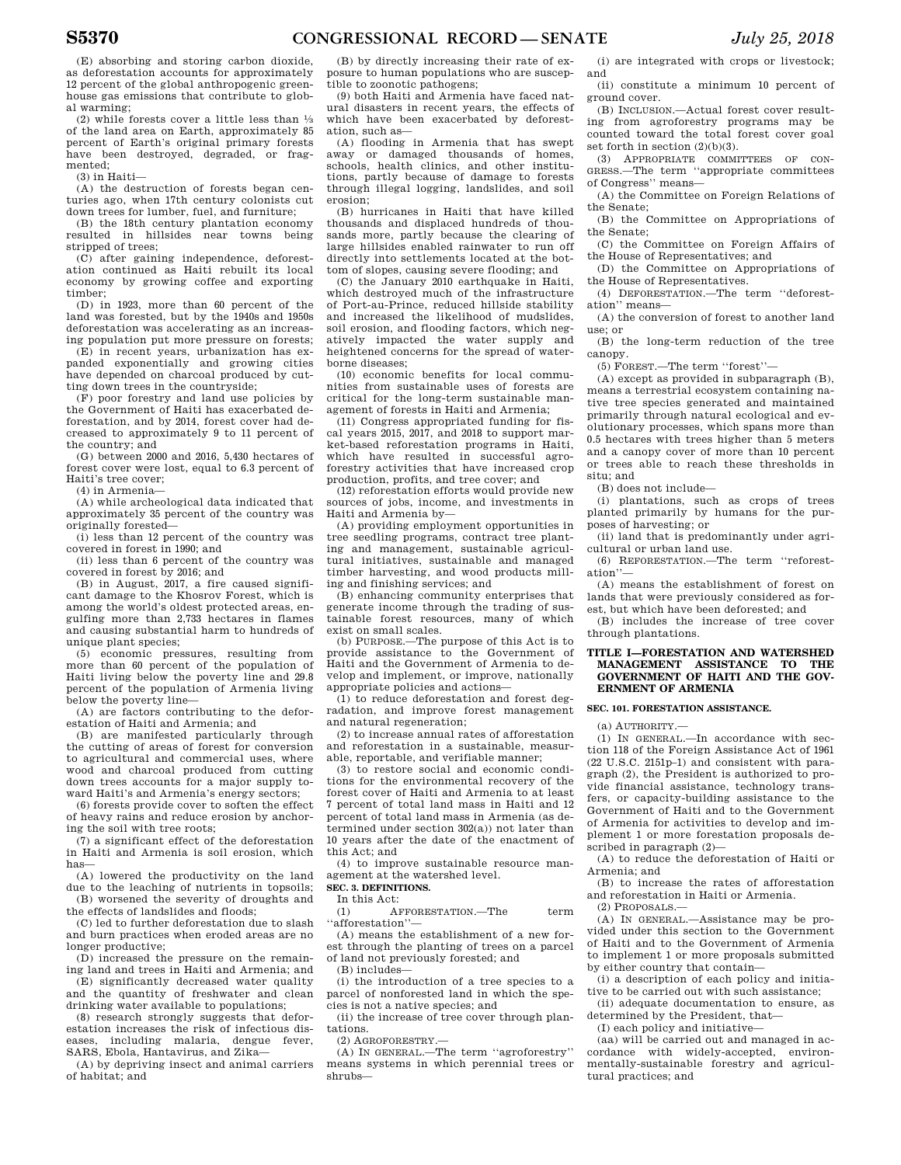(E) absorbing and storing carbon dioxide, as deforestation accounts for approximately 12 percent of the global anthropogenic greenhouse gas emissions that contribute to global warming;

(2) while forests cover a little less than  $\frac{1}{3}$ of the land area on Earth, approximately 85 percent of Earth's original primary forests have been destroyed, degraded, or fragmented;

(3) in Haiti—

(A) the destruction of forests began centuries ago, when 17th century colonists cut down trees for lumber, fuel, and furniture;

(B) the 18th century plantation economy resulted in hillsides near towns being stripped of trees;

(C) after gaining independence, deforestation continued as Haiti rebuilt its local economy by growing coffee and exporting timber;

(D) in 1923, more than 60 percent of the land was forested, but by the 1940s and 1950s deforestation was accelerating as an increasing population put more pressure on forests;

(E) in recent years, urbanization has expanded exponentially and growing cities have depended on charcoal produced by cutting down trees in the countryside;

(F) poor forestry and land use policies by the Government of Haiti has exacerbated deforestation, and by 2014, forest cover had decreased to approximately 9 to 11 percent of the country; and

(G) between 2000 and 2016, 5,430 hectares of forest cover were lost, equal to 6.3 percent of Haiti's tree cover;

(4) in Armenia—

(A) while archeological data indicated that approximately 35 percent of the country was originally forested—

(i) less than 12 percent of the country was covered in forest in 1990; and

(ii) less than 6 percent of the country was covered in forest by 2016; and

(B) in August, 2017, a fire caused significant damage to the Khosrov Forest, which is among the world's oldest protected areas, en-gulfing more than 2,733 hectares in flames and causing substantial harm to hundreds of unique plant species;

(5) economic pressures, resulting from more than 60 percent of the population of Haiti living below the poverty line and 29.8 percent of the population of Armenia living below the poverty line—

(A) are factors contributing to the deforestation of Haiti and Armenia; and

(B) are manifested particularly through the cutting of areas of forest for conversion to agricultural and commercial uses, where wood and charcoal produced from cutting down trees accounts for a major supply toward Haiti's and Armenia's energy sectors;

(6) forests provide cover to soften the effect of heavy rains and reduce erosion by anchoring the soil with tree roots;

 $(7)$  a significant effect of the deforestation in Haiti and Armenia is soil erosion, which has—

(A) lowered the productivity on the land due to the leaching of nutrients in topsoils; (B) worsened the severity of droughts and the effects of landslides and floods;

(C) led to further deforestation due to slash and burn practices when eroded areas are no longer productive;

(D) increased the pressure on the remaining land and trees in Haiti and Armenia; and

(E) significantly decreased water quality and the quantity of freshwater and clean drinking water available to populations;

(8) research strongly suggests that deforestation increases the risk of infectious dis-<br>eases, including malaria, dengue fever. eases, including malaria, dengue SARS, Ebola, Hantavirus, and Zika—

(A) by depriving insect and animal carriers of habitat; and

(B) by directly increasing their rate of exposure to human populations who are susceptible to zoonotic pathogens;

(9) both Haiti and Armenia have faced natural disasters in recent years, the effects of which have been exacerbated by deforestation, such as—

(A) flooding in Armenia that has swept away or damaged thousands of homes, schools, health clinics, and other institutions, partly because of damage to forests through illegal logging, landslides, and soil erosion;

(B) hurricanes in Haiti that have killed thousands and displaced hundreds of thousands more, partly because the clearing of large hillsides enabled rainwater to run off directly into settlements located at the bottom of slopes, causing severe flooding; and

(C) the January 2010 earthquake in Haiti, which destroyed much of the infrastructure of Port-au-Prince, reduced hillside stability and increased the likelihood of mudslides soil erosion, and flooding factors, which negatively impacted the water supply and heightened concerns for the spread of waterborne diseases;

(10) economic benefits for local communities from sustainable uses of forests are critical for the long-term sustainable management of forests in Haiti and Armenia;

(11) Congress appropriated funding for fiscal years 2015, 2017, and 2018 to support market-based reforestation programs in Haiti, which have resulted in successful agroforestry activities that have increased crop production, profits, and tree cover; and

 $(12)$  reforestation efforts would provide new sources of jobs, income, and investments in Haiti and Armenia by—

(A) providing employment opportunities in tree seedling programs, contract tree planting and management, sustainable agricultural initiatives, sustainable and managed timber harvesting, and wood products milling and finishing services; and

(B) enhancing community enterprises that generate income through the trading of sustainable forest resources, many of which exist on small scales.

(b) PURPOSE.—The purpose of this Act is to provide assistance to the Government of Haiti and the Government of Armenia to develop and implement, or improve, nationally appropriate policies and actions—

(1) to reduce deforestation and forest degradation, and improve forest management and natural regeneration;

(2) to increase annual rates of afforestation and reforestation in a sustainable, measurable, reportable, and verifiable manner;

(3) to restore social and economic conditions for the environmental recovery of the forest cover of Haiti and Armenia to at least 7 percent of total land mass in Haiti and 12 percent of total land mass in Armenia (as determined under section 302(a)) not later than 10 years after the date of the enactment of this Act; and

(4) to improve sustainable resource management at the watershed level.

**SEC. 3. DEFINITIONS.**  In this Act:

(1) AFFORESTATION.—The term ''afforestation''—

(A) means the establishment of a new forest through the planting of trees on a parcel of land not previously forested; and

(B) includes—

(i) the introduction of a tree species to a parcel of nonforested land in which the species is not a native species; and

(ii) the increase of tree cover through plantations.

(2) AGROFORESTRY.—

(A) IN GENERAL.—The term ''agroforestry'' means systems in which perennial trees or shrubs—

(i) are integrated with crops or livestock; and

(ii) constitute a minimum 10 percent of ground cover.

(B) INCLUSION.—Actual forest cover resulting from agroforestry programs may be counted toward the total forest cover goal set forth in section (2)(b)(3).

(3) APPROPRIATE COMMITTEES OF CON-GRESS.—The term ''appropriate committees of Congress'' means—

(A) the Committee on Foreign Relations of the Senate;

(B) the Committee on Appropriations of the Senate;

(C) the Committee on Foreign Affairs of the House of Representatives; and

(D) the Committee on Appropriations of the House of Representatives.

(4) DEFORESTATION.—The term ''deforestation'' means—

(A) the conversion of forest to another land use; or

(B) the long-term reduction of the tree canopy.

 $(5)$  FOREST.—The term "forest"

(A) except as provided in subparagraph (B), means a terrestrial ecosystem containing native tree species generated and maintained primarily through natural ecological and evolutionary processes, which spans more than 0.5 hectares with trees higher than 5 meters and a canopy cover of more than 10 percent or trees able to reach these thresholds in situ; and

(B) does not include—

(i) plantations, such as crops of trees planted primarily by humans for the purposes of harvesting; or

(ii) land that is predominantly under agricultural or urban land use.

(6) REFORESTATION.—The term ''reforestation''—

(A) means the establishment of forest on lands that were previously considered as forest, but which have been deforested; and

(B) includes the increase of tree cover through plantations.

### **TITLE I—FORESTATION AND WATERSHED MANAGEMENT ASSISTANCE TO THE GOVERNMENT OF HAITI AND THE GOV-ERNMENT OF ARMENIA**

### **SEC. 101. FORESTATION ASSISTANCE.**

(a) AUTHORITY.—

(1) IN GENERAL.—In accordance with section 118 of the Foreign Assistance Act of 1961 (22 U.S.C. 2151p–1) and consistent with paragraph (2), the President is authorized to provide financial assistance, technology transfers, or capacity-building assistance to the Government of Haiti and to the Government of Armenia for activities to develop and implement 1 or more forestation proposals described in paragraph (2)—

(A) to reduce the deforestation of Haiti or Armenia; and

(B) to increase the rates of afforestation and reforestation in Haiti or Armenia.

(2) PROPOSALS.—

(A) IN GENERAL.—Assistance may be provided under this section to the Government of Haiti and to the Government of Armenia to implement 1 or more proposals submitted by either country that contain—

(i) a description of each policy and initiative to be carried out with such assistance;

(ii) adequate documentation to ensure, as determined by the President, that—

(I) each policy and initiative—

(aa) will be carried out and managed in accordance with widely-accepted, environmentally-sustainable forestry and agricultural practices; and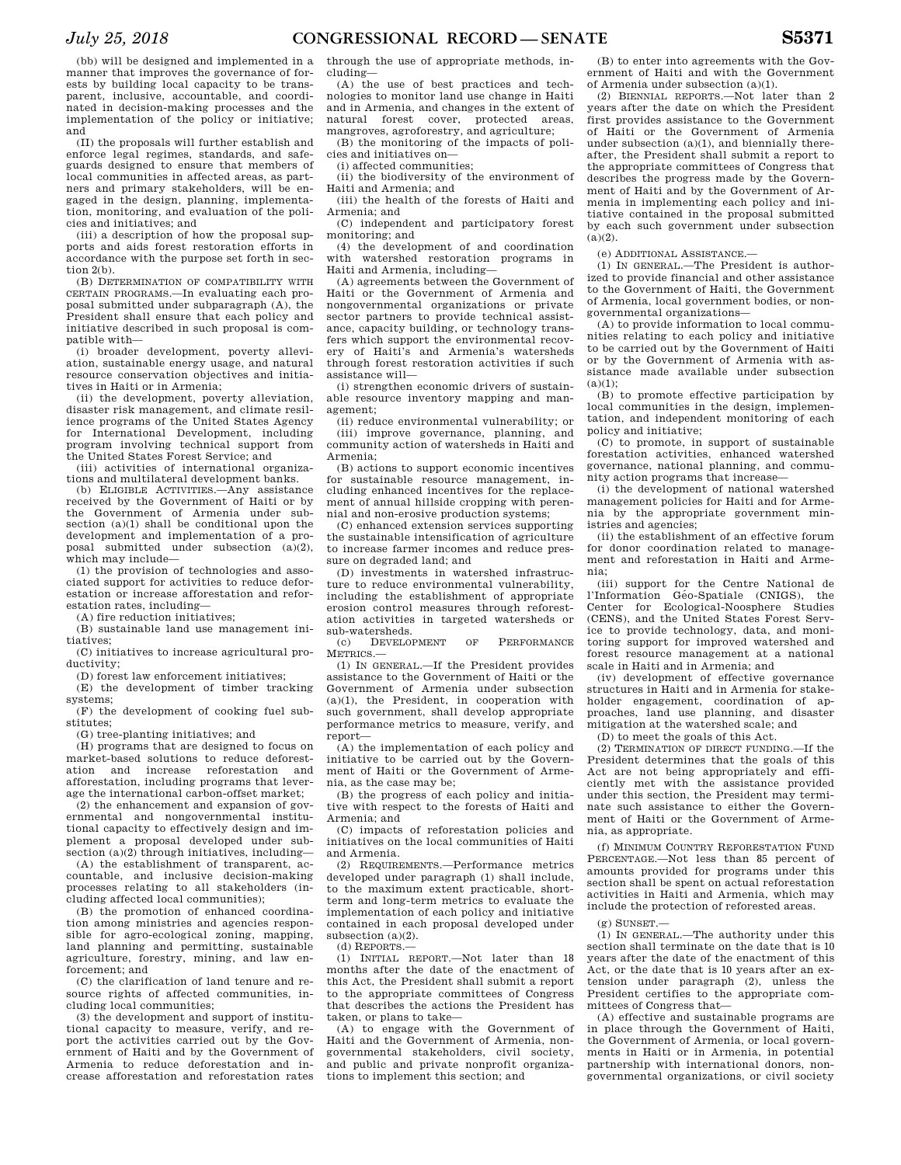(bb) will be designed and implemented in a manner that improves the governance of forests by building local capacity to be transparent, inclusive, accountable, and coordinated in decision-making processes and the implementation of the policy or initiative; and

(II) the proposals will further establish and enforce legal regimes, standards, and safeguards designed to ensure that members of local communities in affected areas, as partners and primary stakeholders, will be engaged in the design, planning, implementation, monitoring, and evaluation of the policies and initiatives; and

(iii) a description of how the proposal supports and aids forest restoration efforts in accordance with the purpose set forth in section 2(b).

(B) DETERMINATION OF COMPATIBILITY WITH CERTAIN PROGRAMS.—In evaluating each proposal submitted under subparagraph (A), the President shall ensure that each policy and initiative described in such proposal is compatible with—

(i) broader development, poverty alleviation, sustainable energy usage, and natural resource conservation objectives and initiatives in Haiti or in Armenia;

(ii) the development, poverty alleviation, disaster risk management, and climate resilience programs of the United States Agency for International Development, including program involving technical support from the United States Forest Service; and

(iii) activities of international organizations and multilateral development banks.

(b) ELIGIBLE ACTIVITIES.—Any assistance received by the Government of Haiti or by the Government of Armenia under subsection (a)(1) shall be conditional upon the development and implementation of a proposal submitted under subsection  $(a)(2)$ , which may include—

(1) the provision of technologies and associated support for activities to reduce deforestation or increase afforestation and reforestation rates, including—

(A) fire reduction initiatives;

(B) sustainable land use management initiatives;

(C) initiatives to increase agricultural productivity;

(D) forest law enforcement initiatives; (E) the development of timber tracking systems;

(F) the development of cooking fuel substitutes;

(G) tree-planting initiatives; and

(H) programs that are designed to focus on market-based solutions to reduce deforest-<br>ation and increase reforestation and increase reforestation afforestation, including programs that leverage the international carbon-offset market;

(2) the enhancement and expansion of governmental and nongovernmental institutional capacity to effectively design and implement a proposal developed under subsection (a)(2) through initiatives, including—

(A) the establishment of transparent, accountable, and inclusive decision-making processes relating to all stakeholders (including affected local communities);

(B) the promotion of enhanced coordination among ministries and agencies responsible for agro-ecological zoning, mapping, land planning and permitting, sustainable agriculture, forestry, mining, and law enforcement; and

(C) the clarification of land tenure and resource rights of affected communities, including local communities;

(3) the development and support of institutional capacity to measure, verify, and report the activities carried out by the Government of Haiti and by the Government of Armenia to reduce deforestation and increase afforestation and reforestation rates through the use of appropriate methods, including—

(A) the use of best practices and technologies to monitor land use change in Haiti and in Armenia, and changes in the extent of natural forest cover, protected areas, mangroves, agroforestry, and agriculture;

(B) the monitoring of the impacts of policies and initiatives on—

(i) affected communities;

(ii) the biodiversity of the environment of Haiti and Armenia; and

(iii) the health of the forests of Haiti and Armenia; and

(C) independent and participatory forest monitoring; and

(4) the development of and coordination with watershed restoration programs in Haiti and Armenia, including—

(A) agreements between the Government of Haiti or the Government of Armenia and nongovernmental organizations or private sector partners to provide technical assistance, capacity building, or technology transfers which support the environmental recovery of Haiti's and Armenia's watersheds through forest restoration activities if such assistance will—

(i) strengthen economic drivers of sustainable resource inventory mapping and management;

(ii) reduce environmental vulnerability; or (iii) improve governance, planning, and community action of watersheds in Haiti and Armenia;

(B) actions to support economic incentives for sustainable resource management, including enhanced incentives for the replacement of annual hillside cropping with perennial and non-erosive production systems;

(C) enhanced extension services supporting the sustainable intensification of agriculture to increase farmer incomes and reduce pressure on degraded land; and

(D) investments in watershed infrastructure to reduce environmental vulnerability, including the establishment of appropriate erosion control measures through reforestation activities in targeted watersheds or sub-watersheds.

(c) DEVELOPMENT OF PERFORMANCE METRICS.—

(1) IN GENERAL.—If the President provides assistance to the Government of Haiti or the Government of Armenia under subsection (a)(1), the President, in cooperation with such government, shall develop appropriate performance metrics to measure, verify, and report—

(A) the implementation of each policy and initiative to be carried out by the Government of Haiti or the Government of Armenia, as the case may be;

(B) the progress of each policy and initiative with respect to the forests of Haiti and Armenia; and

(C) impacts of reforestation policies and initiatives on the local communities of Haiti and Armenia.

(2) REQUIREMENTS.—Performance metrics developed under paragraph (1) shall include, to the maximum extent practicable, shortterm and long-term metrics to evaluate the implementation of each policy and initiative contained in each proposal developed under subsection (a)(2). (d) REPORTS.—

(1) INITIAL REPORT.—Not later than 18 months after the date of the enactment of this Act, the President shall submit a report to the appropriate committees of Congress that describes the actions the President has taken, or plans to take—

(A) to engage with the Government of Haiti and the Government of Armenia, nongovernmental stakeholders, civil society, and public and private nonprofit organizations to implement this section; and

(B) to enter into agreements with the Government of Haiti and with the Government of Armenia under subsection (a)(1).

(2) BIENNIAL REPORTS.—Not later than 2 years after the date on which the President first provides assistance to the Government of Haiti or the Government of Armenia under subsection  $(a)(1)$ , and biennially thereafter, the President shall submit a report to the appropriate committees of Congress that describes the progress made by the Government of Haiti and by the Government of Armenia in implementing each policy and initiative contained in the proposal submitted by each such government under subsection  $(a)(2)$ .

(e) ADDITIONAL ASSISTANCE.—

(1) IN GENERAL.—The President is authorized to provide financial and other assistance to the Government of Haiti, the Government of Armenia, local government bodies, or nongovernmental organizations—

(A) to provide information to local communities relating to each policy and initiative to be carried out by the Government of Haiti or by the Government of Armenia with assistance made available under subsection  $(a)(1);$ 

(B) to promote effective participation by local communities in the design, implementation, and independent monitoring of each policy and initiative;

(C) to promote, in support of sustainable forestation activities, enhanced watershed governance, national planning, and community action programs that increase—

(i) the development of national watershed management policies for Haiti and for Armenia by the appropriate government ministries and agencies;

(ii) the establishment of an effective forum for donor coordination related to management and reforestation in Haiti and Armenia;

(iii) support for the Centre National de l'Information Géo-Spatiale (CNIGS), the Center for Ecological-Noosphere Studies (CENS), and the United States Forest Service to provide technology, data, and monitoring support for improved watershed and forest resource management at a national scale in Haiti and in Armenia; and

(iv) development of effective governance structures in Haiti and in Armenia for stakeholder engagement, coordination of approaches, land use planning, and disaster mitigation at the watershed scale; and

(D) to meet the goals of this Act.

(2) TERMINATION OF DIRECT FUNDING.—If the President determines that the goals of this Act are not being appropriately and efficiently met with the assistance provided under this section, the President may terminate such assistance to either the Government of Haiti or the Government of Armenia, as appropriate.

(f) MINIMUM COUNTRY REFORESTATION FUND PERCENTAGE.—Not less than 85 percent of amounts provided for programs under this section shall be spent on actual reforestation activities in Haiti and Armenia, which may include the protection of reforested areas.

(g) SUNSET.—

(1) IN GENERAL.—The authority under this section shall terminate on the date that is 10 years after the date of the enactment of this Act, or the date that is 10 years after an extension under paragraph (2), unless the President certifies to the appropriate committees of Congress that—

(A) effective and sustainable programs are in place through the Government of Haiti, the Government of Armenia, or local governments in Haiti or in Armenia, in potential partnership with international donors, nongovernmental organizations, or civil society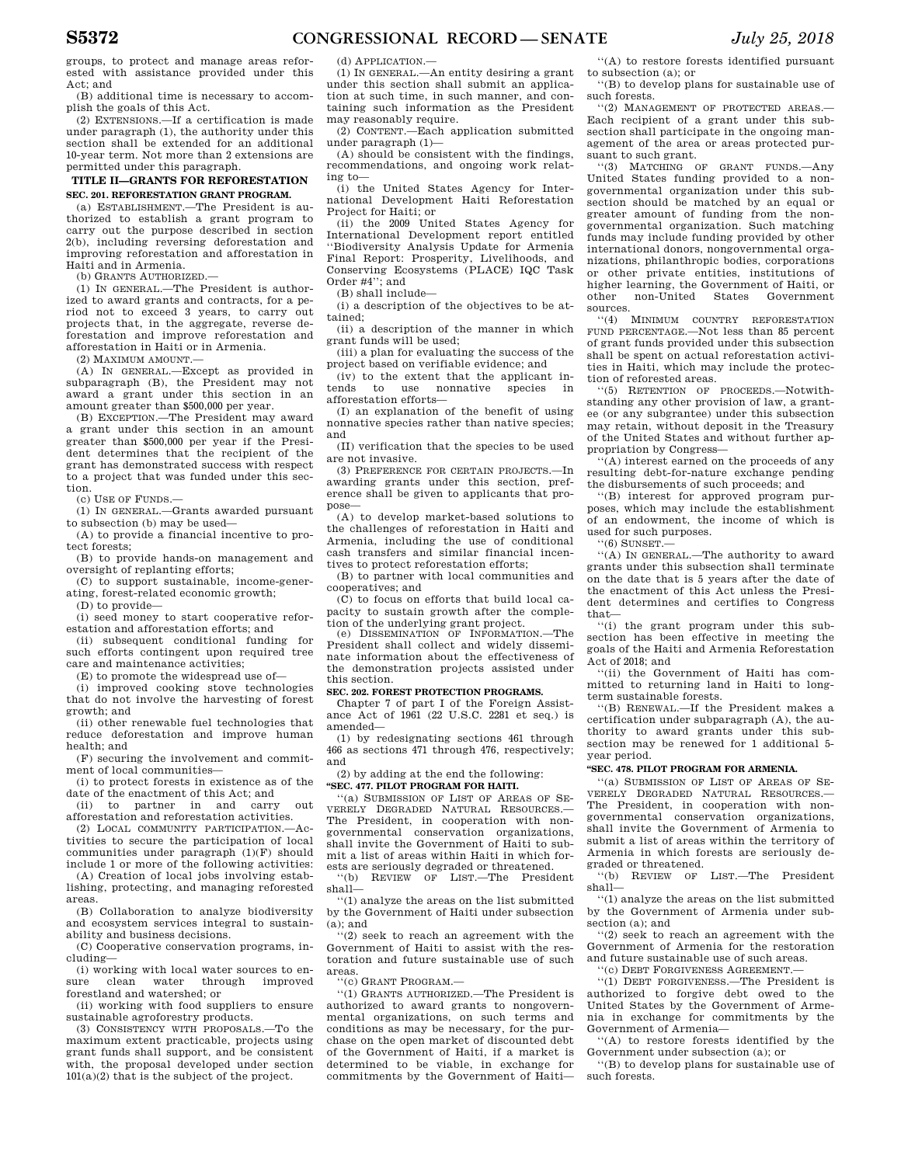groups, to protect and manage areas reforested with assistance provided under this Act; and

(B) additional time is necessary to accomplish the goals of this Act.

(2) EXTENSIONS.—If a certification is made under paragraph (1), the authority under this section shall be extended for an additional 10-year term. Not more than 2 extensions are permitted under this paragraph.

### **TITLE II—GRANTS FOR REFORESTATION SEC. 201. REFORESTATION GRANT PROGRAM.**

(a) ESTABLISHMENT.—The President is authorized to establish a grant program to carry out the purpose described in section 2(b), including reversing deforestation and improving reforestation and afforestation in Haiti and in Armenia.

(b) GRANTS AUTHORIZED.—

(1) IN GENERAL.—The President is authorized to award grants and contracts, for a period not to exceed 3 years, to carry out projects that, in the aggregate, reverse deforestation and improve reforestation and afforestation in Haiti or in Armenia.

 $(2)$  MAXIMUM AMOUNT $-$ 

(A) IN GENERAL.—Except as provided in subparagraph (B), the President may not award a grant under this section in an amount greater than \$500,000 per year.

(B) EXCEPTION.—The President may award a grant under this section in an amount greater than \$500,000 per year if the President determines that the recipient of the grant has demonstrated success with respect to a project that was funded under this section.

(c) USE OF FUNDS.—

(1) IN GENERAL.—Grants awarded pursuant to subsection (b) may be used—

(A) to provide a financial incentive to protect forests;

(B) to provide hands-on management and oversight of replanting efforts;

(C) to support sustainable, income-generating, forest-related economic growth;

(D) to provide—

(i) seed money to start cooperative reforestation and afforestation efforts; and

(ii) subsequent conditional funding for such efforts contingent upon required tree care and maintenance activities;

(E) to promote the widespread use of—

(i) improved cooking stove technologies that do not involve the harvesting of forest growth; and

(ii) other renewable fuel technologies that reduce deforestation and improve human health; and

(F) securing the involvement and commitment of local communities—

(i) to protect forests in existence as of the date of the enactment of this Act; and

(ii) to partner in and carry out afforestation and reforestation activities.

(2) LOCAL COMMUNITY PARTICIPATION.—Activities to secure the participation of local communities under paragraph (1)(F) should include 1 or more of the following activities:

(A) Creation of local jobs involving establishing, protecting, and managing reforested areas.

(B) Collaboration to analyze biodiversity and ecosystem services integral to sustainability and business decisions.

(C) Cooperative conservation programs, including—

(i) working with local water sources to ensure clean water through improved forestland and watershed; or

(ii) working with food suppliers to ensure sustainable agroforestry products.

(3) CONSISTENCY WITH PROPOSALS.—To the maximum extent practicable, projects using grant funds shall support, and be consistent with, the proposal developed under section 101(a)(2) that is the subject of the project.

(d) APPLICATION.—

(1) IN GENERAL.—An entity desiring a grant under this section shall submit an application at such time, in such manner, and containing such information as the President may reasonably require.

(2) CONTENT.—Each application submitted under paragraph (1)—

(A) should be consistent with the findings, recommendations, and ongoing work relating to—

(i) the United States Agency for International Development Haiti Reforestation Project for Haiti; or

(ii) the 2009 United States Agency for International Development report entitled ''Biodiversity Analysis Update for Armenia Final Report: Prosperity, Livelihoods, and Conserving Ecosystems (PLACE) IQC Task Order #4''; and

(B) shall include—

(i) a description of the objectives to be attained;

(ii) a description of the manner in which grant funds will be used;

(iii) a plan for evaluating the success of the project based on verifiable evidence; and

(iv) to the extent that the applicant intends to use nonnative species in afforestation efforts—

(I) an explanation of the benefit of using nonnative species rather than native species; and

(II) verification that the species to be used are not invasive.

(3) PREFERENCE FOR CERTAIN PROJECTS.—In awarding grants under this section, preference shall be given to applicants that propose—

(A) to develop market-based solutions to the challenges of reforestation in Haiti and Armenia, including the use of conditional cash transfers and similar financial incentives to protect reforestation efforts;

(B) to partner with local communities and cooperatives; and

(C) to focus on efforts that build local capacity to sustain growth after the completion of the underlying grant project.

(e) DISSEMINATION OF INFORMATION.—The President shall collect and widely disseminate information about the effectiveness of the demonstration projects assisted under this section.

#### **SEC. 202. FOREST PROTECTION PROGRAMS.**

Chapter 7 of part I of the Foreign Assistance Act of 1961 (22 U.S.C. 2281 et seq.) is amended—

(1) by redesignating sections 461 through 466 as sections 471 through 476, respectively; and

#### (2) by adding at the end the following: **''SEC. 477. PILOT PROGRAM FOR HAITI.**

''(a) SUBMISSION OF LIST OF AREAS OF SE-VERELY DEGRADED NATURAL RESOURCES.— The President, in cooperation with nongovernmental conservation organizations, shall invite the Government of Haiti to submit a list of areas within Haiti in which forests are seriously degraded or threatened.

''(b) REVIEW OF LIST.—The President shall—

''(1) analyze the areas on the list submitted by the Government of Haiti under subsection  $(a)$ ; and

''(2) seek to reach an agreement with the Government of Haiti to assist with the restoration and future sustainable use of such areas.

''(c) GRANT PROGRAM.—

''(1) GRANTS AUTHORIZED.—The President is authorized to award grants to nongovernmental organizations, on such terms and conditions as may be necessary, for the purchase on the open market of discounted debt of the Government of Haiti, if a market is determined to be viable, in exchange for commitments by the Government of Haiti—

''(A) to restore forests identified pursuant to subsection (a); or

''(B) to develop plans for sustainable use of such forests.

''(2) MANAGEMENT OF PROTECTED AREAS.— Each recipient of a grant under this subsection shall participate in the ongoing management of the area or areas protected pursuant to such grant.

''(3) MATCHING OF GRANT FUNDS.—Any United States funding provided to a nongovernmental organization under this subsection should be matched by an equal or greater amount of funding from the nongovernmental organization. Such matching funds may include funding provided by other international donors, nongovernmental organizations, philanthropic bodies, corporations or other private entities, institutions of higher learning, the Government of Haiti, or other non-United States Government sources.

''(4) MINIMUM COUNTRY REFORESTATION FUND PERCENTAGE.—Not less than 85 percent of grant funds provided under this subsection shall be spent on actual reforestation activities in Haiti, which may include the protection of reforested areas.

''(5) RETENTION OF PROCEEDS.—Notwithstanding any other provision of law, a grantee (or any subgrantee) under this subsection may retain, without deposit in the Treasury of the United States and without further appropriation by Congress—

''(A) interest earned on the proceeds of any resulting debt-for-nature exchange pending the disbursements of such proceeds; and

''(B) interest for approved program purposes, which may include the establishment of an endowment, the income of which is used for such purposes.

 $``(6)$  SUNSET. $-$ 

''(A) IN GENERAL.—The authority to award grants under this subsection shall terminate on the date that is 5 years after the date of the enactment of this Act unless the President determines and certifies to Congress that—

''(i) the grant program under this subsection has been effective in meeting the goals of the Haiti and Armenia Reforestation Act of 2018; and

''(ii) the Government of Haiti has committed to returning land in Haiti to longterm sustainable forests.

''(B) RENEWAL.—If the President makes a certification under subparagraph (A), the authority to award grants under this subsection may be renewed for 1 additional 5 year period.

#### **''SEC. 478. PILOT PROGRAM FOR ARMENIA.**

''(a) SUBMISSION OF LIST OF AREAS OF SE-VERELY DEGRADED NATURAL RESOURCES.— The President, in cooperation with nongovernmental conservation organizations, shall invite the Government of Armenia to submit a list of areas within the territory of Armenia in which forests are seriously degraded or threatened.

''(b) REVIEW OF LIST.—The President shall—

''(1) analyze the areas on the list submitted by the Government of Armenia under subsection (a); and

''(2) seek to reach an agreement with the Government of Armenia for the restoration and future sustainable use of such areas.

''(c) DEBT FORGIVENESS AGREEMENT.—

''(1) DEBT FORGIVENESS.—The President is authorized to forgive debt owed to the United States by the Government of Armenia in exchange for commitments by the Government of Armenia—

''(A) to restore forests identified by the Government under subsection (a); or

''(B) to develop plans for sustainable use of such forests.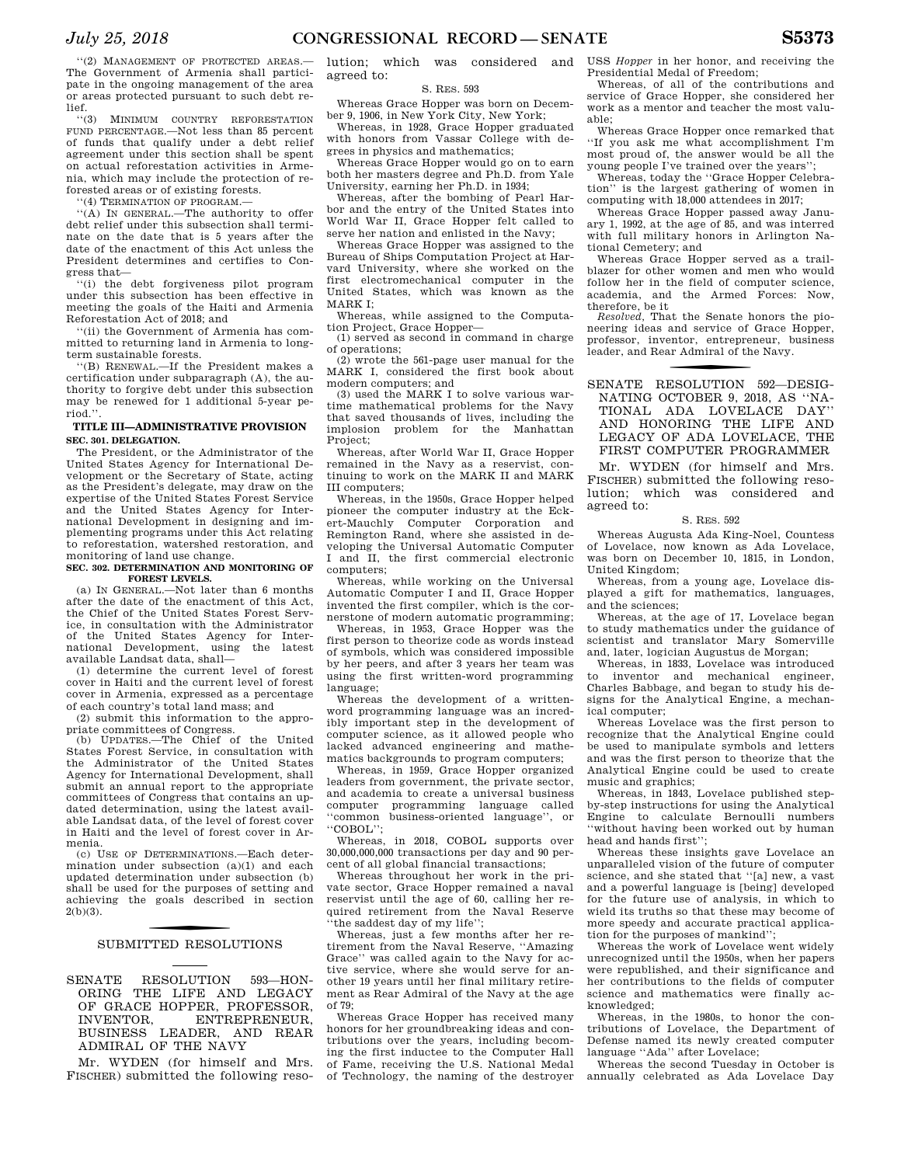''(2) MANAGEMENT OF PROTECTED AREAS.— The Government of Armenia shall participate in the ongoing management of the area or areas protected pursuant to such debt relief.

''(3) MINIMUM COUNTRY REFORESTATION FUND PERCENTAGE.—Not less than 85 percent of funds that qualify under a debt relief agreement under this section shall be spent on actual reforestation activities in Armenia, which may include the protection of reforested areas or of existing forests.

''(4) TERMINATION OF PROGRAM.—

''(A) IN GENERAL.—The authority to offer debt relief under this subsection shall terminate on the date that is 5 years after the date of the enactment of this Act unless the President determines and certifies to Congress that—

''(i) the debt forgiveness pilot program under this subsection has been effective in meeting the goals of the Haiti and Armenia Reforestation Act of 2018; and

'(ii) the Government of Armenia has committed to returning land in Armenia to longterm sustainable forests.

''(B) RENEWAL.—If the President makes a certification under subparagraph (A), the authority to forgive debt under this subsection may be renewed for 1 additional 5-year period.''.

### **TITLE III—ADMINISTRATIVE PROVISION SEC. 301. DELEGATION.**

The President, or the Administrator of the United States Agency for International Development or the Secretary of State, acting as the President's delegate, may draw on the expertise of the United States Forest Service and the United States Agency for International Development in designing and implementing programs under this Act relating to reforestation, watershed restoration, and monitoring of land use change.

#### **SEC. 302. DETERMINATION AND MONITORING OF FOREST LEVELS.**

(a) IN GENERAL.—Not later than 6 months after the date of the enactment of this Act, the Chief of the United States Forest Service, in consultation with the Administrator the United States Agency for International Development, using the latest available Landsat data, shall—

(1) determine the current level of forest cover in Haiti and the current level of forest cover in Armenia, expressed as a percentage of each country's total land mass; and

(2) submit this information to the appropriate committees of Congress.

(b) UPDATES.—The Chief of the United States Forest Service, in consultation with the Administrator of the United States Agency for International Development, shall submit an annual report to the appropriate committees of Congress that contains an updated determination, using the latest available Landsat data, of the level of forest cover in Haiti and the level of forest cover in Armenia.

(c) USE OF DETERMINATIONS.—Each determination under subsection (a)(1) and each updated determination under subsection (b) shall be used for the purposes of setting and achieving the goals described in section  $2(b)(3)$ .

## SUBMITTED RESOLUTIONS

SENATE RESOLUTION 593—HON-ORING THE LIFE AND LEGACY OF GRACE HOPPER, PROFESSOR, INVENTOR. ENTREPRENEUR, INVENTOR, ENTREPRENEUR, BUSINESS LEADER, AND REAR ADMIRAL OF THE NAVY

Mr. WYDEN (for himself and Mrs. FISCHER) submitted the following resolution; which was considered and agreed to:

#### S. RES. 593

Whereas Grace Hopper was born on December 9, 1906, in New York City, New York;

Whereas, in 1928, Grace Hopper graduated with honors from Vassar College with degrees in physics and mathematics;

Whereas Grace Hopper would go on to earn both her masters degree and Ph.D. from Yale University, earning her Ph.D. in 1934;

Whereas, after the bombing of Pearl Harbor and the entry of the United States into World War II, Grace Hopper felt called to serve her nation and enlisted in the Navy;

Whereas Grace Hopper was assigned to the Bureau of Ships Computation Project at Harvard University, where she worked on the first electromechanical computer in the United States, which was known as the MARK I;

Whereas, while assigned to the Computation Project, Grace Hopper—

(1) served as second in command in charge of operations;

(2) wrote the 561-page user manual for the MARK I, considered the first book about modern computers; and

(3) used the MARK I to solve various wartime mathematical problems for the Navy that saved thousands of lives, including the implosion problem for the Manhattan Project;

Whereas, after World War II, Grace Hopper remained in the Navy as a reservist, continuing to work on the MARK II and MARK III computers;

Whereas, in the 1950s, Grace Hopper helped pioneer the computer industry at the Eckert-Mauchly Computer Corporation and Remington Rand, where she assisted in developing the Universal Automatic Computer I and II, the first commercial electronic computers;

Whereas, while working on the Universal Automatic Computer I and II, Grace Hopper invented the first compiler, which is the cornerstone of modern automatic programming;

Whereas, in 1953, Grace Hopper was the first person to theorize code as words instead of symbols, which was considered impossible by her peers, and after 3 years her team was using the first written-word programming language;

Whereas the development of a writtenword programming language was an incredibly important step in the development of computer science, as it allowed people who lacked advanced engineering and mathematics backgrounds to program computers;

Whereas, in 1959, Grace Hopper organized leaders from government, the private sector, and academia to create a universal business computer programming language called ''common business-oriented language'', or ''COBOL'';

Whereas, in 2018, COBOL supports over 30,000,000,000 transactions per day and 90 percent of all global financial transactions;

Whereas throughout her work in the private sector, Grace Hopper remained a naval reservist until the age of 60, calling her required retirement from the Naval Reserve 'the saddest day of my life";

Whereas, just a few months after her retirement from the Naval Reserve, ''Amazing Grace'' was called again to the Navy for active service, where she would serve for another 19 years until her final military retirement as Rear Admiral of the Navy at the age of 79;

Whereas Grace Hopper has received many honors for her groundbreaking ideas and contributions over the years, including becoming the first inductee to the Computer Hall of Fame, receiving the U.S. National Medal of Technology, the naming of the destroyer

USS *Hopper* in her honor, and receiving the Presidential Medal of Freedom;

Whereas, of all of the contributions and service of Grace Hopper, she considered her work as a mentor and teacher the most valuable;

Whereas Grace Hopper once remarked that ''If you ask me what accomplishment I'm most proud of, the answer would be all the young people I've trained over the years'';

Whereas, today the ''Grace Hopper Celebration'' is the largest gathering of women in computing with 18,000 attendees in 2017;

Whereas Grace Hopper passed away January 1, 1992, at the age of 85, and was interred with full military honors in Arlington National Cemetery; and

Whereas Grace Hopper served as a trailblazer for other women and men who would follow her in the field of computer science, academia, and the Armed Forces: Now, therefore, be it

*Resolved,* That the Senate honors the pioneering ideas and service of Grace Hopper, professor, inventor, entrepreneur, business leader, and Rear Admiral of the Navy.

### SENATE RESOLUTION 592-DESIG-NATING OCTOBER 9, 2018, AS ''NA-TIONAL ADA LOVELACE DAY'' AND HONORING THE LIFE AND

LEGACY OF ADA LOVELACE, THE FIRST COMPUTER PROGRAMMER

Mr. WYDEN (for himself and Mrs. FISCHER) submitted the following resolution; which was considered and agreed to:

### S. RES. 592

Whereas Augusta Ada King-Noel, Countess of Lovelace, now known as Ada Lovelace, was born on December 10, 1815, in London, United Kingdom;

Whereas, from a young age, Lovelace displayed a gift for mathematics, languages, and the sciences;

Whereas, at the age of 17, Lovelace began to study mathematics under the guidance of scientist and translator Mary Somerville and, later, logician Augustus de Morgan;

Whereas, in 1833, Lovelace was introduced to inventor and mechanical engineer, Charles Babbage, and began to study his designs for the Analytical Engine, a mechanical computer;

Whereas Lovelace was the first person to recognize that the Analytical Engine could be used to manipulate symbols and letters and was the first person to theorize that the Analytical Engine could be used to create music and graphics;

Whereas, in 1843, Lovelace published stepby-step instructions for using the Analytical Engine to calculate Bernoulli numbers ''without having been worked out by human head and hands first."

Whereas these insights gave Lovelace an unparalleled vision of the future of computer science, and she stated that ''[a] new, a vast and a powerful language is [being] developed for the future use of analysis, in which to wield its truths so that these may become of more speedy and accurate practical application for the purposes of mankind'';

Whereas the work of Lovelace went widely unrecognized until the 1950s, when her papers were republished, and their significance and her contributions to the fields of computer science and mathematics were finally acknowledged;

Whereas, in the 1980s, to honor the contributions of Lovelace, the Department of Defense named its newly created computer language ''Ada'' after Lovelace;

Whereas the second Tuesday in October is annually celebrated as Ada Lovelace Day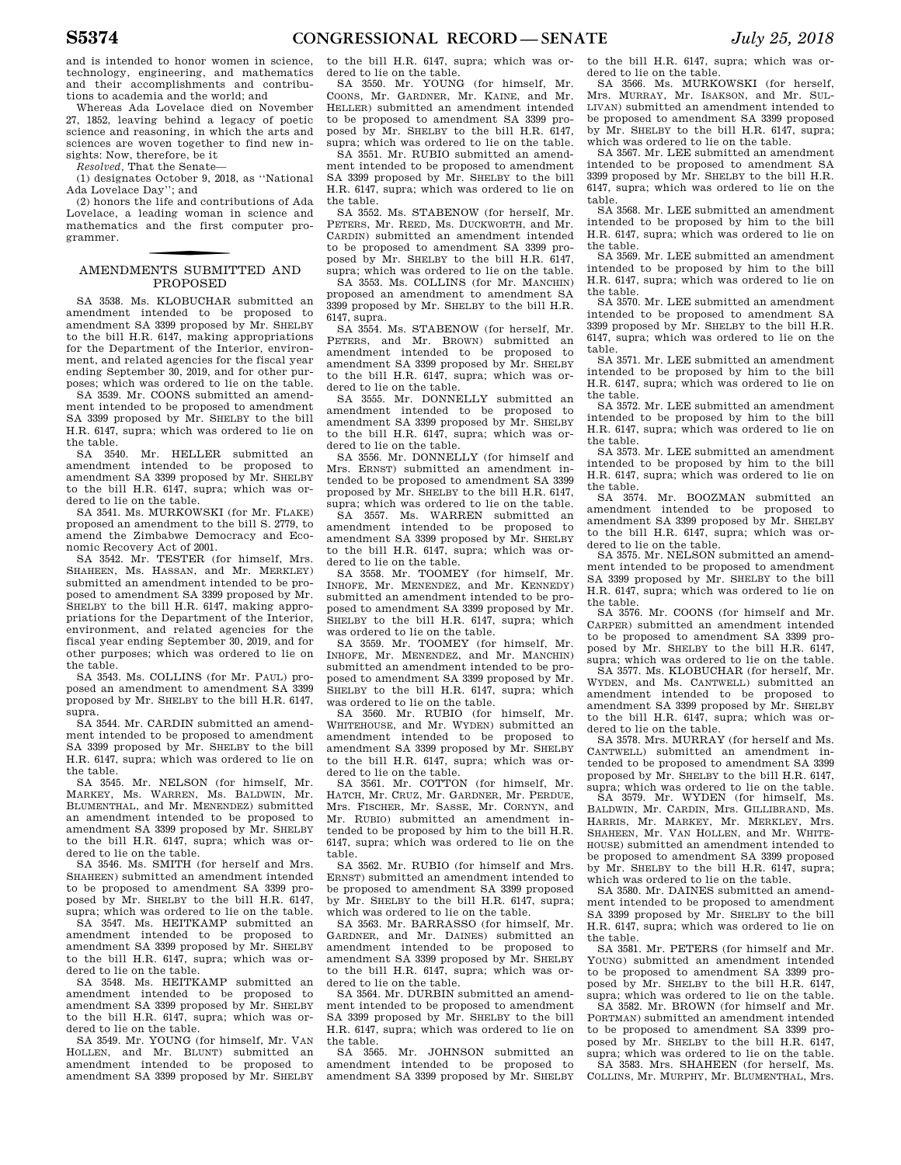and is intended to honor women in science, technology, engineering, and mathematics and their accomplishments and contributions to academia and the world; and

Whereas Ada Lovelace died on November 27, 1852, leaving behind a legacy of poetic science and reasoning, in which the arts and sciences are woven together to find new insights: Now, therefore, be it

*Resolved,* That the Senate—

(1) designates October 9, 2018, as ''National Ada Lovelace Day''; and

(2) honors the life and contributions of Ada Lovelace, a leading woman in science and mathematics and the first computer programmer.

### f AMENDMENTS SUBMITTED AND PROPOSED

SA 3538. Ms. KLOBUCHAR submitted an amendment intended to be proposed to amendment SA 3399 proposed by Mr. SHELBY to the bill H.R. 6147, making appropriations for the Department of the Interior, environment, and related agencies for the fiscal year ending September 30, 2019, and for other purposes; which was ordered to lie on the table.

SA 3539. Mr. COONS submitted an amendment intended to be proposed to amendment SA 3399 proposed by Mr. SHELBY to the bill H.R. 6147, supra; which was ordered to lie on the table.

SA 3540. Mr. HELLER submitted an amendment intended to be proposed to amendment SA 3399 proposed by Mr. SHELBY to the bill H.R. 6147, supra; which was ordered to lie on the table.

SA 3541. Ms. MURKOWSKI (for Mr. FLAKE) proposed an amendment to the bill S. 2779, to amend the Zimbabwe Democracy and Economic Recovery Act of 2001.

SA 3542. Mr. TESTER (for himself, Mrs. SHAHEEN, Ms. HASSAN, and Mr. MERKLEY) submitted an amendment intended to be proposed to amendment SA 3399 proposed by Mr. SHELBY to the bill H.R. 6147, making appropriations for the Department of the Interior, environment, and related agencies for the fiscal year ending September 30, 2019, and for other purposes; which was ordered to lie on the table.

SA 3543. Ms. COLLINS (for Mr. PAUL) proposed an amendment to amendment SA 3399 proposed by Mr. SHELBY to the bill H.R. 6147, supra.

SA 3544. Mr. CARDIN submitted an amendment intended to be proposed to amendment SA 3399 proposed by Mr. SHELBY to the bill H.R. 6147, supra; which was ordered to lie on the table.

SA 3545. Mr. NELSON (for himself, Mr. MARKEY, Ms. WARREN, Ms. BALDWIN, Mr. BLUMENTHAL, and Mr. MENENDEZ) submitted an amendment intended to be proposed to amendment SA 3399 proposed by Mr. SHELBY to the bill H.R. 6147, supra; which was ordered to lie on the table.

SA 3546. Ms. SMITH (for herself and Mrs. SHAHEEN) submitted an amendment intended to be proposed to amendment SA 3399 proposed by Mr. SHELBY to the bill H.R. 6147, supra; which was ordered to lie on the table.

SA 3547. Ms. HEITKAMP submitted an amendment intended to be proposed to amendment SA 3399 proposed by Mr. SHELBY to the bill H.R. 6147, supra; which was ordered to lie on the table.

SA 3548. Ms. HEITKAMP submitted an amendment intended to be proposed to amendment SA 3399 proposed by Mr. SHELBY to the bill H.R. 6147, supra; which was ordered to lie on the table.

SA 3549. Mr. YOUNG (for himself, Mr. VAN HOLLEN, and Mr. BLUNT) submitted an amendment intended to be proposed to amendment SA 3399 proposed by Mr. SHELBY to the bill H.R. 6147, supra; which was ordered to lie on the table.

SA 3550. Mr. YOUNG (for himself, Mr. COONS, Mr. GARDNER, Mr. KAINE, and Mr. HELLER) submitted an amendment intended to be proposed to amendment SA 3399 proposed by Mr. SHELBY to the bill H.R. 6147, supra; which was ordered to lie on the table.

SA 3551. Mr. RUBIO submitted an amendment intended to be proposed to amendment SA 3399 proposed by Mr. SHELBY to the bill H.R. 6147, supra; which was ordered to lie on the table.

SA 3552. Ms. STABENOW (for herself, Mr. PETERS, Mr. REED, Ms. DUCKWORTH, and Mr. CARDIN) submitted an amendment intended to be proposed to amendment SA 3399 proposed by Mr. SHELBY to the bill H.R. 6147, supra; which was ordered to lie on the table.

SA 3553. Ms. COLLINS (for Mr. MANCHIN) proposed an amendment to amendment SA 3399 proposed by Mr. SHELBY to the bill H.R. 6147, supra.

SA 3554. Ms. STABENOW (for herself, Mr. PETERS, and Mr. BROWN) submitted an amendment intended to be proposed to amendment SA 3399 proposed by Mr. SHELBY to the bill H.R. 6147, supra; which was ordered to lie on the table.

SA 3555. Mr. DONNELLY submitted an amendment intended to be proposed to amendment SA 3399 proposed by Mr. SHELBY to the bill H.R. 6147, supra; which was ordered to lie on the table.

SA 3556. Mr. DONNELLY (for himself and Mrs. ERNST) submitted an amendment intended to be proposed to amendment SA 3399 proposed by Mr. SHELBY to the bill H.R. 6147, supra; which was ordered to lie on the table.

SA 3557. Ms. WARREN submitted an amendment intended to be proposed to amendment SA 3399 proposed by Mr. SHELBY to the bill H.R. 6147, supra; which was ordered to lie on the table.

SA 3558. Mr. TOOMEY (for himself, Mr. INHOFE, Mr. MENENDEZ, and Mr. KENNEDY) submitted an amendment intended to be proposed to amendment SA 3399 proposed by Mr. SHELBY to the bill H.R. 6147, supra; which was ordered to lie on the table.

SA 3559. Mr. TOOMEY (for himself, Mr. INHOFE, Mr. MENENDEZ, and Mr. MANCHIN) submitted an amendment intended to be proposed to amendment SA 3399 proposed by Mr. SHELBY to the bill H.R. 6147, supra; which was ordered to lie on the table.

SA 3560. Mr. RUBIO (for himself, Mr. WHITEHOUSE, and Mr. WYDEN) submitted an amendment intended to be proposed to amendment SA 3399 proposed by Mr. SHELBY to the bill H.R. 6147, supra; which was ordered to lie on the table.

SA 3561. Mr. COTTON (for himself, Mr. HATCH, Mr. CRUZ, Mr. GARDNER, Mr. PERDUE, Mrs. FISCHER, Mr. SASSE, Mr. CORNYN, and Mr. RUBIO) submitted an amendment intended to be proposed by him to the bill H.R. 6147, supra; which was ordered to lie on the table.

SA 3562. Mr. RUBIO (for himself and Mrs. ERNST) submitted an amendment intended to be proposed to amendment SA 3399 proposed by Mr. SHELBY to the bill H.R. 6147, supra; which was ordered to lie on the table.

SA 3563. Mr. BARRASSO (for himself, Mr. GARDNER, and Mr. DAINES) submitted an amendment intended to be proposed to amendment SA 3399 proposed by Mr. SHELBY to the bill H.R. 6147, supra; which was ordered to lie on the table.

SA 3564. Mr. DURBIN submitted an amendment intended to be proposed to amendment SA 3399 proposed by Mr. SHELBY to the bill H.R. 6147, supra; which was ordered to lie on the table.

SA 3565. Mr. JOHNSON submitted an amendment intended to be proposed to amendment SA 3399 proposed by Mr. SHELBY to the bill H.R. 6147, supra; which was ordered to lie on the table.

SA 3566. Ms. MURKOWSKI (for herself, Mrs. MURRAY, Mr. ISAKSON, and Mr. SUL-LIVAN) submitted an amendment intended to be proposed to amendment SA 3399 proposed by Mr. SHELBY to the bill H.R. 6147, supra; which was ordered to lie on the table.

SA 3567. Mr. LEE submitted an amendment intended to be proposed to amendment SA 3399 proposed by Mr. SHELBY to the bill H.R. 6147, supra; which was ordered to lie on the table.

SA 3568. Mr. LEE submitted an amendment intended to be proposed by him to the bill H.R. 6147, supra; which was ordered to lie on the table.

SA 3569. Mr. LEE submitted an amendment intended to be proposed by him to the bill H.R. 6147, supra; which was ordered to lie on the table.

SA 3570. Mr. LEE submitted an amendment intended to be proposed to amendment SA 3399 proposed by Mr. SHELBY to the bill H.R. 6147, supra; which was ordered to lie on the table.

SA 3571. Mr. LEE submitted an amendment intended to be proposed by him to the bill H.R. 6147, supra; which was ordered to lie on the table.

SA 3572. Mr. LEE submitted an amendment intended to be proposed by him to the bill H.R. 6147, supra; which was ordered to lie on the table.

SA 3573. Mr. LEE submitted an amendment intended to be proposed by him to the bill H.R. 6147, supra; which was ordered to lie on the table.

SA 3574. Mr. BOOZMAN submitted an amendment intended to be proposed to amendment SA 3399 proposed by Mr. SHELBY to the bill H.R. 6147, supra; which was ordered to lie on the table.

SA 3575. Mr. NELSON submitted an amendment intended to be proposed to amendment SA 3399 proposed by Mr. SHELBY to the bill H.R. 6147, supra; which was ordered to lie on the table.

SA 3576. Mr. COONS (for himself and Mr. CARPER) submitted an amendment intended to be proposed to amendment SA 3399 proposed by Mr. SHELBY to the bill H.R. 6147, supra; which was ordered to lie on the table.

SA 3577. Ms. KLOBUCHAR (for herself, Mr. WYDEN, and Ms. CANTWELL) submitted an amendment intended to be proposed to amendment SA 3399 proposed by Mr. SHELBY to the bill H.R. 6147, supra; which was ordered to lie on the table.

SA 3578. Mrs. MURRAY (for herself and Ms. CANTWELL) submitted an amendment intended to be proposed to amendment SA 3399 proposed by Mr. SHELBY to the bill H.R. 6147,

supra; which was ordered to lie on the table. SA 3579. Mr. WYDEN (for himself, Ms. BALDWIN, Mr. CARDIN, Mrs. GILLIBRAND, Ms. HARRIS, Mr. MARKEY, Mr. MERKLEY, Mrs. SHAHEEN, Mr. VAN HOLLEN, and Mr. WHITE-HOUSE) submitted an amendment intended to be proposed to amendment SA 3399 proposed by Mr. SHELBY to the bill H.R. 6147, supra; which was ordered to lie on the table.

SA 3580. Mr. DAINES submitted an amendment intended to be proposed to amendment SA 3399 proposed by Mr. SHELBY to the bill H.R. 6147, supra; which was ordered to lie on the table.

SA 3581. Mr. PETERS (for himself and Mr. YOUNG) submitted an amendment intended to be proposed to amendment SA 3399 proposed by Mr. SHELBY to the bill H.R. 6147, supra; which was ordered to lie on the table. SA 3582. Mr. BROWN (for himself and Mr. PORTMAN) submitted an amendment intended to be proposed to amendment SA 3399 proposed by Mr. SHELBY to the bill H.R. 6147, supra; which was ordered to lie on the table. SA 3583. Mrs. SHAHEEN (for herself, Ms.

COLLINS, Mr. MURPHY, Mr. BLUMENTHAL, Mrs.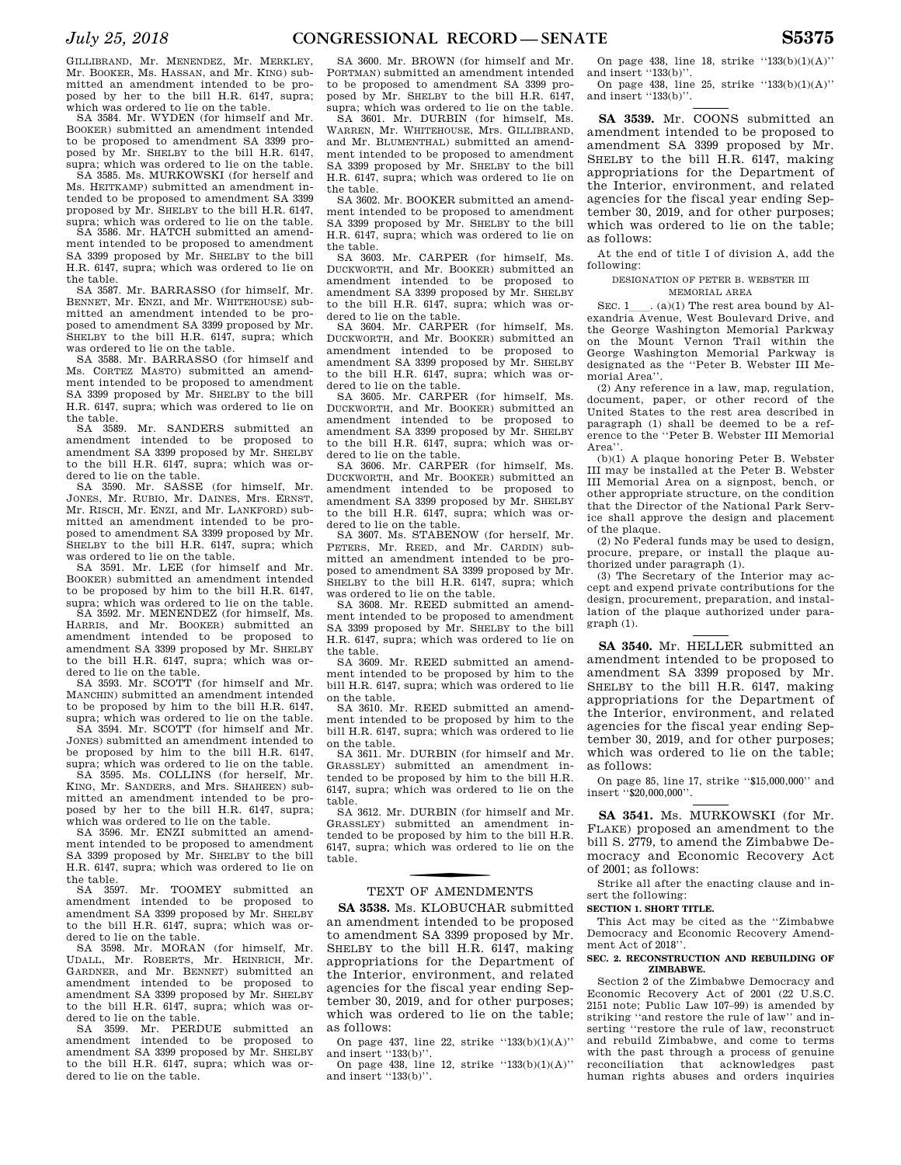GILLIBRAND, Mr. MENENDEZ, Mr. MERKLEY, Mr. BOOKER, Ms. HASSAN, and Mr. KING) submitted an amendment intended to be proposed by her to the bill H.R. 6147, supra; which was ordered to lie on the table.

SA 3584. Mr. WYDEN (for himself and Mr. BOOKER) submitted an amendment intended to be proposed to amendment SA 3399 proposed by Mr. SHELBY to the bill H.R. 6147, supra; which was ordered to lie on the table.

SA 3585. Ms. MURKOWSKI (for herself and Ms. HEITKAMP) submitted an amendment intended to be proposed to amendment SA 3399 proposed by Mr. SHELBY to the bill H.R. 6147, supra; which was ordered to lie on the table.

SA 3586. Mr. HATCH submitted an amendment intended to be proposed to amendment SA 3399 proposed by Mr. SHELBY to the bill H.R. 6147, supra; which was ordered to lie on the table.

SA 3587. Mr. BARRASSO (for himself, Mr. BENNET, Mr. ENZI, and Mr. WHITEHOUSE) submitted an amendment intended to be proposed to amendment SA 3399 proposed by Mr. SHELBY to the bill H.R. 6147, supra; which was ordered to lie on the table.

SA 3588. Mr. BARRASSO (for himself and Ms. CORTEZ MASTO) submitted an amendment intended to be proposed to amendment SA 3399 proposed by Mr. SHELBY to the bill H.R. 6147, supra; which was ordered to lie on the table.

SA 3589. Mr. SANDERS submitted an amendment intended to be proposed to amendment SA 3399 proposed by Mr. SHELBY to the bill H.R. 6147, supra; which was or-

dered to lie on the table. SA 3590. Mr. SASSE (for himself, Mr. JONES, Mr. RUBIO, Mr. DAINES, Mrs. ERNST, Mr. RISCH, Mr. ENZI, and Mr. LANKFORD) submitted an amendment intended to be proposed to amendment SA 3399 proposed by Mr. SHELBY to the bill H.R. 6147, supra; which was ordered to lie on the table.

SA 3591. Mr. LEE (for himself and Mr. BOOKER) submitted an amendment intended to be proposed by him to the bill H.R. 6147, supra; which was ordered to lie on the table.

SA 3592. Mr. MENENDEZ (for himself, Ms. HARRIS, and Mr. BOOKER) submitted an amendment intended to be proposed to amendment SA 3399 proposed by Mr. SHELBY to the bill H.R. 6147, supra; which was ordered to lie on the table.

SA 3593. Mr. SCOTT (for himself and Mr. MANCHIN) submitted an amendment intended to be proposed by him to the bill H.R. 6147, supra; which was ordered to lie on the table.

SA 3594. Mr. SCOTT (for himself and Mr. JONES) submitted an amendment intended to be proposed by him to the bill H.R. 6147, supra; which was ordered to lie on the table. SA 3595. Ms. COLLINS (for herself, Mr. KING, Mr. SANDERS, and Mrs. SHAHEEN) submitted an amendment intended to be proposed by her to the bill H.R. 6147, supra;

which was ordered to lie on the table. SA 3596. Mr. ENZI submitted an amendment intended to be proposed to amendment SA 3399 proposed by Mr. SHELBY to the bill H.R. 6147, supra; which was ordered to lie on

the table. SA 3597. Mr. TOOMEY submitted an amendment intended to be proposed to amendment SA 3399 proposed by Mr. SHELBY to the bill H.R. 6147, supra; which was ordered to lie on the table.

SA 3598. Mr. MORAN (for himself, Mr. UDALL, Mr. ROBERTS, Mr. HEINRICH, Mr. GARDNER, and Mr. BENNET) submitted an amendment intended to be proposed to amendment SA 3399 proposed by Mr. SHELBY to the bill H.R. 6147, supra; which was ordered to lie on the table.

SA 3599. Mr. PERDUE submitted an amendment intended to be proposed to amendment SA 3399 proposed by Mr. SHELBY to the bill H.R. 6147, supra; which was ordered to lie on the table.

SA 3600. Mr. BROWN (for himself and Mr. PORTMAN) submitted an amendment intended to be proposed to amendment SA 3399 proposed by Mr. SHELBY to the bill H.R. 6147, supra; which was ordered to lie on the table.

SA 3601. Mr. DURBIN (for himself, Ms. WARREN, Mr. WHITEHOUSE, Mrs. GILLIBRAND, and Mr. BLUMENTHAL) submitted an amendment intended to be proposed to amendment SA 3399 proposed by Mr. SHELBY to the bill H.R. 6147, supra; which was ordered to lie on the table.

SA 3602. Mr. BOOKER submitted an amendment intended to be proposed to amendment SA 3399 proposed by Mr. SHELBY to the bill H.R. 6147, supra; which was ordered to lie on the table.

SA 3603. Mr. CARPER (for himself, Ms. DUCKWORTH, and Mr. BOOKER) submitted an amendment intended to be proposed to amendment SA 3399 proposed by Mr. SHELBY to the bill H.R. 6147, supra; which was ordered to lie on the table.

SA 3604. Mr. CARPER (for himself, Ms. DUCKWORTH, and Mr. BOOKER) submitted an amendment intended to be proposed to amendment SA 3399 proposed by Mr. SHELBY to the bill H.R. 6147, supra; which was ordered to lie on the table.

SA 3605. Mr. CARPER (for himself, Ms. DUCKWORTH, and Mr. BOOKER) submitted an amendment intended to be proposed to amendment SA 3399 proposed by Mr. SHELBY to the bill H.R. 6147, supra; which was ordered to lie on the table.

SA 3606. Mr. CARPER (for himself, Ms. DUCKWORTH, and Mr. BOOKER) submitted an amendment intended to be proposed to amendment SA 3399 proposed by Mr. SHELBY to the bill H.R. 6147, supra; which was ordered to lie on the table.

SA 3607. Ms. STABENOW (for herself, Mr. PETERS, Mr. REED, and Mr. CARDIN) submitted an amendment intended to be proposed to amendment SA 3399 proposed by Mr. SHELBY to the bill H.R. 6147, supra; which was ordered to lie on the table.

SA 3608. Mr. REED submitted an amendment intended to be proposed to amendment SA 3399 proposed by Mr. SHELBY to the bill H.R. 6147, supra; which was ordered to lie on the table.

SA 3609. Mr. REED submitted an amendment intended to be proposed by him to the bill H.R. 6147, supra; which was ordered to lie

on the table. SA 3610. Mr. REED submitted an amendment intended to be proposed by him to the bill H.R. 6147, supra; which was ordered to lie on the table.

SA 3611. Mr. DURBIN (for himself and Mr. GRASSLEY) submitted an amendment intended to be proposed by him to the bill H.R. 6147, supra; which was ordered to lie on the table.

SA 3612. Mr. DURBIN (for himself and Mr. GRASSLEY) submitted an amendment intended to be proposed by him to the bill H.R. 6147, supra; which was ordered to lie on the table.

## TEXT OF AMENDMENTS

**SA 3538.** Ms. KLOBUCHAR submitted an amendment intended to be proposed to amendment SA 3399 proposed by Mr. SHELBY to the bill H.R. 6147, making appropriations for the Department of the Interior, environment, and related agencies for the fiscal year ending September 30, 2019, and for other purposes; which was ordered to lie on the table; as follows:

On page 437, line 22, strike ''133(b)(1)(A)'' and insert  $"133(b)"$ .

On page 438, line 12, strike  $(133(b)(1)(A))$ and insert "133(b)".

On page 438, line 18, strike  $"133(b)(1)(A)"$ and insert "133(b)".

On page 438, line 25, strike ''133(b)(1)(A)'' and insert "133(b)".

**SA 3539.** Mr. COONS submitted an amendment intended to be proposed to amendment SA 3399 proposed by Mr. SHELBY to the bill H.R. 6147, making appropriations for the Department of the Interior, environment, and related agencies for the fiscal year ending September 30, 2019, and for other purposes; which was ordered to lie on the table; as follows:

At the end of title I of division A, add the following:

#### DESIGNATION OF PETER B. WEBSTER III MEMORIAL AREA

SEC. 1\_\_\_\_. (a)(1) The rest area bound by Alexandria Avenue, West Boulevard Drive, and the George Washington Memorial Parkway on the Mount Vernon Trail within the George Washington Memorial Parkway is designated as the ''Peter B. Webster III Memorial Area''.

(2) Any reference in a law, map, regulation, document, paper, or other record of the United States to the rest area described in paragraph (1) shall be deemed to be a reference to the ''Peter B. Webster III Memorial Area''

(b)(1) A plaque honoring Peter B. Webster III may be installed at the Peter B. Webster III Memorial Area on a signpost, bench, or other appropriate structure, on the condition that the Director of the National Park Service shall approve the design and placement of the plaque.

(2) No Federal funds may be used to design, procure, prepare, or install the plaque authorized under paragraph (1).

(3) The Secretary of the Interior may accept and expend private contributions for the design, procurement, preparation, and installation of the plaque authorized under paragraph (1).

**SA 3540.** Mr. HELLER submitted an amendment intended to be proposed to amendment SA 3399 proposed by Mr. SHELBY to the bill H.R. 6147, making appropriations for the Department of the Interior, environment, and related agencies for the fiscal year ending September 30, 2019, and for other purposes; which was ordered to lie on the table; as follows:

On page 85, line 17, strike ''\$15,000,000'' and insert ''\$20,000,000''.

**SA 3541.** Ms. MURKOWSKI (for Mr. FLAKE) proposed an amendment to the bill S. 2779, to amend the Zimbabwe Democracy and Economic Recovery Act of 2001; as follows:

Strike all after the enacting clause and insert the following:

### **SECTION 1. SHORT TITLE.**

This Act may be cited as the ''Zimbabwe Democracy and Economic Recovery Amendment. Act of 2018''.

#### **SEC. 2. RECONSTRUCTION AND REBUILDING OF ZIMBABWE.**

Section 2 of the Zimbabwe Democracy and Economic Recovery Act of 2001 (22 U.S.C. 2151 note; Public Law 107–99) is amended by striking ''and restore the rule of law'' and inserting ''restore the rule of law, reconstruct and rebuild Zimbabwe, and come to terms with the past through a process of genuine reconciliation that acknowledges past human rights abuses and orders inquiries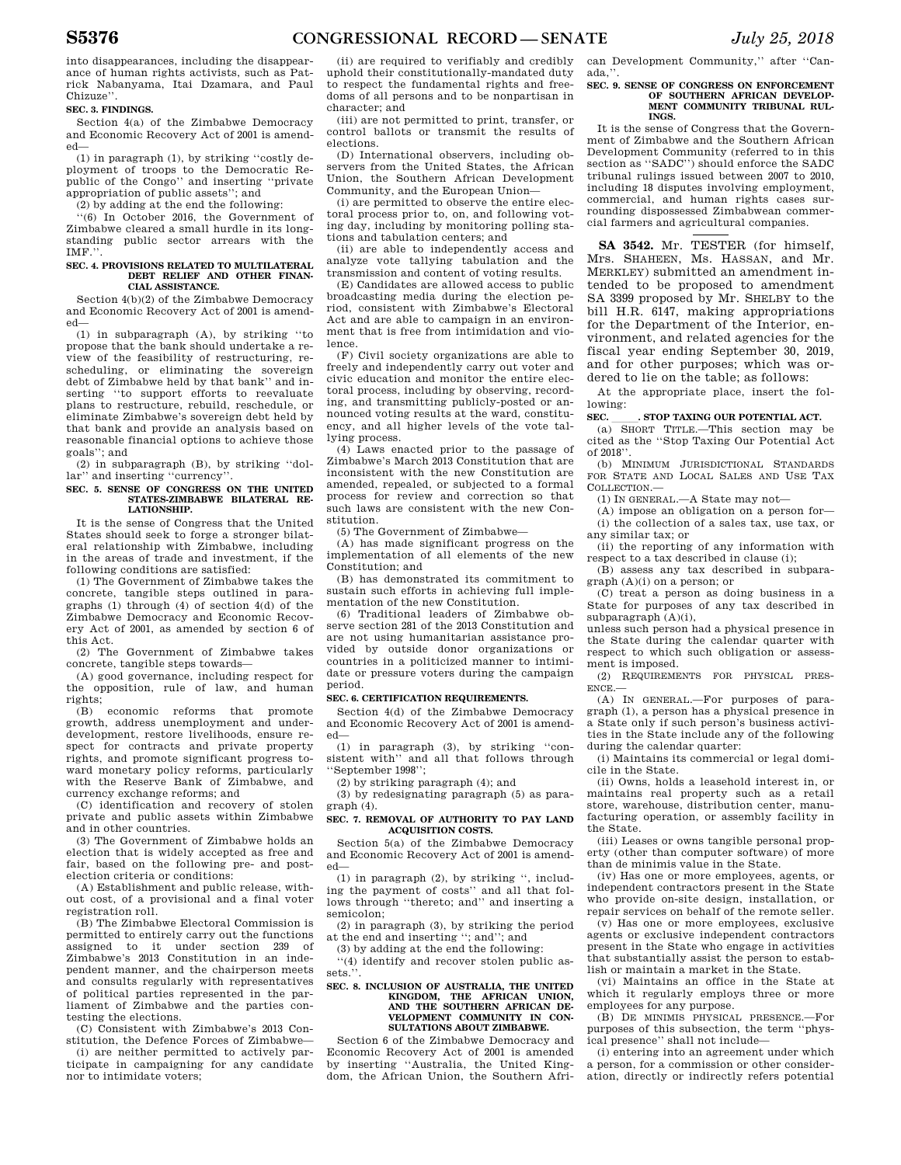into disappearances, including the disappearance of human rights activists, such as Patrick Nabanyama, Itai Dzamara, and Paul Chizuze''.

### **SEC. 3. FINDINGS.**

Section 4(a) of the Zimbabwe Democracy and Economic Recovery Act of 2001 is amended—

(1) in paragraph (1), by striking ''costly deployment of troops to the Democratic Re-public of the Congo'' and inserting ''private appropriation of public assets''; and

(2) by adding at the end the following:

''(6) In October 2016, the Government of Zimbabwe cleared a small hurdle in its longstanding public sector arrears with the IMF.''.

#### **SEC. 4. PROVISIONS RELATED TO MULTILATERAL DEBT RELIEF AND OTHER FINAN-CIAL ASSISTANCE.**

Section 4(b)(2) of the Zimbabwe Democracy and Economic Recovery Act of 2001 is amended—

(1) in subparagraph (A), by striking ''to propose that the bank should undertake a review of the feasibility of restructuring, rescheduling, or eliminating the sovereign debt of Zimbabwe held by that bank'' and inserting ''to support efforts to reevaluate plans to restructure, rebuild, reschedule, or eliminate Zimbabwe's sovereign debt held by that bank and provide an analysis based on reasonable financial options to achieve those goals''; and

(2) in subparagraph (B), by striking ''dollar'' and inserting ''currency''.

#### **SEC. 5. SENSE OF CONGRESS ON THE UNITED STATES-ZIMBABWE BILATERAL RE-LATIONSHIP.**

It is the sense of Congress that the United States should seek to forge a stronger bilateral relationship with Zimbabwe, including in the areas of trade and investment, if the following conditions are satisfied:

(1) The Government of Zimbabwe takes the concrete, tangible steps outlined in paragraphs (1) through (4) of section 4(d) of the Zimbabwe Democracy and Economic Recovery Act of 2001, as amended by section 6 of this Act.

(2) The Government of Zimbabwe takes concrete, tangible steps towards—

(A) good governance, including respect for the opposition, rule of law, and human rights;

(B) economic reforms that promote growth, address unemployment and underdevelopment, restore livelihoods, ensure respect for contracts and private property rights, and promote significant progress toward monetary policy reforms, particularly with the Reserve Bank of Zimbabwe, and currency exchange reforms; and

(C) identification and recovery of stolen private and public assets within Zimbabwe and in other countries.

(3) The Government of Zimbabwe holds an election that is widely accepted as free and fair, based on the following pre- and postelection criteria or conditions:

(A) Establishment and public release, without cost, of a provisional and a final voter registration roll.

(B) The Zimbabwe Electoral Commission is permitted to entirely carry out the functions assigned to it under section 239 of Zimbabwe's 2013 Constitution in an independent manner, and the chairperson meets and consults regularly with representatives of political parties represented in the parliament of Zimbabwe and the parties contesting the elections.

(C) Consistent with Zimbabwe's 2013 Constitution, the Defence Forces of Zimbabwe—

(i) are neither permitted to actively participate in campaigning for any candidate nor to intimidate voters;

(ii) are required to verifiably and credibly uphold their constitutionally-mandated duty to respect the fundamental rights and freedoms of all persons and to be nonpartisan in character; and

(iii) are not permitted to print, transfer, or control ballots or transmit the results of elections.

(D) International observers, including observers from the United States, the African Union, the Southern African Development Community, and the European Union—

(i) are permitted to observe the entire electoral process prior to, on, and following voting day, including by monitoring polling stations and tabulation centers; and

(ii) are able to independently access and analyze vote tallying tabulation and the transmission and content of voting results.

(E) Candidates are allowed access to public broadcasting media during the election period, consistent with Zimbabwe's Electoral Act and are able to campaign in an environment that is free from intimidation and violence.

(F) Civil society organizations are able to freely and independently carry out voter and civic education and monitor the entire electoral process, including by observing, recording, and transmitting publicly-posted or announced voting results at the ward, constituency, and all higher levels of the vote tallying process.

(4) Laws enacted prior to the passage of Zimbabwe's March 2013 Constitution that are inconsistent with the new Constitution are amended, repealed, or subjected to a formal process for review and correction so that such laws are consistent with the new Constitution.

(5) The Government of Zimbabwe—

(A) has made significant progress on the implementation of all elements of the new Constitution; and

(B) has demonstrated its commitment to sustain such efforts in achieving full implementation of the new Constitution.

(6) Traditional leaders of Zimbabwe observe section 281 of the 2013 Constitution and are not using humanitarian assistance provided by outside donor organizations or countries in a politicized manner to intimidate or pressure voters during the campaign period.

### **SEC. 6. CERTIFICATION REQUIREMENTS.**

Section 4(d) of the Zimbabwe Democracy and Economic Recovery Act of 2001 is amended—

(1) in paragraph (3), by striking ''consistent with'' and all that follows through ''September 1998'';

(2) by striking paragraph (4); and

(3) by redesignating paragraph (5) as paragraph (4).

#### **SEC. 7. REMOVAL OF AUTHORITY TO PAY LAND ACQUISITION COSTS.**

Section 5(a) of the Zimbabwe Democracy and Economic Recovery Act of 2001 is amended—

(1) in paragraph (2), by striking '', including the payment of costs'' and all that follows through ''thereto; and'' and inserting a semicolon;

(2) in paragraph (3), by striking the period

at the end and inserting "; and"; and

(3) by adding at the end the following:

'(4) identify and recover stolen public assets."

### **SEC. 8. INCLUSION OF AUSTRALIA, THE UNITED KINGDOM, THE AFRICAN UNION, AND THE SOUTHERN AFRICAN DE-VELOPMENT COMMUNITY IN CON-SULTATIONS ABOUT ZIMBABWE.**

Section 6 of the Zimbabwe Democracy and Economic Recovery Act of 2001 is amended by inserting ''Australia, the United Kingdom, the African Union, the Southern Afri-

can Development Community,'' after ''Canada,''.

### **SEC. 9. SENSE OF CONGRESS ON ENFORCEMENT OF SOUTHERN AFRICAN DEVELOP-MENT COMMUNITY TRIBUNAL RUL-INGS.**

It is the sense of Congress that the Government of Zimbabwe and the Southern African Development Community (referred to in this section as ''SADC'') should enforce the SADC tribunal rulings issued between 2007 to 2010, including 18 disputes involving employment, commercial, and human rights cases surrounding dispossessed Zimbabwean commercial farmers and agricultural companies.

**SA 3542.** Mr. TESTER (for himself, Mrs. SHAHEEN, Ms. HASSAN, and Mr. MERKLEY) submitted an amendment intended to be proposed to amendment SA 3399 proposed by Mr. SHELBY to the bill H.R. 6147, making appropriations for the Department of the Interior, environment, and related agencies for the fiscal year ending September 30, 2019, and for other purposes; which was ordered to lie on the table; as follows:

At the appropriate place, insert the following:

**SEC. \_\_\_\_\_. STOP TAXING OUR POTENTIAL ACT.**<br>(a) SHORT TITLE.—This section may be cited as the ''Stop Taxing Our Potential Act of 2018''.

(b) MINIMUM JURISDICTIONAL STANDARDS FOR STATE AND LOCAL SALES AND USE TAX COLLECTION.

(1) IN GENERAL.—A State may not—

(A) impose an obligation on a person for—

(i) the collection of a sales tax, use tax, or any similar tax; or

(ii) the reporting of any information with respect to a tax described in clause (i);

(B) assess any tax described in subparagraph (A)(i) on a person; or

(C) treat a person as doing business in a State for purposes of any tax described in subparagraph (A)(i),

unless such person had a physical presence in the State during the calendar quarter with respect to which such obligation or assessment is imposed.

(2) REQUIREMENTS FOR PHYSICAL PRES-ENCE.—

(A) IN GENERAL.—For purposes of paragraph (1), a person has a physical presence in a State only if such person's business activities in the State include any of the following during the calendar quarter:

(i) Maintains its commercial or legal domicile in the State.

(ii) Owns, holds a leasehold interest in, or maintains real property such as a retail store, warehouse, distribution center, manufacturing operation, or assembly facility in the State.

(iii) Leases or owns tangible personal property (other than computer software) of more than de minimis value in the State.

(iv) Has one or more employees, agents, or independent contractors present in the State who provide on-site design, installation, or repair services on behalf of the remote seller.

(v) Has one or more employees, exclusive agents or exclusive independent contractors present in the State who engage in activities that substantially assist the person to establish or maintain a market in the State.

(vi) Maintains an office in the State at which it regularly employs three or more employees for any purpose.

(B) DE MINIMIS PHYSICAL PRESENCE.—For purposes of this subsection, the term ''physical presence'' shall not include—

(i) entering into an agreement under which a person, for a commission or other consideration, directly or indirectly refers potential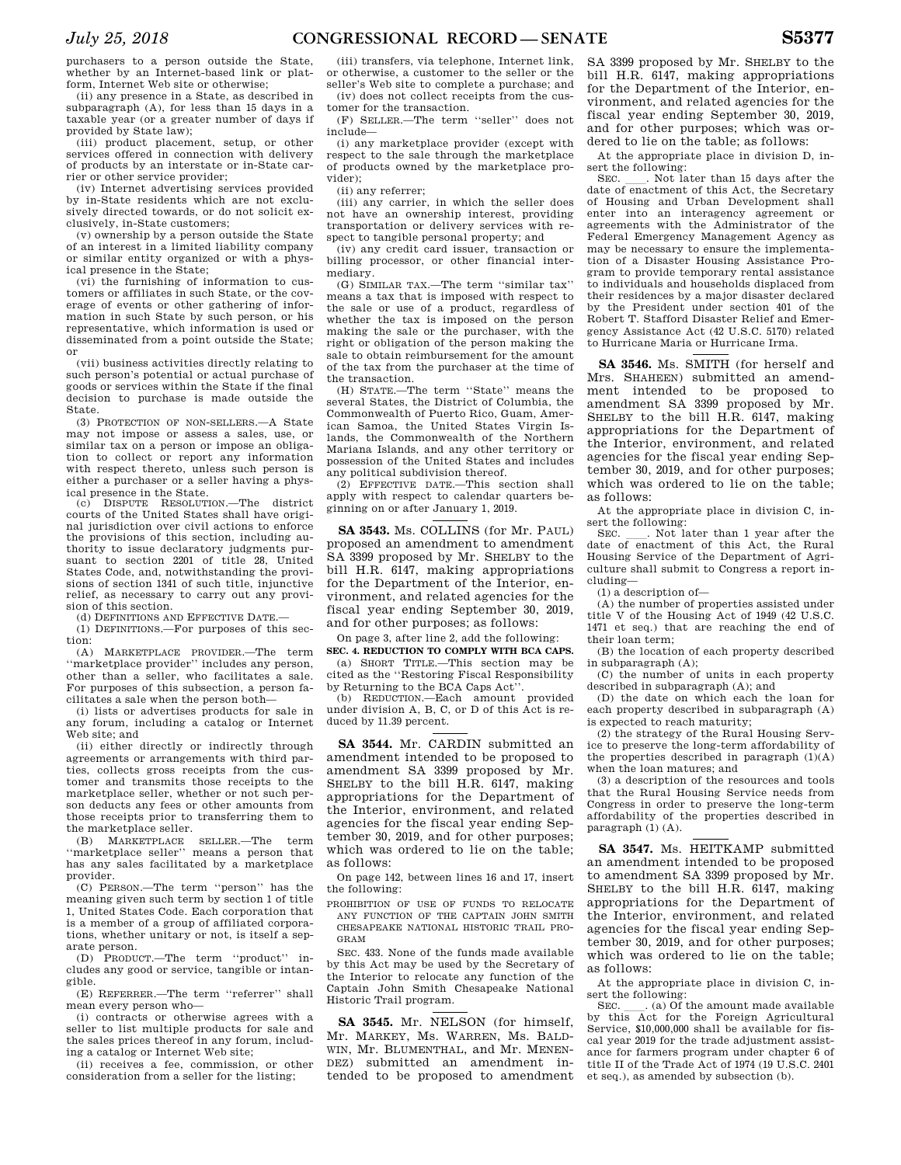purchasers to a person outside the State, whether by an Internet-based link or platform, Internet Web site or otherwise;

(ii) any presence in a State, as described in subparagraph (A), for less than 15 days in a taxable year (or a greater number of days if provided by State law);

(iii) product placement, setup, or other services offered in connection with delivery of products by an interstate or in-State carrier or other service provider;

(iv) Internet advertising services provided by in-State residents which are not exclusively directed towards, or do not solicit exclusively, in-State customers;

(v) ownership by a person outside the State of an interest in a limited liability company or similar entity organized or with a physical presence in the State;

(vi) the furnishing of information to customers or affiliates in such State, or the coverage of events or other gathering of information in such State by such person, or his representative, which information is used or disseminated from a point outside the State; or

(vii) business activities directly relating to such person's potential or actual purchase of goods or services within the State if the final decision to purchase is made outside the State.

(3) PROTECTION OF NON-SELLERS.—A State may not impose or assess a sales, use, or similar tax on a person or impose an obligation to collect or report any information with respect thereto, unless such person is either a purchaser or a seller having a physical presence in the State.

 $(c)$  DISPUTE RESOLUTION —The district courts of the United States shall have original jurisdiction over civil actions to enforce the provisions of this section, including authority to issue declaratory judgments pursuant to section 2201 of title 28, United States Code, and, notwithstanding the provisions of section 1341 of such title, injunctive relief, as necessary to carry out any provision of this section.

(d) DEFINITIONS AND EFFECTIVE DATE.

(1) DEFINITIONS.—For purposes of this section:

(A) MARKETPLACE PROVIDER.—The term ''marketplace provider'' includes any person, other than a seller, who facilitates a sale. For purposes of this subsection, a person facilitates a sale when the person both—

(i) lists or advertises products for sale in any forum, including a catalog or Internet Web site; and

(ii) either directly or indirectly through agreements or arrangements with third parties, collects gross receipts from the customer and transmits those receipts to the marketplace seller, whether or not such person deducts any fees or other amounts from those receipts prior to transferring them to the marketplace seller.

(B) MARKETPLACE SELLER.—The term ''marketplace seller'' means a person that has any sales facilitated by a marketplace provider.

(C) PERSON.—The term ''person'' has the meaning given such term by section 1 of title 1, United States Code. Each corporation that is a member of a group of affiliated corporations, whether unitary or not, is itself a separate person.

(D) PRODUCT.—The term ''product'' includes any good or service, tangible or intangible.

(E) REFERRER.—The term ''referrer'' shall mean every person who—

(i) contracts or otherwise agrees with a seller to list multiple products for sale and the sales prices thereof in any forum, including a catalog or Internet Web site;

(ii) receives a fee, commission, or other consideration from a seller for the listing;

(iii) transfers, via telephone, Internet link, or otherwise, a customer to the seller or the seller's Web site to complete a purchase; and (iv) does not collect receipts from the cus-

tomer for the transaction. (F) SELLER.—The term ''seller'' does not include—

(i) any marketplace provider (except with respect to the sale through the marketplace of products owned by the marketplace provider);

(ii) any referrer;

(iii) any carrier, in which the seller does not have an ownership interest, providing transportation or delivery services with respect to tangible personal property; and

(iv) any credit card issuer, transaction or billing processor, or other financial intermediary.

(G) SIMILAR TAX.—The term ''similar tax'' means a tax that is imposed with respect to the sale or use of a product, regardless of whether the tax is imposed on the person making the sale or the purchaser, with the right or obligation of the person making the sale to obtain reimbursement for the amount of the tax from the purchaser at the time of the transaction.

(H) STATE.—The term ''State'' means the several States, the District of Columbia, the Commonwealth of Puerto Rico, Guam, American Samoa, the United States Virgin Islands, the Commonwealth of the Northern Mariana Islands, and any other territory or possession of the United States and includes any political subdivision thereof.

(2) EFFECTIVE DATE.—This section shall apply with respect to calendar quarters beginning on or after January 1, 2019.

**SA 3543.** Ms. COLLINS (for Mr. PAUL) proposed an amendment to amendment SA 3399 proposed by Mr. SHELBY to the bill H.R. 6147, making appropriations for the Department of the Interior, environment, and related agencies for the fiscal year ending September 30, 2019, and for other purposes; as follows:

On page 3, after line 2, add the following: **SEC. 4. REDUCTION TO COMPLY WITH BCA CAPS.** 

(a) SHORT TITLE.—This section may be cited as the ''Restoring Fiscal Responsibility by Returning to the BCA Caps Act''.

(b) REDUCTION.—Each amount provided under division A, B, C, or D of this Act is reduced by 11.39 percent.

**SA 3544.** Mr. CARDIN submitted an amendment intended to be proposed to amendment SA 3399 proposed by Mr. SHELBY to the bill H.R. 6147, making appropriations for the Department of the Interior, environment, and related agencies for the fiscal year ending September 30, 2019, and for other purposes; which was ordered to lie on the table; as follows:

On page 142, between lines 16 and 17, insert the following:

PROHIBITION OF USE OF FUNDS TO RELOCATE ANY FUNCTION OF THE CAPTAIN JOHN SMITH CHESAPEAKE NATIONAL HISTORIC TRAIL PRO-GRAM

SEC. 433. None of the funds made available by this Act may be used by the Secretary of the Interior to relocate any function of the Captain John Smith Chesapeake National Historic Trail program.

**SA 3545.** Mr. NELSON (for himself, Mr. MARKEY, Ms. WARREN, Ms. BALD-WIN, Mr. BLUMENTHAL, and Mr. MENEN-DEZ) submitted an amendment intended to be proposed to amendment

SA 3399 proposed by Mr. SHELBY to the bill H.R. 6147, making appropriations for the Department of the Interior, environment, and related agencies for the fiscal year ending September 30, 2019, and for other purposes; which was ordered to lie on the table; as follows:

At the appropriate place in division D, insert the following:<br>SEC. \_\_\_. Not later than 15 days after the

SEC. Let I have than 15 days after the date of enactment of this Act, the Secretary of Housing and Urban Development shall enter into an interagency agreement or agreements with the Administrator of the Federal Emergency Management Agency as may be necessary to ensure the implementation of a Disaster Housing Assistance Program to provide temporary rental assistance to individuals and households displaced from their residences by a major disaster declared by the President under section 401 of the Robert T. Stafford Disaster Relief and Emergency Assistance Act (42 U.S.C. 5170) related to Hurricane Maria or Hurricane Irma.

**SA 3546.** Ms. SMITH (for herself and Mrs. SHAHEEN) submitted an amendment intended to be proposed to amendment SA 3399 proposed by Mr. SHELBY to the bill H.R. 6147, making appropriations for the Department of the Interior, environment, and related agencies for the fiscal year ending September 30, 2019, and for other purposes; which was ordered to lie on the table; as follows:

At the appropriate place in division C, insert the following:

SEC. Not later than 1 year after the date of enactment of this Act, the Rural Housing Service of the Department of Agriculture shall submit to Congress a report including—

(1) a description of—

(A) the number of properties assisted under title V of the Housing Act of 1949 (42 U.S.C. 1471 et seq.) that are reaching the end of their loan term;

(B) the location of each property described in subparagraph (A);

(C) the number of units in each property described in subparagraph (A); and

(D) the date on which each the loan for each property described in subparagraph (A) is expected to reach maturity;

(2) the strategy of the Rural Housing Service to preserve the long-term affordability of the properties described in paragraph  $(1)(\mathbf{A})$ when the loan matures; and

(3) a description of the resources and tools that the Rural Housing Service needs from Congress in order to preserve the long-term affordability of the properties described in paragraph (1) (A).

**SA 3547.** Ms. HEITKAMP submitted an amendment intended to be proposed to amendment SA 3399 proposed by Mr. SHELBY to the bill H.R. 6147, making appropriations for the Department of the Interior, environment, and related agencies for the fiscal year ending September 30, 2019, and for other purposes; which was ordered to lie on the table; as follows:

At the appropriate place in division C, insert the following:<br>SEC. (a) Of the amount made available

SEC.  $\ldots$  (a) Of the amount made available<br>by this Act for the Foreign Agricultural Service, \$10,000,000 shall be available for fiscal year 2019 for the trade adjustment assistance for farmers program under chapter 6 of title II of the Trade Act of 1974 (19 U.S.C. 2401 et seq.), as amended by subsection (b).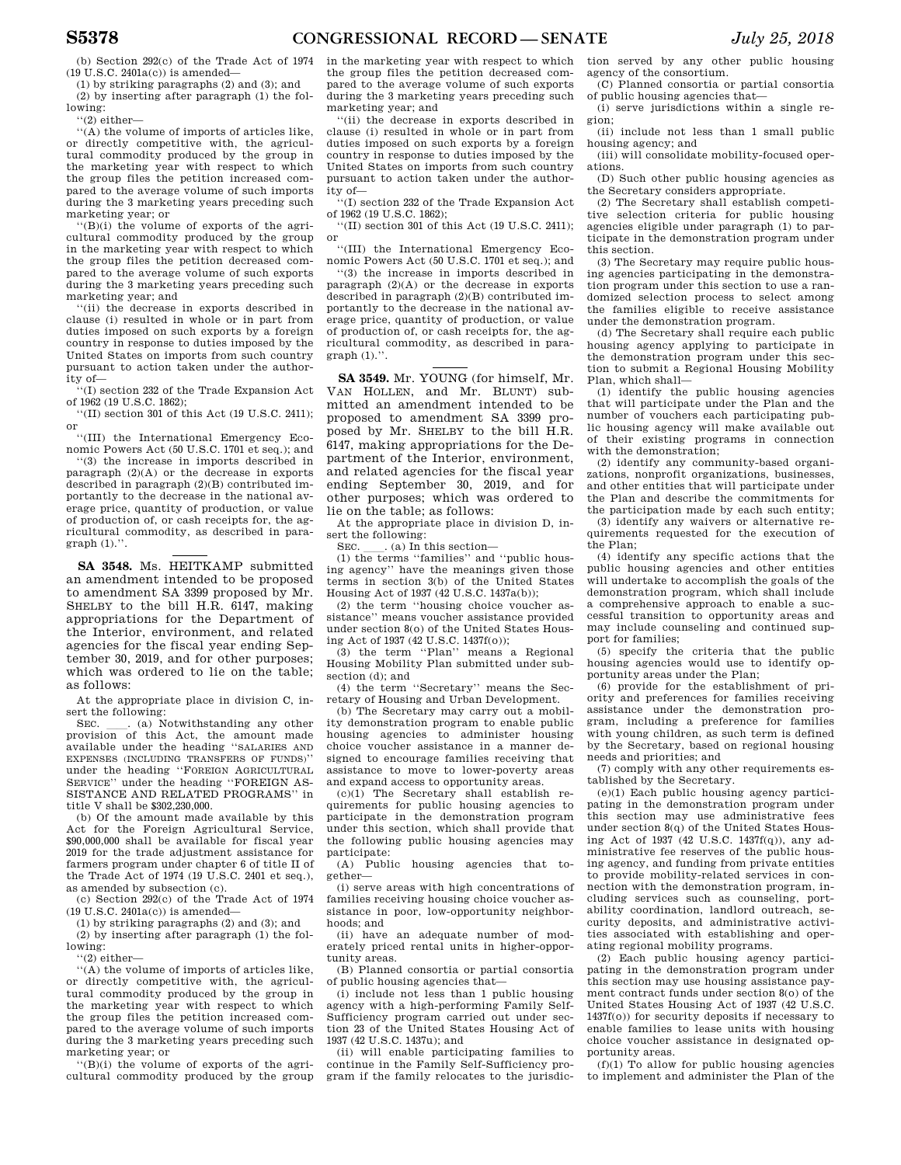(b) Section 292(c) of the Trade Act of 1974 (19 U.S.C. 2401a(c)) is amended—

(1) by striking paragraphs (2) and (3); and (2) by inserting after paragraph (1) the following:

 $"(2)$  either-

''(A) the volume of imports of articles like, or directly competitive with, the agricultural commodity produced by the group in the marketing year with respect to which the group files the petition increased compared to the average volume of such imports during the 3 marketing years preceding such marketing year; or

''(B)(i) the volume of exports of the agricultural commodity produced by the group in the marketing year with respect to which the group files the petition decreased compared to the average volume of such exports during the 3 marketing years preceding such marketing year; and

''(ii) the decrease in exports described in clause (i) resulted in whole or in part from duties imposed on such exports by a foreign country in response to duties imposed by the United States on imports from such country pursuant to action taken under the authority of—

''(I) section 232 of the Trade Expansion Act of 1962 (19 U.S.C. 1862);

''(II) section 301 of this Act (19 U.S.C. 2411); or

''(III) the International Emergency Economic Powers Act (50 U.S.C. 1701 et seq.); and

''(3) the increase in imports described in paragraph (2)(A) or the decrease in exports described in paragraph (2)(B) contributed importantly to the decrease in the national average price, quantity of production, or value of production of, or cash receipts for, the agricultural commodity, as described in para $graph (1)$ .".

**SA 3548.** Ms. HEITKAMP submitted an amendment intended to be proposed to amendment SA 3399 proposed by Mr. SHELBY to the bill H.R. 6147, making appropriations for the Department of the Interior, environment, and related agencies for the fiscal year ending September 30, 2019, and for other purposes; which was ordered to lie on the table; as follows:

At the appropriate place in division C, in-

sert the following:<br>SEC. (a) Notwithstanding any other SEC. Call Notwithstanding any other provision of this Act, the amount made available under the heading ''SALARIES AND EXPENSES (INCLUDING TRANSFERS OF FUNDS)'' under the heading ''FOREIGN AGRICULTURAL SERVICE'' under the heading ''FOREIGN AS-SISTANCE AND RELATED PROGRAMS'' in title V shall be \$302,230,000.

(b) Of the amount made available by this Act for the Foreign Agricultural Service, \$90,000,000 shall be available for fiscal year 2019 for the trade adjustment assistance for farmers program under chapter 6 of title II of the Trade Act of 1974 (19 U.S.C. 2401 et seq.), as amended by subsection (c).

(c) Section 292(c) of the Trade Act of 1974 (19 U.S.C. 2401a(c)) is amended—

(1) by striking paragraphs (2) and (3); and

(2) by inserting after paragraph (1) the following:

''(2) either—

''(A) the volume of imports of articles like, or directly competitive with, the agricultural commodity produced by the group in the marketing year with respect to which the group files the petition increased compared to the average volume of such imports during the 3 marketing years preceding such marketing year; or

''(B)(i) the volume of exports of the agricultural commodity produced by the group in the marketing year with respect to which the group files the petition decreased compared to the average volume of such exports during the 3 marketing years preceding such marketing year; and

''(ii) the decrease in exports described in clause (i) resulted in whole or in part from duties imposed on such exports by a foreign country in response to duties imposed by the United States on imports from such country pursuant to action taken under the authority of—

'(I) section 232 of the Trade Expansion Act of 1962 (19 U.S.C. 1862);

''(II) section 301 of this Act (19 U.S.C. 2411); or

''(III) the International Emergency Economic Powers Act (50 U.S.C. 1701 et seq.); and

''(3) the increase in imports described in paragraph (2)(A) or the decrease in exports described in paragraph (2)(B) contributed importantly to the decrease in the national average price, quantity of production, or value of production of, or cash receipts for, the agricultural commodity, as described in para $graph (1)$ ."

**SA 3549.** Mr. YOUNG (for himself, Mr. VAN HOLLEN, and Mr. BLUNT) submitted an amendment intended to be proposed to amendment SA 3399 proposed by Mr. SHELBY to the bill H.R. 6147, making appropriations for the Department of the Interior, environment, and related agencies for the fiscal year ending September 30, 2019, and for other purposes; which was ordered to lie on the table; as follows:

At the appropriate place in division D, insert the following:

SEC.  $\ldots$  (a) In this section—<br>(1) the terms "families" and "public housing agency'' have the meanings given those terms in section 3(b) of the United States Housing Act of 1937 (42 U.S.C. 1437a(b));

(2) the term ''housing choice voucher assistance'' means voucher assistance provided under section 8(o) of the United States Housing Act of 1937 (42 U.S.C. 1437f(o));

(3) the term ''Plan'' means a Regional Housing Mobility Plan submitted under subsection (d); and

(4) the term ''Secretary'' means the Secretary of Housing and Urban Development.

(b) The Secretary may carry out a mobility demonstration program to enable public housing agencies to administer housing choice voucher assistance in a manner designed to encourage families receiving that assistance to move to lower-poverty areas and expand access to opportunity areas.

(c)(1) The Secretary shall establish requirements for public housing agencies to participate in the demonstration program under this section, which shall provide that the following public housing agencies may participate:

(A) Public housing agencies that together—

(i) serve areas with high concentrations of families receiving housing choice voucher assistance in poor, low-opportunity neighborhoods; and

(ii) have an adequate number of moderately priced rental units in higher-opportunity areas.

(B) Planned consortia or partial consortia of public housing agencies that—

(i) include not less than 1 public housing agency with a high-performing Family Self-Sufficiency program carried out under section 23 of the United States Housing Act of 1937 (42 U.S.C. 1437u); and

(ii) will enable participating families to continue in the Family Self-Sufficiency program if the family relocates to the jurisdiction served by any other public housing agency of the consortium.

(C) Planned consortia or partial consortia of public housing agencies that—

(i) serve jurisdictions within a single region;

(ii) include not less than 1 small public housing agency; and (iii) will consolidate mobility-focused oper-

ations.

(D) Such other public housing agencies as the Secretary considers appropriate.

(2) The Secretary shall establish competitive selection criteria for public housing agencies eligible under paragraph (1) to participate in the demonstration program under this section.

(3) The Secretary may require public housing agencies participating in the demonstration program under this section to use a randomized selection process to select among the families eligible to receive assistance under the demonstration program.

(d) The Secretary shall require each public housing agency applying to participate in the demonstration program under this section to submit a Regional Housing Mobility Plan, which shall—

(1) identify the public housing agencies that will participate under the Plan and the number of vouchers each participating public housing agency will make available out of their existing programs in connection with the demonstration;

(2) identify any community-based organizations, nonprofit organizations, businesses, and other entities that will participate under the Plan and describe the commitments for the participation made by each such entity;

(3) identify any waivers or alternative requirements requested for the execution of the Plan;

(4) identify any specific actions that the public housing agencies and other entities will undertake to accomplish the goals of the demonstration program, which shall include a comprehensive approach to enable a successful transition to opportunity areas and may include counseling and continued support for families;

(5) specify the criteria that the public housing agencies would use to identify opportunity areas under the Plan;

(6) provide for the establishment of priority and preferences for families receiving assistance under the demonstration program, including a preference for families with young children, as such term is defined by the Secretary, based on regional housing needs and priorities; and

(7) comply with any other requirements established by the Secretary.

(e)(1) Each public housing agency participating in the demonstration program under this section may use administrative fees under section 8(q) of the United States Housing Act of 1937 (42 U.S.C. 1437 $f(\alpha)$ ), any administrative fee reserves of the public housing agency, and funding from private entities to provide mobility-related services in connection with the demonstration program, including services such as counseling, portability coordination, landlord outreach, security deposits, and administrative activities associated with establishing and operating regional mobility programs.

(2) Each public housing agency participating in the demonstration program under this section may use housing assistance payment contract funds under section 8(o) of the United States Housing Act of 1937 (42 U.S.C. 1437f(o)) for security deposits if necessary to enable families to lease units with housing choice voucher assistance in designated opportunity areas.

 $(f)(1)$  To allow for public housing agencies to implement and administer the Plan of the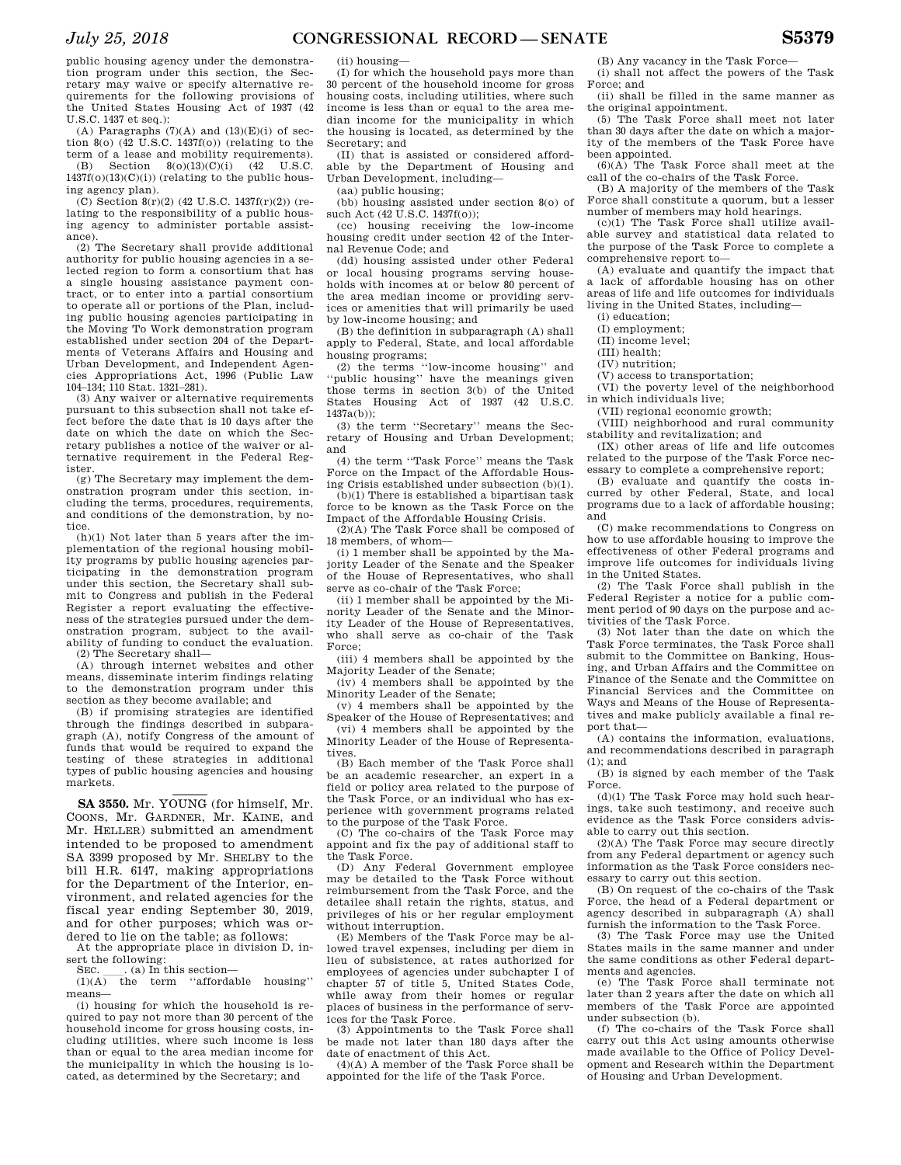public housing agency under the demonstration program under this section, the Secretary may waive or specify alternative requirements for the following provisions of the United States Housing Act of 1937 (42 U.S.C. 1437 et seq.):

(A) Paragraphs  $(7)(A)$  and  $(13)(E)(i)$  of section 8(o)  $(42 \text{ U.S.C. } 1437f(0))$  (relating to the term of a lease and mobility requirements). (B) Section 8(o)(13)(C)(i) (42 U.S.C.

 $1437f(0)(13)(C)(i)$  (relating to the public housing agency plan).

(C) Section 8(r)(2) (42 U.S.C. 1437f(r)(2)) (relating to the responsibility of a public housing agency to administer portable assistance).

(2) The Secretary shall provide additional authority for public housing agencies in a selected region to form a consortium that has a single housing assistance payment contract, or to enter into a partial consortium to operate all or portions of the Plan, including public housing agencies participating in the Moving To Work demonstration program established under section 204 of the Departments of Veterans Affairs and Housing and Urban Development, and Independent Agencies Appropriations Act, 1996 (Public Law 104–134; 110 Stat. 1321–281).

(3) Any waiver or alternative requirements pursuant to this subsection shall not take effect before the date that is 10 days after the date on which the date on which the Secretary publishes a notice of the waiver or alternative requirement in the Federal Register.

(g) The Secretary may implement the demonstration program under this section, including the terms, procedures, requirements, and conditions of the demonstration, by notice.

 $(h)(1)$  Not later than 5 years after the implementation of the regional housing mobility programs by public housing agencies participating in the demonstration program under this section, the Secretary shall submit to Congress and publish in the Federal Register a report evaluating the effectiveness of the strategies pursued under the demonstration program, subject to the availability of funding to conduct the evaluation. (2) The Secretary shall—

(A) through internet websites and other means, disseminate interim findings relating to the demonstration program under this section as they become available; and

(B) if promising strategies are identified through the findings described in subparagraph (A), notify Congress of the amount of funds that would be required to expand the testing of these strategies in additional types of public housing agencies and housing markets.

**SA 3550.** Mr. YOUNG (for himself, Mr. COONS, Mr. GARDNER, Mr. KAINE, and Mr. HELLER) submitted an amendment intended to be proposed to amendment SA 3399 proposed by Mr. SHELBY to the bill H.R. 6147, making appropriations for the Department of the Interior, environment, and related agencies for the fiscal year ending September 30, 2019, and for other purposes; which was ordered to lie on the table; as follows:

At the appropriate place in division D, insert the following:<br>SEC. (a) In t

SEC.  $\qquad$  (a) In this section-<br>(1)(A) the term "affords

the term "affordable housing" means—

(i) housing for which the household is required to pay not more than 30 percent of the household income for gross housing costs, including utilities, where such income is less than or equal to the area median income for the municipality in which the housing is located, as determined by the Secretary; and

(ii) housing—

(I) for which the household pays more than 30 percent of the household income for gross housing costs, including utilities, where such income is less than or equal to the area median income for the municipality in which the housing is located, as determined by the Secretary; and

(II) that is assisted or considered affordable by the Department of Housing and Urban Development, including—

(aa) public housing;

(bb) housing assisted under section 8(o) of such Act (42 U.S.C. 1437f(o));

(cc) housing receiving the low-income housing credit under section 42 of the Internal Revenue Code; and

(dd) housing assisted under other Federal or local housing programs serving households with incomes at or below 80 percent of the area median income or providing services or amenities that will primarily be used by low-income housing; and

(B) the definition in subparagraph (A) shall apply to Federal, State, and local affordable housing programs;

(2) the terms ''low-income housing'' and 'public housing'' have the meanings given those terms in section 3(b) of the United States Housing Act of 1937 (42 U.S.C. 1437a(b));

(3) the term ''Secretary'' means the Secretary of Housing and Urban Development; and

(4) the term ''Task Force'' means the Task Force on the Impact of the Affordable Housing Crisis established under subsection (b)(1).

(b)(1) There is established a bipartisan task force to be known as the Task Force on the

Impact of the Affordable Housing Crisis. (2)(A) The Task Force shall be composed of

18 members, of whom— (i) 1 member shall be appointed by the Majority Leader of the Senate and the Speaker of the House of Representatives, who shall

serve as co-chair of the Task Force; (ii) 1 member shall be appointed by the Mi-

nority Leader of the Senate and the Minority Leader of the House of Representatives, who shall serve as co-chair of the Task Force;

(iii) 4 members shall be appointed by the Majority Leader of the Senate;

(iv) 4 members shall be appointed by the Minority Leader of the Senate;

(v) 4 members shall be appointed by the Speaker of the House of Representatives; and (vi) 4 members shall be appointed by the Minority Leader of the House of Representatives.

(B) Each member of the Task Force shall be an academic researcher, an expert in a field or policy area related to the purpose of the Task Force, or an individual who has experience with government programs related

to the purpose of the Task Force. (C) The co-chairs of the Task Force may appoint and fix the pay of additional staff to

the Task Force. (D) Any Federal Government employee may be detailed to the Task Force without reimbursement from the Task Force, and the detailee shall retain the rights, status, and privileges of his or her regular employment without interruption.

(E) Members of the Task Force may be allowed travel expenses, including per diem in lieu of subsistence, at rates authorized for employees of agencies under subchapter I of chapter 57 of title 5, United States Code, while away from their homes or regular places of business in the performance of services for the Task Force.

(3) Appointments to the Task Force shall be made not later than 180 days after the date of enactment of this Act.

(4)(A) A member of the Task Force shall be appointed for the life of the Task Force.

(B) Any vacancy in the Task Force-(i) shall not affect the powers of the Task Force; and

(ii) shall be filled in the same manner as the original appointment.

(5) The Task Force shall meet not later than 30 days after the date on which a majority of the members of the Task Force have been appointed.

 $(6)(A)$  The Task Force shall meet at the call of the co-chairs of the Task Force.

(B) A majority of the members of the Task Force shall constitute a quorum, but a lesser number of members may hold hearings.

(c)(1) The Task Force shall utilize available survey and statistical data related to the purpose of the Task Force to complete a comprehensive report to—

(A) evaluate and quantify the impact that a lack of affordable housing has on other areas of life and life outcomes for individuals living in the United States, including—

(i) education;

(I) employment;

(II) income level;

(III) health;

(IV) nutrition;

(V) access to transportation;

(VI) the poverty level of the neighborhood in which individuals live;

(VII) regional economic growth;

(VIII) neighborhood and rural community stability and revitalization; and

(IX) other areas of life and life outcomes related to the purpose of the Task Force necessary to complete a comprehensive report;

(B) evaluate and quantify the costs incurred by other Federal, State, and local programs due to a lack of affordable housing; and

(C) make recommendations to Congress on how to use affordable housing to improve the effectiveness of other Federal programs and improve life outcomes for individuals living in the United States.

(2) The Task Force shall publish in the Federal Register a notice for a public comment period of 90 days on the purpose and activities of the Task Force.

(3) Not later than the date on which the Task Force terminates, the Task Force shall submit to the Committee on Banking, Housing, and Urban Affairs and the Committee on Finance of the Senate and the Committee on Financial Services and the Committee on Ways and Means of the House of Representatives and make publicly available a final report that—

(A) contains the information, evaluations, and recommendations described in paragraph (1); and

(B) is signed by each member of the Task Force.

(d)(1) The Task Force may hold such hearings, take such testimony, and receive such evidence as the Task Force considers advisable to carry out this section.

(2)(A) The Task Force may secure directly from any Federal department or agency such information as the Task Force considers necessary to carry out this section.

(B) On request of the co-chairs of the Task Force, the head of a Federal department or agency described in subparagraph (A) shall furnish the information to the Task Force.

(3) The Task Force may use the United States mails in the same manner and under the same conditions as other Federal departments and agencies.

(e) The Task Force shall terminate not later than 2 years after the date on which all members of the Task Force are appointed under subsection (b).

(f) The co-chairs of the Task Force shall carry out this Act using amounts otherwise made available to the Office of Policy Development and Research within the Department of Housing and Urban Development.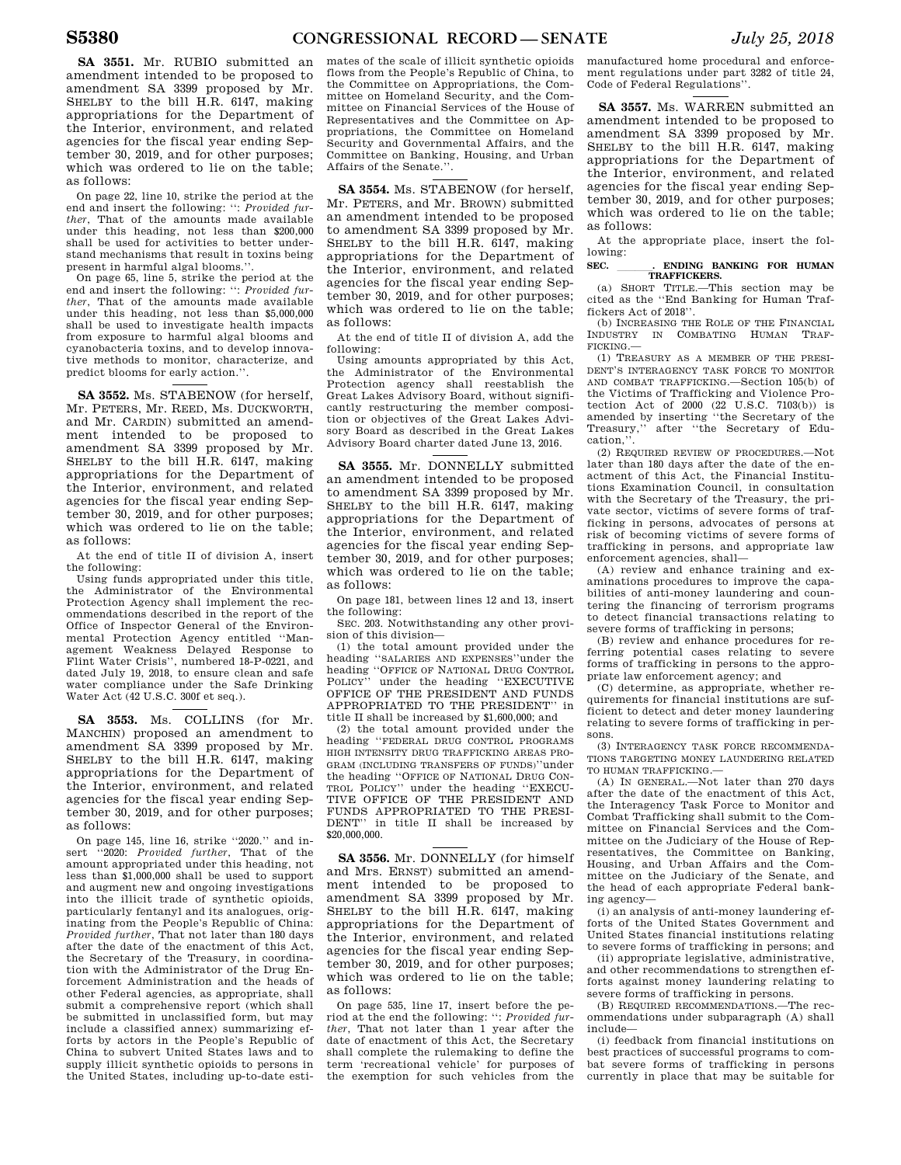On page 22, line 10, strike the period at the end and insert the following: '': *Provided further*, That of the amounts made available under this heading, not less than \$200,000 shall be used for activities to better understand mechanisms that result in toxins being present in harmful algal blooms.''.

On page 65, line 5, strike the period at the end and insert the following: '': *Provided further*, That of the amounts made available under this heading, not less than \$5,000,000 shall be used to investigate health impacts from exposure to harmful algal blooms and cyanobacteria toxins, and to develop innovative methods to monitor, characterize, and predict blooms for early action.''.

**SA 3552.** Ms. STABENOW (for herself, Mr. PETERS, Mr. REED, Ms. DUCKWORTH, and Mr. CARDIN) submitted an amendment intended to be proposed to amendment SA 3399 proposed by Mr. SHELBY to the bill H.R. 6147, making appropriations for the Department of the Interior, environment, and related agencies for the fiscal year ending September 30, 2019, and for other purposes; which was ordered to lie on the table; as follows:

At the end of title II of division A, insert the following:

Using funds appropriated under this title, the Administrator of the Environmental Protection Agency shall implement the recommendations described in the report of the Office of Inspector General of the Environmental Protection Agency entitled ''Management Weakness Delayed Response to Flint Water Crisis'', numbered 18-P-0221, and dated July 19, 2018, to ensure clean and safe water compliance under the Safe Drinking Water Act (42 U.S.C. 300f et seq.).

**SA 3553.** Ms. COLLINS (for Mr. MANCHIN) proposed an amendment to amendment SA 3399 proposed by Mr. SHELBY to the bill H.R. 6147, making appropriations for the Department of the Interior, environment, and related agencies for the fiscal year ending September 30, 2019, and for other purposes; as follows:

On page 145, line 16, strike ''2020.'' and insert ''2020: *Provided further*, That of the amount appropriated under this heading, not less than \$1,000,000 shall be used to support and augment new and ongoing investigations into the illicit trade of synthetic opioids, particularly fentanyl and its analogues, originating from the People's Republic of China: *Provided further*, That not later than 180 days after the date of the enactment of this Act, the Secretary of the Treasury, in coordination with the Administrator of the Drug Enforcement Administration and the heads of other Federal agencies, as appropriate, shall submit a comprehensive report (which shall be submitted in unclassified form, but may include a classified annex) summarizing efforts by actors in the People's Republic of China to subvert United States laws and to supply illicit synthetic opioids to persons in the United States, including up-to-date esti-

mates of the scale of illicit synthetic opioids flows from the People's Republic of China, to the Committee on Appropriations, the Committee on Homeland Security, and the Committee on Financial Services of the House of Representatives and the Committee on Appropriations, the Committee on Homeland Security and Governmental Affairs, and the Committee on Banking, Housing, and Urban Affairs of the Senate.''.

**SA 3554.** Ms. STABENOW (for herself, Mr. PETERS, and Mr. BROWN) submitted an amendment intended to be proposed to amendment SA 3399 proposed by Mr. SHELBY to the bill H.R. 6147, making appropriations for the Department of the Interior, environment, and related agencies for the fiscal year ending September 30, 2019, and for other purposes; which was ordered to lie on the table; as follows:

At the end of title II of division A, add the following:

Using amounts appropriated by this Act, the Administrator of the Environmental Protection agency shall reestablish the Great Lakes Advisory Board, without significantly restructuring the member composition or objectives of the Great Lakes Advisory Board as described in the Great Lakes Advisory Board charter dated June 13, 2016.

**SA 3555.** Mr. DONNELLY submitted an amendment intended to be proposed to amendment SA 3399 proposed by Mr. SHELBY to the bill H.R. 6147, making appropriations for the Department of the Interior, environment, and related agencies for the fiscal year ending September 30, 2019, and for other purposes; which was ordered to lie on the table; as follows:

On page 181, between lines 12 and 13, insert the following:

SEC. 203. Notwithstanding any other provision of this division—

(1) the total amount provided under the heading ''SALARIES AND EXPENSES''under the heading ''OFFICE OF NATIONAL DRUG CONTROL POLICY'' under the heading ''EXECUTIVE OFFICE OF THE PRESIDENT AND FUNDS APPROPRIATED TO THE PRESIDENT'' in title II shall be increased by \$1,600,000; and

(2) the total amount provided under the heading ''FEDERAL DRUG CONTROL PROGRAMS HIGH INTENSITY DRUG TRAFFICKING AREAS PRO-GRAM (INCLUDING TRANSFERS OF FUNDS)''under the heading ''OFFICE OF NATIONAL DRUG CON-TROL POLICY'' under the heading ''EXECU-TIVE OFFICE OF THE PRESIDENT AND FUNDS APPROPRIATED TO THE PRESI-DENT'' in title II shall be increased by \$20,000,000.

**SA 3556.** Mr. DONNELLY (for himself and Mrs. ERNST) submitted an amendment intended to be proposed to amendment SA 3399 proposed by Mr. SHELBY to the bill H.R. 6147, making appropriations for the Department of the Interior, environment, and related agencies for the fiscal year ending September 30, 2019, and for other purposes; which was ordered to lie on the table; as follows:

On page 535, line 17, insert before the period at the end the following: '': *Provided further*, That not later than 1 year after the date of enactment of this Act, the Secretary shall complete the rulemaking to define the term 'recreational vehicle' for purposes of the exemption for such vehicles from the

manufactured home procedural and enforcement regulations under part 3282 of title 24, Code of Federal Regulations''.

**SA 3557.** Ms. WARREN submitted an amendment intended to be proposed to amendment SA 3399 proposed by Mr. SHELBY to the bill H.R. 6147, making appropriations for the Department of the Interior, environment, and related agencies for the fiscal year ending September 30, 2019, and for other purposes; which was ordered to lie on the table; as follows:

At the appropriate place, insert the following:

### **SEC. . . ENDING BANKING FOR HUMAN TRAFFICKERS.**

(a) SHORT TITLE.—This section may be cited as the ''End Banking for Human Traffickers Act of 2018''.

(b) INCREASING THE ROLE OF THE FINANCIAL INDUSTRY IN COMBATING HUMAN TRAF-FICKING.—

(1) TREASURY AS A MEMBER OF THE PRESI-DENT'S INTERAGENCY TASK FORCE TO MONITOR AND COMBAT TRAFFICKING.—Section 105(b) of the Victims of Trafficking and Violence Protection Act of 2000 (22 U.S.C. 7103(b)) is amended by inserting ''the Secretary of the Treasury,'' after ''the Secretary of Education,''.

(2) REQUIRED REVIEW OF PROCEDURES.—Not later than 180 days after the date of the enactment of this Act, the Financial Institutions Examination Council, in consultation with the Secretary of the Treasury, the private sector, victims of severe forms of trafficking in persons, advocates of persons at risk of becoming victims of severe forms of trafficking in persons, and appropriate law enforcement agencies, shall—

(A) review and enhance training and examinations procedures to improve the capabilities of anti-money laundering and countering the financing of terrorism programs to detect financial transactions relating to severe forms of trafficking in persons;

(B) review and enhance procedures for referring potential cases relating to severe forms of trafficking in persons to the appropriate law enforcement agency; and

(C) determine, as appropriate, whether requirements for financial institutions are sufficient to detect and deter money laundering relating to severe forms of trafficking in persons.

(3) INTERAGENCY TASK FORCE RECOMMENDA-TIONS TARGETING MONEY LAUNDERING RELATED TO HUMAN TRAFFICKING.—

(A) IN GENERAL.—Not later than 270 days after the date of the enactment of this Act, the Interagency Task Force to Monitor and Combat Trafficking shall submit to the Committee on Financial Services and the Committee on the Judiciary of the House of Representatives, the Committee on Banking, Housing, and Urban Affairs and the Committee on the Judiciary of the Senate, and the head of each appropriate Federal banking agency—

(i) an analysis of anti-money laundering efforts of the United States Government and United States financial institutions relating to severe forms of trafficking in persons; and

(ii) appropriate legislative, administrative, and other recommendations to strengthen efforts against money laundering relating to severe forms of trafficking in persons.

(B) REQUIRED RECOMMENDATIONS.—The recommendations under subparagraph (A) shall include—

(i) feedback from financial institutions on best practices of successful programs to combat severe forms of trafficking in persons currently in place that may be suitable for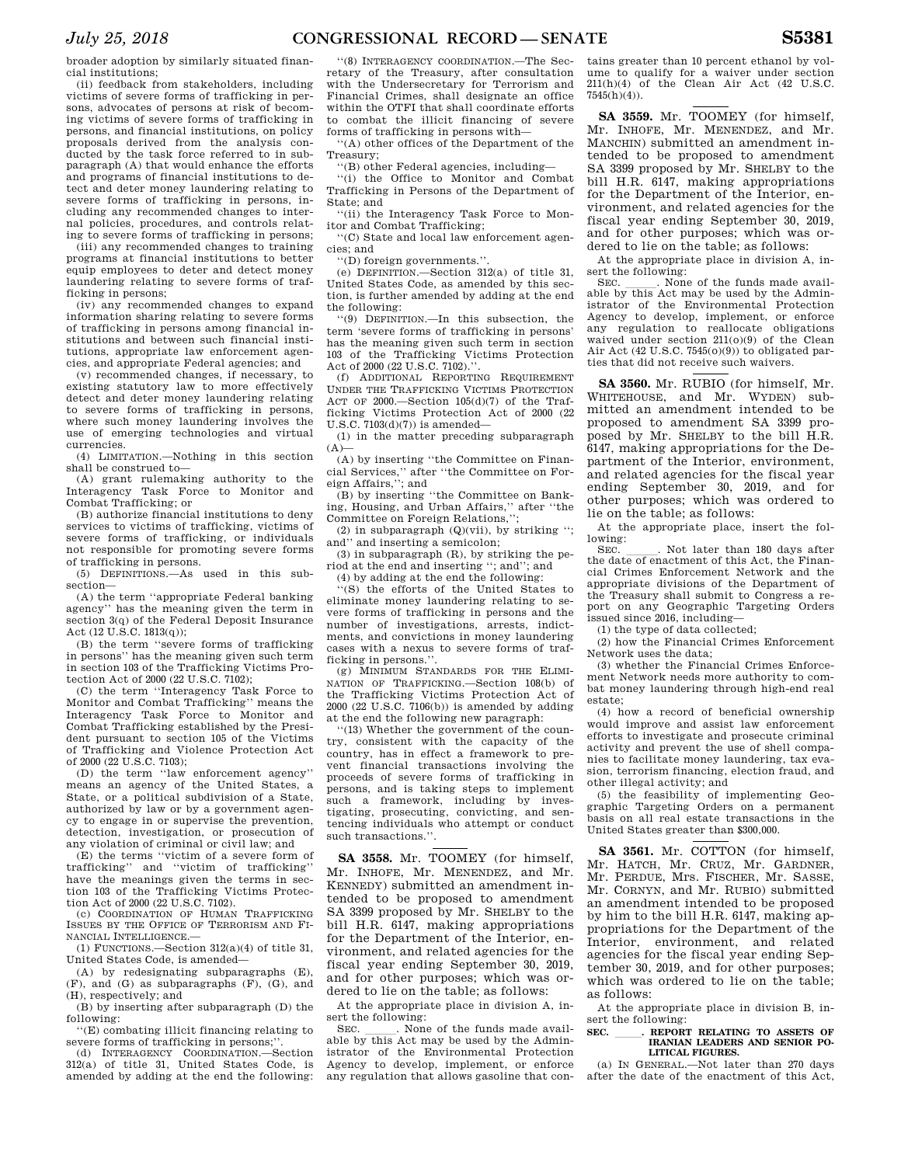broader adoption by similarly situated financial institutions;

(ii) feedback from stakeholders, including victims of severe forms of trafficking in persons, advocates of persons at risk of becoming victims of severe forms of trafficking in persons, and financial institutions, on policy proposals derived from the analysis conducted by the task force referred to in subparagraph (A) that would enhance the efforts and programs of financial institutions to detect and deter money laundering relating to severe forms of trafficking in persons, including any recommended changes to internal policies, procedures, and controls relating to severe forms of trafficking in persons;

(iii) any recommended changes to training programs at financial institutions to better equip employees to deter and detect money laundering relating to severe forms of trafficking in persons;

(iv) any recommended changes to expand information sharing relating to severe forms of trafficking in persons among financial institutions and between such financial institutions, appropriate law enforcement agencies, and appropriate Federal agencies; and

(v) recommended changes, if necessary, to existing statutory law to more effectively detect and deter money laundering relating to severe forms of trafficking in persons, where such money laundering involves the use of emerging technologies and virtual currencies.

(4) LIMITATION.—Nothing in this section shall be construed to—

(A) grant rulemaking authority to the Interagency Task Force to Monitor and Combat Trafficking; or

(B) authorize financial institutions to deny services to victims of trafficking, victims of severe forms of trafficking, or individuals not responsible for promoting severe forms of trafficking in persons.

(5) DEFINITIONS.—As used in this subsection—

(A) the term ''appropriate Federal banking agency'' has the meaning given the term in section 3(q) of the Federal Deposit Insurance Act (12 U.S.C. 1813(q));

(B) the term ''severe forms of trafficking in persons'' has the meaning given such term in section 103 of the Trafficking Victims Protection Act of 2000 (22 U.S.C. 7102);

(C) the term ''Interagency Task Force to Monitor and Combat Trafficking'' means the Interagency Task Force to Monitor and Combat Trafficking established by the President pursuant to section 105 of the Victims of Trafficking and Violence Protection Act of 2000 (22 U.S.C. 7103);

(D) the term "law enforcement agency means an agency of the United States, a State, or a political subdivision of a State, authorized by law or by a government agency to engage in or supervise the prevention, detection, investigation, or prosecution of any violation of criminal or civil law; and

(E) the terms ''victim of a severe form of trafficking'' and ''victim of trafficking'' have the meanings given the terms in section 103 of the Trafficking Victims Protection Act of 2000 (22 U.S.C. 7102). (c) COORDINATION OF HUMAN TRAFFICKING

ISSUES BY THE OFFICE OF TERRORISM AND FI-NANCIAL INTELLIGENCE.—

(1) FUNCTIONS.—Section 312(a)(4) of title 31, United States Code, is amended—

(A) by redesignating subparagraphs (E), (F), and (G) as subparagraphs (F), (G), and (H), respectively; and

(B) by inserting after subparagraph (D) the following:

''(E) combating illicit financing relating to severe forms of trafficking in persons;'

(d) INTERAGENCY COORDINATION.—Section 312(a) of title 31, United States Code, is amended by adding at the end the following:

''(8) INTERAGENCY COORDINATION.—The Secretary of the Treasury, after consultation with the Undersecretary for Terrorism and Financial Crimes, shall designate an office within the OTFI that shall coordinate efforts to combat the illicit financing of severe forms of trafficking in persons with—

''(A) other offices of the Department of the Treasury;

''(B) other Federal agencies, including—

''(i) the Office to Monitor and Combat Trafficking in Persons of the Department of State; and

''(ii) the Interagency Task Force to Monitor and Combat Trafficking;

''(C) State and local law enforcement agen-

cies; and ''(D) foreign governments.''.

(e) DEFINITION.—Section 312(a) of title 31, United States Code, as amended by this section, is further amended by adding at the end the following:

''(9) DEFINITION.—In this subsection, the term 'severe forms of trafficking in persons' has the meaning given such term in section 103 of the Trafficking Victims Protection Act of 2000 (22 U.S.C. 7102).''.

(f) ADDITIONAL REPORTING REQUIREMENT UNDER THE TRAFFICKING VICTIMS PROTECTION ACT OF  $2000$  -Section  $105(d)(7)$  of the Trafficking Victims Protection Act of 2000 (22  $U.S.C. 7103(d)(7)$  is amended—

(1) in the matter preceding subparagraph  $(A)$ 

(A) by inserting ''the Committee on Financial Services,'' after ''the Committee on Foreign Affairs,''; and

(B) by inserting ''the Committee on Banking, Housing, and Urban Affairs,'' after ''the Committee on Foreign Relations,'

(2) in subparagraph  $(Q)(vii)$ , by striking "; and'' and inserting a semicolon;

(3) in subparagraph (R), by striking the period at the end and inserting ''; and''; and

(4) by adding at the end the following:

''(S) the efforts of the United States to eliminate money laundering relating to severe forms of trafficking in persons and the number of investigations, arrests, indictments, and convictions in money laundering cases with a nexus to severe forms of trafficking in persons."

(g) MINIMUM STANDARDS FOR THE ELIMI-NATION OF TRAFFICKING.—Section 108(b) of the Trafficking Victims Protection Act of 2000 (22 U.S.C. 7106(b)) is amended by adding at the end the following new paragraph:

''(13) Whether the government of the country, consistent with the capacity of the country, has in effect a framework to prevent financial transactions involving the proceeds of severe forms of trafficking in persons, and is taking steps to implement such a framework, including by investigating, prosecuting, convicting, and sentencing individuals who attempt or conduct such transactions.''.

**SA 3558.** Mr. TOOMEY (for himself, Mr. INHOFE, Mr. MENENDEZ, and Mr. KENNEDY) submitted an amendment intended to be proposed to amendment SA 3399 proposed by Mr. SHELBY to the bill H.R. 6147, making appropriations for the Department of the Interior, environment, and related agencies for the fiscal year ending September 30, 2019, and for other purposes; which was ordered to lie on the table; as follows:

At the appropriate place in division A, insert the following:<br>SEC. None of the funds made avail-

SEC. \_\_\_\_\_\_. None of the funds made available by this Act may be used by the Administrator of the Environmental Protection Agency to develop, implement, or enforce any regulation that allows gasoline that con-

tains greater than 10 percent ethanol by volume to qualify for a waiver under section 211(h)(4) of the Clean Air Act (42 U.S.C. 7545(h)(4)).

**SA 3559.** Mr. TOOMEY (for himself, Mr. INHOFE, Mr. MENENDEZ, and Mr. MANCHIN) submitted an amendment intended to be proposed to amendment SA 3399 proposed by Mr. SHELBY to the bill H.R. 6147, making appropriations for the Department of the Interior, environment, and related agencies for the fiscal year ending September 30, 2019, and for other purposes; which was ordered to lie on the table; as follows:

At the appropriate place in division A, insert the following:<br>SEC. . None of the funds made avail-

SEC. \_\_\_\_\_\_. None of the funds made available by this Act may be used by the Administrator of the Environmental Protection Agency to develop, implement, or enforce any regulation to reallocate obligations waived under section 211(o)(9) of the Clean Air Act (42 U.S.C. 7545(o)(9)) to obligated parties that did not receive such waivers.

**SA 3560.** Mr. RUBIO (for himself, Mr. WHITEHOUSE, and Mr. WYDEN) submitted an amendment intended to be proposed to amendment SA 3399 proposed by Mr. SHELBY to the bill H.R. 6147, making appropriations for the Department of the Interior, environment, and related agencies for the fiscal year ending September 30, 2019, and for other purposes; which was ordered to lie on the table; as follows:

At the appropriate place, insert the following:<br>SEC

SEC. Such later than 180 days after the date of enactment of this Act, the Financial Crimes Enforcement Network and the appropriate divisions of the Department of the Treasury shall submit to Congress a report on any Geographic Targeting Orders issued since 2016, including—

(1) the type of data collected;

(2) how the Financial Crimes Enforcement Network uses the data;

(3) whether the Financial Crimes Enforcement Network needs more authority to combat money laundering through high-end real estate;

(4) how a record of beneficial ownership would improve and assist law enforcement efforts to investigate and prosecute criminal activity and prevent the use of shell companies to facilitate money laundering, tax evasion, terrorism financing, election fraud, and other illegal activity; and

(5) the feasibility of implementing Geographic Targeting Orders on a permanent basis on all real estate transactions in the United States greater than \$300,000.

**SA 3561.** Mr. COTTON (for himself, Mr. HATCH, Mr. CRUZ, Mr. GARDNER, Mr. PERDUE, Mrs. FISCHER, Mr. SASSE, Mr. CORNYN, and Mr. RUBIO) submitted an amendment intended to be proposed by him to the bill H.R. 6147, making appropriations for the Department of the Interior, environment, and related agencies for the fiscal year ending September 30, 2019, and for other purposes; which was ordered to lie on the table; as follows:

At the appropriate place in division B, insert the following:

SEC. **. REPORT RELATING TO ASSETS OF IRANIAN LEADERS AND SENIOR PO-LITICAL FIGURES.** 

(a) IN GENERAL.—Not later than 270 days after the date of the enactment of this Act,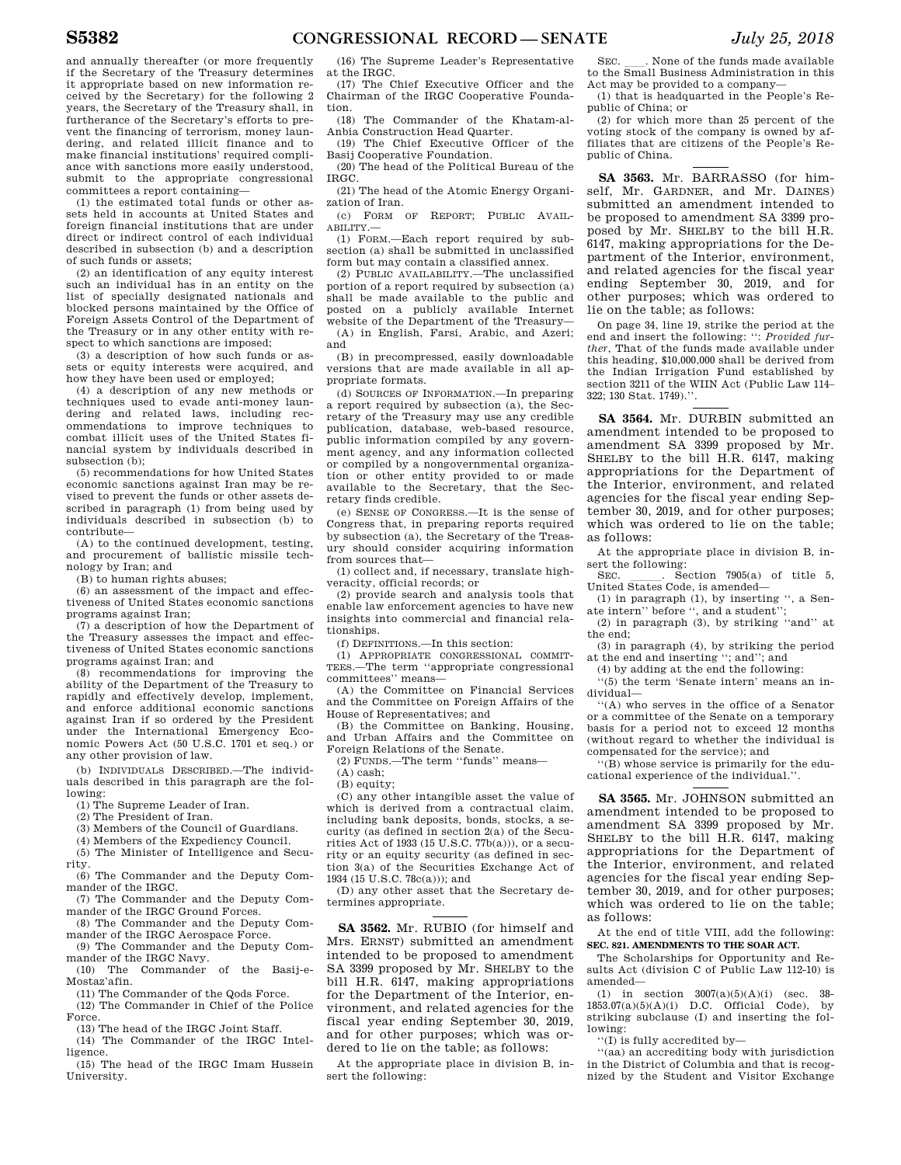and annually thereafter (or more frequently if the Secretary of the Treasury determines it appropriate based on new information received by the Secretary) for the following 2 years, the Secretary of the Treasury shall, in furtherance of the Secretary's efforts to prevent the financing of terrorism, money laundering, and related illicit finance and to make financial institutions' required compliance with sanctions more easily understood, submit to the appropriate congressional committees a report containing—

(1) the estimated total funds or other assets held in accounts at United States and foreign financial institutions that are under direct or indirect control of each individual described in subsection (b) and a description of such funds or assets;

(2) an identification of any equity interest such an individual has in an entity on the list of specially designated nationals and blocked persons maintained by the Office of Foreign Assets Control of the Department of the Treasury or in any other entity with respect to which sanctions are imposed;

(3) a description of how such funds or assets or equity interests were acquired, and how they have been used or employed;

(4) a description of any new methods or techniques used to evade anti-money laundering and related laws, including recommendations to improve techniques to combat illicit uses of the United States financial system by individuals described in subsection (b);

(5) recommendations for how United States economic sanctions against Iran may be revised to prevent the funds or other assets described in paragraph (1) from being used by individuals described in subsection (b) to contribute—

(A) to the continued development, testing, and procurement of ballistic missile technology by Iran; and

(B) to human rights abuses;

(6) an assessment of the impact and effectiveness of United States economic sanctions programs against Iran;

(7) a description of how the Department of the Treasury assesses the impact and effectiveness of United States economic sanctions programs against Iran; and

(8) recommendations for improving the ability of the Department of the Treasury to rapidly and effectively develop, implement, and enforce additional economic sanctions against Iran if so ordered by the President under the International Emergency Economic Powers Act (50 U.S.C. 1701 et seq.) or any other provision of law.

(b) INDIVIDUALS DESCRIBED.—The individuals described in this paragraph are the following:

(1) The Supreme Leader of Iran.

(2) The President of Iran.

(3) Members of the Council of Guardians.

(4) Members of the Expediency Council.

(5) The Minister of Intelligence and Security.

(6) The Commander and the Deputy Commander of the IRGC.

(7) The Commander and the Deputy Commander of the IRGC Ground Forces.

(8) The Commander and the Deputy Commander of the IRGC Aerospace Force.

(9) The Commander and the Deputy Commander of the IRGC Navy.

(10) The Commander of the Basij-e-Mostaz'afin.

(11) The Commander of the Qods Force. (12) The Commander in Chief of the Police Force.

(13) The head of the IRGC Joint Staff.

(14) The Commander of the IRGC Intel-

ligence. (15) The head of the IRGC Imam Hussein

University.

(16) The Supreme Leader's Representative at the IRGC.

(17) The Chief Executive Officer and the Chairman of the IRGC Cooperative Foundation.

(18) The Commander of the Khatam-al-Anbia Construction Head Quarter.

(19) The Chief Executive Officer of the Basij Cooperative Foundation.

(20) The head of the Political Bureau of the IRGC.

(21) The head of the Atomic Energy Organization of Iran.

(c) FORM OF REPORT; PUBLIC AVAIL-ABILITY.—

(1) FORM.—Each report required by subsection (a) shall be submitted in unclassified form but may contain a classified annex.

(2) PUBLIC AVAILABILITY.—The unclassified portion of a report required by subsection (a) shall be made available to the public and posted on a publicly available Internet website of the Department of the Treasury—

(A) in English, Farsi, Arabic, and Azeri; and

(B) in precompressed, easily downloadable versions that are made available in all appropriate formats.

(d) SOURCES OF INFORMATION.—In preparing a report required by subsection (a), the Secretary of the Treasury may use any credible publication, database, web-based resource, public information compiled by any government agency, and any information collected or compiled by a nongovernmental organization or other entity provided to or made available to the Secretary, that the Secretary finds credible.

(e) SENSE OF CONGRESS.—It is the sense of Congress that, in preparing reports required by subsection (a), the Secretary of the Treasury should consider acquiring information from sources that—

(1) collect and, if necessary, translate highveracity, official records; or

(2) provide search and analysis tools that enable law enforcement agencies to have new insights into commercial and financial relationships.

(f) DEFINITIONS.—In this section:

(1) APPROPRIATE CONGRESSIONAL COMMIT-TEES.—The term ''appropriate congressional committees'' means—

(A) the Committee on Financial Services and the Committee on Foreign Affairs of the House of Representatives; and

(B) the Committee on Banking, Housing, and Urban Affairs and the Committee on Foreign Relations of the Senate.

(2) FUNDS.—The term ''funds'' means—

(A) cash;

(B) equity;

(C) any other intangible asset the value of which is derived from a contractual claim, including bank deposits, bonds, stocks, a security (as defined in section 2(a) of the Securities Act of 1933 (15 U.S.C. 77b(a))), or a security or an equity security (as defined in section 3(a) of the Securities Exchange Act of 1934 (15 U.S.C. 78c(a))); and

(D) any other asset that the Secretary determines appropriate.

**SA 3562.** Mr. RUBIO (for himself and Mrs. ERNST) submitted an amendment intended to be proposed to amendment SA 3399 proposed by Mr. SHELBY to the bill H.R. 6147, making appropriations for the Department of the Interior, environment, and related agencies for the fiscal year ending September 30, 2019, and for other purposes; which was ordered to lie on the table; as follows:

At the appropriate place in division B, insert the following:

SEC. Such a None of the funds made available to the Small Business Administration in this Act may be provided to a company—

(1) that is headquarted in the People's Republic of China; or

(2) for which more than 25 percent of the voting stock of the company is owned by affiliates that are citizens of the People's Republic of China.

**SA 3563.** Mr. BARRASSO (for himself, Mr. GARDNER, and Mr. DAINES) submitted an amendment intended to be proposed to amendment SA 3399 proposed by Mr. SHELBY to the bill H.R. 6147, making appropriations for the Department of the Interior, environment, and related agencies for the fiscal year ending September 30, 2019, and for other purposes; which was ordered to lie on the table; as follows:

On page 34, line 19, strike the period at the end and insert the following: '': *Provided further*, That of the funds made available under this heading, \$10,000,000 shall be derived from the Indian Irrigation Fund established by section 3211 of the WIIN Act (Public Law 114– 322; 130 Stat. 1749).''.

**SA 3564.** Mr. DURBIN submitted an amendment intended to be proposed to amendment SA 3399 proposed by Mr. SHELBY to the bill H.R. 6147, making appropriations for the Department of the Interior, environment, and related agencies for the fiscal year ending September 30, 2019, and for other purposes; which was ordered to lie on the table; as follows:

At the appropriate place in division B, insert the following:

SEC.  $\qquad$  Section 7905(a) of title 5, United States Code, is amended—

(1) in paragraph  $(1)$ , by inserting ", a Senate intern'' before '', and a student'';

(2) in paragraph (3), by striking ''and'' at the end;

(3) in paragraph (4), by striking the period at the end and inserting ''; and''; and

(4) by adding at the end the following:

''(5) the term 'Senate intern' means an individual—

''(A) who serves in the office of a Senator or a committee of the Senate on a temporary basis for a period not to exceed 12 months (without regard to whether the individual is compensated for the service); and

''(B) whose service is primarily for the educational experience of the individual.'

**SA 3565.** Mr. JOHNSON submitted an amendment intended to be proposed to amendment SA 3399 proposed by Mr. SHELBY to the bill H.R. 6147, making appropriations for the Department of the Interior, environment, and related agencies for the fiscal year ending September 30, 2019, and for other purposes; which was ordered to lie on the table; as follows:

At the end of title VIII, add the following: **SEC. 821. AMENDMENTS TO THE SOAR ACT.** 

The Scholarships for Opportunity and Results Act (division C of Public Law 112-10) is amended—

(1) in section 3007(a)(5)(A)(i) (sec. 38-  $1853.07(a)(5)(A)(i)$  D.C. Official Code), by striking subclause (I) and inserting the following:

''(I) is fully accredited by—

''(aa) an accrediting body with jurisdiction in the District of Columbia and that is recognized by the Student and Visitor Exchange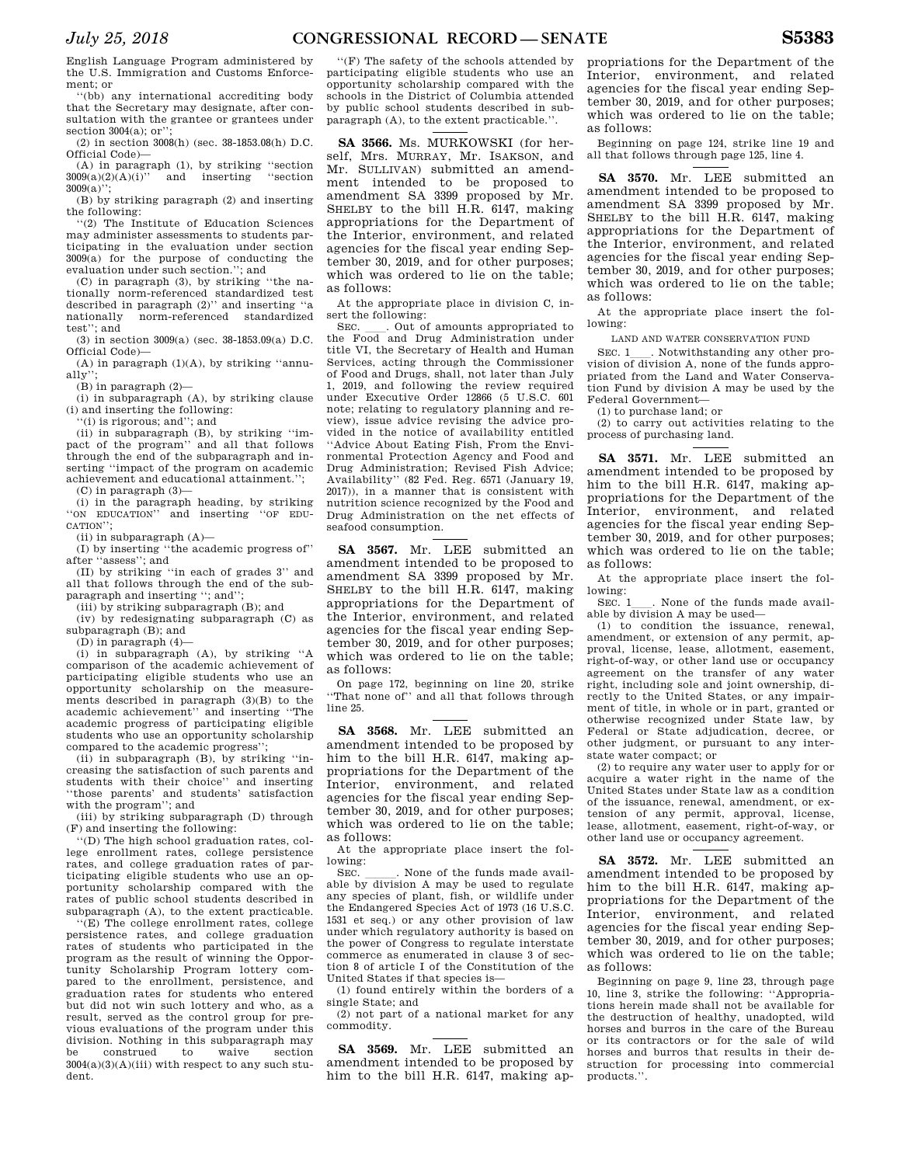English Language Program administered by the U.S. Immigration and Customs Enforcement; or

''(bb) any international accrediting body that the Secretary may designate, after consultation with the grantee or grantees under section 3004(a); or'';

(2) in section 3008(h) (sec. 38-1853.08(h) D.C. Official Code)—

(A) in paragraph (1), by striking "section  $3009(a)(2)(A)(i)$ " and inserting "section and inserting  $3009(a)$ ";

(B) by striking paragraph (2) and inserting the following:

''(2) The Institute of Education Sciences may administer assessments to students participating in the evaluation under section 3009(a) for the purpose of conducting the evaluation under such section.''; and

(C) in paragraph (3), by striking ''the nationally norm-referenced standardized test described in paragraph (2)'' and inserting ''a nationally norm-referenced standardized test''; and

(3) in section 3009(a) (sec. 38-1853.09(a) D.C. Official Code)—

(A) in paragraph (1)(A), by striking ''annu $a$ lly'

(B) in paragraph (2)—

(i) in subparagraph (A), by striking clause (i) and inserting the following:

'(i) is rigorous; and''; and

(ii) in subparagraph (B), by striking ''im-pact of the program'' and all that follows through the end of the subparagraph and inserting ''impact of the program on academic achievement and educational attainment.'';

 $(C)$  in paragraph  $(3)$ 

(i) in the paragraph heading, by striking<br>on EDUCATION" and inserting "OF EDU-"ON EDUCATION" and inserting CATION'';

(ii) in subparagraph (A)— (I) by inserting ''the academic progress of'' after ''assess''; and

(II) by striking ''in each of grades 3'' and all that follows through the end of the subparagraph and inserting ''; and'';

(iii) by striking subparagraph (B); and

(iv) by redesignating subparagraph (C) as subparagraph (B); and

(D) in paragraph (4)—

(i) in subparagraph (A), by striking ''A comparison of the academic achievement of participating eligible students who use an opportunity scholarship on the measurements described in paragraph (3)(B) to the academic achievement'' and inserting ''The academic progress of participating eligible students who use an opportunity scholarship compared to the academic progress'';

(ii) in subparagraph (B), by striking ''increasing the satisfaction of such parents and students with their choice'' and inserting ''those parents' and students' satisfaction with the program''; and

(iii) by striking subparagraph (D) through (F) and inserting the following:

'(D) The high school graduation rates, college enrollment rates, college persistence rates, and college graduation rates of participating eligible students who use an opportunity scholarship compared with the rates of public school students described in subparagraph (A), to the extent practicable.

''(E) The college enrollment rates, college persistence rates, and college graduation rates of students who participated in the program as the result of winning the Opportunity Scholarship Program lottery compared to the enrollment, persistence, and graduation rates for students who entered but did not win such lottery and who, as a result, served as the control group for previous evaluations of the program under this division. Nothing in this subparagraph may<br>be construed to waive section construed  $3004(a)(3)(A)(iii)$  with respect to any such student.

''(F) The safety of the schools attended by participating eligible students who use an opportunity scholarship compared with the schools in the District of Columbia attended by public school students described in subparagraph (A), to the extent practicable.''.

**SA 3566.** Ms. MURKOWSKI (for herself, Mrs. MURRAY, Mr. ISAKSON, and Mr. SULLIVAN) submitted an amendment intended to be proposed to amendment SA 3399 proposed by Mr. SHELBY to the bill H.R. 6147, making appropriations for the Department of the Interior, environment, and related agencies for the fiscal year ending September 30, 2019, and for other purposes; which was ordered to lie on the table; as follows:

At the appropriate place in division C, insert the following:

SEC. Cut of amounts appropriated to the Food and Drug Administration under title VI, the Secretary of Health and Human Services, acting through the Commissioner of Food and Drugs, shall, not later than July 1, 2019, and following the review required under Executive Order 12866 (5 U.S.C. 601 note; relating to regulatory planning and review), issue advice revising the advice provided in the notice of availability entitled ''Advice About Eating Fish, From the Environmental Protection Agency and Food and Drug Administration; Revised Fish Advice; Availability'' (82 Fed. Reg. 6571 (January 19, 2017)), in a manner that is consistent with nutrition science recognized by the Food and Drug Administration on the net effects of seafood consumption.

**SA 3567.** Mr. LEE submitted an amendment intended to be proposed to amendment SA 3399 proposed by Mr. SHELBY to the bill H.R. 6147, making appropriations for the Department of the Interior, environment, and related agencies for the fiscal year ending September 30, 2019, and for other purposes; which was ordered to lie on the table; as follows:

On page 172, beginning on line 20, strike ''That none of'' and all that follows through line 25.

**SA 3568.** Mr. LEE submitted an amendment intended to be proposed by him to the bill H.R. 6147, making appropriations for the Department of the Interior, environment, and related agencies for the fiscal year ending September 30, 2019, and for other purposes; which was ordered to lie on the table; as follows:

At the appropriate place insert the following:<br>SEC

SEC. \_\_\_\_\_. None of the funds made available by division A may be used to regulate any species of plant, fish, or wildlife under the Endangered Species Act of 1973 (16 U.S.C. 1531 et seq.) or any other provision of law under which regulatory authority is based on the power of Congress to regulate interstate commerce as enumerated in clause 3 of section 8 of article I of the Constitution of the United States if that species is—

(1) found entirely within the borders of a single State; and

(2) not part of a national market for any commodity.

**SA 3569.** Mr. LEE submitted an amendment intended to be proposed by him to the bill H.R. 6147, making ap-

propriations for the Department of the Interior, environment, and related agencies for the fiscal year ending September 30, 2019, and for other purposes; which was ordered to lie on the table; as follows:

Beginning on page 124, strike line 19 and all that follows through page 125, line 4.

**SA 3570.** Mr. LEE submitted an amendment intended to be proposed to amendment SA 3399 proposed by Mr. SHELBY to the bill H.R. 6147, making appropriations for the Department of the Interior, environment, and related agencies for the fiscal year ending September 30, 2019, and for other purposes; which was ordered to lie on the table; as follows:

At the appropriate place insert the following:

LAND AND WATER CONSERVATION FUND

SEC. 1<sub>1</sub>. Notwithstanding any other provision of division A, none of the funds appropriated from the Land and Water Conservation Fund by division A may be used by the Federal Government—

(1) to purchase land; or

(2) to carry out activities relating to the process of purchasing land.

**SA 3571.** Mr. LEE submitted an amendment intended to be proposed by him to the bill H.R. 6147, making appropriations for the Department of the Interior, environment, and related agencies for the fiscal year ending September 30, 2019, and for other purposes; which was ordered to lie on the table; as follows:

At the appropriate place insert the following:<br>SEC. 1

None of the funds made available by division A may be used—

(1) to condition the issuance, renewal, amendment, or extension of any permit, approval, license, lease, allotment, easement, right-of-way, or other land use or occupancy agreement on the transfer of any water right, including sole and joint ownership, directly to the United States, or any impairment of title, in whole or in part, granted or otherwise recognized under State law, by Federal or State adjudication, decree, or other judgment, or pursuant to any interstate water compact; or

(2) to require any water user to apply for or acquire a water right in the name of the United States under State law as a condition of the issuance, renewal, amendment, or extension of any permit, approval, license, lease, allotment, easement, right-of-way, or other land use or occupancy agreement.

**SA 3572.** Mr. LEE submitted an amendment intended to be proposed by him to the bill H.R. 6147, making appropriations for the Department of the Interior, environment, and related agencies for the fiscal year ending September 30, 2019, and for other purposes; which was ordered to lie on the table; as follows:

Beginning on page 9, line 23, through page 10, line 3, strike the following: ''Appropriations herein made shall not be available for the destruction of healthy, unadopted, wild horses and burros in the care of the Bureau or its contractors or for the sale of wild horses and burros that results in their destruction for processing into commercial products.''.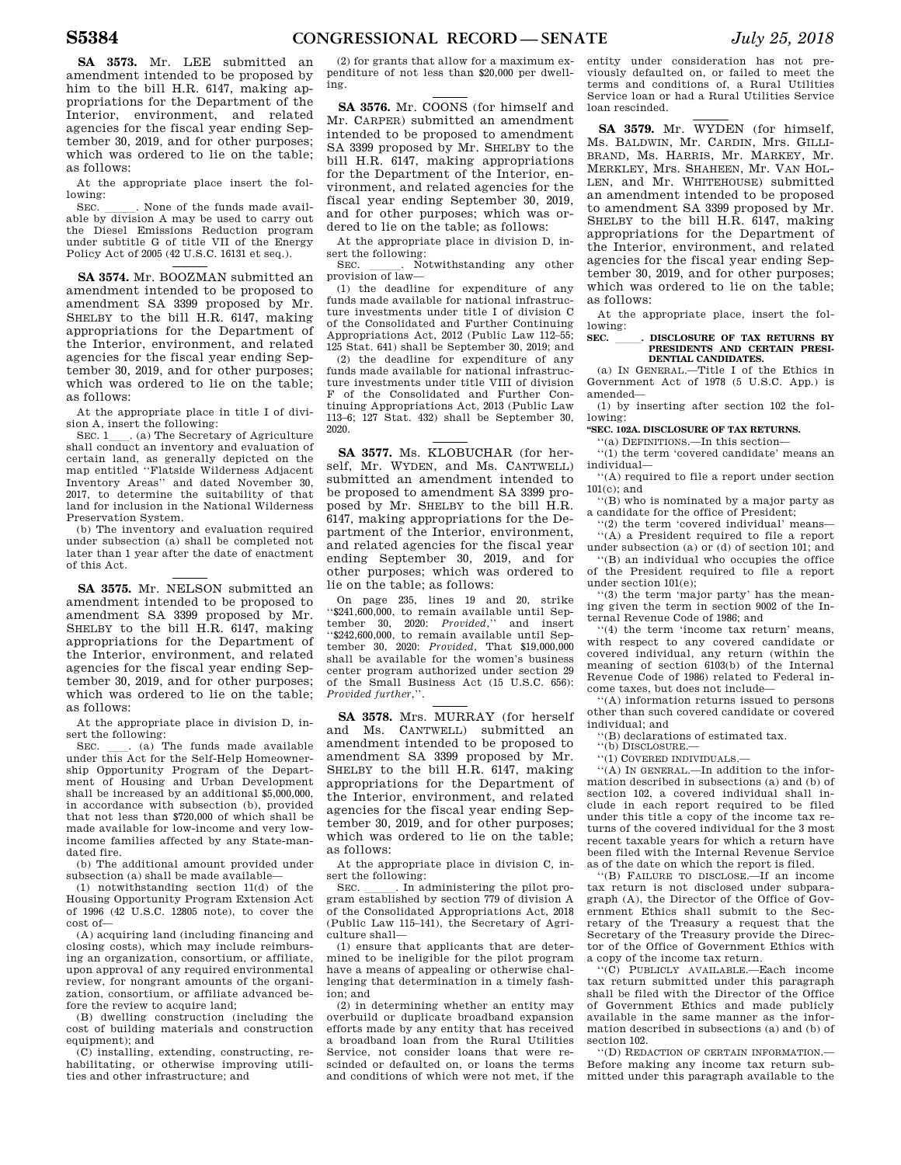**SA 3573.** Mr. LEE submitted an amendment intended to be proposed by him to the bill H.R. 6147, making appropriations for the Department of the Interior, environment, and related agencies for the fiscal year ending September 30, 2019, and for other purposes; which was ordered to lie on the table; as follows:

At the appropriate place insert the following:

SEC. \_\_\_\_\_. None of the funds made available by division A may be used to carry out the Diesel Emissions Reduction program under subtitle G of title VII of the Energy Policy Act of 2005 (42 U.S.C. 16131 et seq.).

**SA 3574.** Mr. BOOZMAN submitted an amendment intended to be proposed to amendment SA 3399 proposed by Mr. SHELBY to the bill H.R. 6147, making appropriations for the Department of the Interior, environment, and related agencies for the fiscal year ending September 30, 2019, and for other purposes; which was ordered to lie on the table; as follows:

At the appropriate place in title I of division A, insert the following:<br>SEC. 1 (a) The Secretary of Agriculture

SEC. 1\_\_\_\_. (a) The Secretary of Agriculture shall conduct an inventory and evaluation of certain land, as generally depicted on the map entitled ''Flatside Wilderness Adjacent Inventory Areas'' and dated November 30, 2017, to determine the suitability of that land for inclusion in the National Wilderness Preservation System.

(b) The inventory and evaluation required under subsection (a) shall be completed not later than 1 year after the date of enactment of this Act.

**SA 3575.** Mr. NELSON submitted an amendment intended to be proposed to amendment SA 3399 proposed by Mr. SHELBY to the bill H.R. 6147, making appropriations for the Department of the Interior, environment, and related agencies for the fiscal year ending September 30, 2019, and for other purposes; which was ordered to lie on the table; as follows:

At the appropriate place in division D, insert the following:<br>SEC. (a) The funds made available

SEC.  $\quad$  (a) The funds made available under this Act for the Self-Help Homeownership Opportunity Program of the Department of Housing and Urban Development shall be increased by an additional \$5,000,000, in accordance with subsection (b), provided that not less than \$720,000 of which shall be made available for low-income and very lowincome families affected by any State-mandated fire.

(b) The additional amount provided under subsection (a) shall be made available—

(1) notwithstanding section 11(d) of the Housing Opportunity Program Extension Act of 1996 (42 U.S.C. 12805 note), to cover the cost of—

(A) acquiring land (including financing and closing costs), which may include reimbursing an organization, consortium, or affiliate, upon approval of any required environmental review, for nongrant amounts of the organization, consortium, or affiliate advanced before the review to acquire land;

(B) dwelling construction (including the cost of building materials and construction equipment); and

(C) installing, extending, constructing, rehabilitating, or otherwise improving utilities and other infrastructure; and

(2) for grants that allow for a maximum expenditure of not less than \$20,000 per dwelling.

**SA 3576.** Mr. COONS (for himself and Mr. CARPER) submitted an amendment intended to be proposed to amendment SA 3399 proposed by Mr. SHELBY to the bill H.R. 6147, making appropriations for the Department of the Interior, environment, and related agencies for the fiscal year ending September 30, 2019, and for other purposes; which was ordered to lie on the table; as follows:

At the appropriate place in division D, insert the following:<br>SEC. . No

. Notwithstanding any other provision of law—

(1) the deadline for expenditure of any funds made available for national infrastructure investments under title I of division C of the Consolidated and Further Continuing Appropriations Act, 2012 (Public Law 112–55; 125 Stat. 641) shall be September 30, 2019; and

(2) the deadline for expenditure of any funds made available for national infrastructure investments under title VIII of division F of the Consolidated and Further Continuing Appropriations Act, 2013 (Public Law 113–6; 127 Stat. 432) shall be September 30, 2020.

**SA 3577.** Ms. KLOBUCHAR (for herself, Mr. WYDEN, and Ms. CANTWELL) submitted an amendment intended to be proposed to amendment SA 3399 proposed by Mr. SHELBY to the bill H.R. 6147, making appropriations for the Department of the Interior, environment, and related agencies for the fiscal year ending September 30, 2019, and for other purposes; which was ordered to lie on the table; as follows:

On page 235, lines 19 and 20, strike ''\$241,600,000, to remain available until September 30, 2020: *Provided*,'' and insert ''\$242,600,000, to remain available until September 30, 2020: *Provided*, That \$19,000,000 shall be available for the women's business center program authorized under section 29 of the Small Business Act (15 U.S.C. 656): *Provided further*,''.

**SA 3578.** Mrs. MURRAY (for herself and Ms. CANTWELL) submitted an amendment intended to be proposed to amendment SA 3399 proposed by Mr. SHELBY to the bill H.R. 6147, making appropriations for the Department of the Interior, environment, and related agencies for the fiscal year ending September 30, 2019, and for other purposes; which was ordered to lie on the table; as follows:

At the appropriate place in division C, insert the following:<br>SEC. \_\_\_\_\_. In ac

. In administering the pilot program established by section 779 of division A of the Consolidated Appropriations Act, 2018 (Public Law 115–141), the Secretary of Agriculture shall—

(1) ensure that applicants that are determined to be ineligible for the pilot program have a means of appealing or otherwise challenging that determination in a timely fashion; and

(2) in determining whether an entity may overbuild or duplicate broadband expansion efforts made by any entity that has received a broadband loan from the Rural Utilities Service, not consider loans that were rescinded or defaulted on, or loans the terms and conditions of which were not met, if the

entity under consideration has not previously defaulted on, or failed to meet the terms and conditions of, a Rural Utilities Service loan or had a Rural Utilities Service loan rescinded.

**SA 3579.** Mr. WYDEN (for himself, Ms. BALDWIN, Mr. CARDIN, Mrs. GILLI-BRAND, Ms. HARRIS, Mr. MARKEY, Mr. MERKLEY, Mrs. SHAHEEN, Mr. VAN HOL-LEN, and Mr. WHITEHOUSE) submitted an amendment intended to be proposed to amendment SA 3399 proposed by Mr. SHELBY to the bill H.R. 6147, making appropriations for the Department of the Interior, environment, and related agencies for the fiscal year ending September 30, 2019, and for other purposes; which was ordered to lie on the table; as follows:

At the appropriate place, insert the following:

#### **SEC.** lll**. DISCLOSURE OF TAX RETURNS BY PRESIDENTS AND CERTAIN PRESI-DENTIAL CANDIDATES.**

(a) IN GENERAL.—Title I of the Ethics in Government Act of 1978 (5 U.S.C. App.) is amended—

(1) by inserting after section 102 the following:

**''SEC. 102A. DISCLOSURE OF TAX RETURNS.** 

''(a) DEFINITIONS.—In this section—

''(1) the term 'covered candidate' means an individual—

''(A) required to file a report under section 101(c); and

''(B) who is nominated by a major party as a candidate for the office of President;

''(2) the term 'covered individual' means— ''(A) a President required to file a report under subsection (a) or (d) of section 101; and

''(B) an individual who occupies the office of the President required to file a report under section 101(e);

''(3) the term 'major party' has the meaning given the term in section 9002 of the Internal Revenue Code of 1986; and

''(4) the term 'income tax return' means, with respect to any covered candidate or covered individual, any return (within the meaning of section 6103(b) of the Internal Revenue Code of 1986) related to Federal income taxes, but does not include—

''(A) information returns issued to persons other than such covered candidate or covered individual; and

''(B) declarations of estimated tax.

''(b) DISCLOSURE.—

''(1) COVERED INDIVIDUALS.—

''(A) IN GENERAL.—In addition to the information described in subsections (a) and (b) of section 102, a covered individual shall include in each report required to be filed under this title a copy of the income tax returns of the covered individual for the 3 most recent taxable years for which a return have been filed with the Internal Revenue Service as of the date on which the report is filed.

''(B) FAILURE TO DISCLOSE.—If an income tax return is not disclosed under subparagraph (A), the Director of the Office of Government Ethics shall submit to the Secretary of the Treasury a request that the Secretary of the Treasury provide the Director of the Office of Government Ethics with a copy of the income tax return.

''(C) PUBLICLY AVAILABLE.—Each income tax return submitted under this paragraph shall be filed with the Director of the Office of Government Ethics and made publicly available in the same manner as the information described in subsections (a) and (b) of section 102.

''(D) REDACTION OF CERTAIN INFORMATION.— Before making any income tax return submitted under this paragraph available to the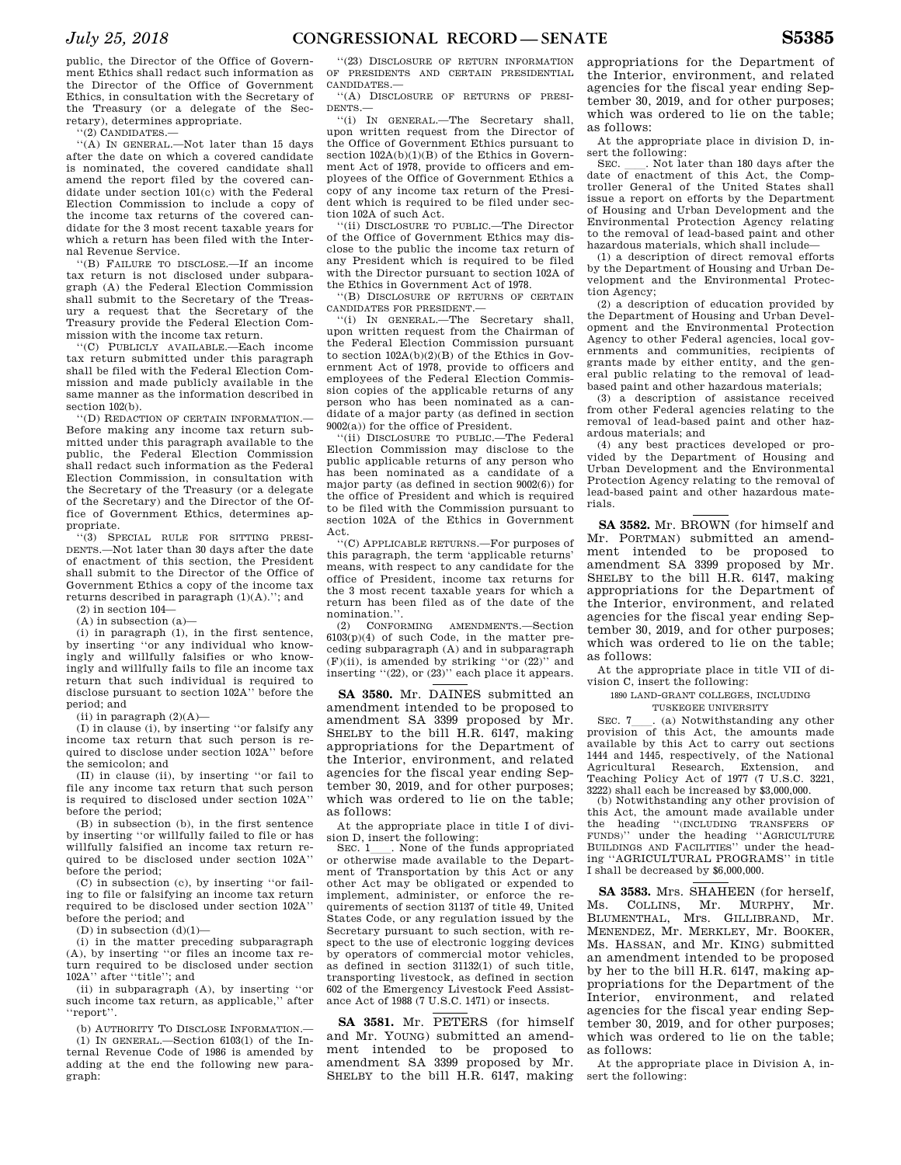public, the Director of the Office of Government Ethics shall redact such information as the Director of the Office of Government Ethics, in consultation with the Secretary of the Treasury (or a delegate of the Secretary), determines appropriate.

''(2) CANDIDATES.—

''(A) IN GENERAL.—Not later than 15 days after the date on which a covered candidate is nominated, the covered candidate shall amend the report filed by the covered candidate under section 101(c) with the Federal Election Commission to include a copy of the income tax returns of the covered candidate for the 3 most recent taxable years for which a return has been filed with the Internal Revenue Service.

''(B) FAILURE TO DISCLOSE.—If an income tax return is not disclosed under subparagraph (A) the Federal Election Commission shall submit to the Secretary of the Treasury a request that the Secretary of the Treasury provide the Federal Election Commission with the income tax return.

''(C) PUBLICLY AVAILABLE.—Each income tax return submitted under this paragraph shall be filed with the Federal Election Commission and made publicly available in the same manner as the information described in section 102(b).

''(D) REDACTION OF CERTAIN INFORMATION.— Before making any income tax return submitted under this paragraph available to the public, the Federal Election Commission shall redact such information as the Federal Election Commission, in consultation with the Secretary of the Treasury (or a delegate of the Secretary) and the Director of the Office of Government Ethics, determines appropriate.

''(3) SPECIAL RULE FOR SITTING PRESI-DENTS.—Not later than 30 days after the date of enactment of this section, the President shall submit to the Director of the Office of Government Ethics a copy of the income tax returns described in paragraph  $(1)(\mathbf{A}).$  ''; and

(2) in section 104—

 $(A)$  in subsection  $(a)$ 

(i) in paragraph (1), in the first sentence, by inserting ''or any individual who knowingly and willfully falsifies or who knowingly and willfully fails to file an income tax return that such individual is required to disclose pursuant to section 102A'' before the period; and

(ii) in paragraph  $(2)(A)$ —

(I) in clause (i), by inserting ''or falsify any income tax return that such person is required to disclose under section 102A'' before the semicolon; and

(II) in clause (ii), by inserting ''or fail to file any income tax return that such person is required to disclosed under section 102A'' before the period;

(B) in subsection (b), in the first sentence by inserting ''or willfully failed to file or has willfully falsified an income tax return required to be disclosed under section 102A'' before the period;

(C) in subsection (c), by inserting ''or failing to file or falsifying an income tax return required to be disclosed under section 102A'' before the period; and

 $(D)$  in subsection  $(d)(1)$ —

(i) in the matter preceding subparagraph (A), by inserting ''or files an income tax return required to be disclosed under section 102A'' after ''title''; and

(ii) in subparagraph (A), by inserting ''or such income tax return, as applicable,'' after ''report''.

(b) AUTHORITY TO DISCLOSE INFORMATION.—

(1) IN GENERAL.—Section 6103(l) of the Internal Revenue Code of 1986 is amended by adding at the end the following new paragraph:

''(23) DISCLOSURE OF RETURN INFORMATION OF PRESIDENTS AND CERTAIN PRESIDENTIAL CANDIDATES.—

''(A) DISCLOSURE OF RETURNS OF PRESI-DENTS.—

''(i) IN GENERAL.—The Secretary shall, upon written request from the Director of the Office of Government Ethics pursuant to section  $102A(b)(1)(B)$  of the Ethics in Government Act of 1978, provide to officers and employees of the Office of Government Ethics a copy of any income tax return of the President which is required to be filed under section 102A of such Act.

''(ii) DISCLOSURE TO PUBLIC.—The Director of the Office of Government Ethics may disclose to the public the income tax return of any President which is required to be filed with the Director pursuant to section 102A of the Ethics in Government Act of 1978.

''(B) DISCLOSURE OF RETURNS OF CERTAIN CANDIDATES FOR PRESIDENT.—

''(i) IN GENERAL.—The Secretary shall, upon written request from the Chairman of the Federal Election Commission pursuant to section 102A(b)(2)(B) of the Ethics in Government Act of 1978, provide to officers and employees of the Federal Election Commission copies of the applicable returns of any person who has been nominated as a candidate of a major party (as defined in section 9002(a)) for the office of President.

''(ii) DISCLOSURE TO PUBLIC.—The Federal Election Commission may disclose to the public applicable returns of any person who has been nominated as a candidate of a major party (as defined in section 9002(6)) for the office of President and which is required to be filed with the Commission pursuant to section 102A of the Ethics in Government Act.

''(C) APPLICABLE RETURNS.—For purposes of this paragraph, the term 'applicable returns' means, with respect to any candidate for the office of President, income tax returns for the 3 most recent taxable years for which a return has been filed as of the date of the nomination.''.

(2) CONFORMING AMENDMENTS.—Section  $6103(p)(4)$  of such Code, in the matter preceding subparagraph (A) and in subparagraph  $(F)(ii)$ , is amended by striking "or  $(22)$ " and inserting ''(22), or (23)'' each place it appears.

**SA 3580.** Mr. DAINES submitted an amendment intended to be proposed to amendment SA 3399 proposed by Mr. SHELBY to the bill H.R. 6147, making appropriations for the Department of the Interior, environment, and related agencies for the fiscal year ending September 30, 2019, and for other purposes; which was ordered to lie on the table; as follows:

At the appropriate place in title I of division D, insert the following:<br>SEC 1 None of the fu

. None of the funds appropriated or otherwise made available to the Department of Transportation by this Act or any other Act may be obligated or expended to implement, administer, or enforce the requirements of section 31137 of title 49, United States Code, or any regulation issued by the Secretary pursuant to such section, with respect to the use of electronic logging devices by operators of commercial motor vehicles, as defined in section 31132(1) of such title, transporting livestock, as defined in section 602 of the Emergency Livestock Feed Assistance Act of 1988 (7 U.S.C. 1471) or insects.

**SA 3581.** Mr. PETERS (for himself and Mr. YOUNG) submitted an amendment intended to be proposed to amendment SA 3399 proposed by Mr. SHELBY to the bill H.R. 6147, making appropriations for the Department of the Interior, environment, and related agencies for the fiscal year ending September 30, 2019, and for other purposes; which was ordered to lie on the table; as follows:

At the appropriate place in division D, insert the following:<br>SEC. Not later than 180 days after the

SEC. Let I han 180 days after the date of enactment of this Act, the Comptroller General of the United States shall issue a report on efforts by the Department of Housing and Urban Development and the Environmental Protection Agency relating to the removal of lead-based paint and other hazardous materials, which shall include—

(1) a description of direct removal efforts by the Department of Housing and Urban Development and the Environmental Protection Agency;

(2) a description of education provided by the Department of Housing and Urban Development and the Environmental Protection Agency to other Federal agencies, local governments and communities, recipients of grants made by either entity, and the general public relating to the removal of leadbased paint and other hazardous materials;

(3) a description of assistance received from other Federal agencies relating to the removal of lead-based paint and other hazardous materials; and

(4) any best practices developed or provided by the Department of Housing and Urban Development and the Environmental Protection Agency relating to the removal of lead-based paint and other hazardous materials.

**SA 3582.** Mr. BROWN (for himself and Mr. PORTMAN) submitted an amendment intended to be proposed to amendment SA 3399 proposed by Mr. SHELBY to the bill H.R. 6147, making appropriations for the Department of the Interior, environment, and related agencies for the fiscal year ending September 30, 2019, and for other purposes; which was ordered to lie on the table; as follows:

At the appropriate place in title VII of division C, insert the following:

1890 LAND-GRANT COLLEGES, INCLUDING TUSKEGEE UNIVERSITY

SEC. 7<sub>1</sub> (a) Notwithstanding any other provision of this Act, the amounts made available by this Act to carry out sections 1444 and 1445, respectively, of the National Agricultural Research, Extension, and Teaching Policy Act of 1977 (7 U.S.C. 3221, 3222) shall each be increased by \$3,000,000.

(b) Notwithstanding any other provision of this Act, the amount made available under<br>the heading "(INCLUDING TRANSFERS OF the heading ''(INCLUDING TRANSFERS OF FUNDS)'' under the heading ''AGRICULTURE BUILDINGS AND FACILITIES'' under the heading ''AGRICULTURAL PROGRAMS'' in title I shall be decreased by \$6,000,000.

**SA 3583.** Mrs. SHAHEEN (for herself, Is. COLLINS. Mr. MURPHY. Mr. Ms. COLLINS, Mr. MURPHY, BLUMENTHAL, Mrs. GILLIBRAND, Mr. MENENDEZ, Mr. MERKLEY, Mr. BOOKER, Ms. HASSAN, and Mr. KING) submitted an amendment intended to be proposed by her to the bill H.R. 6147, making appropriations for the Department of the Interior, environment, and related agencies for the fiscal year ending September 30, 2019, and for other purposes; which was ordered to lie on the table; as follows:

At the appropriate place in Division A, insert the following: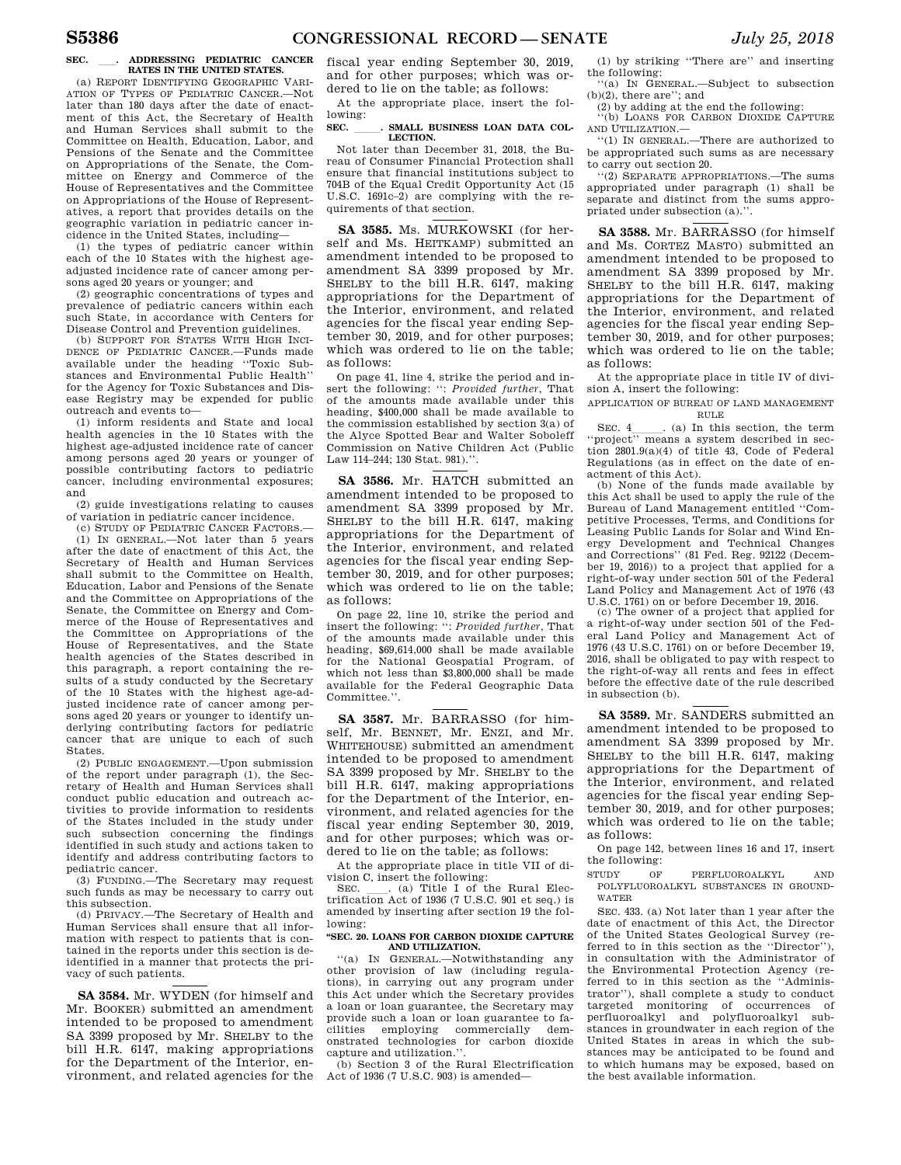### **SEC.** ll**. ADDRESSING PEDIATRIC CANCER RATES IN THE UNITED STATES.**

(a) REPORT IDENTIFYING GEOGRAPHIC VARI-ATION OF TYPES OF PEDIATRIC CANCER.—Not later than 180 days after the date of enactment of this Act, the Secretary of Health and Human Services shall submit to the Committee on Health, Education, Labor, and Pensions of the Senate and the Committee on Appropriations of the Senate, the Committee on Energy and Commerce of the House of Representatives and the Committee on Appropriations of the House of Representatives, a report that provides details on the geographic variation in pediatric cancer incidence in the United States, including—

(1) the types of pediatric cancer within each of the 10 States with the highest ageadjusted incidence rate of cancer among persons aged 20 years or younger; and

(2) geographic concentrations of types and prevalence of pediatric cancers within each such State, in accordance with Centers for Disease Control and Prevention guidelines.

(b) SUPPORT FOR STATES WITH HIGH INCI-DENCE OF PEDIATRIC CANCER.—Funds made available under the heading ''Toxic Substances and Environmental Public Health'' for the Agency for Toxic Substances and Disease Registry may be expended for public outreach and events to—

(1) inform residents and State and local health agencies in the 10 States with the highest age-adjusted incidence rate of cancer among persons aged 20 years or younger of possible contributing factors to pediatric cancer, including environmental exposures; and

(2) guide investigations relating to causes of variation in pediatric cancer incidence.

(c) STUDY OF PEDIATRIC CANCER FACTORS.— (1) IN GENERAL.—Not later than 5 years after the date of enactment of this Act, the Secretary of Health and Human Services shall submit to the Committee on Health, Education, Labor and Pensions of the Senate and the Committee on Appropriations of the Senate, the Committee on Energy and Commerce of the House of Representatives and the Committee on Appropriations of the House of Representatives, and the State health agencies of the States described in this paragraph, a report containing the results of a study conducted by the Secretary of the 10 States with the highest age-adjusted incidence rate of cancer among persons aged 20 years or younger to identify underlying contributing factors for pediatric cancer that are unique to each of such States.

(2) PUBLIC ENGAGEMENT.—Upon submission of the report under paragraph (1), the Secretary of Health and Human Services shall conduct public education and outreach activities to provide information to residents of the States included in the study under such subsection concerning the findings identified in such study and actions taken to identify and address contributing factors to pediatric cancer.

(3) FUNDING.—The Secretary may request such funds as may be necessary to carry out this subsection. (d) PRIVACY.—The Secretary of Health and

Human Services shall ensure that all information with respect to patients that is contained in the reports under this section is deidentified in a manner that protects the privacy of such patients.

**SA 3584.** Mr. WYDEN (for himself and Mr. BOOKER) submitted an amendment intended to be proposed to amendment SA 3399 proposed by Mr. SHELBY to the bill H.R. 6147, making appropriations for the Department of the Interior, environment, and related agencies for the fiscal year ending September 30, 2019, and for other purposes; which was ordered to lie on the table; as follows:

At the appropriate place, insert the following:

### SEC. SMALL BUSINESS LOAN DATA COL. **LECTION.**

Not later than December 31, 2018, the Bureau of Consumer Financial Protection shall ensure that financial institutions subject to 704B of the Equal Credit Opportunity Act (15 U.S.C. 1691c–2) are complying with the requirements of that section.

**SA 3585.** Ms. MURKOWSKI (for herself and Ms. HEITKAMP) submitted an amendment intended to be proposed to amendment SA 3399 proposed by Mr. SHELBY to the bill H.R. 6147, making appropriations for the Department of the Interior, environment, and related agencies for the fiscal year ending September 30, 2019, and for other purposes; which was ordered to lie on the table; as follows:

On page 41, line 4, strike the period and insert the following: '': *Provided further*, That of the amounts made available under this heading, \$400,000 shall be made available to the commission established by section 3(a) of the Alyce Spotted Bear and Walter Soboleff Commission on Native Children Act (Public Law 114–244; 130 Stat. 981).''.

**SA 3586.** Mr. HATCH submitted an amendment intended to be proposed to amendment SA 3399 proposed by Mr. SHELBY to the bill H.R. 6147, making appropriations for the Department of the Interior, environment, and related agencies for the fiscal year ending September 30, 2019, and for other purposes; which was ordered to lie on the table; as follows:

On page 22, line 10, strike the period and insert the following: '': *Provided further*, That of the amounts made available under this heading, \$69,614,000 shall be made available for the National Geospatial Program, of which not less than \$3,800,000 shall be made available for the Federal Geographic Data Committee.''.

**SA 3587.** Mr. BARRASSO (for himself, Mr. BENNET, Mr. ENZI, and Mr. WHITEHOUSE) submitted an amendment intended to be proposed to amendment SA 3399 proposed by Mr. SHELBY to the bill H.R. 6147, making appropriations for the Department of the Interior, environment, and related agencies for the fiscal year ending September 30, 2019, and for other purposes; which was ordered to lie on the table; as follows:

At the appropriate place in title VII of division C, insert the following:<br>SEC. (a) Title I of the Rural Elec-

SEC. Calculation Act of 1936 (7 U.S.C. 901 et seq.) is amended by inserting after section 19 the following:

### **''SEC. 20. LOANS FOR CARBON DIOXIDE CAPTURE AND UTILIZATION.**

''(a) IN GENERAL.—Notwithstanding any other provision of law (including regulations), in carrying out any program under this Act under which the Secretary provides a loan or loan guarantee, the Secretary may provide such a loan or loan guarantee to facilities employing commercially demonstrated technologies for carbon dioxide capture and utilization."

(b) Section 3 of the Rural Electrification Act of 1936 (7 U.S.C. 903) is amended—

(1) by striking ''There are'' and inserting the following: ''(a) IN GENERAL.—Subject to subsection

(b)(2), there are''; and

(2) by adding at the end the following: ''(b) LOANS FOR CARBON DIOXIDE CAPTURE AND UTILIZATION.—

''(1) IN GENERAL.—There are authorized to be appropriated such sums as are necessary to carry out section 20.

''(2) SEPARATE APPROPRIATIONS.—The sums appropriated under paragraph (1) shall be separate and distinct from the sums appropriated under subsection (a).''.

**SA 3588.** Mr. BARRASSO (for himself and Ms. CORTEZ MASTO) submitted an amendment intended to be proposed to amendment SA 3399 proposed by Mr. SHELBY to the bill H.R. 6147, making appropriations for the Department of the Interior, environment, and related agencies for the fiscal year ending September 30, 2019, and for other purposes; which was ordered to lie on the table; as follows:

At the appropriate place in title IV of division A, insert the following:

APPLICATION OF BUREAU OF LAND MANAGEMENT RULE

SEC. 4<sub>l</sub>. (a) In this section, the term "project" means a system described in section 2801.9(a)(4) of title 43, Code of Federal Regulations (as in effect on the date of enactment of this Act).

(b) None of the funds made available by this Act shall be used to apply the rule of the Bureau of Land Management entitled ''Competitive Processes, Terms, and Conditions for Leasing Public Lands for Solar and Wind Energy Development and Technical Changes and Corrections'' (81 Fed. Reg. 92122 (December 19, 2016)) to a project that applied for a right-of-way under section 501 of the Federal Land Policy and Management Act of 1976 (43 U.S.C. 1761) on or before December 19, 2016.

(c) The owner of a project that applied for a right-of-way under section 501 of the Federal Land Policy and Management Act of 1976 (43 U.S.C. 1761) on or before December 19, 2016, shall be obligated to pay with respect to the right-of-way all rents and fees in effect before the effective date of the rule described in subsection (b).

**SA 3589.** Mr. SANDERS submitted an amendment intended to be proposed to amendment SA 3399 proposed by Mr. SHELBY to the bill H.R. 6147, making appropriations for the Department of the Interior, environment, and related agencies for the fiscal year ending September 30, 2019, and for other purposes; which was ordered to lie on the table; as follows:

On page 142, between lines 16 and 17, insert the following:

STUDY OF PERFLUOROALKYL AND POLYFLUOROALKYL SUBSTANCES IN GROUND-WATER

SEC. 433. (a) Not later than 1 year after the date of enactment of this Act, the Director of the United States Geological Survey (referred to in this section as the ''Director''), in consultation with the Administrator of the Environmental Protection Agency (referred to in this section as the ''Administrator''), shall complete a study to conduct targeted monitoring of occurrences of perfluoroalkyl and polyfluoroalkyl substances in groundwater in each region of the United States in areas in which the substances may be anticipated to be found and to which humans may be exposed, based on the best available information.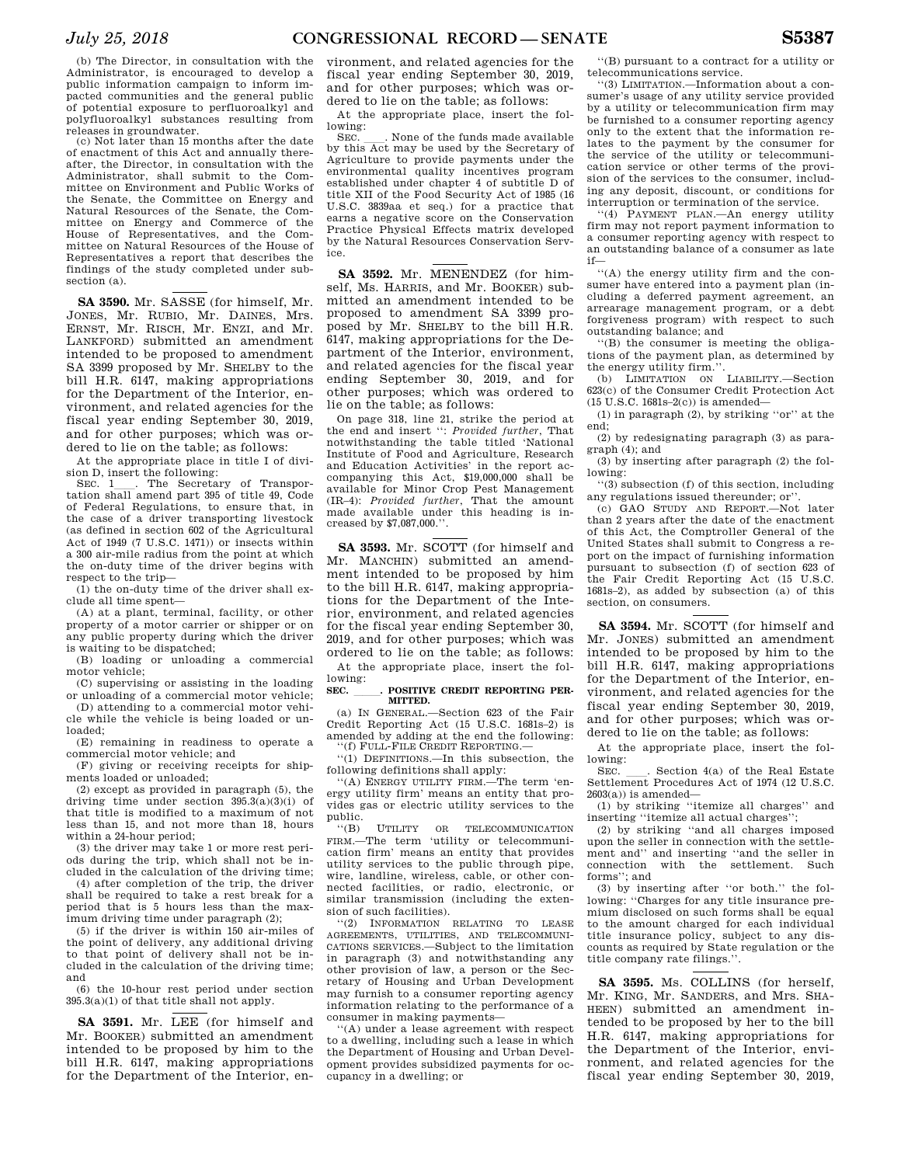(b) The Director, in consultation with the Administrator, is encouraged to develop a public information campaign to inform impacted communities and the general public of potential exposure to perfluoroalkyl and polyfluoroalkyl substances resulting from releases in groundwater.

(c) Not later than 15 months after the date of enactment of this Act and annually thereafter, the Director, in consultation with the Administrator, shall submit to the Committee on Environment and Public Works of the Senate, the Committee on Energy and Natural Resources of the Senate, the Committee on Energy and Commerce of the House of Representatives, and the Committee on Natural Resources of the House of Representatives a report that describes the findings of the study completed under subsection (a).

**SA 3590.** Mr. SASSE (for himself, Mr. JONES, Mr. RUBIO, Mr. DAINES, Mrs. ERNST, Mr. RISCH, Mr. ENZI, and Mr. LANKFORD) submitted an amendment intended to be proposed to amendment SA 3399 proposed by Mr. SHELBY to the bill H.R. 6147, making appropriations for the Department of the Interior, environment, and related agencies for the fiscal year ending September 30, 2019, and for other purposes; which was ordered to lie on the table; as follows:

At the appropriate place in title I of division D, insert the following:<br>SEC. 1\_\_\_. The Secretary of Transpor-

SEC. 1<sub>1</sub>. The Secretary of Transportation shall amend part 395 of title 49, Code of Federal Regulations, to ensure that, in the case of a driver transporting livestock (as defined in section 602 of the Agricultural Act of 1949 (7 U.S.C. 1471)) or insects within a 300 air-mile radius from the point at which the on-duty time of the driver begins with respect to the trip—

(1) the on-duty time of the driver shall exclude all time spent—

(A) at a plant, terminal, facility, or other property of a motor carrier or shipper or on any public property during which the driver is waiting to be dispatched;

(B) loading or unloading a commercial motor vehicle;

(C) supervising or assisting in the loading or unloading of a commercial motor vehicle;

(D) attending to a commercial motor vehicle while the vehicle is being loaded or unloaded;

(E) remaining in readiness to operate a commercial motor vehicle; and

(F) giving or receiving receipts for shipments loaded or unloaded;

(2) except as provided in paragraph (5), the driving time under section 395.3(a)(3)(i) of that title is modified to a maximum of not less than 15, and not more than 18, hours within a 24-hour period;

(3) the driver may take 1 or more rest periods during the trip, which shall not be included in the calculation of the driving time;

(4) after completion of the trip, the driver shall be required to take a rest break for a period that is 5 hours less than the maximum driving time under paragraph (2);

(5) if the driver is within 150 air-miles of the point of delivery, any additional driving to that point of delivery shall not be included in the calculation of the driving time; and

(6) the 10-hour rest period under section  $395.3(a)(1)$  of that title shall not apply.

**SA 3591.** Mr. LEE (for himself and Mr. BOOKER) submitted an amendment intended to be proposed by him to the bill H.R. 6147, making appropriations for the Department of the Interior, en-

vironment, and related agencies for the fiscal year ending September 30, 2019, and for other purposes; which was ordered to lie on the table; as follows:

At the appropriate place, insert the following:

SEC. Such a None of the funds made available by this Act may be used by the Secretary of Agriculture to provide payments under the environmental quality incentives program established under chapter 4 of subtitle D of title XII of the Food Security Act of 1985 (16 U.S.C. 3839aa et seq.) for a practice that earns a negative score on the Conservation Practice Physical Effects matrix developed by the Natural Resources Conservation Service.

**SA 3592.** Mr. MENENDEZ (for himself, Ms. HARRIS, and Mr. BOOKER) submitted an amendment intended to be proposed to amendment SA 3399 proposed by Mr. SHELBY to the bill H.R. 6147, making appropriations for the Department of the Interior, environment, and related agencies for the fiscal year ending September 30, 2019, and for other purposes; which was ordered to lie on the table; as follows:

On page 318, line 21, strike the period at the end and insert '': *Provided further*, That notwithstanding the table titled 'National Institute of Food and Agriculture, Research and Education Activities' in the report accompanying this Act, \$19,000,000 shall be available for Minor Crop Pest Management (IR–4): *Provided further*, That the amount made available under this heading is increased by \$7,087,000.''.

**SA 3593.** Mr. SCOTT (for himself and Mr. MANCHIN) submitted an amendment intended to be proposed by him to the bill H.R. 6147, making appropriations for the Department of the Interior, environment, and related agencies for the fiscal year ending September 30, 2019, and for other purposes; which was ordered to lie on the table; as follows:

At the appropriate place, insert the following:

SEC. POSITIVE CREDIT REPORTING PER-**MITTED.** 

(a) IN GENERAL.—Section 623 of the Fair Credit Reporting Act (15 U.S.C. 1681s–2) is amended by adding at the end the following: ''(f) FULL-FILE CREDIT REPORTING.—

''(1) DEFINITIONS.—In this subsection, the following definitions shall apply:

''(A) ENERGY UTILITY FIRM.—The term 'energy utility firm' means an entity that provides gas or electric utility services to the public.

''(B) UTILITY OR TELECOMMUNICATION FIRM.—The term 'utility or telecommunication firm' means an entity that provides utility services to the public through pipe, wire, landline, wireless, cable, or other connected facilities, or radio, electronic, or similar transmission (including the extension of such facilities).

''(2) INFORMATION RELATING TO LEASE AGREEMENTS, UTILITIES, AND TELECOMMUNI-CATIONS SERVICES.—Subject to the limitation in paragraph (3) and notwithstanding any other provision of law, a person or the Secretary of Housing and Urban Development may furnish to a consumer reporting agency information relating to the performance of a consumer in making payments—

''(A) under a lease agreement with respect to a dwelling, including such a lease in which the Department of Housing and Urban Development provides subsidized payments for occupancy in a dwelling; or

''(B) pursuant to a contract for a utility or telecommunications service.

''(3) LIMITATION.—Information about a consumer's usage of any utility service provided by a utility or telecommunication firm may be furnished to a consumer reporting agency only to the extent that the information relates to the payment by the consumer for the service of the utility or telecommunication service or other terms of the provision of the services to the consumer, including any deposit, discount, or conditions for interruption or termination of the service.

''(4) PAYMENT PLAN.—An energy utility firm may not report payment information to a consumer reporting agency with respect to an outstanding balance of a consumer as late if—

''(A) the energy utility firm and the consumer have entered into a payment plan (including a deferred payment agreement, an arrearage management program, or a debt forgiveness program) with respect to such outstanding balance; and

''(B) the consumer is meeting the obligations of the payment plan, as determined by the energy utility firm.''.

(b) LIMITATION ON LIABILITY.—Section 623(c) of the Consumer Credit Protection Act (15 U.S.C. 1681s–2(c)) is amended—

(1) in paragraph (2), by striking ''or'' at the end;

(2) by redesignating paragraph (3) as paragraph (4); and

(3) by inserting after paragraph (2) the following:

''(3) subsection (f) of this section, including any regulations issued thereunder; or''.

(c) GAO STUDY AND REPORT.—Not later than 2 years after the date of the enactment of this Act, the Comptroller General of the United States shall submit to Congress a report on the impact of furnishing information pursuant to subsection (f) of section 623 of the Fair Credit Reporting Act (15 U.S.C. 1681s–2), as added by subsection (a) of this section, on consumers.

**SA 3594.** Mr. SCOTT (for himself and Mr. JONES) submitted an amendment intended to be proposed by him to the bill H.R. 6147, making appropriations for the Department of the Interior, environment, and related agencies for the fiscal year ending September 30, 2019, and for other purposes; which was ordered to lie on the table; as follows:

At the appropriate place, insert the following:

SEC. \_\_\_. Section 4(a) of the Real Estate Settlement Procedures Act of 1974 (12 U.S.C.  $2603(a)$ ) is amended—

(1) by striking ''itemize all charges'' and inserting ''itemize all actual charges'';

(2) by striking ''and all charges imposed upon the seller in connection with the settlement and'' and inserting ''and the seller in connection with the settlement. Such forms''; and

(3) by inserting after ''or both.'' the following: ''Charges for any title insurance premium disclosed on such forms shall be equal to the amount charged for each individual title insurance policy, subject to any discounts as required by State regulation or the title company rate filings.''.

**SA 3595.** Ms. COLLINS (for herself, Mr. KING, Mr. SANDERS, and Mrs. SHA-HEEN) submitted an amendment intended to be proposed by her to the bill H.R. 6147, making appropriations for the Department of the Interior, environment, and related agencies for the fiscal year ending September 30, 2019,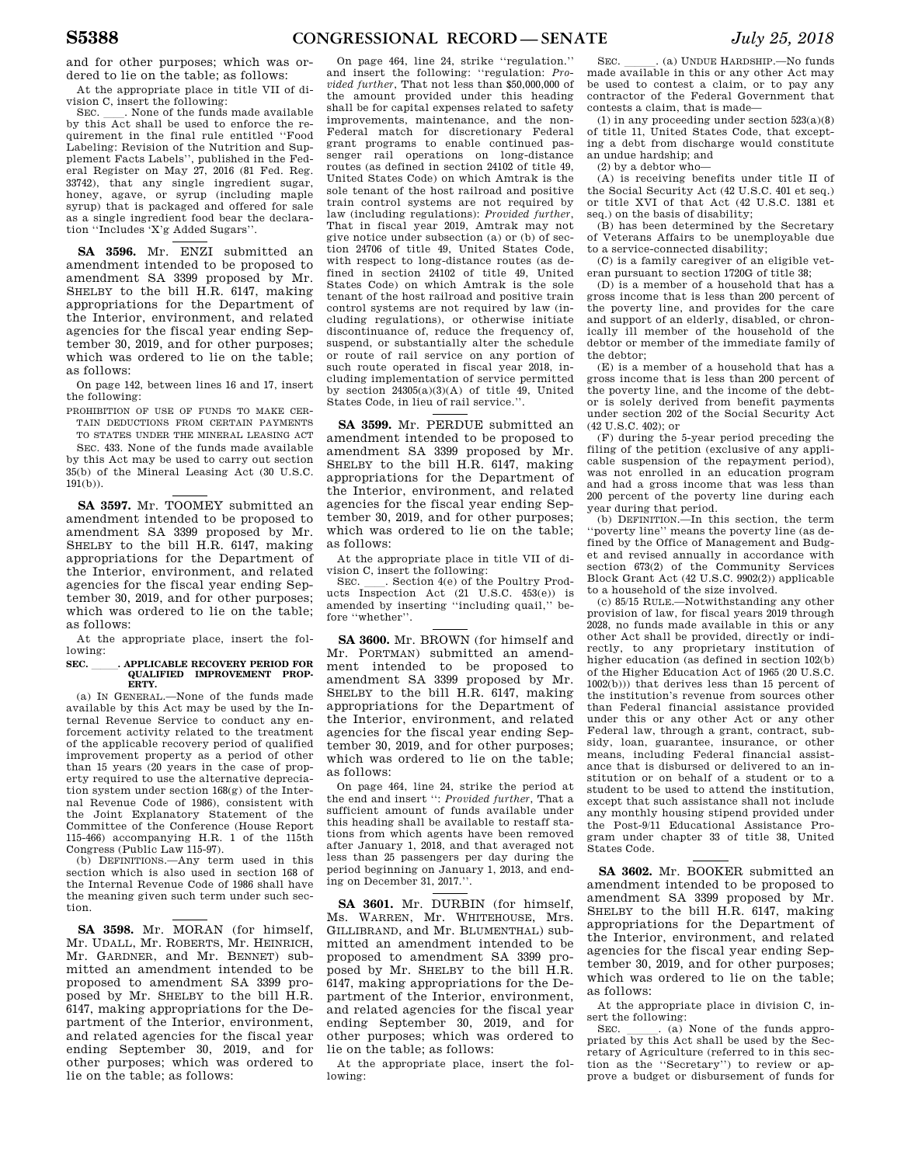and for other purposes; which was ordered to lie on the table; as follows:

At the appropriate place in title VII of division C, insert the following:<br>SEC. . None of the funds made available

SEC. Such a None of the funds made available by this Act shall be used to enforce the requirement in the final rule entitled ''Food Labeling: Revision of the Nutrition and Supplement Facts Labels'', published in the Federal Register on May 27, 2016 (81 Fed. Reg. 33742), that any single ingredient sugar, honey, agave, or syrup (including maple syrup) that is packaged and offered for sale as a single ingredient food bear the declaration ''Includes 'X'g Added Sugars''.

**SA 3596.** Mr. ENZI submitted an amendment intended to be proposed to amendment SA 3399 proposed by Mr. SHELBY to the bill H.R. 6147, making appropriations for the Department of the Interior, environment, and related agencies for the fiscal year ending September 30, 2019, and for other purposes; which was ordered to lie on the table; as follows:

On page 142, between lines 16 and 17, insert the following:

PROHIBITION OF USE OF FUNDS TO MAKE CER-TAIN DEDUCTIONS FROM CERTAIN PAYMENTS TO STATES UNDER THE MINERAL LEASING ACT

SEC. 433. None of the funds made available by this Act may be used to carry out section 35(b) of the Mineral Leasing Act (30 U.S.C. 191(b)).

**SA 3597.** Mr. TOOMEY submitted an amendment intended to be proposed to amendment SA 3399 proposed by Mr. SHELBY to the bill H.R. 6147, making appropriations for the Department of the Interior, environment, and related agencies for the fiscal year ending September 30, 2019, and for other purposes; which was ordered to lie on the table; as follows:

At the appropriate place, insert the following:

## **SEC.** lll**. APPLICABLE RECOVERY PERIOD FOR QUALIFIED IMPROVEMENT PROP-ERTY.**

(a) IN GENERAL.—None of the funds made available by this Act may be used by the Internal Revenue Service to conduct any enforcement activity related to the treatment of the applicable recovery period of qualified improvement property as a period of other than 15 years (20 years in the case of property required to use the alternative depreciation system under section 168(g) of the Internal Revenue Code of 1986), consistent with the Joint Explanatory Statement of the Committee of the Conference (House Report 115-466) accompanying H.R. 1 of the 115th Congress (Public Law 115-97).

(b) DEFINITIONS.—Any term used in this section which is also used in section 168 of the Internal Revenue Code of 1986 shall have the meaning given such term under such section.

**SA 3598.** Mr. MORAN (for himself, Mr. UDALL, Mr. ROBERTS, Mr. HEINRICH, Mr. GARDNER, and Mr. BENNET) submitted an amendment intended to be proposed to amendment SA 3399 proposed by Mr. SHELBY to the bill H.R. 6147, making appropriations for the Department of the Interior, environment, and related agencies for the fiscal year ending September 30, 2019, and for other purposes; which was ordered to lie on the table; as follows:

On page 464, line 24, strike ''regulation.'' and insert the following: ''regulation: *Provided further*, That not less than \$50,000,000 of the amount provided under this heading shall be for capital expenses related to safety improvements, maintenance, and the non-Federal match for discretionary Federal grant programs to enable continued passenger rail operations on long-distance routes (as defined in section 24102 of title 49, United States Code) on which Amtrak is the sole tenant of the host railroad and positive train control systems are not required by law (including regulations): *Provided further*, That in fiscal year 2019, Amtrak may not give notice under subsection (a) or (b) of section 24706 of title 49, United States Code, with respect to long-distance routes (as defined in section 24102 of title 49, United States Code) on which Amtrak is the sole tenant of the host railroad and positive train control systems are not required by law (including regulations), or otherwise initiate discontinuance of, reduce the frequency of, suspend, or substantially alter the schedule or route of rail service on any portion of such route operated in fiscal year 2018, including implementation of service permitted by section  $24305(a)(3)(A)$  of title 49, United States Code, in lieu of rail service.''.

**SA 3599.** Mr. PERDUE submitted an amendment intended to be proposed to amendment SA 3399 proposed by Mr. SHELBY to the bill H.R. 6147, making appropriations for the Department of the Interior, environment, and related agencies for the fiscal year ending September 30, 2019, and for other purposes; which was ordered to lie on the table; as follows:

At the appropriate place in title VII of di-

vision C, insert the following:<br>SEC. Section 4(e) of the Poultry Prod-SEC. Section 4(e) of the Poultry Prod-<br>ucts Inspection Act (21 U.S.C. 453(e)) is amended by inserting ''including quail,'' before ''whether''.

**SA 3600.** Mr. BROWN (for himself and Mr. PORTMAN) submitted an amendment intended to be proposed to amendment SA 3399 proposed by Mr. SHELBY to the bill H.R. 6147, making appropriations for the Department of the Interior, environment, and related agencies for the fiscal year ending September 30, 2019, and for other purposes; which was ordered to lie on the table; as follows:

On page 464, line 24, strike the period at the end and insert '': *Provided further*, That a sufficient amount of funds available under this heading shall be available to restaff stations from which agents have been removed after January 1, 2018, and that averaged not less than 25 passengers per day during the period beginning on January 1, 2013, and ending on December 31, 2017.''.

**SA 3601.** Mr. DURBIN (for himself, Ms. WARREN, Mr. WHITEHOUSE, Mrs. GILLIBRAND, and Mr. BLUMENTHAL) submitted an amendment intended to be proposed to amendment SA 3399 proposed by Mr. SHELBY to the bill H.R. 6147, making appropriations for the Department of the Interior, environment, and related agencies for the fiscal year ending September 30, 2019, and for other purposes; which was ordered to lie on the table; as follows:

At the appropriate place, insert the following:

SEC.  $\_\_$ . (a) UNDUE HARDSHIP.—No funds made available in this or any other Act may be used to contest a claim, or to pay any contractor of the Federal Government that contests a claim, that is made—

(1) in any proceeding under section 523(a)(8) of title 11, United States Code, that excepting a debt from discharge would constitute an undue hardship; and

(2) by a debtor who—

(A) is receiving benefits under title II of the Social Security Act (42 U.S.C. 401 et seq.) or title XVI of that Act (42 U.S.C. 1381 et seq.) on the basis of disability;

(B) has been determined by the Secretary of Veterans Affairs to be unemployable due to a service-connected disability;

(C) is a family caregiver of an eligible veteran pursuant to section 1720G of title 38;

(D) is a member of a household that has a gross income that is less than 200 percent of the poverty line, and provides for the care and support of an elderly, disabled, or chronically ill member of the household of the debtor or member of the immediate family of the debtor;

(E) is a member of a household that has a gross income that is less than 200 percent of the poverty line, and the income of the debtor is solely derived from benefit payments under section 202 of the Social Security Act  $(42 \text{ H S C } 402)$ ; or

(F) during the 5-year period preceding the filing of the petition (exclusive of any applicable suspension of the repayment period), was not enrolled in an education program and had a gross income that was less than 200 percent of the poverty line during each year during that period.

(b) DEFINITION.—In this section, the term ''poverty line'' means the poverty line (as defined by the Office of Management and Budget and revised annually in accordance with section 673(2) of the Community Services Block Grant Act (42 U.S.C. 9902(2)) applicable to a household of the size involved.

(c) 85/15 RULE.—Notwithstanding any other provision of law, for fiscal years 2019 through 2028, no funds made available in this or any other Act shall be provided, directly or indirectly, to any proprietary institution of higher education (as defined in section 102(b) of the Higher Education Act of 1965 (20 U.S.C. 1002(b))) that derives less than 15 percent of the institution's revenue from sources other than Federal financial assistance provided under this or any other Act or any other Federal law, through a grant, contract, subsidy, loan, guarantee, insurance, or other means, including Federal financial assistance that is disbursed or delivered to an institution or on behalf of a student or to a student to be used to attend the institution, except that such assistance shall not include any monthly housing stipend provided under the Post-9/11 Educational Assistance Program under chapter 33 of title 38, United States Code.

**SA 3602.** Mr. BOOKER submitted an amendment intended to be proposed to amendment SA 3399 proposed by Mr. SHELBY to the bill H.R. 6147, making appropriations for the Department of the Interior, environment, and related agencies for the fiscal year ending September 30, 2019, and for other purposes; which was ordered to lie on the table; as follows:

At the appropriate place in division C, insert the following:<br>SEC. \_\_\_\_\_\_. (a) None of the funds appro-

SEC.  $\qquad \qquad$  (a) None of the funds appro-<br>priated by this Act shall be used by the Secretary of Agriculture (referred to in this section as the ''Secretary'') to review or approve a budget or disbursement of funds for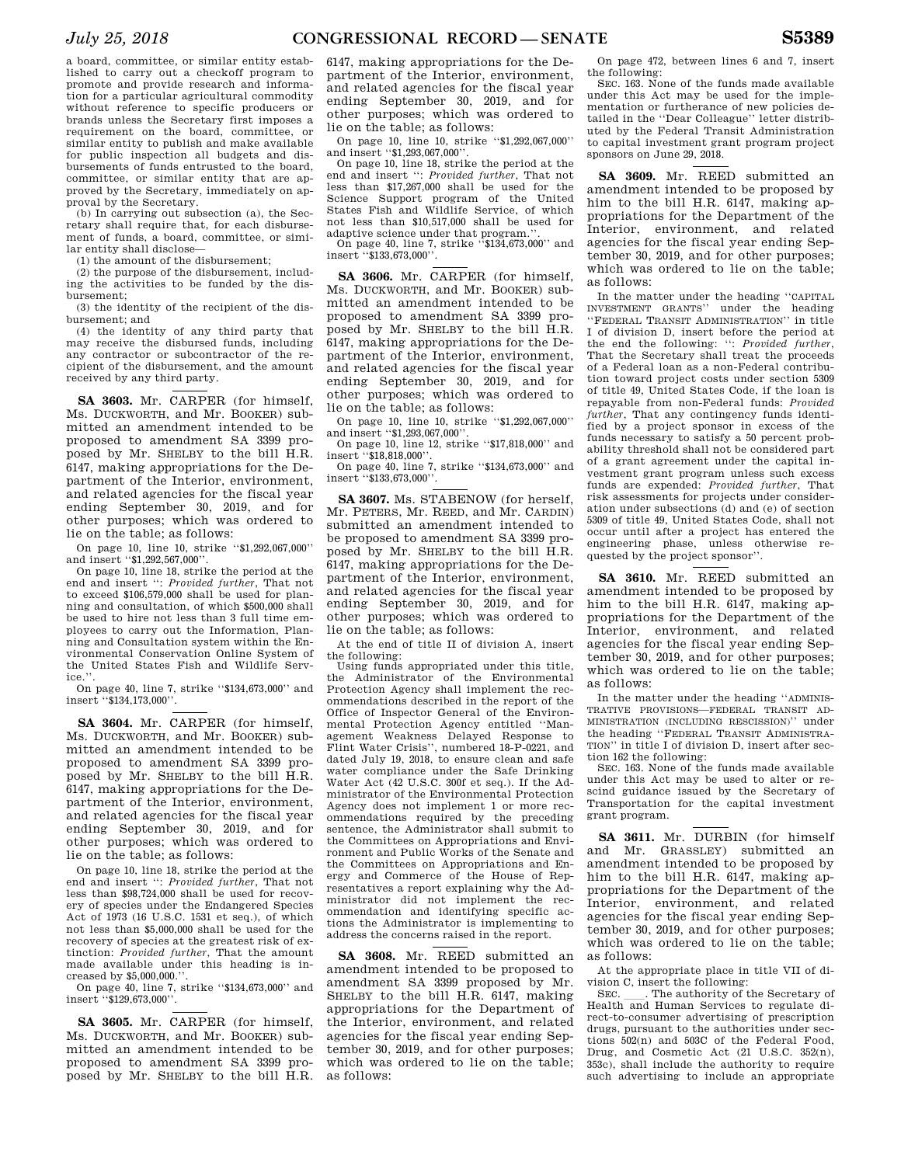a board, committee, or similar entity established to carry out a checkoff program to promote and provide research and information for a particular agricultural commodity without reference to specific producers or brands unless the Secretary first imposes a requirement on the board, committee, or similar entity to publish and make available for public inspection all budgets and disbursements of funds entrusted to the board, committee, or similar entity that are approved by the Secretary, immediately on approval by the Secretary.

(b) In carrying out subsection (a), the Secretary shall require that, for each disbursement of funds, a board, committee, or similar entity shall disclose—

(1) the amount of the disbursement;

(2) the purpose of the disbursement, including the activities to be funded by the disbursement;

(3) the identity of the recipient of the disbursement; and

(4) the identity of any third party that may receive the disbursed funds, including any contractor or subcontractor of the recipient of the disbursement, and the amount received by any third party.

**SA 3603.** Mr. CARPER (for himself, Ms. DUCKWORTH, and Mr. BOOKER) submitted an amendment intended to be proposed to amendment SA 3399 proposed by Mr. SHELBY to the bill H.R. 6147, making appropriations for the Department of the Interior, environment, and related agencies for the fiscal year ending September 30, 2019, and for other purposes; which was ordered to lie on the table; as follows:

On page 10, line 10, strike ''\$1,292,067,000'' and insert "\$1,292,567,000".

On page 10, line 18, strike the period at the end and insert '': *Provided further*, That not to exceed \$106,579,000 shall be used for planning and consultation, of which \$500,000 shall be used to hire not less than 3 full time employees to carry out the Information, Planning and Consultation system within the Environmental Conservation Online System of the United States Fish and Wildlife Service.

On page 40, line 7, strike ''\$134,673,000'' and insert ''\$134,173,000''.

**SA 3604.** Mr. CARPER (for himself, Ms. DUCKWORTH, and Mr. BOOKER) submitted an amendment intended to be proposed to amendment SA 3399 proposed by Mr. SHELBY to the bill H.R. 6147, making appropriations for the Department of the Interior, environment, and related agencies for the fiscal year ending September 30, 2019, and for other purposes; which was ordered to lie on the table; as follows:

On page 10, line 18, strike the period at the end and insert '': *Provided further*, That not less than \$98,724,000 shall be used for recovery of species under the Endangered Species Act of 1973 (16 U.S.C. 1531 et seq.), of which not less than \$5,000,000 shall be used for the recovery of species at the greatest risk of extinction: *Provided further*, That the amount made available under this heading is increased by \$5,000,000.''.

On page 40, line 7, strike ''\$134,673,000'' and insert ''\$129,673,000''.

**SA 3605.** Mr. CARPER (for himself, Ms. DUCKWORTH, and Mr. BOOKER) submitted an amendment intended to be proposed to amendment SA 3399 proposed by Mr. SHELBY to the bill H.R.

6147, making appropriations for the Department of the Interior, environment, and related agencies for the fiscal year ending September 30, 2019, and for other purposes; which was ordered to lie on the table; as follows:

On page 10, line 10, strike ''\$1,292,067,000'' and insert ''\$1,293,067,000''.

On page 10, line 18, strike the period at the end and insert '': *Provided further*, That not less than \$17,267,000 shall be used for the Science Support program of the United States Fish and Wildlife Service, of which not less than \$10,517,000 shall be used for adaptive science under that program.''.

On page 40, line 7, strike ''\$134,673,000'' and insert "\$133,673,000"

**SA 3606.** Mr. CARPER (for himself, Ms. DUCKWORTH, and Mr. BOOKER) submitted an amendment intended to be proposed to amendment SA 3399 proposed by Mr. SHELBY to the bill H.R. 6147, making appropriations for the Department of the Interior, environment, and related agencies for the fiscal year ending September 30, 2019, and for other purposes; which was ordered to lie on the table; as follows:

On page 10, line 10, strike ''\$1,292,067,000'' and insert ''\$1,293,067,000''.

On page 10, line 12, strike ''\$17,818,000'' and insert "\$18,818,000"

On page 40, line 7, strike ''\$134,673,000'' and insert ''\$133,673,000''.

**SA 3607.** Ms. STABENOW (for herself, Mr. PETERS, Mr. REED, and Mr. CARDIN) submitted an amendment intended to be proposed to amendment SA 3399 proposed by Mr. SHELBY to the bill H.R. 6147, making appropriations for the Department of the Interior, environment, and related agencies for the fiscal year ending September 30, 2019, and for other purposes; which was ordered to lie on the table; as follows:

At the end of title II of division A, insert the following:

Using funds appropriated under this title, the Administrator of the Environmental Protection Agency shall implement the recommendations described in the report of the Office of Inspector General of the Environmental Protection Agency entitled ''Management Weakness Delayed Response to Flint Water Crisis'', numbered 18-P-0221, and dated July 19, 2018, to ensure clean and safe water compliance under the Safe Drinking Water Act (42 U.S.C. 300f et seq.). If the Administrator of the Environmental Protection Agency does not implement 1 or more recommendations required by the preceding sentence, the Administrator shall submit to the Committees on Appropriations and Environment and Public Works of the Senate and the Committees on Appropriations and Energy and Commerce of the House of Representatives a report explaining why the Administrator did not implement the recommendation and identifying specific actions the Administrator is implementing to address the concerns raised in the report.

**SA 3608.** Mr. REED submitted an amendment intended to be proposed to amendment SA 3399 proposed by Mr. SHELBY to the bill H.R. 6147, making appropriations for the Department of the Interior, environment, and related agencies for the fiscal year ending September 30, 2019, and for other purposes; which was ordered to lie on the table; as follows:

On page 472, between lines 6 and 7, insert the following:

SEC. 163. None of the funds made available under this Act may be used for the implementation or furtherance of new policies detailed in the ''Dear Colleague'' letter distributed by the Federal Transit Administration to capital investment grant program project sponsors on June 29, 2018.

**SA 3609.** Mr. REED submitted an amendment intended to be proposed by him to the bill H.R. 6147, making appropriations for the Department of the Interior, environment, and related agencies for the fiscal year ending September 30, 2019, and for other purposes; which was ordered to lie on the table; as follows:

In the matter under the heading ''CAPITAL INVESTMENT GRANTS'' under the heading ''FEDERAL TRANSIT ADMINISTRATION'' in title I of division D, insert before the period at the end the following: '': *Provided further*, That the Secretary shall treat the proceeds of a Federal loan as a non-Federal contribution toward project costs under section 5309 of title 49, United States Code, if the loan is repayable from non-Federal funds: *Provided further*, That any contingency funds identified by a project sponsor in excess of the funds necessary to satisfy a 50 percent probability threshold shall not be considered part of a grant agreement under the capital investment grant program unless such excess funds are expended: *Provided further*, That risk assessments for projects under consideration under subsections (d) and (e) of section 5309 of title 49, United States Code, shall not occur until after a project has entered the engineering phase, unless otherwise requested by the project sponsor''.

**SA 3610.** Mr. REED submitted an amendment intended to be proposed by him to the bill H.R. 6147, making appropriations for the Department of the Interior, environment, and related agencies for the fiscal year ending September 30, 2019, and for other purposes; which was ordered to lie on the table; as follows:

In the matter under the heading ''ADMINIS-TRATIVE PROVISIONS—FEDERAL TRANSIT AD-MINISTRATION (INCLUDING RESCISSION)'' under the heading ''FEDERAL TRANSIT ADMINISTRA-TION'' in title I of division D, insert after section 162 the following:

SEC. 163. None of the funds made available under this Act may be used to alter or rescind guidance issued by the Secretary of Transportation for the capital investment grant program.

**SA 3611.** Mr. DURBIN (for himself and Mr. GRASSLEY) submitted an amendment intended to be proposed by him to the bill H.R. 6147, making appropriations for the Department of the Interior, environment, and related agencies for the fiscal year ending September 30, 2019, and for other purposes; which was ordered to lie on the table; as follows:

At the appropriate place in title VII of division C, insert the following:<br>SEC. Fine authority of the Secretary of

SEC. Leatherity of the Secretary of Health and Human Services to regulate direct-to-consumer advertising of prescription drugs, pursuant to the authorities under sections 502(n) and 503C of the Federal Food, Drug, and Cosmetic Act (21 U.S.C. 352(n), 353c), shall include the authority to require such advertising to include an appropriate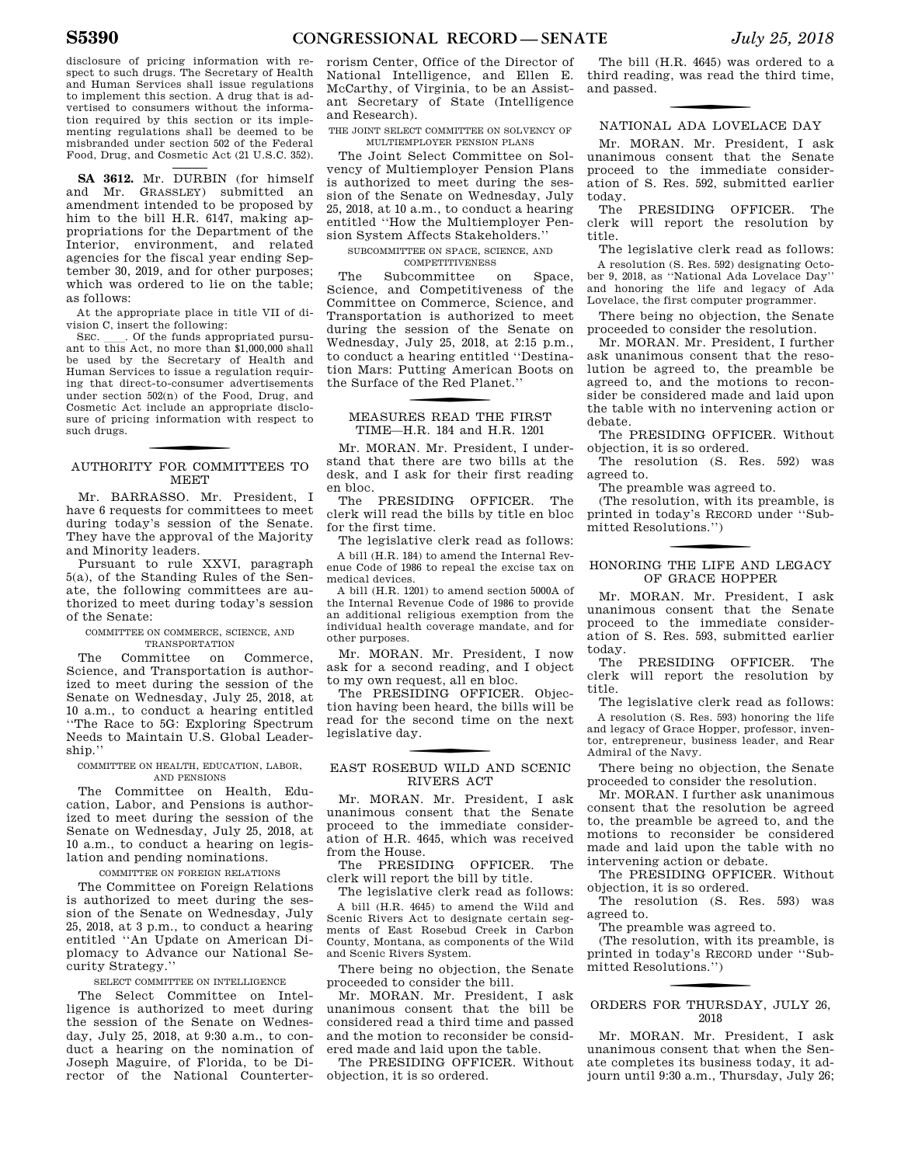disclosure of pricing information with respect to such drugs. The Secretary of Health and Human Services shall issue regulations to implement this section. A drug that is advertised to consumers without the information required by this section or its implementing regulations shall be deemed to be misbranded under section 502 of the Federal Food, Drug, and Cosmetic Act (21 U.S.C. 352).

**SA 3612.** Mr. DURBIN (for himself and Mr. GRASSLEY) submitted an amendment intended to be proposed by him to the bill H.R. 6147, making appropriations for the Department of the Interior, environment, and related agencies for the fiscal year ending September 30, 2019, and for other purposes; which was ordered to lie on the table; as follows:

At the appropriate place in title VII of division C, insert the following:

SEC.  $\quad$  Of the funds appropriated pursuant to this Act, no more than \$1,000,000 shall be used by the Secretary of Health and Human Services to issue a regulation requiring that direct-to-consumer advertisements under section 502(n) of the Food, Drug, and Cosmetic Act include an appropriate disclosure of pricing information with respect to such drugs.

## f AUTHORITY FOR COMMITTEES TO MEET

Mr. BARRASSO. Mr. President, I have 6 requests for committees to meet during today's session of the Senate. They have the approval of the Majority and Minority leaders.

Pursuant to rule XXVI, paragraph 5(a), of the Standing Rules of the Senate, the following committees are authorized to meet during today's session of the Senate:

#### COMMITTEE ON COMMERCE, SCIENCE, AND TRANSPORTATION

The Committee on Commerce, Science, and Transportation is authorized to meet during the session of the Senate on Wednesday, July 25, 2018, at 10 a.m., to conduct a hearing entitled ''The Race to 5G: Exploring Spectrum Needs to Maintain U.S. Global Leadership.''

#### COMMITTEE ON HEALTH, EDUCATION, LABOR, AND PENSIONS

The Committee on Health, Education, Labor, and Pensions is authorized to meet during the session of the Senate on Wednesday, July 25, 2018, at 10 a.m., to conduct a hearing on legislation and pending nominations.

#### COMMITTEE ON FOREIGN RELATIONS

The Committee on Foreign Relations is authorized to meet during the session of the Senate on Wednesday, July 25, 2018, at 3 p.m., to conduct a hearing entitled ''An Update on American Diplomacy to Advance our National Security Strategy.''

#### SELECT COMMITTEE ON INTELLIGENCE

The Select Committee on Intelligence is authorized to meet during the session of the Senate on Wednesday, July 25, 2018, at 9:30 a.m., to conduct a hearing on the nomination of Joseph Maguire, of Florida, to be Director of the National Counterter-

rorism Center, Office of the Director of National Intelligence, and Ellen E. McCarthy, of Virginia, to be an Assistant Secretary of State (Intelligence and Research).

THE JOINT SELECT COMMITTEE ON SOLVENCY OF MULTIEMPLOYER PENSION PLANS

The Joint Select Committee on Solvency of Multiemployer Pension Plans is authorized to meet during the session of the Senate on Wednesday, July 25, 2018, at 10 a.m., to conduct a hearing entitled ''How the Multiemployer Pension System Affects Stakeholders.''

#### SUBCOMMITTEE ON SPACE, SCIENCE, AND COMPETITIVENESS

The Subcommittee on Space, Science, and Competitiveness of the Committee on Commerce, Science, and Transportation is authorized to meet during the session of the Senate on Wednesday, July 25, 2018, at 2:15 p.m., to conduct a hearing entitled ''Destination Mars: Putting American Boots on the Surface of the Red Planet.''

## f MEASURES READ THE FIRST TIME—H.R. 184 and H.R. 1201

Mr. MORAN. Mr. President, I understand that there are two bills at the desk, and I ask for their first reading en bloc.

The PRESIDING OFFICER. The clerk will read the bills by title en bloc for the first time.

The legislative clerk read as follows: A bill (H.R. 184) to amend the Internal Revenue Code of 1986 to repeal the excise tax on medical devices.

A bill (H.R. 1201) to amend section 5000A of the Internal Revenue Code of 1986 to provide an additional religious exemption from the individual health coverage mandate, and for other purposes.

Mr. MORAN. Mr. President, I now ask for a second reading, and I object to my own request, all en bloc.

The PRESIDING OFFICER. Objection having been heard, the bills will be read for the second time on the next legislative day.

## f EAST ROSEBUD WILD AND SCENIC RIVERS ACT

Mr. MORAN. Mr. President, I ask unanimous consent that the Senate proceed to the immediate consideration of H.R. 4645, which was received from the House.

The PRESIDING OFFICER. The clerk will report the bill by title.

The legislative clerk read as follows: A bill (H.R. 4645) to amend the Wild and Scenic Rivers Act to designate certain segments of East Rosebud Creek in Carbon County, Montana, as components of the Wild and Scenic Rivers System.

There being no objection, the Senate proceeded to consider the bill.

Mr. MORAN. Mr. President, I ask unanimous consent that the bill be considered read a third time and passed and the motion to reconsider be considered made and laid upon the table.

The PRESIDING OFFICER. Without objection, it is so ordered.

The bill (H.R. 4645) was ordered to a third reading, was read the third time, and passed.

# f NATIONAL ADA LOVELACE DAY

Mr. MORAN. Mr. President, I ask unanimous consent that the Senate proceed to the immediate consideration of S. Res. 592, submitted earlier today.<br>The

PRESIDING OFFICER. The clerk will report the resolution by title.

The legislative clerk read as follows: A resolution (S. Res. 592) designating October 9, 2018, as ''National Ada Lovelace Day'' and honoring the life and legacy of Ada Lovelace, the first computer programmer.

There being no objection, the Senate proceeded to consider the resolution.

Mr. MORAN. Mr. President, I further ask unanimous consent that the resolution be agreed to, the preamble be agreed to, and the motions to reconsider be considered made and laid upon the table with no intervening action or debate.

The PRESIDING OFFICER. Without objection, it is so ordered.

The resolution (S. Res. 592) was agreed to.

The preamble was agreed to.

(The resolution, with its preamble, is printed in today's RECORD under ''Submitted Resolutions.'')

## f HONORING THE LIFE AND LEGACY OF GRACE HOPPER

Mr. MORAN. Mr. President, I ask unanimous consent that the Senate proceed to the immediate consideration of S. Res. 593, submitted earlier

today. PRESIDING OFFICER. The clerk will report the resolution by title.

The legislative clerk read as follows: A resolution (S. Res. 593) honoring the life and legacy of Grace Hopper, professor, inventor, entrepreneur, business leader, and Rear Admiral of the Navy.

There being no objection, the Senate proceeded to consider the resolution.

Mr. MORAN. I further ask unanimous consent that the resolution be agreed to, the preamble be agreed to, and the motions to reconsider be considered made and laid upon the table with no intervening action or debate.

The PRESIDING OFFICER. Without objection, it is so ordered.

The resolution (S. Res. 593) was agreed to.

The preamble was agreed to.

(The resolution, with its preamble, is printed in today's RECORD under ''Submitted Resolutions.'')

### ORDERS FOR THURSDAY, JULY 26, 2018

Mr. MORAN. Mr. President, I ask unanimous consent that when the Senate completes its business today, it adjourn until 9:30 a.m., Thursday, July 26;